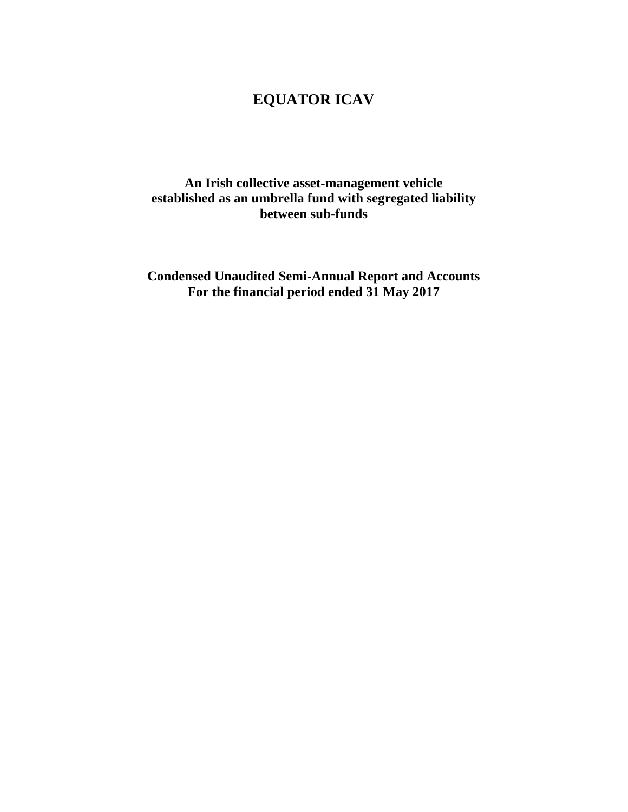**An Irish collective asset-management vehicle established as an umbrella fund with segregated liability between sub-funds** 

**Condensed Unaudited Semi-Annual Report and Accounts For the financial period ended 31 May 2017**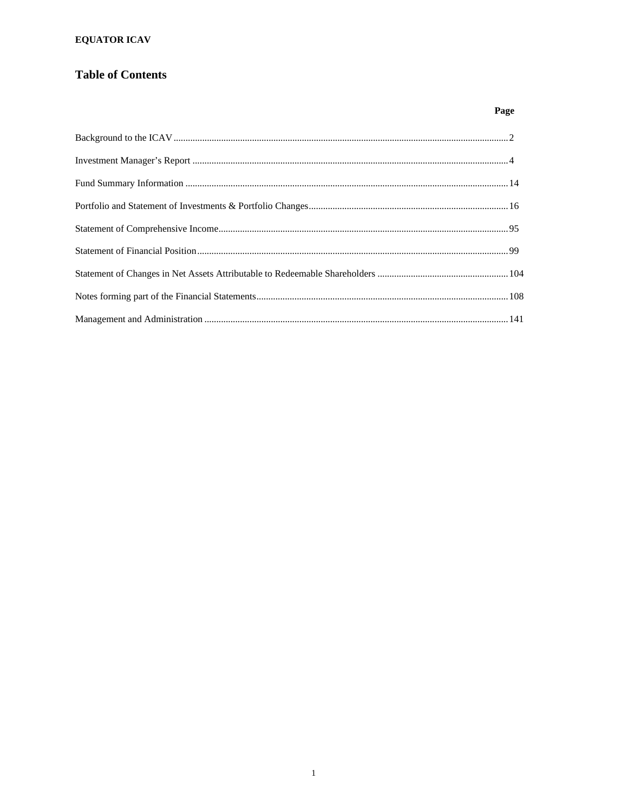### **Table of Contents**

Page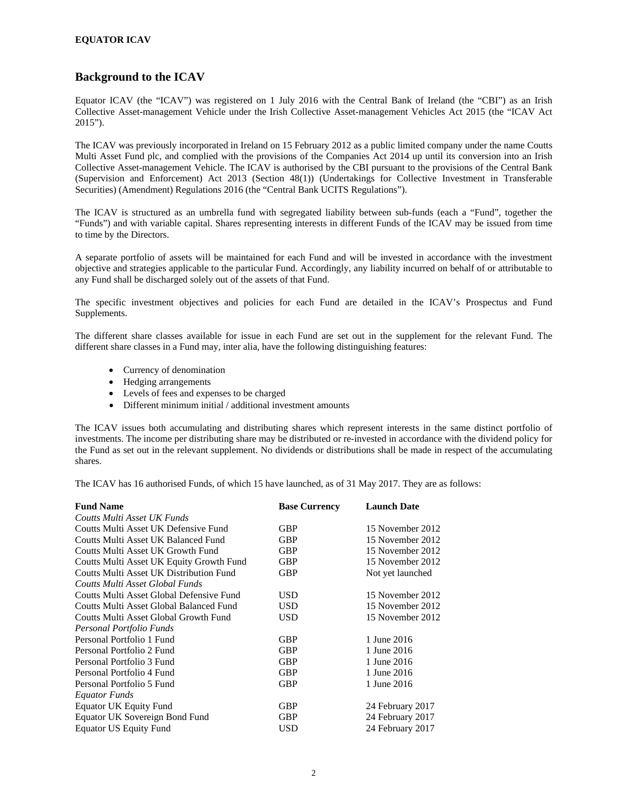### **Background to the ICAV**

Equator ICAV (the "ICAV") was registered on 1 July 2016 with the Central Bank of Ireland (the "CBI") as an Irish Collective Asset-management Vehicle under the Irish Collective Asset-management Vehicles Act 2015 (the "ICAV Act 2015").

The ICAV was previously incorporated in Ireland on 15 February 2012 as a public limited company under the name Coutts Multi Asset Fund plc, and complied with the provisions of the Companies Act 2014 up until its conversion into an Irish Collective Asset-management Vehicle. The ICAV is authorised by the CBI pursuant to the provisions of the Central Bank (Supervision and Enforcement) Act 2013 (Section 48(1)) (Undertakings for Collective Investment in Transferable Securities) (Amendment) Regulations 2016 (the "Central Bank UCITS Regulations").

The ICAV is structured as an umbrella fund with segregated liability between sub-funds (each a "Fund", together the "Funds") and with variable capital. Shares representing interests in different Funds of the ICAV may be issued from time to time by the Directors.

A separate portfolio of assets will be maintained for each Fund and will be invested in accordance with the investment objective and strategies applicable to the particular Fund. Accordingly, any liability incurred on behalf of or attributable to any Fund shall be discharged solely out of the assets of that Fund.

The specific investment objectives and policies for each Fund are detailed in the ICAV's Prospectus and Fund Supplements.

The different share classes available for issue in each Fund are set out in the supplement for the relevant Fund. The different share classes in a Fund may, inter alia, have the following distinguishing features:

- Currency of denomination
- Hedging arrangements
- Levels of fees and expenses to be charged
- Different minimum initial / additional investment amounts

The ICAV issues both accumulating and distributing shares which represent interests in the same distinct portfolio of investments. The income per distributing share may be distributed or re-invested in accordance with the dividend policy for the Fund as set out in the relevant supplement. No dividends or distributions shall be made in respect of the accumulating shares.

The ICAV has 16 authorised Funds, of which 15 have launched, as of 31 May 2017. They are as follows:

| <b>Fund Name</b>                         | <b>Base Currency</b> | <b>Launch Date</b> |
|------------------------------------------|----------------------|--------------------|
| Coutts Multi Asset UK Funds              |                      |                    |
| Coutts Multi Asset UK Defensive Fund     | GBP                  | 15 November 2012   |
| Coutts Multi Asset UK Balanced Fund      | GBP                  | 15 November 2012   |
| Coutts Multi Asset UK Growth Fund        | <b>GBP</b>           | 15 November 2012   |
| Coutts Multi Asset UK Equity Growth Fund | GBP                  | 15 November 2012   |
| Coutts Multi Asset UK Distribution Fund  | <b>GBP</b>           | Not yet launched   |
| Coutts Multi Asset Global Funds          |                      |                    |
| Coutts Multi Asset Global Defensive Fund | USD                  | 15 November 2012   |
| Coutts Multi Asset Global Balanced Fund  | <b>USD</b>           | 15 November 2012   |
| Coutts Multi Asset Global Growth Fund    | USD                  | 15 November 2012   |
| Personal Portfolio Funds                 |                      |                    |
| Personal Portfolio 1 Fund                | <b>GBP</b>           | 1 June 2016        |
| Personal Portfolio 2 Fund                | <b>GBP</b>           | 1 June 2016        |
| Personal Portfolio 3 Fund                | <b>GBP</b>           | 1 June 2016        |
| Personal Portfolio 4 Fund                | <b>GBP</b>           | 1 June 2016        |
| Personal Portfolio 5 Fund                | <b>GBP</b>           | 1 June 2016        |
| Equator Funds                            |                      |                    |
| <b>Equator UK Equity Fund</b>            | GBP                  | 24 February 2017   |
| Equator UK Sovereign Bond Fund           | GBP                  | 24 February 2017   |
| <b>Equator US Equity Fund</b>            | USD                  | 24 February 2017   |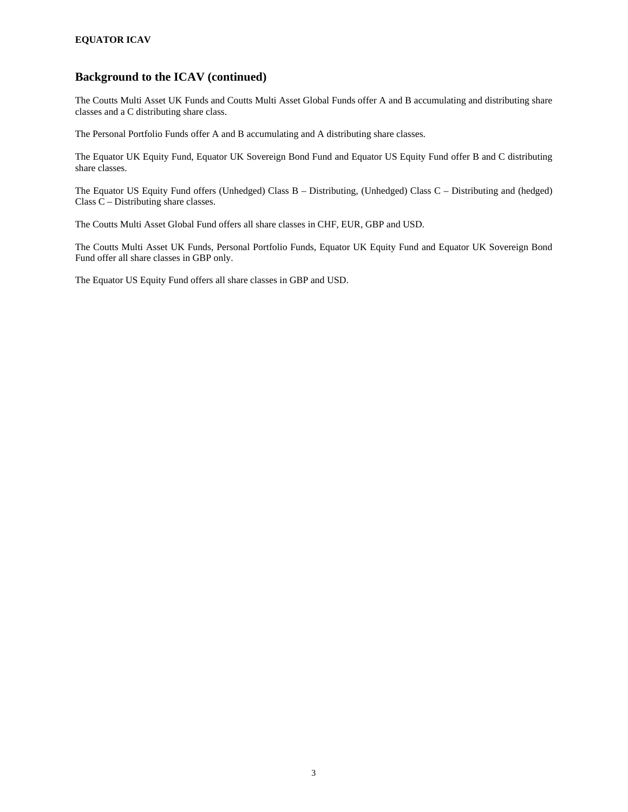### **Background to the ICAV (continued)**

The Coutts Multi Asset UK Funds and Coutts Multi Asset Global Funds offer A and B accumulating and distributing share classes and a C distributing share class.

The Personal Portfolio Funds offer A and B accumulating and A distributing share classes.

The Equator UK Equity Fund, Equator UK Sovereign Bond Fund and Equator US Equity Fund offer B and C distributing share classes.

The Equator US Equity Fund offers (Unhedged) Class B – Distributing, (Unhedged) Class C – Distributing and (hedged) Class C – Distributing share classes.

The Coutts Multi Asset Global Fund offers all share classes in CHF, EUR, GBP and USD.

The Coutts Multi Asset UK Funds, Personal Portfolio Funds, Equator UK Equity Fund and Equator UK Sovereign Bond Fund offer all share classes in GBP only.

The Equator US Equity Fund offers all share classes in GBP and USD.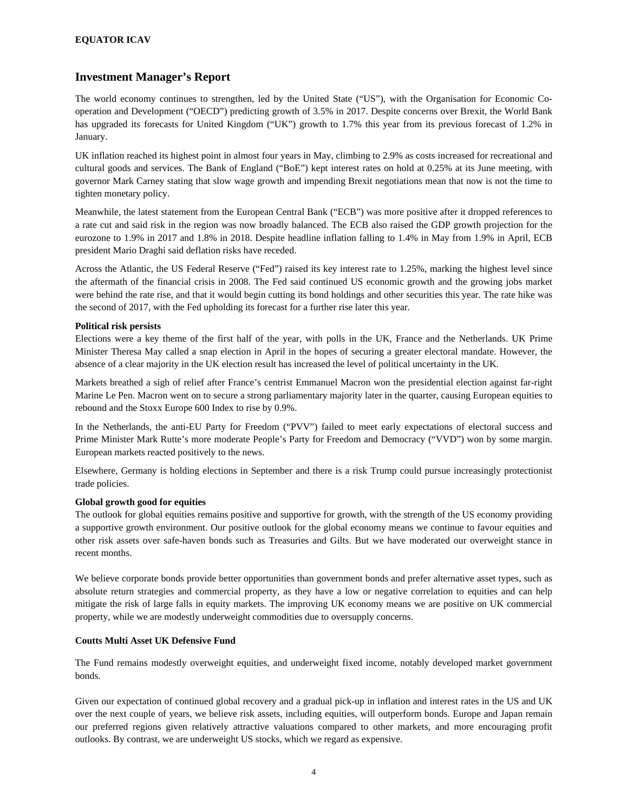### **Investment Manager's Report**

The world economy continues to strengthen, led by the United State ("US"), with the Organisation for Economic Cooperation and Development ("OECD") predicting growth of 3.5% in 2017. Despite concerns over Brexit, the World Bank has upgraded its forecasts for United Kingdom ("UK") growth to 1.7% this year from its previous forecast of 1.2% in January.

UK inflation reached its highest point in almost four years in May, climbing to 2.9% as costs increased for recreational and cultural goods and services. The Bank of England ("BoE") kept interest rates on hold at 0.25% at its June meeting, with governor Mark Carney stating that slow wage growth and impending Brexit negotiations mean that now is not the time to tighten monetary policy.

Meanwhile, the latest statement from the European Central Bank ("ECB") was more positive after it dropped references to a rate cut and said risk in the region was now broadly balanced. The ECB also raised the GDP growth projection for the eurozone to 1.9% in 2017 and 1.8% in 2018. Despite headline inflation falling to 1.4% in May from 1.9% in April, ECB president Mario Draghi said deflation risks have receded.

Across the Atlantic, the US Federal Reserve ("Fed") raised its key interest rate to 1.25%, marking the highest level since the aftermath of the financial crisis in 2008. The Fed said continued US economic growth and the growing jobs market were behind the rate rise, and that it would begin cutting its bond holdings and other securities this year. The rate hike was the second of 2017, with the Fed upholding its forecast for a further rise later this year.

#### **Political risk persists**

Elections were a key theme of the first half of the year, with polls in the UK, France and the Netherlands. UK Prime Minister Theresa May called a snap election in April in the hopes of securing a greater electoral mandate. However, the absence of a clear majority in the UK election result has increased the level of political uncertainty in the UK.

Markets breathed a sigh of relief after France's centrist Emmanuel Macron won the presidential election against far-right Marine Le Pen. Macron went on to secure a strong parliamentary majority later in the quarter, causing European equities to rebound and the Stoxx Europe 600 Index to rise by 0.9%.

In the Netherlands, the anti-EU Party for Freedom ("PVV") failed to meet early expectations of electoral success and Prime Minister Mark Rutte's more moderate People's Party for Freedom and Democracy ("VVD") won by some margin. European markets reacted positively to the news.

Elsewhere, Germany is holding elections in September and there is a risk Trump could pursue increasingly protectionist trade policies.

#### **Global growth good for equities**

The outlook for global equities remains positive and supportive for growth, with the strength of the US economy providing a supportive growth environment. Our positive outlook for the global economy means we continue to favour equities and other risk assets over safe-haven bonds such as Treasuries and Gilts. But we have moderated our overweight stance in recent months.

We believe corporate bonds provide better opportunities than government bonds and prefer alternative asset types, such as absolute return strategies and commercial property, as they have a low or negative correlation to equities and can help mitigate the risk of large falls in equity markets. The improving UK economy means we are positive on UK commercial property, while we are modestly underweight commodities due to oversupply concerns.

#### **Coutts Multi Asset UK Defensive Fund**

The Fund remains modestly overweight equities, and underweight fixed income, notably developed market government bonds.

Given our expectation of continued global recovery and a gradual pick-up in inflation and interest rates in the US and UK over the next couple of years, we believe risk assets, including equities, will outperform bonds. Europe and Japan remain our preferred regions given relatively attractive valuations compared to other markets, and more encouraging profit outlooks. By contrast, we are underweight US stocks, which we regard as expensive.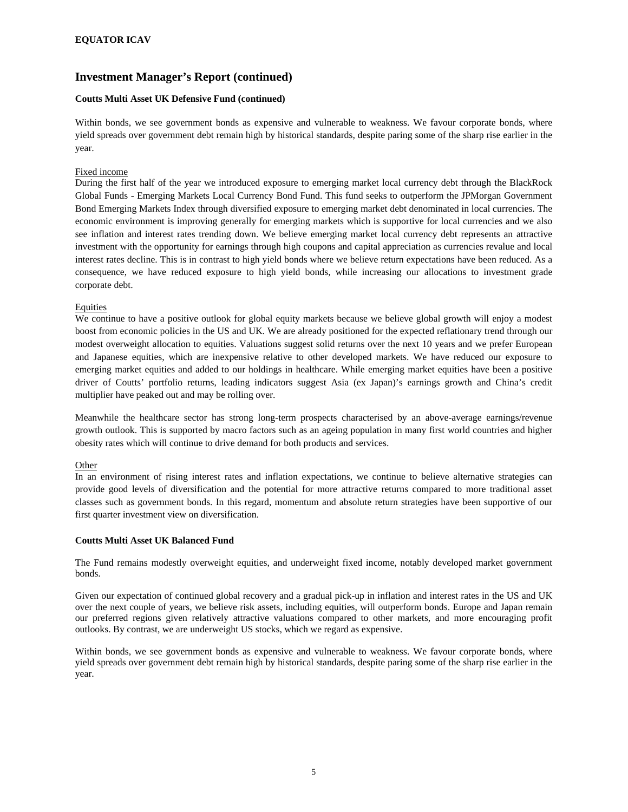#### **Coutts Multi Asset UK Defensive Fund (continued)**

Within bonds, we see government bonds as expensive and vulnerable to weakness. We favour corporate bonds, where yield spreads over government debt remain high by historical standards, despite paring some of the sharp rise earlier in the year.

#### Fixed income

During the first half of the year we introduced exposure to emerging market local currency debt through the BlackRock Global Funds - Emerging Markets Local Currency Bond Fund. This fund seeks to outperform the JPMorgan Government Bond Emerging Markets Index through diversified exposure to emerging market debt denominated in local currencies. The economic environment is improving generally for emerging markets which is supportive for local currencies and we also see inflation and interest rates trending down. We believe emerging market local currency debt represents an attractive investment with the opportunity for earnings through high coupons and capital appreciation as currencies revalue and local interest rates decline. This is in contrast to high yield bonds where we believe return expectations have been reduced. As a consequence, we have reduced exposure to high yield bonds, while increasing our allocations to investment grade corporate debt.

#### Equities

We continue to have a positive outlook for global equity markets because we believe global growth will enjoy a modest boost from economic policies in the US and UK. We are already positioned for the expected reflationary trend through our modest overweight allocation to equities. Valuations suggest solid returns over the next 10 years and we prefer European and Japanese equities, which are inexpensive relative to other developed markets. We have reduced our exposure to emerging market equities and added to our holdings in healthcare. While emerging market equities have been a positive driver of Coutts' portfolio returns, leading indicators suggest Asia (ex Japan)'s earnings growth and China's credit multiplier have peaked out and may be rolling over.

Meanwhile the healthcare sector has strong long-term prospects characterised by an above-average earnings/revenue growth outlook. This is supported by macro factors such as an ageing population in many first world countries and higher obesity rates which will continue to drive demand for both products and services.

#### **Other**

In an environment of rising interest rates and inflation expectations, we continue to believe alternative strategies can provide good levels of diversification and the potential for more attractive returns compared to more traditional asset classes such as government bonds. In this regard, momentum and absolute return strategies have been supportive of our first quarter investment view on diversification.

#### **Coutts Multi Asset UK Balanced Fund**

The Fund remains modestly overweight equities, and underweight fixed income, notably developed market government bonds.

Given our expectation of continued global recovery and a gradual pick-up in inflation and interest rates in the US and UK over the next couple of years, we believe risk assets, including equities, will outperform bonds. Europe and Japan remain our preferred regions given relatively attractive valuations compared to other markets, and more encouraging profit outlooks. By contrast, we are underweight US stocks, which we regard as expensive.

Within bonds, we see government bonds as expensive and vulnerable to weakness. We favour corporate bonds, where yield spreads over government debt remain high by historical standards, despite paring some of the sharp rise earlier in the year.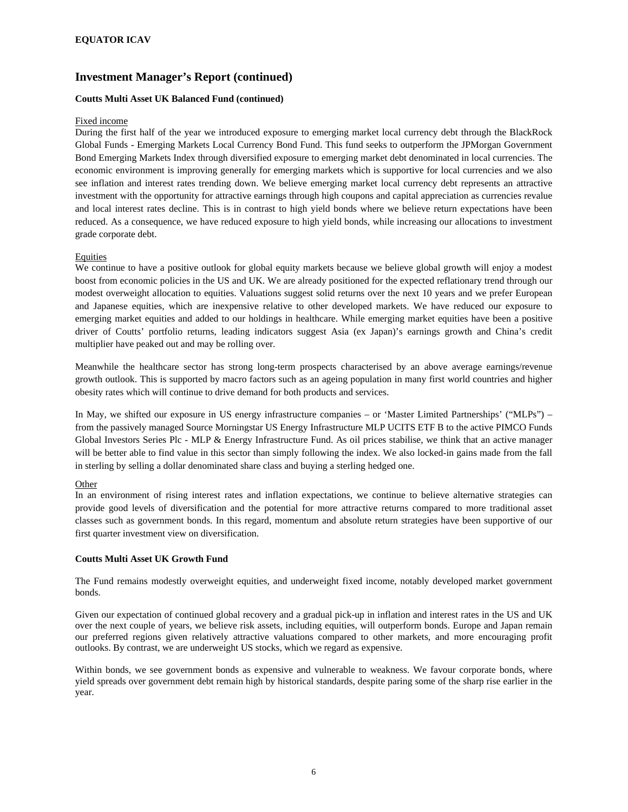#### **Coutts Multi Asset UK Balanced Fund (continued)**

#### Fixed income

During the first half of the year we introduced exposure to emerging market local currency debt through the BlackRock Global Funds - Emerging Markets Local Currency Bond Fund. This fund seeks to outperform the JPMorgan Government Bond Emerging Markets Index through diversified exposure to emerging market debt denominated in local currencies. The economic environment is improving generally for emerging markets which is supportive for local currencies and we also see inflation and interest rates trending down. We believe emerging market local currency debt represents an attractive investment with the opportunity for attractive earnings through high coupons and capital appreciation as currencies revalue and local interest rates decline. This is in contrast to high yield bonds where we believe return expectations have been reduced. As a consequence, we have reduced exposure to high yield bonds, while increasing our allocations to investment grade corporate debt.

#### Equities

We continue to have a positive outlook for global equity markets because we believe global growth will enjoy a modest boost from economic policies in the US and UK. We are already positioned for the expected reflationary trend through our modest overweight allocation to equities. Valuations suggest solid returns over the next 10 years and we prefer European and Japanese equities, which are inexpensive relative to other developed markets. We have reduced our exposure to emerging market equities and added to our holdings in healthcare. While emerging market equities have been a positive driver of Coutts' portfolio returns, leading indicators suggest Asia (ex Japan)'s earnings growth and China's credit multiplier have peaked out and may be rolling over.

Meanwhile the healthcare sector has strong long-term prospects characterised by an above average earnings/revenue growth outlook. This is supported by macro factors such as an ageing population in many first world countries and higher obesity rates which will continue to drive demand for both products and services.

In May, we shifted our exposure in US energy infrastructure companies – or 'Master Limited Partnerships' ("MLPs") – from the passively managed Source Morningstar US Energy Infrastructure MLP UCITS ETF B to the active PIMCO Funds Global Investors Series Plc - MLP & Energy Infrastructure Fund. As oil prices stabilise, we think that an active manager will be better able to find value in this sector than simply following the index. We also locked-in gains made from the fall in sterling by selling a dollar denominated share class and buying a sterling hedged one.

#### **Other**

In an environment of rising interest rates and inflation expectations, we continue to believe alternative strategies can provide good levels of diversification and the potential for more attractive returns compared to more traditional asset classes such as government bonds. In this regard, momentum and absolute return strategies have been supportive of our first quarter investment view on diversification.

#### **Coutts Multi Asset UK Growth Fund**

The Fund remains modestly overweight equities, and underweight fixed income, notably developed market government bonds.

Given our expectation of continued global recovery and a gradual pick-up in inflation and interest rates in the US and UK over the next couple of years, we believe risk assets, including equities, will outperform bonds. Europe and Japan remain our preferred regions given relatively attractive valuations compared to other markets, and more encouraging profit outlooks. By contrast, we are underweight US stocks, which we regard as expensive.

Within bonds, we see government bonds as expensive and vulnerable to weakness. We favour corporate bonds, where yield spreads over government debt remain high by historical standards, despite paring some of the sharp rise earlier in the year.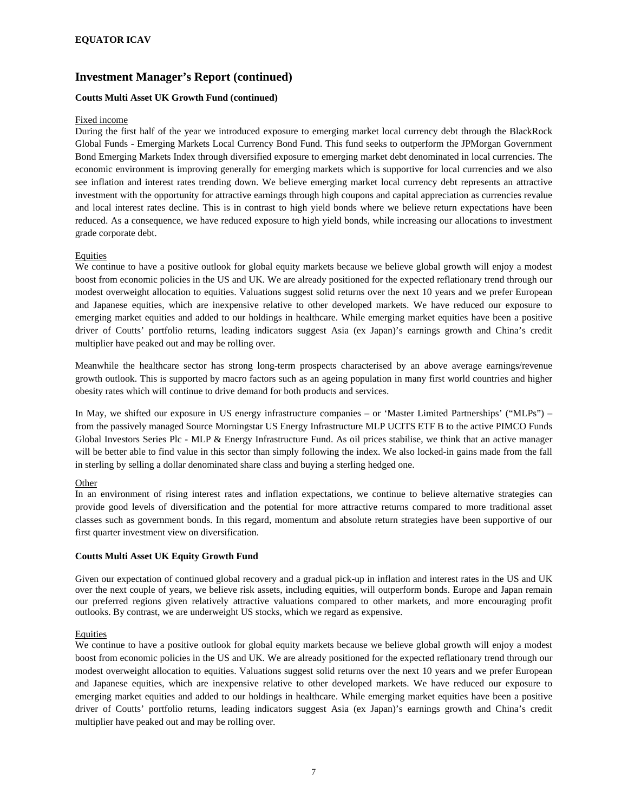#### **Coutts Multi Asset UK Growth Fund (continued)**

#### Fixed income

During the first half of the year we introduced exposure to emerging market local currency debt through the BlackRock Global Funds - Emerging Markets Local Currency Bond Fund. This fund seeks to outperform the JPMorgan Government Bond Emerging Markets Index through diversified exposure to emerging market debt denominated in local currencies. The economic environment is improving generally for emerging markets which is supportive for local currencies and we also see inflation and interest rates trending down. We believe emerging market local currency debt represents an attractive investment with the opportunity for attractive earnings through high coupons and capital appreciation as currencies revalue and local interest rates decline. This is in contrast to high yield bonds where we believe return expectations have been reduced. As a consequence, we have reduced exposure to high yield bonds, while increasing our allocations to investment grade corporate debt.

#### **Equities**

We continue to have a positive outlook for global equity markets because we believe global growth will enjoy a modest boost from economic policies in the US and UK. We are already positioned for the expected reflationary trend through our modest overweight allocation to equities. Valuations suggest solid returns over the next 10 years and we prefer European and Japanese equities, which are inexpensive relative to other developed markets. We have reduced our exposure to emerging market equities and added to our holdings in healthcare. While emerging market equities have been a positive driver of Coutts' portfolio returns, leading indicators suggest Asia (ex Japan)'s earnings growth and China's credit multiplier have peaked out and may be rolling over.

Meanwhile the healthcare sector has strong long-term prospects characterised by an above average earnings/revenue growth outlook. This is supported by macro factors such as an ageing population in many first world countries and higher obesity rates which will continue to drive demand for both products and services.

In May, we shifted our exposure in US energy infrastructure companies – or 'Master Limited Partnerships' ("MLPs") – from the passively managed Source Morningstar US Energy Infrastructure MLP UCITS ETF B to the active PIMCO Funds Global Investors Series Plc - MLP & Energy Infrastructure Fund. As oil prices stabilise, we think that an active manager will be better able to find value in this sector than simply following the index. We also locked-in gains made from the fall in sterling by selling a dollar denominated share class and buying a sterling hedged one.

#### **Other**

In an environment of rising interest rates and inflation expectations, we continue to believe alternative strategies can provide good levels of diversification and the potential for more attractive returns compared to more traditional asset classes such as government bonds. In this regard, momentum and absolute return strategies have been supportive of our first quarter investment view on diversification.

#### **Coutts Multi Asset UK Equity Growth Fund**

Given our expectation of continued global recovery and a gradual pick-up in inflation and interest rates in the US and UK over the next couple of years, we believe risk assets, including equities, will outperform bonds. Europe and Japan remain our preferred regions given relatively attractive valuations compared to other markets, and more encouraging profit outlooks. By contrast, we are underweight US stocks, which we regard as expensive.

#### **Equities**

We continue to have a positive outlook for global equity markets because we believe global growth will enjoy a modest boost from economic policies in the US and UK. We are already positioned for the expected reflationary trend through our modest overweight allocation to equities. Valuations suggest solid returns over the next 10 years and we prefer European and Japanese equities, which are inexpensive relative to other developed markets. We have reduced our exposure to emerging market equities and added to our holdings in healthcare. While emerging market equities have been a positive driver of Coutts' portfolio returns, leading indicators suggest Asia (ex Japan)'s earnings growth and China's credit multiplier have peaked out and may be rolling over.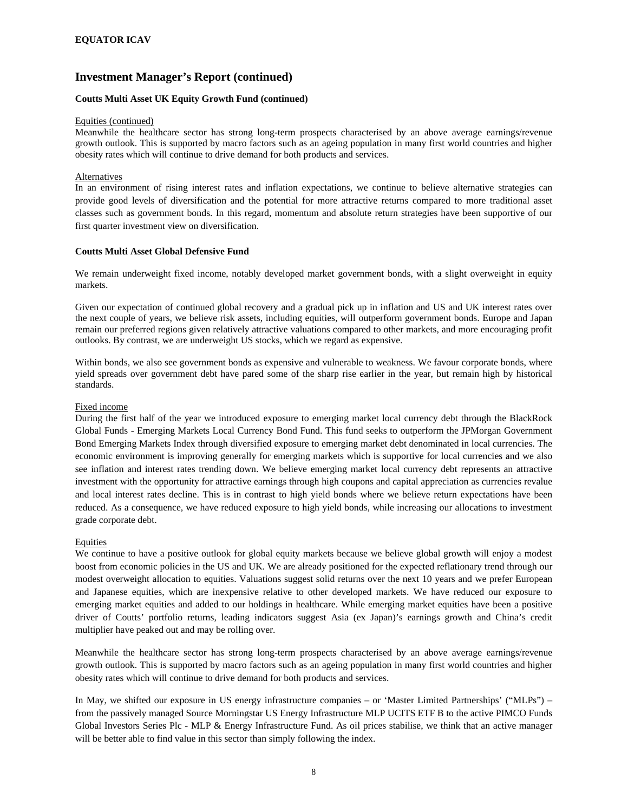#### **Coutts Multi Asset UK Equity Growth Fund (continued)**

#### Equities (continued)

Meanwhile the healthcare sector has strong long-term prospects characterised by an above average earnings/revenue growth outlook. This is supported by macro factors such as an ageing population in many first world countries and higher obesity rates which will continue to drive demand for both products and services.

#### Alternatives

In an environment of rising interest rates and inflation expectations, we continue to believe alternative strategies can provide good levels of diversification and the potential for more attractive returns compared to more traditional asset classes such as government bonds. In this regard, momentum and absolute return strategies have been supportive of our first quarter investment view on diversification.

#### **Coutts Multi Asset Global Defensive Fund**

We remain underweight fixed income, notably developed market government bonds, with a slight overweight in equity markets.

Given our expectation of continued global recovery and a gradual pick up in inflation and US and UK interest rates over the next couple of years, we believe risk assets, including equities, will outperform government bonds. Europe and Japan remain our preferred regions given relatively attractive valuations compared to other markets, and more encouraging profit outlooks. By contrast, we are underweight US stocks, which we regard as expensive.

Within bonds, we also see government bonds as expensive and vulnerable to weakness. We favour corporate bonds, where yield spreads over government debt have pared some of the sharp rise earlier in the year, but remain high by historical standards.

#### Fixed income

During the first half of the year we introduced exposure to emerging market local currency debt through the BlackRock Global Funds - Emerging Markets Local Currency Bond Fund. This fund seeks to outperform the JPMorgan Government Bond Emerging Markets Index through diversified exposure to emerging market debt denominated in local currencies. The economic environment is improving generally for emerging markets which is supportive for local currencies and we also see inflation and interest rates trending down. We believe emerging market local currency debt represents an attractive investment with the opportunity for attractive earnings through high coupons and capital appreciation as currencies revalue and local interest rates decline. This is in contrast to high yield bonds where we believe return expectations have been reduced. As a consequence, we have reduced exposure to high yield bonds, while increasing our allocations to investment grade corporate debt.

#### Equities

We continue to have a positive outlook for global equity markets because we believe global growth will enjoy a modest boost from economic policies in the US and UK. We are already positioned for the expected reflationary trend through our modest overweight allocation to equities. Valuations suggest solid returns over the next 10 years and we prefer European and Japanese equities, which are inexpensive relative to other developed markets. We have reduced our exposure to emerging market equities and added to our holdings in healthcare. While emerging market equities have been a positive driver of Coutts' portfolio returns, leading indicators suggest Asia (ex Japan)'s earnings growth and China's credit multiplier have peaked out and may be rolling over.

Meanwhile the healthcare sector has strong long-term prospects characterised by an above average earnings/revenue growth outlook. This is supported by macro factors such as an ageing population in many first world countries and higher obesity rates which will continue to drive demand for both products and services.

In May, we shifted our exposure in US energy infrastructure companies – or 'Master Limited Partnerships' ("MLPs") – from the passively managed Source Morningstar US Energy Infrastructure MLP UCITS ETF B to the active PIMCO Funds Global Investors Series Plc - MLP & Energy Infrastructure Fund. As oil prices stabilise, we think that an active manager will be better able to find value in this sector than simply following the index.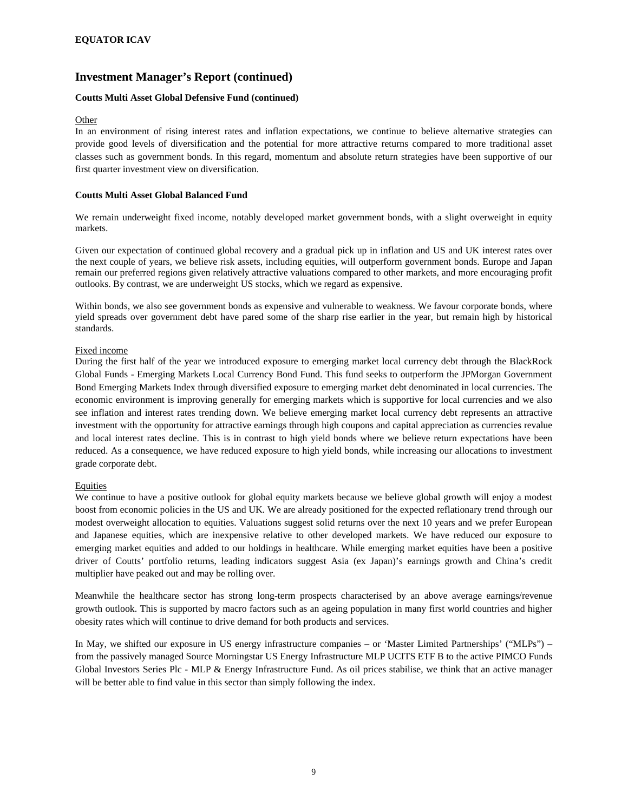#### **Coutts Multi Asset Global Defensive Fund (continued)**

#### **Other**

In an environment of rising interest rates and inflation expectations, we continue to believe alternative strategies can provide good levels of diversification and the potential for more attractive returns compared to more traditional asset classes such as government bonds. In this regard, momentum and absolute return strategies have been supportive of our first quarter investment view on diversification.

#### **Coutts Multi Asset Global Balanced Fund**

We remain underweight fixed income, notably developed market government bonds, with a slight overweight in equity markets.

Given our expectation of continued global recovery and a gradual pick up in inflation and US and UK interest rates over the next couple of years, we believe risk assets, including equities, will outperform government bonds. Europe and Japan remain our preferred regions given relatively attractive valuations compared to other markets, and more encouraging profit outlooks. By contrast, we are underweight US stocks, which we regard as expensive.

Within bonds, we also see government bonds as expensive and vulnerable to weakness. We favour corporate bonds, where yield spreads over government debt have pared some of the sharp rise earlier in the year, but remain high by historical standards.

#### Fixed income

During the first half of the year we introduced exposure to emerging market local currency debt through the BlackRock Global Funds - Emerging Markets Local Currency Bond Fund. This fund seeks to outperform the JPMorgan Government Bond Emerging Markets Index through diversified exposure to emerging market debt denominated in local currencies. The economic environment is improving generally for emerging markets which is supportive for local currencies and we also see inflation and interest rates trending down. We believe emerging market local currency debt represents an attractive investment with the opportunity for attractive earnings through high coupons and capital appreciation as currencies revalue and local interest rates decline. This is in contrast to high yield bonds where we believe return expectations have been reduced. As a consequence, we have reduced exposure to high yield bonds, while increasing our allocations to investment grade corporate debt.

#### Equities

We continue to have a positive outlook for global equity markets because we believe global growth will enjoy a modest boost from economic policies in the US and UK. We are already positioned for the expected reflationary trend through our modest overweight allocation to equities. Valuations suggest solid returns over the next 10 years and we prefer European and Japanese equities, which are inexpensive relative to other developed markets. We have reduced our exposure to emerging market equities and added to our holdings in healthcare. While emerging market equities have been a positive driver of Coutts' portfolio returns, leading indicators suggest Asia (ex Japan)'s earnings growth and China's credit multiplier have peaked out and may be rolling over.

Meanwhile the healthcare sector has strong long-term prospects characterised by an above average earnings/revenue growth outlook. This is supported by macro factors such as an ageing population in many first world countries and higher obesity rates which will continue to drive demand for both products and services.

In May, we shifted our exposure in US energy infrastructure companies – or 'Master Limited Partnerships' ("MLPs") – from the passively managed Source Morningstar US Energy Infrastructure MLP UCITS ETF B to the active PIMCO Funds Global Investors Series Plc - MLP & Energy Infrastructure Fund. As oil prices stabilise, we think that an active manager will be better able to find value in this sector than simply following the index.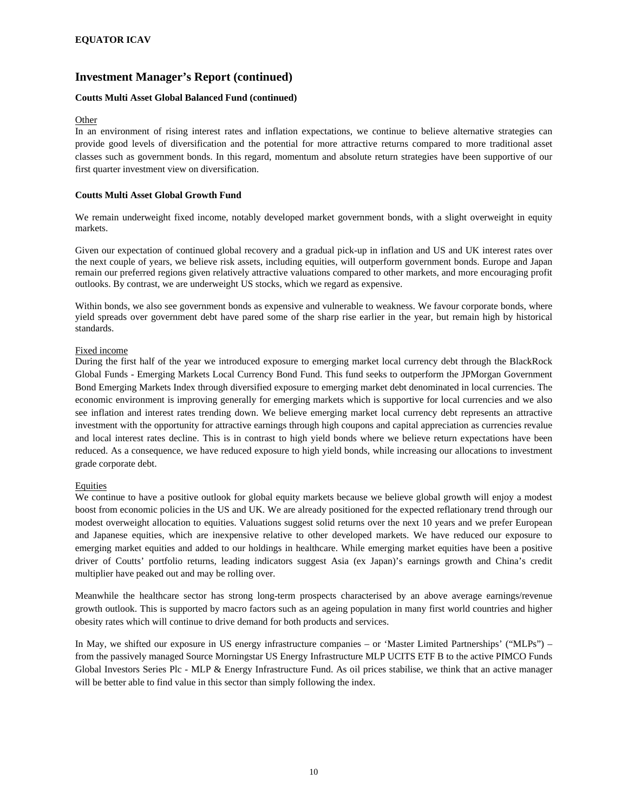#### **Coutts Multi Asset Global Balanced Fund (continued)**

#### **Other**

In an environment of rising interest rates and inflation expectations, we continue to believe alternative strategies can provide good levels of diversification and the potential for more attractive returns compared to more traditional asset classes such as government bonds. In this regard, momentum and absolute return strategies have been supportive of our first quarter investment view on diversification.

#### **Coutts Multi Asset Global Growth Fund**

We remain underweight fixed income, notably developed market government bonds, with a slight overweight in equity markets.

Given our expectation of continued global recovery and a gradual pick-up in inflation and US and UK interest rates over the next couple of years, we believe risk assets, including equities, will outperform government bonds. Europe and Japan remain our preferred regions given relatively attractive valuations compared to other markets, and more encouraging profit outlooks. By contrast, we are underweight US stocks, which we regard as expensive.

Within bonds, we also see government bonds as expensive and vulnerable to weakness. We favour corporate bonds, where yield spreads over government debt have pared some of the sharp rise earlier in the year, but remain high by historical standards.

#### Fixed income

During the first half of the year we introduced exposure to emerging market local currency debt through the BlackRock Global Funds - Emerging Markets Local Currency Bond Fund. This fund seeks to outperform the JPMorgan Government Bond Emerging Markets Index through diversified exposure to emerging market debt denominated in local currencies. The economic environment is improving generally for emerging markets which is supportive for local currencies and we also see inflation and interest rates trending down. We believe emerging market local currency debt represents an attractive investment with the opportunity for attractive earnings through high coupons and capital appreciation as currencies revalue and local interest rates decline. This is in contrast to high yield bonds where we believe return expectations have been reduced. As a consequence, we have reduced exposure to high yield bonds, while increasing our allocations to investment grade corporate debt.

#### **Equities**

We continue to have a positive outlook for global equity markets because we believe global growth will enjoy a modest boost from economic policies in the US and UK. We are already positioned for the expected reflationary trend through our modest overweight allocation to equities. Valuations suggest solid returns over the next 10 years and we prefer European and Japanese equities, which are inexpensive relative to other developed markets. We have reduced our exposure to emerging market equities and added to our holdings in healthcare. While emerging market equities have been a positive driver of Coutts' portfolio returns, leading indicators suggest Asia (ex Japan)'s earnings growth and China's credit multiplier have peaked out and may be rolling over.

Meanwhile the healthcare sector has strong long-term prospects characterised by an above average earnings/revenue growth outlook. This is supported by macro factors such as an ageing population in many first world countries and higher obesity rates which will continue to drive demand for both products and services.

In May, we shifted our exposure in US energy infrastructure companies – or 'Master Limited Partnerships' ("MLPs") – from the passively managed Source Morningstar US Energy Infrastructure MLP UCITS ETF B to the active PIMCO Funds Global Investors Series Plc - MLP & Energy Infrastructure Fund. As oil prices stabilise, we think that an active manager will be better able to find value in this sector than simply following the index.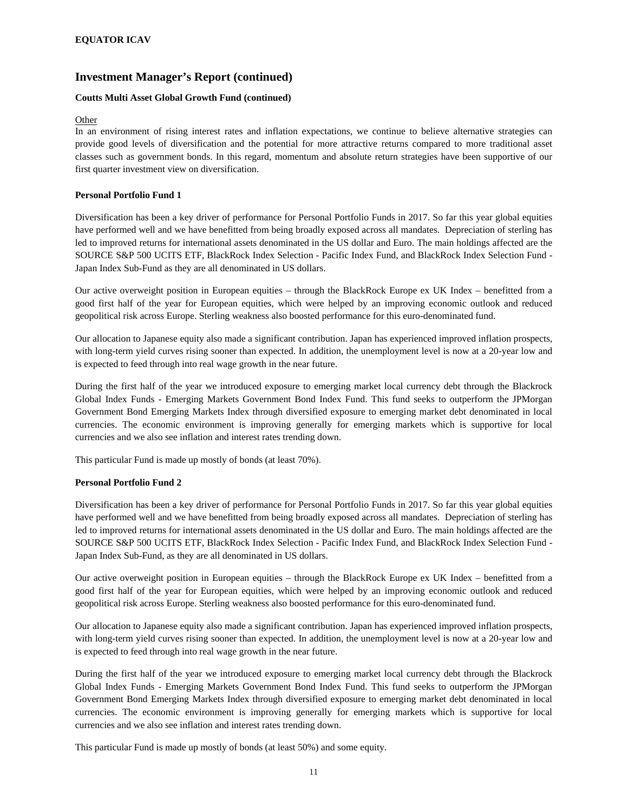#### **Coutts Multi Asset Global Growth Fund (continued)**

#### **Other**

In an environment of rising interest rates and inflation expectations, we continue to believe alternative strategies can provide good levels of diversification and the potential for more attractive returns compared to more traditional asset classes such as government bonds. In this regard, momentum and absolute return strategies have been supportive of our first quarter investment view on diversification.

#### **Personal Portfolio Fund 1**

Diversification has been a key driver of performance for Personal Portfolio Funds in 2017. So far this year global equities have performed well and we have benefitted from being broadly exposed across all mandates. Depreciation of sterling has led to improved returns for international assets denominated in the US dollar and Euro. The main holdings affected are the SOURCE S&P 500 UCITS ETF, BlackRock Index Selection - Pacific Index Fund, and BlackRock Index Selection Fund - Japan Index Sub-Fund as they are all denominated in US dollars.

Our active overweight position in European equities – through the BlackRock Europe ex UK Index – benefitted from a good first half of the year for European equities, which were helped by an improving economic outlook and reduced geopolitical risk across Europe. Sterling weakness also boosted performance for this euro-denominated fund.

Our allocation to Japanese equity also made a significant contribution. Japan has experienced improved inflation prospects, with long-term yield curves rising sooner than expected. In addition, the unemployment level is now at a 20-year low and is expected to feed through into real wage growth in the near future.

During the first half of the year we introduced exposure to emerging market local currency debt through the Blackrock Global Index Funds - Emerging Markets Government Bond Index Fund. This fund seeks to outperform the JPMorgan Government Bond Emerging Markets Index through diversified exposure to emerging market debt denominated in local currencies. The economic environment is improving generally for emerging markets which is supportive for local currencies and we also see inflation and interest rates trending down.

This particular Fund is made up mostly of bonds (at least 70%).

#### **Personal Portfolio Fund 2**

Diversification has been a key driver of performance for Personal Portfolio Funds in 2017. So far this year global equities have performed well and we have benefitted from being broadly exposed across all mandates. Depreciation of sterling has led to improved returns for international assets denominated in the US dollar and Euro. The main holdings affected are the SOURCE S&P 500 UCITS ETF, BlackRock Index Selection - Pacific Index Fund, and BlackRock Index Selection Fund - Japan Index Sub-Fund, as they are all denominated in US dollars.

Our active overweight position in European equities – through the BlackRock Europe ex UK Index – benefitted from a good first half of the year for European equities, which were helped by an improving economic outlook and reduced geopolitical risk across Europe. Sterling weakness also boosted performance for this euro-denominated fund.

Our allocation to Japanese equity also made a significant contribution. Japan has experienced improved inflation prospects, with long-term yield curves rising sooner than expected. In addition, the unemployment level is now at a 20-year low and is expected to feed through into real wage growth in the near future.

During the first half of the year we introduced exposure to emerging market local currency debt through the Blackrock Global Index Funds - Emerging Markets Government Bond Index Fund. This fund seeks to outperform the JPMorgan Government Bond Emerging Markets Index through diversified exposure to emerging market debt denominated in local currencies. The economic environment is improving generally for emerging markets which is supportive for local currencies and we also see inflation and interest rates trending down.

This particular Fund is made up mostly of bonds (at least 50%) and some equity.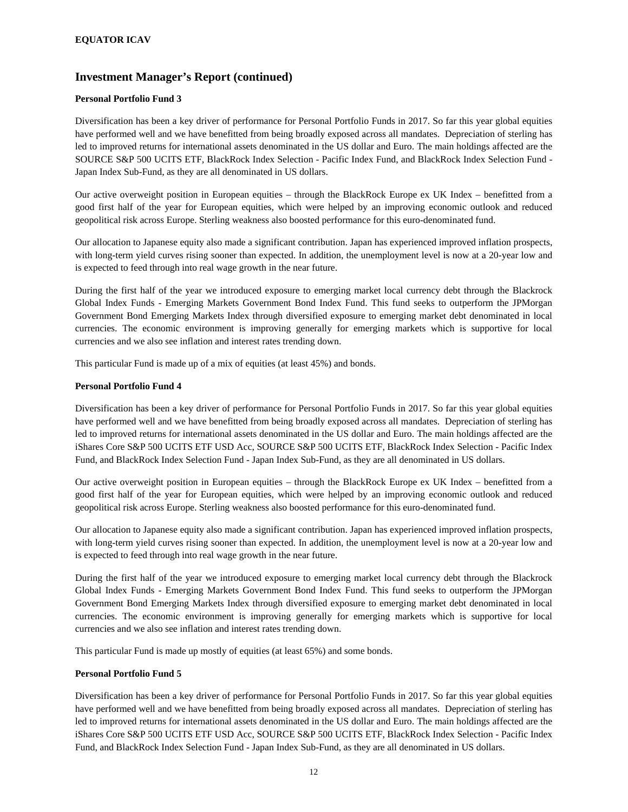#### **Personal Portfolio Fund 3**

Diversification has been a key driver of performance for Personal Portfolio Funds in 2017. So far this year global equities have performed well and we have benefitted from being broadly exposed across all mandates. Depreciation of sterling has led to improved returns for international assets denominated in the US dollar and Euro. The main holdings affected are the SOURCE S&P 500 UCITS ETF, BlackRock Index Selection - Pacific Index Fund, and BlackRock Index Selection Fund - Japan Index Sub-Fund, as they are all denominated in US dollars.

Our active overweight position in European equities – through the BlackRock Europe ex UK Index – benefitted from a good first half of the year for European equities, which were helped by an improving economic outlook and reduced geopolitical risk across Europe. Sterling weakness also boosted performance for this euro-denominated fund.

Our allocation to Japanese equity also made a significant contribution. Japan has experienced improved inflation prospects, with long-term yield curves rising sooner than expected. In addition, the unemployment level is now at a 20-year low and is expected to feed through into real wage growth in the near future.

During the first half of the year we introduced exposure to emerging market local currency debt through the Blackrock Global Index Funds - Emerging Markets Government Bond Index Fund. This fund seeks to outperform the JPMorgan Government Bond Emerging Markets Index through diversified exposure to emerging market debt denominated in local currencies. The economic environment is improving generally for emerging markets which is supportive for local currencies and we also see inflation and interest rates trending down.

This particular Fund is made up of a mix of equities (at least 45%) and bonds.

#### **Personal Portfolio Fund 4**

Diversification has been a key driver of performance for Personal Portfolio Funds in 2017. So far this year global equities have performed well and we have benefitted from being broadly exposed across all mandates. Depreciation of sterling has led to improved returns for international assets denominated in the US dollar and Euro. The main holdings affected are the iShares Core S&P 500 UCITS ETF USD Acc, SOURCE S&P 500 UCITS ETF, BlackRock Index Selection - Pacific Index Fund, and BlackRock Index Selection Fund - Japan Index Sub-Fund, as they are all denominated in US dollars.

Our active overweight position in European equities – through the BlackRock Europe ex UK Index – benefitted from a good first half of the year for European equities, which were helped by an improving economic outlook and reduced geopolitical risk across Europe. Sterling weakness also boosted performance for this euro-denominated fund.

Our allocation to Japanese equity also made a significant contribution. Japan has experienced improved inflation prospects, with long-term yield curves rising sooner than expected. In addition, the unemployment level is now at a 20-year low and is expected to feed through into real wage growth in the near future.

During the first half of the year we introduced exposure to emerging market local currency debt through the Blackrock Global Index Funds - Emerging Markets Government Bond Index Fund. This fund seeks to outperform the JPMorgan Government Bond Emerging Markets Index through diversified exposure to emerging market debt denominated in local currencies. The economic environment is improving generally for emerging markets which is supportive for local currencies and we also see inflation and interest rates trending down.

This particular Fund is made up mostly of equities (at least 65%) and some bonds.

#### **Personal Portfolio Fund 5**

Diversification has been a key driver of performance for Personal Portfolio Funds in 2017. So far this year global equities have performed well and we have benefitted from being broadly exposed across all mandates. Depreciation of sterling has led to improved returns for international assets denominated in the US dollar and Euro. The main holdings affected are the iShares Core S&P 500 UCITS ETF USD Acc, SOURCE S&P 500 UCITS ETF, BlackRock Index Selection - Pacific Index Fund, and BlackRock Index Selection Fund - Japan Index Sub-Fund, as they are all denominated in US dollars.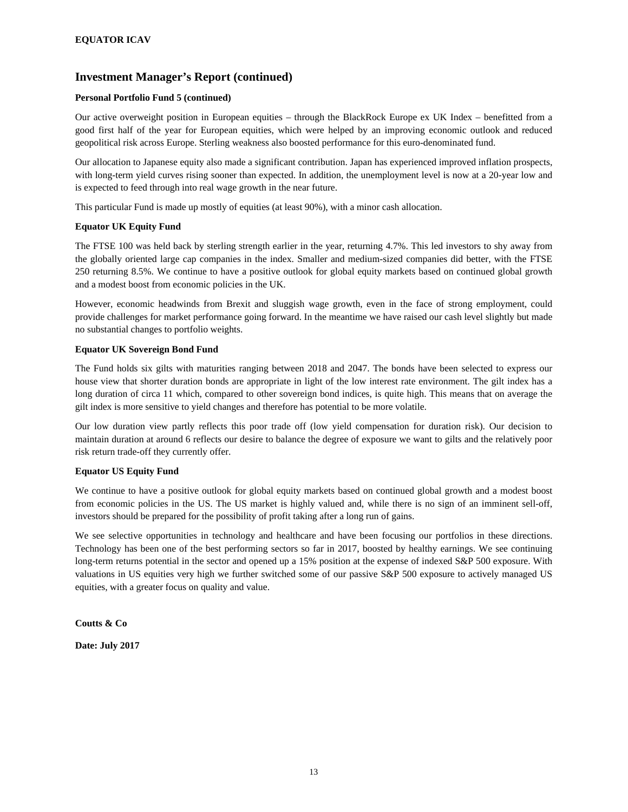#### **Personal Portfolio Fund 5 (continued)**

Our active overweight position in European equities – through the BlackRock Europe ex UK Index – benefitted from a good first half of the year for European equities, which were helped by an improving economic outlook and reduced geopolitical risk across Europe. Sterling weakness also boosted performance for this euro-denominated fund.

Our allocation to Japanese equity also made a significant contribution. Japan has experienced improved inflation prospects, with long-term yield curves rising sooner than expected. In addition, the unemployment level is now at a 20-year low and is expected to feed through into real wage growth in the near future.

This particular Fund is made up mostly of equities (at least 90%), with a minor cash allocation.

#### **Equator UK Equity Fund**

The FTSE 100 was held back by sterling strength earlier in the year, returning 4.7%. This led investors to shy away from the globally oriented large cap companies in the index. Smaller and medium-sized companies did better, with the FTSE 250 returning 8.5%. We continue to have a positive outlook for global equity markets based on continued global growth and a modest boost from economic policies in the UK.

However, economic headwinds from Brexit and sluggish wage growth, even in the face of strong employment, could provide challenges for market performance going forward. In the meantime we have raised our cash level slightly but made no substantial changes to portfolio weights.

#### **Equator UK Sovereign Bond Fund**

The Fund holds six gilts with maturities ranging between 2018 and 2047. The bonds have been selected to express our house view that shorter duration bonds are appropriate in light of the low interest rate environment. The gilt index has a long duration of circa 11 which, compared to other sovereign bond indices, is quite high. This means that on average the gilt index is more sensitive to yield changes and therefore has potential to be more volatile.

Our low duration view partly reflects this poor trade off (low yield compensation for duration risk). Our decision to maintain duration at around 6 reflects our desire to balance the degree of exposure we want to gilts and the relatively poor risk return trade-off they currently offer.

#### **Equator US Equity Fund**

We continue to have a positive outlook for global equity markets based on continued global growth and a modest boost from economic policies in the US. The US market is highly valued and, while there is no sign of an imminent sell-off, investors should be prepared for the possibility of profit taking after a long run of gains.

We see selective opportunities in technology and healthcare and have been focusing our portfolios in these directions. Technology has been one of the best performing sectors so far in 2017, boosted by healthy earnings. We see continuing long-term returns potential in the sector and opened up a 15% position at the expense of indexed S&P 500 exposure. With valuations in US equities very high we further switched some of our passive S&P 500 exposure to actively managed US equities, with a greater focus on quality and value.

**Coutts & Co** 

**Date: July 2017**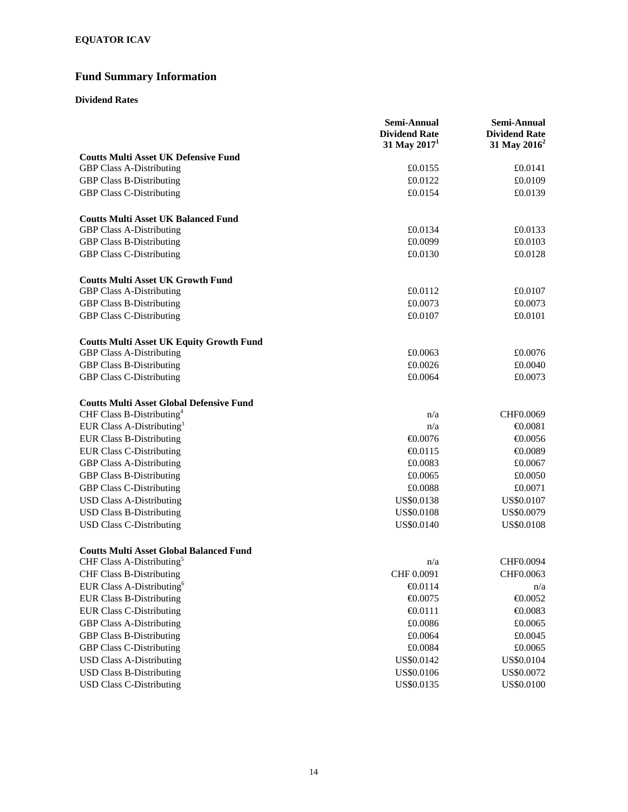# **Fund Summary Information**

### **Dividend Rates**

|                                                 | Semi-Annual<br><b>Dividend Rate</b><br>31 May $20171$ | Semi-Annual<br><b>Dividend Rate</b><br>31 May 2016 <sup>2</sup> |
|-------------------------------------------------|-------------------------------------------------------|-----------------------------------------------------------------|
| <b>Coutts Multi Asset UK Defensive Fund</b>     |                                                       |                                                                 |
| <b>GBP Class A-Distributing</b>                 | £0.0155                                               | £0.0141                                                         |
| <b>GBP Class B-Distributing</b>                 | £0.0122                                               | £0.0109                                                         |
| <b>GBP Class C-Distributing</b>                 | £0.0154                                               | £0.0139                                                         |
| <b>Coutts Multi Asset UK Balanced Fund</b>      |                                                       |                                                                 |
| <b>GBP Class A-Distributing</b>                 | £0.0134                                               | £0.0133                                                         |
| <b>GBP Class B-Distributing</b>                 | £0.0099                                               | £0.0103                                                         |
| <b>GBP Class C-Distributing</b>                 | £0.0130                                               | £0.0128                                                         |
| <b>Coutts Multi Asset UK Growth Fund</b>        |                                                       |                                                                 |
| <b>GBP Class A-Distributing</b>                 | £0.0112                                               | £0.0107                                                         |
| <b>GBP Class B-Distributing</b>                 | £0.0073                                               | £0.0073                                                         |
| <b>GBP Class C-Distributing</b>                 | £0.0107                                               | £0.0101                                                         |
| <b>Coutts Multi Asset UK Equity Growth Fund</b> |                                                       |                                                                 |
| <b>GBP Class A-Distributing</b>                 | £0.0063                                               | £0.0076                                                         |
| <b>GBP Class B-Distributing</b>                 | £0.0026                                               | £0.0040                                                         |
| <b>GBP Class C-Distributing</b>                 | £0.0064                                               | £0.0073                                                         |
| <b>Coutts Multi Asset Global Defensive Fund</b> |                                                       |                                                                 |
| CHF Class B-Distributing <sup>4</sup>           | n/a                                                   | CHF0.0069                                                       |
| EUR Class A-Distributing <sup>3</sup>           | n/a                                                   | $-0.0081$                                                       |
| <b>EUR Class B-Distributing</b>                 | $-0.0076$                                             | €0.0056                                                         |
| <b>EUR Class C-Distributing</b>                 | $-0.0115$                                             | €0.0089                                                         |
| <b>GBP Class A-Distributing</b>                 | £0.0083                                               | £0.0067                                                         |
| <b>GBP Class B-Distributing</b>                 | £0.0065                                               | £0.0050                                                         |
| <b>GBP Class C-Distributing</b>                 | £0.0088                                               | £0.0071                                                         |
| <b>USD Class A-Distributing</b>                 | US\$0.0138                                            | US\$0.0107                                                      |
| <b>USD Class B-Distributing</b>                 | <b>US\$0.0108</b>                                     | US\$0.0079                                                      |
| <b>USD Class C-Distributing</b>                 | US\$0.0140                                            | US\$0.0108                                                      |
| <b>Coutts Multi Asset Global Balanced Fund</b>  |                                                       |                                                                 |
| CHF Class A-Distributing <sup>5</sup>           | n/a                                                   | CHF0.0094                                                       |
| <b>CHF Class B-Distributing</b>                 | CHF 0.0091                                            | CHF0.0063                                                       |
| EUR Class A-Distributing <sup>6</sup>           | $\bigoplus$ 0.0114                                    | n/a                                                             |
| <b>EUR Class B-Distributing</b>                 | $-0.0075$                                             | $-0.0052$                                                       |
| <b>EUR Class C-Distributing</b>                 | €0.0111                                               | $-0.0083$                                                       |
| <b>GBP Class A-Distributing</b>                 | £0.0086                                               | £0.0065                                                         |
| <b>GBP Class B-Distributing</b>                 | £0.0064                                               | £0.0045                                                         |
| <b>GBP Class C-Distributing</b>                 | £0.0084                                               | £0.0065                                                         |
| <b>USD Class A-Distributing</b>                 | US\$0.0142                                            | US\$0.0104                                                      |
| <b>USD Class B-Distributing</b>                 | US\$0.0106                                            | US\$0.0072                                                      |
| <b>USD Class C-Distributing</b>                 | US\$0.0135                                            | US\$0.0100                                                      |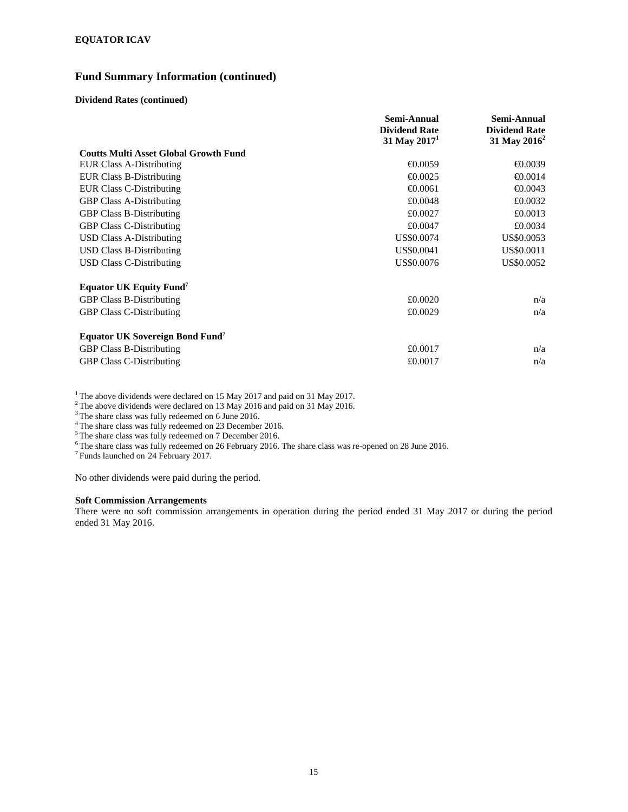### **Fund Summary Information (continued)**

#### **Dividend Rates (continued)**

|                                                    | Semi-Annual          | Semi-Annual              |
|----------------------------------------------------|----------------------|--------------------------|
|                                                    | <b>Dividend Rate</b> | <b>Dividend Rate</b>     |
|                                                    | 31 May $20171$       | 31 May 2016 <sup>2</sup> |
| <b>Coutts Multi Asset Global Growth Fund</b>       |                      |                          |
| <b>EUR Class A-Distributing</b>                    | €0.0059              | €0.0039                  |
| <b>EUR Class B-Distributing</b>                    | €0.0025              | $\bigoplus$ ,0014        |
| <b>EUR Class C-Distributing</b>                    | $\bigoplus$ ,0061    | $\bigoplus$ ,0043        |
| <b>GBP Class A-Distributing</b>                    | £0.0048              | £0.0032                  |
| <b>GBP Class B-Distributing</b>                    | £0.0027              | £0.0013                  |
| <b>GBP Class C-Distributing</b>                    | £0.0047              | £0.0034                  |
| USD Class A-Distributing                           | US\$0.0074           | US\$0.0053               |
| USD Class B-Distributing                           | US\$0.0041           | US\$0.0011               |
| <b>USD Class C-Distributing</b>                    | US\$0.0076           | US\$0.0052               |
| <b>Equator UK Equity Fund</b> <sup>7</sup>         |                      |                          |
| <b>GBP Class B-Distributing</b>                    | £0.0020              | n/a                      |
| <b>GBP Class C-Distributing</b>                    | £0.0029              | n/a                      |
| <b>Equator UK Sovereign Bond Fund</b> <sup>7</sup> |                      |                          |
| <b>GBP Class B-Distributing</b>                    | £0.0017              | n/a                      |
| <b>GBP Class C-Distributing</b>                    | £0.0017              | n/a                      |

<sup>1</sup> The above dividends were declared on 15 May 2017 and paid on 31 May 2017.

 $2^2$  The above dividends were declared on 13 May 2016 and paid on 31 May 2016.

<sup>3</sup> The share class was fully redeemed on 6 June 2016.

<sup>4</sup> The share class was fully redeemed on 23 December 2016.

<sup>5</sup>The share class was fully redeemed on 7 December 2016.

<sup>6</sup> The share class was fully redeemed on 26 February 2016. The share class was re-opened on 28 June 2016.

7 Funds launched on 24 February 2017.

No other dividends were paid during the period.

#### **Soft Commission Arrangements**

There were no soft commission arrangements in operation during the period ended 31 May 2017 or during the period ended 31 May 2016.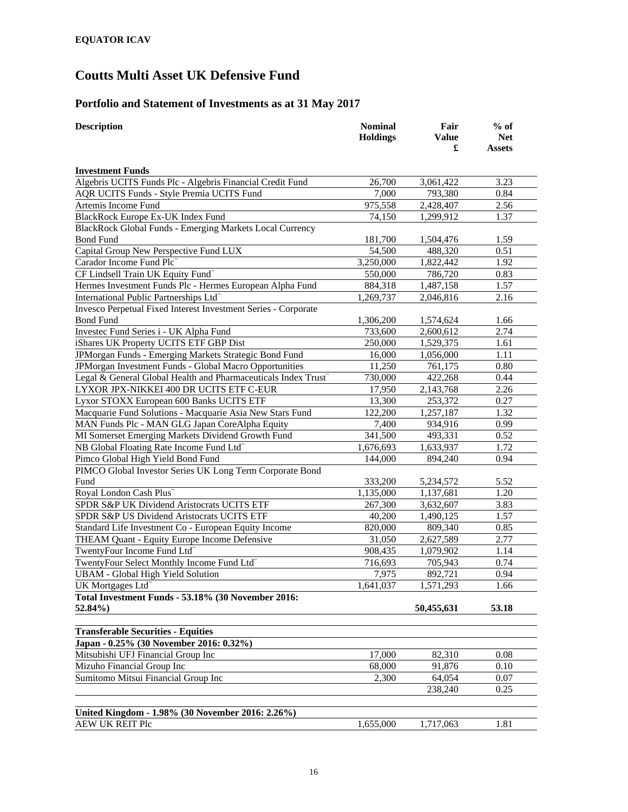## **Portfolio and Statement of Investments as at 31 May 2017**

| <b>Description</b>                                             | <b>Nominal</b><br><b>Holdings</b> | Fair<br><b>Value</b> | $%$ of<br><b>Net</b> |
|----------------------------------------------------------------|-----------------------------------|----------------------|----------------------|
|                                                                |                                   | £                    | <b>Assets</b>        |
| <b>Investment Funds</b>                                        |                                   |                      |                      |
| Algebris UCITS Funds Plc - Algebris Financial Credit Fund      | 26,700                            | 3,061,422            | 3.23                 |
| AQR UCITS Funds - Style Premia UCITS Fund                      | 7,000                             | 793,380              | 0.84                 |
| Artemis Income Fund                                            | 975,558                           | 2,428,407            | 2.56                 |
| BlackRock Europe Ex-UK Index Fund                              | 74,150                            | 1,299,912            | 1.37                 |
| BlackRock Global Funds - Emerging Markets Local Currency       |                                   |                      |                      |
| <b>Bond Fund</b>                                               | 181,700                           | 1,504,476            | 1.59                 |
| Capital Group New Perspective Fund LUX                         | 54,500                            | 488,320              | 0.51                 |
| Carador Income Fund Plc                                        | 3,250,000                         | 1,822,442            | 1.92                 |
| CF Lindsell Train UK Equity Fund <sup>~</sup>                  | 550,000                           | 786,720              | 0.83                 |
| Hermes Investment Funds Plc - Hermes European Alpha Fund       | 884,318                           | 1,487,158            | 1.57                 |
| International Public Partnerships Ltd <sup>~</sup>             | 1,269,737                         | 2,046,816            | 2.16                 |
| Invesco Perpetual Fixed Interest Investment Series - Corporate |                                   |                      |                      |
| <b>Bond Fund</b>                                               | 1,306,200                         | 1,574,624            | 1.66                 |
| Investec Fund Series i - UK Alpha Fund                         | 733,600                           | 2,600,612            | 2.74                 |
| iShares UK Property UCITS ETF GBP Dist                         | 250,000                           | 1,529,375            | 1.61                 |
| JPMorgan Funds - Emerging Markets Strategic Bond Fund          | 16,000                            | 1,056,000            | 1.11                 |
| JPMorgan Investment Funds - Global Macro Opportunities         | 11,250                            | 761,175              | 0.80                 |
| Legal & General Global Health and Pharmaceuticals Index Trust~ | 730,000                           | 422,268              | 0.44                 |
| LYXOR JPX-NIKKEI 400 DR UCITS ETF C-EUR                        | 17,950                            | 2,143,768            | 2.26                 |
| Lyxor STOXX European 600 Banks UCITS ETF                       | 13,300                            | 253,372              | 0.27                 |
| Macquarie Fund Solutions - Macquarie Asia New Stars Fund       | 122,200                           | 1,257,187            | 1.32                 |
| MAN Funds Plc - MAN GLG Japan CoreAlpha Equity                 | 7,400                             | 934,916              | 0.99                 |
| MI Somerset Emerging Markets Dividend Growth Fund              | 341,500                           | 493,331              | 0.52                 |
| NB Global Floating Rate Income Fund Ltd <sup>®</sup>           | 1,676,693                         | 1,633,937            | 1.72                 |
| Pimco Global High Yield Bond Fund                              | 144,000                           | 894,240              | 0.94                 |
| PIMCO Global Investor Series UK Long Term Corporate Bond       |                                   |                      |                      |
| Fund                                                           | 333,200                           | 5,234,572            | 5.52                 |
| Royal London Cash Plus~                                        | 1,135,000                         | 1,137,681            | 1.20                 |
| SPDR S&P UK Dividend Aristocrats UCITS ETF                     | 267,300                           | 3,632,607            | 3.83                 |
| SPDR S&P US Dividend Aristocrats UCITS ETF                     | 40,200                            | 1,490,125            | 1.57                 |
| Standard Life Investment Co - European Equity Income           | 820,000                           | 809,340              | 0.85                 |
| THEAM Quant - Equity Europe Income Defensive                   | 31,050                            | 2,627,589            | 2.77                 |
| TwentyFour Income Fund Ltd <sup>~</sup>                        | 908,435                           | 1,079,902            | 1.14                 |
| TwentyFour Select Monthly Income Fund Ltd <sup>®</sup>         | 716,693                           | 705,943              | 0.74                 |
| <b>UBAM - Global High Yield Solution</b>                       | 7,975                             | 892,721              | 0.94                 |
| UK Mortgages Ltd <sup>®</sup>                                  | 1,641,037                         | 1,571,293            | 1.66                 |
| Total Investment Funds - 53.18% (30 November 2016:             |                                   |                      |                      |
| 52.84%)                                                        |                                   | 50,455,631           | 53.18                |
| <b>Transferable Securities - Equities</b>                      |                                   |                      |                      |
| Japan - 0.25% (30 November 2016: 0.32%)                        |                                   |                      |                      |
| Mitsubishi UFJ Financial Group Inc                             | 17,000                            |                      |                      |
| Mizuho Financial Group Inc                                     | 68,000                            | 82,310<br>91,876     | 0.08<br>0.10         |
| Sumitomo Mitsui Financial Group Inc                            | 2,300                             | 64,054               | 0.07                 |
|                                                                |                                   | 238,240              | 0.25                 |
|                                                                |                                   |                      |                      |
| United Kingdom - 1.98% (30 November 2016: 2.26%)               |                                   |                      |                      |
| <b>AEW UK REIT Plc</b>                                         | 1,655,000                         | 1,717,063            | 1.81                 |
|                                                                |                                   |                      |                      |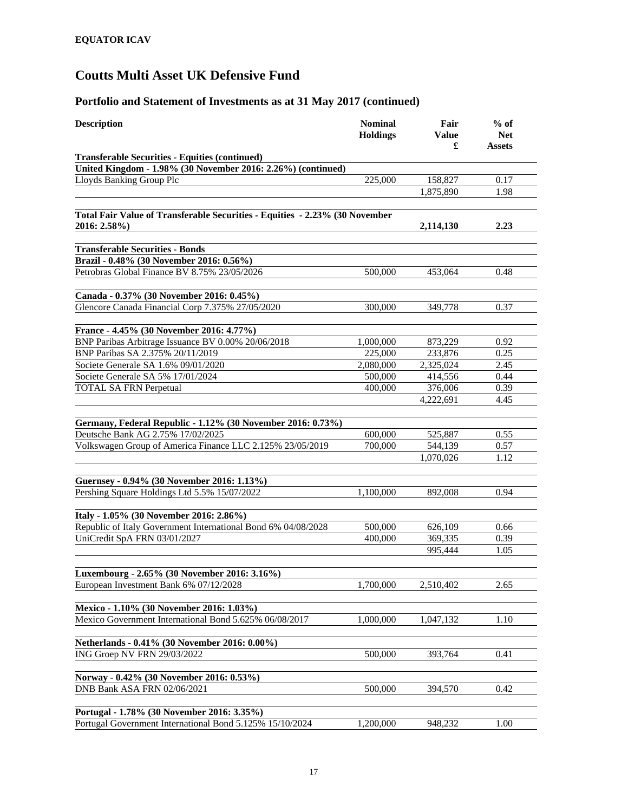| <b>Description</b>                                                                          | <b>Nominal</b><br><b>Holdings</b> | Fair<br>Value<br>£ | $%$ of<br><b>Net</b><br>Assets |
|---------------------------------------------------------------------------------------------|-----------------------------------|--------------------|--------------------------------|
| <b>Transferable Securities - Equities (continued)</b>                                       |                                   |                    |                                |
| United Kingdom - 1.98% (30 November 2016: 2.26%) (continued)                                |                                   |                    |                                |
| Lloyds Banking Group Plc                                                                    | 225,000                           | 158,827            | 0.17                           |
|                                                                                             |                                   | 1,875,890          | 1.98                           |
|                                                                                             |                                   |                    |                                |
| Total Fair Value of Transferable Securities - Equities - 2.23% (30 November<br>2016: 2.58%) |                                   | 2,114,130          | 2.23                           |
|                                                                                             |                                   |                    |                                |
| <b>Transferable Securities - Bonds</b>                                                      |                                   |                    |                                |
| Brazil - 0.48% (30 November 2016: 0.56%)                                                    |                                   |                    |                                |
| Petrobras Global Finance BV 8.75% 23/05/2026                                                | 500,000                           | 453,064            | 0.48                           |
|                                                                                             |                                   |                    |                                |
| Canada - 0.37% (30 November 2016: 0.45%)                                                    |                                   |                    |                                |
| Glencore Canada Financial Corp 7.375% 27/05/2020                                            | 300,000                           | 349,778            | 0.37                           |
| France - 4.45% (30 November 2016: 4.77%)                                                    |                                   |                    |                                |
| BNP Paribas Arbitrage Issuance BV 0.00% 20/06/2018                                          | 1,000,000                         | 873,229            | 0.92                           |
| BNP Paribas SA 2.375% 20/11/2019                                                            | 225,000                           | 233,876            | 0.25                           |
| Societe Generale SA 1.6% 09/01/2020                                                         | 2,080,000                         | 2,325,024          | 2.45                           |
| Societe Generale SA 5% 17/01/2024                                                           | 500,000                           | 414,556            | 0.44                           |
| <b>TOTAL SA FRN Perpetual</b>                                                               | 400,000                           | 376,006            | 0.39                           |
|                                                                                             |                                   | 4,222,691          | 4.45                           |
|                                                                                             |                                   |                    |                                |
| Germany, Federal Republic - 1.12% (30 November 2016: 0.73%)                                 |                                   |                    |                                |
| Deutsche Bank AG 2.75% 17/02/2025                                                           | 600,000                           | 525,887            | 0.55                           |
| Volkswagen Group of America Finance LLC 2.125% 23/05/2019                                   | 700,000                           | 544,139            | 0.57                           |
|                                                                                             |                                   | 1,070,026          | 1.12                           |
|                                                                                             |                                   |                    |                                |
| Guernsey - 0.94% (30 November 2016: 1.13%)                                                  |                                   |                    |                                |
| Pershing Square Holdings Ltd 5.5% 15/07/2022                                                | 1,100,000                         | 892,008            | 0.94                           |
|                                                                                             |                                   |                    |                                |
| Italy - 1.05% (30 November 2016: 2.86%)                                                     |                                   |                    |                                |
| Republic of Italy Government International Bond 6% 04/08/2028                               | 500,000                           | 626,109            | 0.66                           |
| UniCredit SpA FRN 03/01/2027                                                                | 400,000                           | 369,335            | 0.39                           |
|                                                                                             |                                   | 995,444            | 1.05                           |
|                                                                                             |                                   |                    |                                |
| Luxembourg - 2.65% (30 November 2016: 3.16%)                                                |                                   |                    |                                |
| European Investment Bank 6% 07/12/2028                                                      | 1,700,000                         | 2,510,402          | 2.65                           |
|                                                                                             |                                   |                    |                                |
| Mexico - 1.10% (30 November 2016: 1.03%)                                                    |                                   |                    |                                |
| Mexico Government International Bond 5.625% 06/08/2017                                      | 1,000,000                         | 1,047,132          | 1.10                           |
|                                                                                             |                                   |                    |                                |
| Netherlands - 0.41% (30 November 2016: 0.00%)                                               |                                   |                    |                                |
| ING Groep NV FRN 29/03/2022                                                                 | 500,000                           | 393,764            | 0.41                           |
|                                                                                             |                                   |                    |                                |
| Norway - 0.42% (30 November 2016: 0.53%)                                                    |                                   |                    |                                |
| DNB Bank ASA FRN 02/06/2021                                                                 | 500,000                           | 394,570            | 0.42                           |
|                                                                                             |                                   |                    |                                |
| Portugal - 1.78% (30 November 2016: 3.35%)                                                  |                                   |                    |                                |
| Portugal Government International Bond 5.125% 15/10/2024                                    | 1,200,000                         | 948,232            | 1.00                           |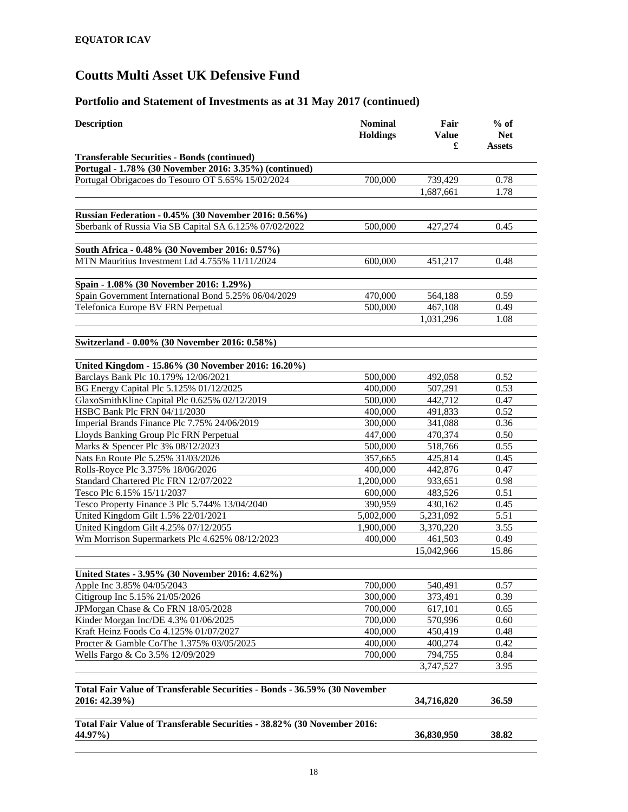| <b>Description</b>                                                                         | <b>Nominal</b><br><b>Holdings</b> | Fair<br><b>Value</b><br>£ | $%$ of<br><b>Net</b><br>Assets |
|--------------------------------------------------------------------------------------------|-----------------------------------|---------------------------|--------------------------------|
| <b>Transferable Securities - Bonds (continued)</b>                                         |                                   |                           |                                |
| Portugal - 1.78% (30 November 2016: 3.35%) (continued)                                     |                                   |                           |                                |
| Portugal Obrigacoes do Tesouro OT 5.65% 15/02/2024                                         | 700,000                           | 739,429                   | 0.78                           |
|                                                                                            |                                   | 1,687,661                 | 1.78                           |
| Russian Federation - 0.45% (30 November 2016: 0.56%)                                       |                                   |                           |                                |
| Sberbank of Russia Via SB Capital SA 6.125% 07/02/2022                                     | 500,000                           | 427,274                   | 0.45                           |
|                                                                                            |                                   |                           |                                |
| South Africa - 0.48% (30 November 2016: 0.57%)                                             |                                   |                           |                                |
| MTN Mauritius Investment Ltd 4.755% 11/11/2024                                             | 600,000                           | 451,217                   | 0.48                           |
| Spain - 1.08% (30 November 2016: 1.29%)                                                    |                                   |                           |                                |
| Spain Government International Bond 5.25% 06/04/2029                                       | 470,000                           | 564,188                   | 0.59                           |
| Telefonica Europe BV FRN Perpetual                                                         | 500,000                           | 467,108                   | 0.49                           |
|                                                                                            |                                   | 1,031,296                 | 1.08                           |
| Switzerland - 0.00% (30 November 2016: 0.58%)                                              |                                   |                           |                                |
|                                                                                            |                                   |                           |                                |
| United Kingdom - 15.86% (30 November 2016: 16.20%)<br>Barclays Bank Plc 10.179% 12/06/2021 | 500,000                           | 492.058                   | 0.52                           |
| BG Energy Capital Plc 5.125% 01/12/2025                                                    | 400,000                           | 507,291                   | 0.53                           |
| GlaxoSmithKline Capital Plc 0.625% 02/12/2019                                              | 500,000                           | 442,712                   | 0.47                           |
| HSBC Bank Plc FRN 04/11/2030                                                               | 400,000                           | 491,833                   | 0.52                           |
| Imperial Brands Finance Plc 7.75% 24/06/2019                                               | 300,000                           | 341,088                   | 0.36                           |
| Lloyds Banking Group Plc FRN Perpetual                                                     | 447,000                           | 470,374                   | 0.50                           |
| Marks & Spencer Plc 3% 08/12/2023                                                          | 500,000                           | 518,766                   | 0.55                           |
| Nats En Route Plc 5.25% 31/03/2026                                                         | 357,665                           | 425,814                   | 0.45                           |
| Rolls-Royce Plc 3.375% 18/06/2026                                                          | 400,000                           | 442,876                   | 0.47                           |
| Standard Chartered Plc FRN 12/07/2022                                                      | 1,200,000                         | 933,651                   | 0.98                           |
| Tesco Plc 6.15% 15/11/2037                                                                 | 600,000                           | 483,526                   | 0.51                           |
| Tesco Property Finance 3 Plc 5.744% 13/04/2040                                             | 390,959                           | 430,162                   | 0.45                           |
| United Kingdom Gilt 1.5% 22/01/2021                                                        | 5,002,000                         | 5,231,092                 | 5.51                           |
| United Kingdom Gilt 4.25% 07/12/2055                                                       | 1,900,000                         | 3,370,220                 | 3.55                           |
| Wm Morrison Supermarkets Plc 4.625% 08/12/2023                                             | 400,000                           | 461,503                   | 0.49                           |
|                                                                                            |                                   | 15,042,966                | 15.86                          |
| United States - 3.95% (30 November 2016: 4.62%)                                            |                                   |                           |                                |
| Apple Inc 3.85% 04/05/2043                                                                 | 700,000                           | 540,491                   | 0.57                           |
| Citigroup Inc 5.15% 21/05/2026                                                             | 300,000                           | 373,491                   | 0.39                           |
| JPMorgan Chase & Co FRN 18/05/2028                                                         | 700,000                           | 617,101                   | 0.65                           |
| Kinder Morgan Inc/DE 4.3% 01/06/2025                                                       | 700,000                           | 570,996                   | 0.60                           |
| Kraft Heinz Foods Co 4.125% 01/07/2027                                                     | 400,000                           | 450,419                   | 0.48                           |
| Procter & Gamble Co/The 1.375% 03/05/2025                                                  | 400,000                           | 400,274                   | 0.42                           |
| Wells Fargo & Co 3.5% 12/09/2029                                                           | 700,000                           | 794,755                   | 0.84                           |
|                                                                                            |                                   | 3,747,527                 | 3.95                           |
| Total Fair Value of Transferable Securities - Bonds - 36.59% (30 November                  |                                   |                           |                                |
| 2016: 42.39%)                                                                              |                                   | 34,716,820                | 36.59                          |
| Total Fair Value of Transferable Securities - 38.82% (30 November 2016:                    |                                   |                           |                                |
| 44.97%)                                                                                    |                                   | 36,830,950                | 38.82                          |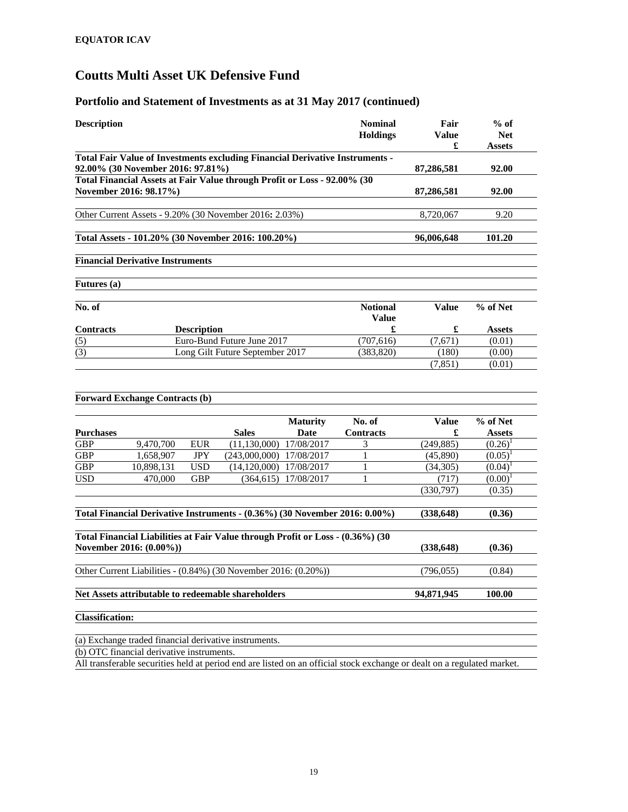| <b>Description</b>     |                                                                                                                   |                    |                                 |                 | <b>Nominal</b>                                                                                                          | Fair         | $%$ of        |
|------------------------|-------------------------------------------------------------------------------------------------------------------|--------------------|---------------------------------|-----------------|-------------------------------------------------------------------------------------------------------------------------|--------------|---------------|
|                        |                                                                                                                   |                    |                                 |                 | <b>Holdings</b>                                                                                                         | <b>Value</b> | <b>Net</b>    |
|                        |                                                                                                                   |                    |                                 |                 |                                                                                                                         | £            | Assets        |
|                        | Total Fair Value of Investments excluding Financial Derivative Instruments -<br>92.00% (30 November 2016: 97.81%) |                    |                                 |                 |                                                                                                                         | 87,286,581   | 92.00         |
|                        | Total Financial Assets at Fair Value through Profit or Loss - 92.00% (30                                          |                    |                                 |                 |                                                                                                                         |              |               |
|                        | November 2016: 98.17%)                                                                                            |                    |                                 |                 |                                                                                                                         | 87,286,581   | 92.00         |
|                        |                                                                                                                   |                    |                                 |                 |                                                                                                                         |              |               |
|                        | Other Current Assets - 9.20% (30 November 2016: 2.03%)                                                            |                    |                                 |                 |                                                                                                                         | 8,720,067    | 9.20          |
|                        |                                                                                                                   |                    |                                 |                 |                                                                                                                         |              |               |
|                        | Total Assets - 101.20% (30 November 2016: 100.20%)                                                                |                    |                                 |                 |                                                                                                                         | 96,006,648   | 101.20        |
|                        | <b>Financial Derivative Instruments</b>                                                                           |                    |                                 |                 |                                                                                                                         |              |               |
|                        |                                                                                                                   |                    |                                 |                 |                                                                                                                         |              |               |
| <b>Futures</b> (a)     |                                                                                                                   |                    |                                 |                 |                                                                                                                         |              |               |
|                        |                                                                                                                   |                    |                                 |                 |                                                                                                                         |              |               |
| No. of                 |                                                                                                                   |                    |                                 |                 | <b>Notional</b>                                                                                                         | <b>Value</b> | % of Net      |
| <b>Contracts</b>       |                                                                                                                   | <b>Description</b> |                                 |                 | <b>Value</b><br>£                                                                                                       | £            | <b>Assets</b> |
| (5)                    |                                                                                                                   |                    | Euro-Bund Future June 2017      |                 | (707, 616)                                                                                                              | (7,671)      | (0.01)        |
| (3)                    |                                                                                                                   |                    | Long Gilt Future September 2017 |                 | (383, 820)                                                                                                              | (180)        | (0.00)        |
|                        |                                                                                                                   |                    |                                 |                 |                                                                                                                         | (7, 851)     | (0.01)        |
|                        |                                                                                                                   |                    |                                 |                 |                                                                                                                         |              |               |
|                        |                                                                                                                   |                    |                                 |                 |                                                                                                                         |              |               |
|                        | <b>Forward Exchange Contracts (b)</b>                                                                             |                    |                                 |                 |                                                                                                                         |              |               |
|                        |                                                                                                                   |                    |                                 | <b>Maturity</b> | No. of                                                                                                                  | <b>Value</b> | % of Net      |
| <b>Purchases</b>       |                                                                                                                   |                    | <b>Sales</b>                    | Date            | <b>Contracts</b>                                                                                                        | £            | <b>Assets</b> |
| <b>GBP</b>             | 9,470,700                                                                                                         | <b>EUR</b>         | (11, 130, 000)                  | 17/08/2017      | 3                                                                                                                       | (249, 885)   | $(0.26)^1$    |
| <b>GBP</b>             | $\overline{1,658,907}$                                                                                            | <b>JPY</b>         | (243,000,000)                   | 17/08/2017      | 1                                                                                                                       | (45,890)     | $(0.05)^1$    |
| <b>GBP</b>             | 10,898,131                                                                                                        | <b>USD</b>         | (14, 120, 000)                  | 17/08/2017      | 1                                                                                                                       | (34,305)     | $(0.04)^1$    |
| <b>USD</b>             | 470,000                                                                                                           | <b>GBP</b>         | (364, 615)                      | 17/08/2017      | 1                                                                                                                       | (717)        | $(0.00)^1$    |
|                        |                                                                                                                   |                    |                                 |                 |                                                                                                                         | (330,797)    | (0.35)        |
|                        |                                                                                                                   |                    |                                 |                 |                                                                                                                         |              |               |
|                        | Total Financial Derivative Instruments - (0.36%) (30 November 2016: 0.00%)                                        |                    |                                 |                 |                                                                                                                         | (338, 648)   | (0.36)        |
|                        | Total Financial Liabilities at Fair Value through Profit or Loss - (0.36%) (30                                    |                    |                                 |                 |                                                                                                                         |              |               |
|                        | November 2016: (0.00%))                                                                                           |                    |                                 |                 |                                                                                                                         | (338, 648)   | (0.36)        |
|                        |                                                                                                                   |                    |                                 |                 |                                                                                                                         |              |               |
|                        | Other Current Liabilities - (0.84%) (30 November 2016: (0.20%))                                                   |                    |                                 |                 |                                                                                                                         | (796, 055)   | (0.84)        |
|                        |                                                                                                                   |                    |                                 |                 |                                                                                                                         |              |               |
|                        | Net Assets attributable to redeemable shareholders                                                                |                    |                                 |                 |                                                                                                                         | 94,871,945   | 100.00        |
|                        |                                                                                                                   |                    |                                 |                 |                                                                                                                         |              |               |
| <b>Classification:</b> |                                                                                                                   |                    |                                 |                 |                                                                                                                         |              |               |
|                        | (a) Exchange traded financial derivative instruments.                                                             |                    |                                 |                 |                                                                                                                         |              |               |
|                        | (b) OTC financial derivative instruments.                                                                         |                    |                                 |                 |                                                                                                                         |              |               |
|                        |                                                                                                                   |                    |                                 |                 | All transferable securities held at period end are listed on an official stock exchange or dealt on a regulated market. |              |               |
|                        |                                                                                                                   |                    |                                 |                 |                                                                                                                         |              |               |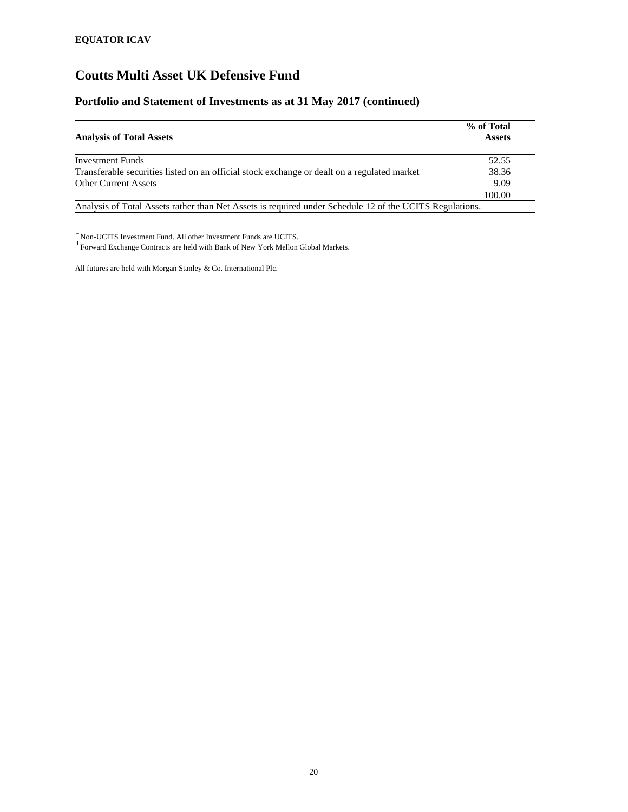## **Portfolio and Statement of Investments as at 31 May 2017 (continued)**

|                                                                                                         | % of Total    |
|---------------------------------------------------------------------------------------------------------|---------------|
| <b>Analysis of Total Assets</b>                                                                         | <b>Assets</b> |
|                                                                                                         |               |
| <b>Investment Funds</b>                                                                                 | 52.55         |
| Transferable securities listed on an official stock exchange or dealt on a regulated market             | 38.36         |
| <b>Other Current Assets</b>                                                                             | 9.09          |
|                                                                                                         | 100.00        |
| Analysis of Total Assets rather than Net Assets is required under Schedule 12 of the UCITS Regulations. |               |

 $\tilde{}$ Non-UCITS Investment Fund. All other Investment Funds are UCITS. $^1$ Forward Exchange Contracts are held with Bank of New York Mellon Global Markets.

All futures are held with Morgan Stanley & Co. International Plc.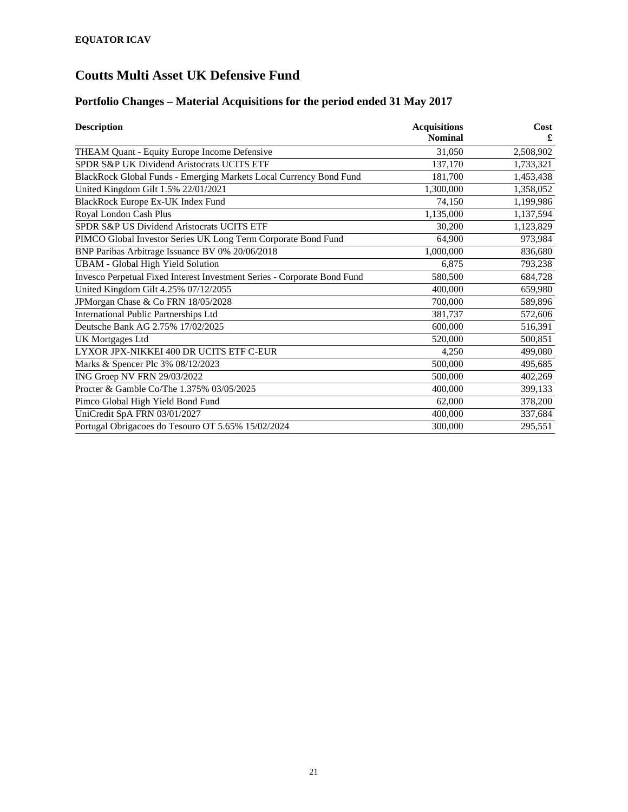# **Portfolio Changes – Material Acquisitions for the period ended 31 May 2017**

| <b>Description</b>                                                       | <b>Acquisitions</b><br><b>Nominal</b> | Cost<br>£ |
|--------------------------------------------------------------------------|---------------------------------------|-----------|
| THEAM Quant - Equity Europe Income Defensive                             | 31,050                                | 2,508,902 |
|                                                                          |                                       |           |
| SPDR S&P UK Dividend Aristocrats UCITS ETF                               | 137,170                               | 1,733,321 |
| BlackRock Global Funds - Emerging Markets Local Currency Bond Fund       | 181,700                               | 1,453,438 |
| United Kingdom Gilt 1.5% 22/01/2021                                      | 1,300,000                             | 1,358,052 |
| <b>BlackRock Europe Ex-UK Index Fund</b>                                 | 74,150                                | 1,199,986 |
| Royal London Cash Plus                                                   | 1,135,000                             | 1,137,594 |
| SPDR S&P US Dividend Aristocrats UCITS ETF                               | 30,200                                | 1,123,829 |
| PIMCO Global Investor Series UK Long Term Corporate Bond Fund            | 64,900                                | 973,984   |
| BNP Paribas Arbitrage Issuance BV 0% 20/06/2018                          | 1,000,000                             | 836,680   |
| <b>UBAM - Global High Yield Solution</b>                                 | 6,875                                 | 793,238   |
| Invesco Perpetual Fixed Interest Investment Series - Corporate Bond Fund | 580,500                               | 684,728   |
| United Kingdom Gilt 4.25% 07/12/2055                                     | 400,000                               | 659,980   |
| JPMorgan Chase & Co FRN 18/05/2028                                       | 700,000                               | 589,896   |
| <b>International Public Partnerships Ltd</b>                             | 381,737                               | 572,606   |
| Deutsche Bank AG 2.75% 17/02/2025                                        | 600,000                               | 516,391   |
| UK Mortgages Ltd                                                         | 520,000                               | 500,851   |
| LYXOR JPX-NIKKEI 400 DR UCITS ETF C-EUR                                  | 4,250                                 | 499,080   |
| Marks & Spencer Plc 3% 08/12/2023                                        | 500,000                               | 495,685   |
| ING Groep NV FRN 29/03/2022                                              | 500,000                               | 402,269   |
| Procter & Gamble Co/The 1.375% 03/05/2025                                | 400,000                               | 399,133   |
| Pimco Global High Yield Bond Fund                                        | 62,000                                | 378,200   |
| UniCredit SpA FRN 03/01/2027                                             | 400,000                               | 337,684   |
| Portugal Obrigacoes do Tesouro OT 5.65% 15/02/2024                       | 300,000                               | 295,551   |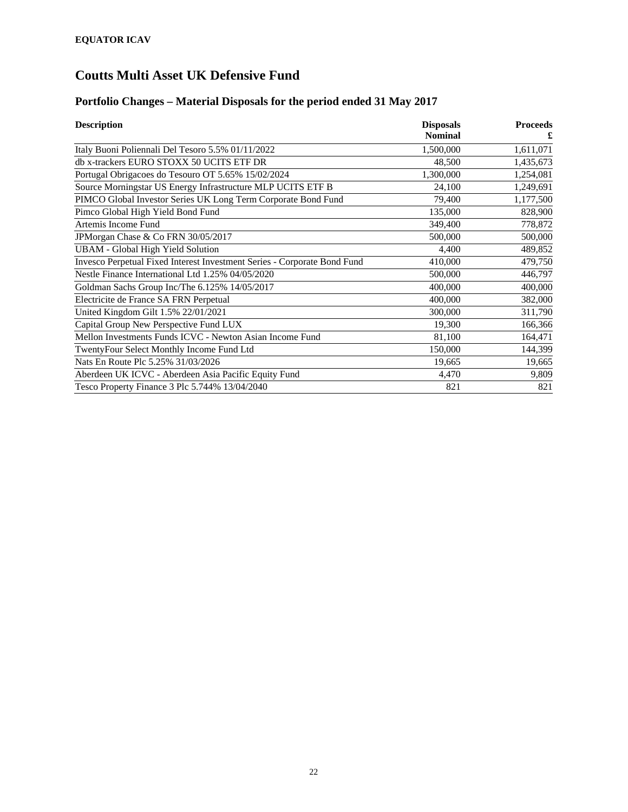# **Portfolio Changes – Material Disposals for the period ended 31 May 2017**

| <b>Description</b>                                                       | <b>Disposals</b> | <b>Proceeds</b> |
|--------------------------------------------------------------------------|------------------|-----------------|
|                                                                          | <b>Nominal</b>   |                 |
| Italy Buoni Poliennali Del Tesoro 5.5% 01/11/2022                        | 1,500,000        | 1,611,071       |
| db x-trackers EURO STOXX 50 UCITS ETF DR                                 | 48,500           | 1,435,673       |
| Portugal Obrigacoes do Tesouro OT 5.65% 15/02/2024                       | 1,300,000        | 1,254,081       |
| Source Morningstar US Energy Infrastructure MLP UCITS ETF B              | 24,100           | 1,249,691       |
| PIMCO Global Investor Series UK Long Term Corporate Bond Fund            | 79,400           | 1,177,500       |
| Pimco Global High Yield Bond Fund                                        | 135,000          | 828,900         |
| Artemis Income Fund                                                      | 349,400          | 778,872         |
| JPMorgan Chase & Co FRN 30/05/2017                                       | 500,000          | 500,000         |
| <b>UBAM - Global High Yield Solution</b>                                 | 4,400            | 489,852         |
| Invesco Perpetual Fixed Interest Investment Series - Corporate Bond Fund | 410,000          | 479,750         |
| Nestle Finance International Ltd 1.25% 04/05/2020                        | 500,000          | 446,797         |
| Goldman Sachs Group Inc/The 6.125% 14/05/2017                            | 400,000          | 400,000         |
| Electricite de France SA FRN Perpetual                                   | 400,000          | 382,000         |
| United Kingdom Gilt 1.5% 22/01/2021                                      | 300,000          | 311,790         |
| Capital Group New Perspective Fund LUX                                   | 19,300           | 166,366         |
| Mellon Investments Funds ICVC - Newton Asian Income Fund                 | 81,100           | 164,471         |
| TwentyFour Select Monthly Income Fund Ltd                                | 150,000          | 144,399         |
| Nats En Route Plc 5.25% 31/03/2026                                       | 19,665           | 19,665          |
| Aberdeen UK ICVC - Aberdeen Asia Pacific Equity Fund                     | 4,470            | 9,809           |
| Tesco Property Finance 3 Plc 5.744% 13/04/2040                           | 821              | 821             |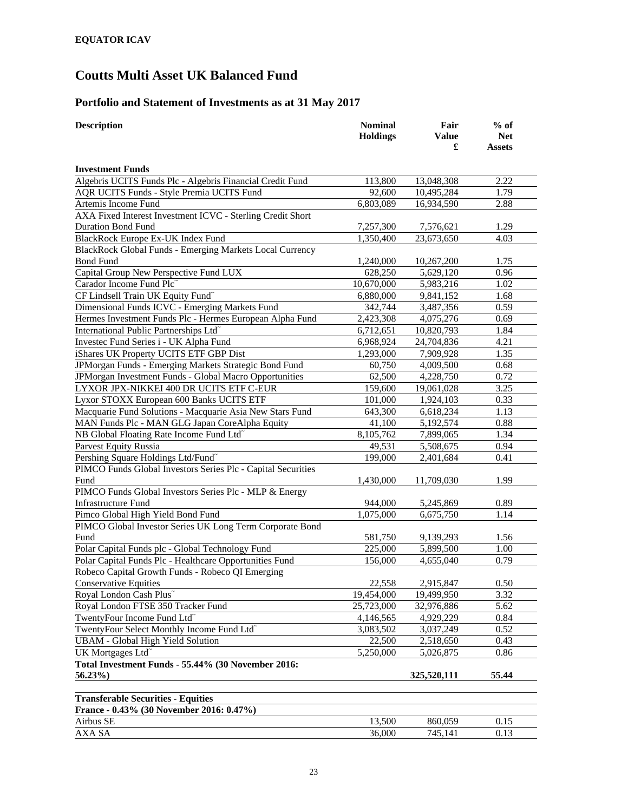## **Portfolio and Statement of Investments as at 31 May 2017**

| <b>Description</b>                                                                    | <b>Nominal</b>  | Fair               | $%$ of                      |
|---------------------------------------------------------------------------------------|-----------------|--------------------|-----------------------------|
|                                                                                       | <b>Holdings</b> | <b>Value</b><br>£  | <b>Net</b><br><b>Assets</b> |
|                                                                                       |                 |                    |                             |
| <b>Investment Funds</b>                                                               |                 |                    |                             |
| Algebris UCITS Funds Plc - Algebris Financial Credit Fund                             | 113,800         | 13,048,308         | 2.22                        |
| AQR UCITS Funds - Style Premia UCITS Fund                                             | 92,600          | 10,495,284         | 1.79                        |
| Artemis Income Fund                                                                   | 6,803,089       | 16,934,590         | 2.88                        |
| AXA Fixed Interest Investment ICVC - Sterling Credit Short                            |                 |                    |                             |
| <b>Duration Bond Fund</b>                                                             | 7,257,300       | 7,576,621          | 1.29                        |
| BlackRock Europe Ex-UK Index Fund                                                     | 1,350,400       | 23,673,650         | 4.03                        |
| BlackRock Global Funds - Emerging Markets Local Currency                              |                 |                    |                             |
| <b>Bond Fund</b>                                                                      | 1,240,000       | 10,267,200         | 1.75                        |
| Capital Group New Perspective Fund LUX                                                | 628,250         | 5,629,120          | 0.96                        |
| Carador Income Fund Plc"                                                              | 10,670,000      | 5,983,216          | 1.02                        |
| CF Lindsell Train UK Equity Fund~                                                     | 6,880,000       | 9,841,152          | 1.68                        |
| Dimensional Funds ICVC - Emerging Markets Fund                                        | 342,744         | 3,487,356          | 0.59                        |
| Hermes Investment Funds Plc - Hermes European Alpha Fund                              | 2,423,308       | 4,075,276          | 0.69                        |
| International Public Partnerships Ltd <sup>~</sup>                                    | 6,712,651       | 10,820,793         | 1.84                        |
| Investec Fund Series i - UK Alpha Fund                                                | 6,968,924       | 24,704,836         | 4.21                        |
| iShares UK Property UCITS ETF GBP Dist                                                | 1,293,000       | 7,909,928          | 1.35                        |
| JPMorgan Funds - Emerging Markets Strategic Bond Fund                                 | 60,750          | 4,009,500          | 0.68                        |
| JPMorgan Investment Funds - Global Macro Opportunities                                | 62,500          | 4,228,750          | 0.72                        |
| LYXOR JPX-NIKKEI 400 DR UCITS ETF C-EUR                                               | 159,600         | 19,061,028         | 3.25                        |
| Lyxor STOXX European 600 Banks UCITS ETF                                              | 101,000         | 1,924,103          | 0.33                        |
| Macquarie Fund Solutions - Macquarie Asia New Stars Fund                              | 643,300         | 6,618,234          | 1.13                        |
| MAN Funds Plc - MAN GLG Japan CoreAlpha Equity                                        | 41,100          | 5,192,574          | 0.88                        |
| NB Global Floating Rate Income Fund Ltd <sup>®</sup>                                  | 8,105,762       | 7,899,065          | 1.34                        |
| Parvest Equity Russia                                                                 | 49,531          | 5,508,675          | 0.94                        |
| Pershing Square Holdings Ltd/Fund <sup>~</sup>                                        | 199,000         | 2,401,684          | 0.41                        |
| PIMCO Funds Global Investors Series Plc - Capital Securities                          |                 |                    |                             |
| Fund                                                                                  | 1,430,000       | 11,709,030         | 1.99                        |
| PIMCO Funds Global Investors Series Plc - MLP & Energy                                |                 |                    |                             |
| <b>Infrastructure Fund</b>                                                            | 944,000         | 5,245,869          | 0.89                        |
| Pimco Global High Yield Bond Fund                                                     | 1,075,000       | 6,675,750          | 1.14                        |
| PIMCO Global Investor Series UK Long Term Corporate Bond                              |                 |                    |                             |
| Fund                                                                                  | 581,750         | 9,139,293          | 1.56                        |
| Polar Capital Funds plc - Global Technology Fund                                      | 225,000         | 5,899,500          | 1.00                        |
| Polar Capital Funds Plc - Healthcare Opportunities Fund                               | 156,000         | 4,655,040          | 0.79                        |
| Robeco Capital Growth Funds - Robeco QI Emerging                                      |                 |                    |                             |
| <b>Conservative Equities</b>                                                          | 22,558          | 2,915,847          | 0.50                        |
| Royal London Cash Plus <sup>~</sup>                                                   | 19,454,000      | 19,499,950         | 3.32                        |
| Royal London FTSE 350 Tracker Fund                                                    | 25,723,000      | 32,976,886         | 5.62                        |
| TwentyFour Income Fund Ltd <sup>~</sup>                                               | 4,146,565       | 4,929,229          | 0.84                        |
| TwentyFour Select Monthly Income Fund Ltd~                                            | 3,083,502       | 3,037,249          | 0.52                        |
| <b>UBAM</b> - Global High Yield Solution                                              | 22,500          | 2,518,650          | 0.43                        |
| UK Mortgages Ltd <sup>~</sup>                                                         | 5,250,000       | 5,026,875          | 0.86                        |
| Total Investment Funds - 55.44% (30 November 2016:                                    |                 |                    |                             |
| 56.23%)                                                                               |                 | 325,520,111        | 55.44                       |
|                                                                                       |                 |                    |                             |
| <b>Transferable Securities - Equities</b><br>France - 0.43% (30 November 2016: 0.47%) |                 |                    |                             |
|                                                                                       |                 |                    | 0.15                        |
| Airbus SE<br>AXA SA                                                                   | 13,500          | 860,059<br>745,141 | 0.13                        |
|                                                                                       | 36,000          |                    |                             |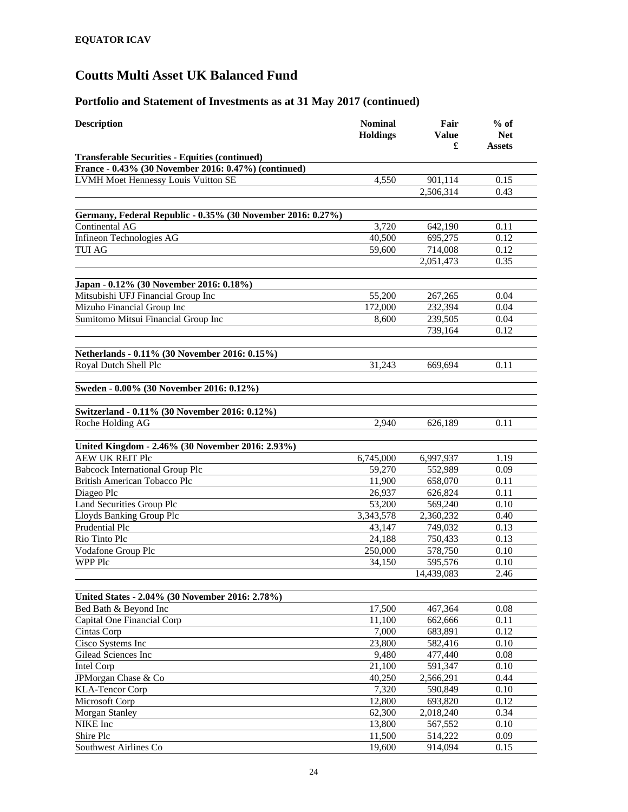| <b>Description</b>                                                       | <b>Nominal</b><br><b>Holdings</b> | Fair<br><b>Value</b><br>£ | $%$ of<br><b>Net</b><br><b>Assets</b> |
|--------------------------------------------------------------------------|-----------------------------------|---------------------------|---------------------------------------|
| <b>Transferable Securities - Equities (continued)</b>                    |                                   |                           |                                       |
| France - 0.43% (30 November 2016: 0.47%) (continued)                     |                                   |                           |                                       |
| <b>LVMH Moet Hennessy Louis Vuitton SE</b>                               | 4,550                             | 901,114                   | 0.15                                  |
|                                                                          |                                   | 2,506,314                 | 0.43                                  |
| Germany, Federal Republic - 0.35% (30 November 2016: 0.27%)              |                                   |                           |                                       |
| Continental AG                                                           | 3,720                             | 642,190                   | 0.11                                  |
| Infineon Technologies AG                                                 | 40,500                            | 695,275                   | 0.12                                  |
| <b>TUI AG</b>                                                            | 59,600                            | 714,008                   | 0.12                                  |
|                                                                          |                                   | 2,051,473                 | 0.35                                  |
|                                                                          |                                   |                           |                                       |
| Japan - 0.12% (30 November 2016: 0.18%)                                  |                                   |                           |                                       |
| Mitsubishi UFJ Financial Group Inc                                       | 55,200                            | 267,265                   | 0.04                                  |
| Mizuho Financial Group Inc                                               | 172,000                           | 232,394                   | 0.04                                  |
| Sumitomo Mitsui Financial Group Inc                                      | 8,600                             | 239,505                   | 0.04                                  |
|                                                                          |                                   | 739,164                   | 0.12                                  |
|                                                                          |                                   |                           |                                       |
| Netherlands - 0.11% (30 November 2016: 0.15%)                            |                                   |                           |                                       |
| Royal Dutch Shell Plc                                                    | 31,243                            | 669,694                   | 0.11                                  |
| Sweden - 0.00% (30 November 2016: 0.12%)                                 |                                   |                           |                                       |
|                                                                          |                                   |                           |                                       |
| Switzerland - 0.11% (30 November 2016: 0.12%)<br>Roche Holding AG        | 2,940                             | 626,189                   | 0.11                                  |
|                                                                          |                                   |                           |                                       |
| United Kingdom - 2.46% (30 November 2016: 2.93%)                         |                                   |                           |                                       |
| <b>AEW UK REIT Plc</b>                                                   | 6,745,000                         | 6,997,937                 | 1.19                                  |
| <b>Babcock International Group Plc</b>                                   | 59,270                            | 552,989                   | 0.09                                  |
| British American Tobacco Plc                                             | 11,900                            | 658,070                   | 0.11                                  |
| Diageo Plc                                                               | 26,937                            | 626,824                   | 0.11                                  |
| Land Securities Group Plc                                                | 53,200                            | 569,240                   | 0.10                                  |
| Lloyds Banking Group Plc                                                 | 3,343,578                         | 2,360,232                 | 0.40                                  |
| Prudential Plc                                                           | 43,147                            | 749,032                   | 0.13                                  |
| Rio Tinto Plc                                                            | 24,188                            | 750,433                   | 0.13                                  |
| Vodafone Group Plc                                                       | 250,000                           | 578,750                   | 0.10                                  |
| <b>WPP Plc</b>                                                           | 34,150                            | 595,576                   | 0.10                                  |
|                                                                          |                                   | 14,439,083                | 2.46                                  |
|                                                                          |                                   |                           |                                       |
| United States - 2.04% (30 November 2016: 2.78%)<br>Bed Bath & Beyond Inc | 17,500                            | 467,364                   | 0.08                                  |
| Capital One Financial Corp                                               | 11,100                            | 662,666                   | 0.11                                  |
| Cintas Corp                                                              | 7,000                             | 683,891                   | 0.12                                  |
| Cisco Systems Inc                                                        | 23,800                            | 582,416                   | 0.10                                  |
| Gilead Sciences Inc                                                      | 9,480                             | 477,440                   | 0.08                                  |
| Intel Corp                                                               | 21,100                            | 591,347                   | 0.10                                  |
| JPMorgan Chase & Co                                                      | 40,250                            | 2,566,291                 | 0.44                                  |
| <b>KLA-Tencor Corp</b>                                                   | 7,320                             | 590,849                   | 0.10                                  |
| Microsoft Corp                                                           | 12,800                            | 693,820                   | 0.12                                  |
| <b>Morgan Stanley</b>                                                    | 62,300                            | 2,018,240                 | 0.34                                  |
| NIKE Inc                                                                 | 13,800                            | 567,552                   | 0.10                                  |
| Shire Plc                                                                | 11,500                            | 514,222                   | 0.09                                  |
| Southwest Airlines Co                                                    | 19,600                            | 914,094                   | 0.15                                  |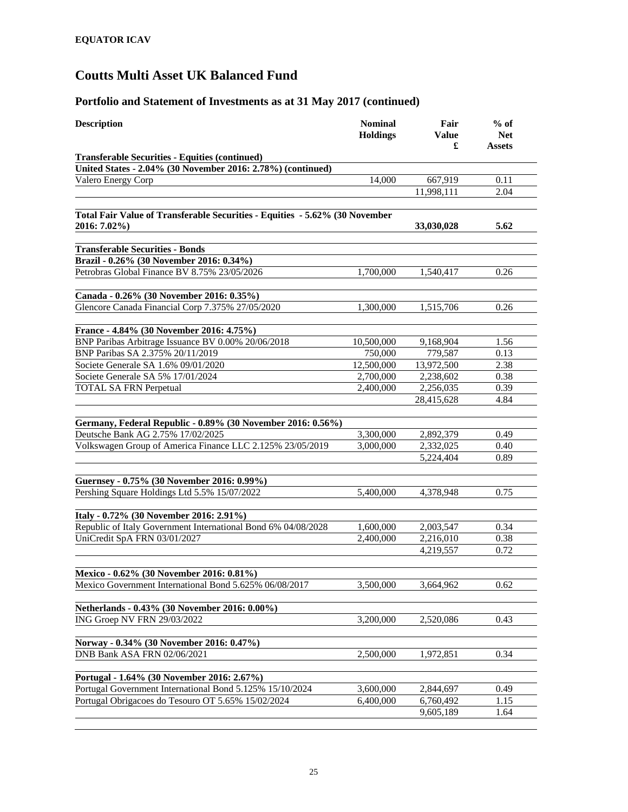| <b>Description</b>                                                                               | <b>Nominal</b><br><b>Holdings</b> | Fair<br>Value<br>£     | $%$ of<br><b>Net</b><br>Assets |
|--------------------------------------------------------------------------------------------------|-----------------------------------|------------------------|--------------------------------|
| <b>Transferable Securities - Equities (continued)</b>                                            |                                   |                        |                                |
| United States - 2.04% (30 November 2016: 2.78%) (continued)                                      |                                   |                        |                                |
| Valero Energy Corp                                                                               | 14,000                            | 667,919                | 0.11                           |
|                                                                                                  |                                   | 11,998,111             | 2.04                           |
|                                                                                                  |                                   |                        |                                |
| Total Fair Value of Transferable Securities - Equities - 5.62% (30 November<br>2016: 7.02%)      |                                   | 33,030,028             | 5.62                           |
| <b>Transferable Securities - Bonds</b><br>Brazil - 0.26% (30 November 2016: 0.34%)               |                                   |                        |                                |
| Petrobras Global Finance BV 8.75% 23/05/2026                                                     | 1,700,000                         | 1,540,417              | 0.26                           |
|                                                                                                  |                                   |                        |                                |
| Canada - 0.26% (30 November 2016: 0.35%)                                                         |                                   |                        |                                |
| Glencore Canada Financial Corp 7.375% 27/05/2020                                                 | 1,300,000                         | 1,515,706              | 0.26                           |
|                                                                                                  |                                   |                        |                                |
| France - 4.84% (30 November 2016: 4.75%)                                                         |                                   |                        |                                |
| BNP Paribas Arbitrage Issuance BV 0.00% 20/06/2018                                               | 10,500,000                        | 9,168,904              | 1.56                           |
| BNP Paribas SA 2.375% 20/11/2019                                                                 | 750,000                           | 779,587                | 0.13                           |
| Societe Generale SA 1.6% 09/01/2020                                                              | 12,500,000                        | 13,972,500             | 2.38                           |
| Societe Generale SA 5% 17/01/2024                                                                | 2,700,000                         | 2,238,602              | 0.38                           |
| <b>TOTAL SA FRN Perpetual</b>                                                                    | 2,400,000                         | 2,256,035              | 0.39                           |
|                                                                                                  |                                   | 28,415,628             | 4.84                           |
|                                                                                                  |                                   |                        |                                |
| Germany, Federal Republic - 0.89% (30 November 2016: 0.56%)<br>Deutsche Bank AG 2.75% 17/02/2025 |                                   |                        |                                |
| Volkswagen Group of America Finance LLC 2.125% 23/05/2019                                        | 3,300,000<br>3,000,000            | 2,892,379<br>2,332,025 | 0.49<br>0.40                   |
|                                                                                                  |                                   | 5,224,404              | 0.89                           |
|                                                                                                  |                                   |                        |                                |
| Guernsey - 0.75% (30 November 2016: 0.99%)                                                       |                                   |                        |                                |
| Pershing Square Holdings Ltd 5.5% 15/07/2022                                                     | 5,400,000                         | 4,378,948              | 0.75                           |
|                                                                                                  |                                   |                        |                                |
| Italy - 0.72% (30 November 2016: 2.91%)                                                          |                                   |                        |                                |
| Republic of Italy Government International Bond 6% 04/08/2028                                    | 1,600,000                         | 2,003,547              | 0.34                           |
| UniCredit SpA FRN 03/01/2027                                                                     | 2,400,000                         | 2,216,010              | 0.38                           |
|                                                                                                  |                                   | 4,219,557              | 0.72                           |
|                                                                                                  |                                   |                        |                                |
| Mexico - 0.62% (30 November 2016: 0.81%)                                                         |                                   |                        |                                |
| Mexico Government International Bond 5.625% 06/08/2017                                           | 3,500,000                         | 3,664,962              | 0.62                           |
|                                                                                                  |                                   |                        |                                |
| Netherlands - 0.43% (30 November 2016: 0.00%)<br>ING Groep NV FRN 29/03/2022                     | 3,200,000                         | 2,520,086              | 0.43                           |
|                                                                                                  |                                   |                        |                                |
| Norway - 0.34% (30 November 2016: 0.47%)                                                         |                                   |                        |                                |
| DNB Bank ASA FRN 02/06/2021                                                                      | 2,500,000                         | 1,972,851              | 0.34                           |
|                                                                                                  |                                   |                        |                                |
| Portugal - 1.64% (30 November 2016: 2.67%)                                                       |                                   |                        |                                |
| Portugal Government International Bond 5.125% 15/10/2024                                         | 3,600,000                         | 2,844,697              | 0.49                           |
| Portugal Obrigacoes do Tesouro OT 5.65% 15/02/2024                                               | 6,400,000                         | 6,760,492              | 1.15                           |
|                                                                                                  |                                   | 9,605,189              | 1.64                           |
|                                                                                                  |                                   |                        |                                |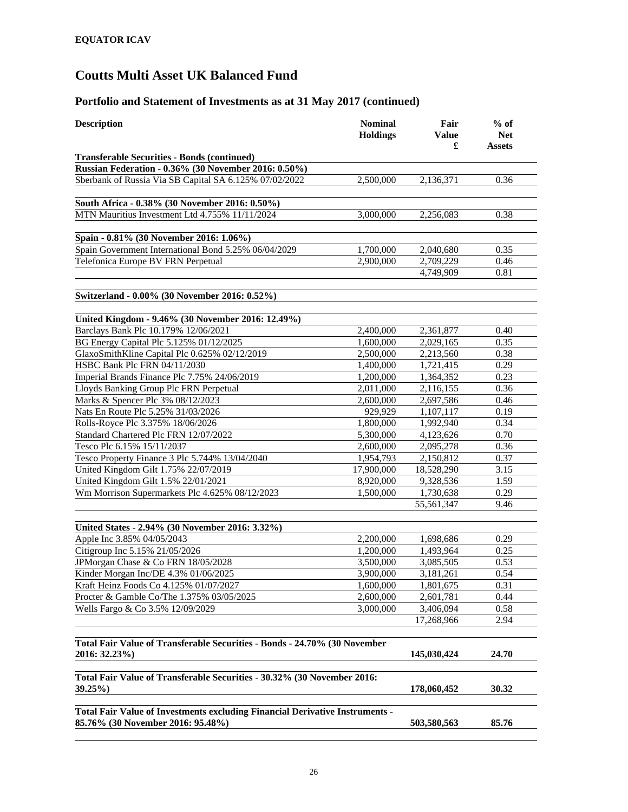| <b>Description</b>                                                           | <b>Nominal</b><br><b>Holdings</b> | Fair<br><b>Value</b><br>£ | $%$ of<br><b>Net</b><br><b>Assets</b> |
|------------------------------------------------------------------------------|-----------------------------------|---------------------------|---------------------------------------|
| <b>Transferable Securities - Bonds (continued)</b>                           |                                   |                           |                                       |
| Russian Federation - 0.36% (30 November 2016: 0.50%)                         |                                   |                           |                                       |
| Sberbank of Russia Via SB Capital SA 6.125% 07/02/2022                       | 2,500,000                         | 2,136,371                 | 0.36                                  |
| South Africa - 0.38% (30 November 2016: 0.50%)                               |                                   |                           |                                       |
| MTN Mauritius Investment Ltd 4.755% 11/11/2024                               | 3,000,000                         | 2,256,083                 | 0.38                                  |
| Spain - 0.81% (30 November 2016: 1.06%)                                      |                                   |                           |                                       |
| Spain Government International Bond 5.25% 06/04/2029                         | 1,700,000                         | 2,040,680                 | 0.35                                  |
| Telefonica Europe BV FRN Perpetual                                           | 2,900,000                         | 2,709,229                 | 0.46                                  |
|                                                                              |                                   | 4,749,909                 | 0.81                                  |
| Switzerland - 0.00% (30 November 2016: 0.52%)                                |                                   |                           |                                       |
| United Kingdom - 9.46% (30 November 2016: 12.49%)                            |                                   |                           |                                       |
| Barclays Bank Plc 10.179% 12/06/2021                                         | 2,400,000                         | 2,361,877                 | 0.40                                  |
| BG Energy Capital Plc 5.125% 01/12/2025                                      | 1,600,000                         | 2,029,165                 | 0.35                                  |
| GlaxoSmithKline Capital Plc 0.625% 02/12/2019                                | 2,500,000                         | 2,213,560                 | 0.38                                  |
| HSBC Bank Plc FRN 04/11/2030                                                 | 1,400,000                         | 1,721,415                 | 0.29                                  |
| Imperial Brands Finance Plc 7.75% 24/06/2019                                 | 1,200,000                         | 1,364,352                 | 0.23                                  |
| Lloyds Banking Group Plc FRN Perpetual                                       | 2,011,000                         | 2,116,155                 | 0.36                                  |
| Marks & Spencer Plc 3% 08/12/2023                                            | 2,600,000                         | 2,697,586                 | 0.46                                  |
| Nats En Route Plc 5.25% 31/03/2026                                           | 929,929                           | 1,107,117                 | 0.19                                  |
| Rolls-Royce Plc 3.375% 18/06/2026                                            | 1,800,000                         | 1,992,940                 | 0.34                                  |
| Standard Chartered Plc FRN 12/07/2022                                        | $\overline{5,300,000}$            | 4,123,626                 | 0.70                                  |
| Tesco Plc 6.15% 15/11/2037                                                   | 2,600,000                         | 2,095,278                 | 0.36                                  |
| Tesco Property Finance 3 Plc 5.744% 13/04/2040                               | 1,954,793                         | 2,150,812                 | 0.37                                  |
| United Kingdom Gilt 1.75% 22/07/2019                                         | 17,900,000                        | 18,528,290                | 3.15                                  |
| United Kingdom Gilt 1.5% 22/01/2021                                          | 8,920,000                         | 9,328,536                 | 1.59                                  |
| Wm Morrison Supermarkets Plc 4.625% 08/12/2023                               | 1,500,000                         | 1,730,638                 | 0.29                                  |
|                                                                              |                                   | 55,561,347                | 9.46                                  |
| United States - 2.94% (30 November 2016: 3.32%)                              |                                   |                           |                                       |
| Apple Inc 3.85% 04/05/2043                                                   | 2,200,000                         | 1,698,686                 | 0.29                                  |
| Citigroup Inc 5.15% 21/05/2026                                               | 1,200,000                         | 1,493,964                 | 0.25                                  |
| JPMorgan Chase & Co FRN 18/05/2028                                           | 3,500,000                         | 3,085,505                 | 0.53                                  |
| Kinder Morgan Inc/DE 4.3% 01/06/2025                                         | 3,900,000                         |                           | 0.54                                  |
|                                                                              | 1,600,000                         | 3,181,261                 |                                       |
| Kraft Heinz Foods Co 4.125% 01/07/2027                                       |                                   | 1,801,675                 | 0.31                                  |
| Procter & Gamble Co/The 1.375% 03/05/2025                                    | 2,600,000                         | 2,601,781                 | 0.44                                  |
| Wells Fargo & Co 3.5% 12/09/2029                                             | 3,000,000                         | 3,406,094<br>17,268,966   | 0.58<br>2.94                          |
|                                                                              |                                   |                           |                                       |
| Total Fair Value of Transferable Securities - Bonds - 24.70% (30 November    |                                   |                           |                                       |
| 2016: 32.23%)                                                                |                                   | 145,030,424               | 24.70                                 |
| Total Fair Value of Transferable Securities - 30.32% (30 November 2016:      |                                   |                           |                                       |
| 39.25%)                                                                      |                                   | 178,060,452               | 30.32                                 |
| Total Fair Value of Investments excluding Financial Derivative Instruments - |                                   |                           |                                       |
| 85.76% (30 November 2016: 95.48%)                                            |                                   | 503,580,563               | 85.76                                 |
|                                                                              |                                   |                           |                                       |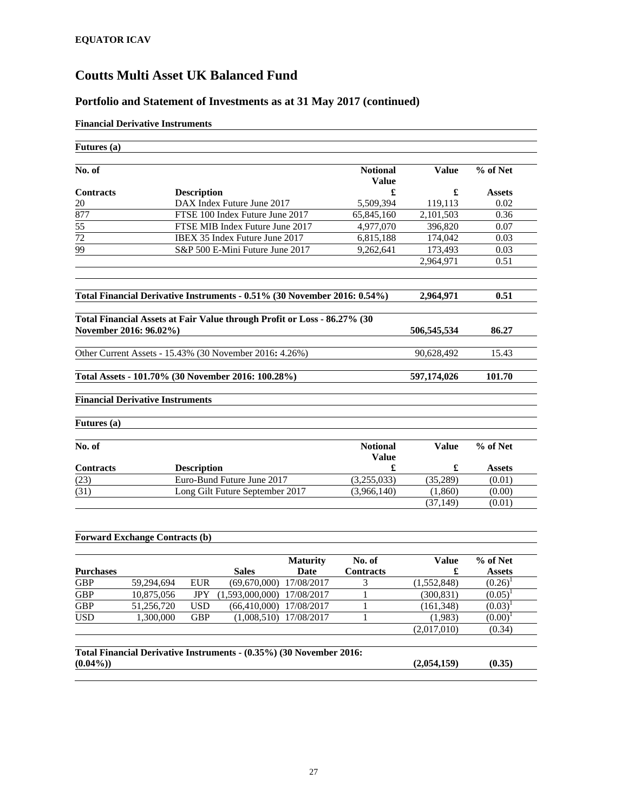## **Portfolio and Statement of Investments as at 31 May 2017 (continued)**

## **Financial Derivative Instruments**

|                    | <b>Futures</b> (a)                      |                    |                                                                          |                 |                                 |              |               |
|--------------------|-----------------------------------------|--------------------|--------------------------------------------------------------------------|-----------------|---------------------------------|--------------|---------------|
| No. of             |                                         |                    |                                                                          |                 | <b>Notional</b><br><b>Value</b> | <b>Value</b> | % of Net      |
| <b>Contracts</b>   |                                         | <b>Description</b> |                                                                          |                 | £                               | £            | <b>Assets</b> |
| 20                 |                                         |                    | DAX Index Future June 2017                                               |                 | 5,509,394                       | 119,113      | 0.02          |
| 877                |                                         |                    | FTSE 100 Index Future June 2017                                          |                 | 65,845,160                      | 2,101,503    | 0.36          |
| $\overline{55}$    |                                         |                    | FTSE MIB Index Future June 2017                                          |                 | 4,977,070                       | 396,820      | 0.07          |
| 72                 |                                         |                    | IBEX 35 Index Future June 2017                                           |                 | 6,815,188                       | 174,042      | 0.03          |
| 99                 |                                         |                    | S&P 500 E-Mini Future June 2017                                          |                 | 9,262,641                       | 173,493      | 0.03          |
|                    |                                         |                    |                                                                          |                 |                                 | 2,964,971    | 0.51          |
|                    |                                         |                    | Total Financial Derivative Instruments - 0.51% (30 November 2016: 0.54%) |                 |                                 | 2,964,971    | 0.51          |
|                    |                                         |                    | Total Financial Assets at Fair Value through Profit or Loss - 86.27% (30 |                 |                                 |              |               |
|                    | November 2016: 96.02%)                  |                    |                                                                          |                 |                                 | 506,545,534  | 86.27         |
|                    |                                         |                    |                                                                          |                 |                                 |              | 15.43         |
|                    |                                         |                    | Other Current Assets - 15.43% (30 November 2016: 4.26%)                  |                 |                                 | 90,628,492   |               |
|                    |                                         |                    | Total Assets - 101.70% (30 November 2016: 100.28%)                       |                 |                                 | 597,174,026  | 101.70        |
|                    |                                         |                    |                                                                          |                 |                                 |              |               |
|                    |                                         |                    |                                                                          |                 |                                 |              |               |
|                    |                                         |                    |                                                                          |                 |                                 |              |               |
|                    | <b>Financial Derivative Instruments</b> |                    |                                                                          |                 |                                 |              |               |
|                    |                                         |                    |                                                                          |                 |                                 |              |               |
| <b>Futures</b> (a) |                                         |                    |                                                                          |                 |                                 |              |               |
| No. of             |                                         |                    |                                                                          |                 | <b>Notional</b>                 | <b>Value</b> | % of Net      |
|                    |                                         |                    |                                                                          |                 | <b>Value</b>                    |              |               |
| Contracts          |                                         | <b>Description</b> |                                                                          |                 | £                               | £            | <b>Assets</b> |
| (23)               |                                         |                    | Euro-Bund Future June 2017                                               |                 | (3,255,033)                     | (35, 289)    | (0.01)        |
| (31)               |                                         |                    | Long Gilt Future September 2017                                          |                 | (3,966,140)                     | (1,860)      | (0.00)        |
|                    |                                         |                    |                                                                          |                 |                                 | (37, 149)    | (0.01)        |
|                    |                                         |                    |                                                                          |                 |                                 |              |               |
|                    | <b>Forward Exchange Contracts (b)</b>   |                    |                                                                          |                 |                                 |              |               |
|                    |                                         |                    |                                                                          |                 |                                 |              |               |
|                    |                                         |                    |                                                                          | <b>Maturity</b> | No. of                          | <b>Value</b> | % of Net      |
| <b>Purchases</b>   |                                         |                    | <b>Sales</b>                                                             | Date            | <b>Contracts</b>                | £            | <b>Assets</b> |
| <b>GBP</b>         | 59,294,694                              | <b>EUR</b>         | $(69,670,000)$ $17/08/2017$                                              |                 | 3                               | (1,552,848)  | $(0.26)^1$    |
| <b>GBP</b>         | 10.875.056                              |                    | JPY (1.593,000,000) 17/08/2017                                           |                 | $\mathbf{1}$                    | (300.831)    | $(0.05)^1$    |
| <b>GBP</b>         | 51,256,720                              | <b>USD</b>         | (66, 410, 000)                                                           | 17/08/2017      | 1                               | (161, 348)   | $(0.03)^1$    |
| <b>USD</b>         | 1,300,000                               | <b>GBP</b>         | (1,008,510)                                                              | 17/08/2017      | 1                               | (1,983)      | $(0.00)^1$    |
|                    |                                         |                    |                                                                          |                 |                                 | (2,017,010)  | (0.34)        |
|                    |                                         |                    | Total Financial Derivative Instruments - (0.35%) (30 November 2016:      |                 |                                 |              |               |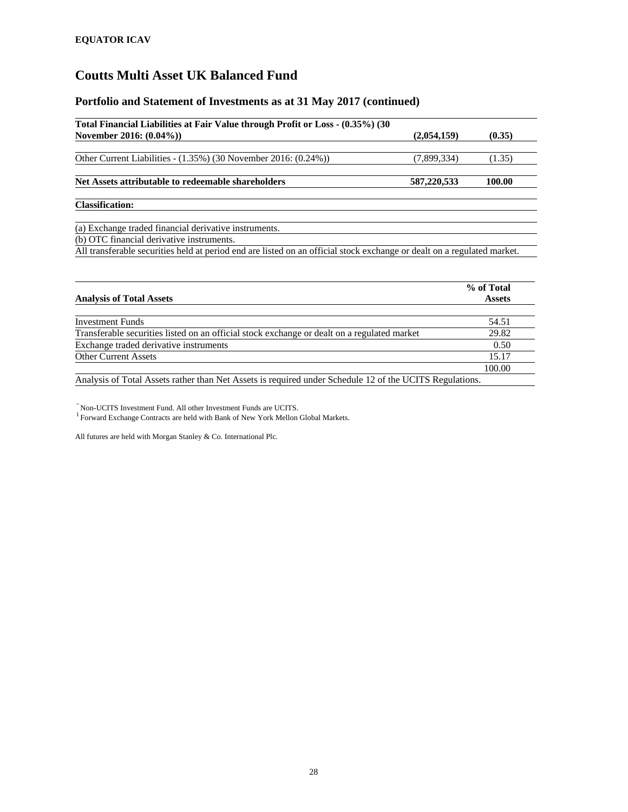## **Portfolio and Statement of Investments as at 31 May 2017 (continued)**

| Total Financial Liabilities at Fair Value through Profit or Loss - (0.35%) (30                                          |             |        |
|-------------------------------------------------------------------------------------------------------------------------|-------------|--------|
| November 2016: (0.04%))                                                                                                 | (2,054,159) | (0.35) |
|                                                                                                                         |             |        |
| Other Current Liabilities - $(1.35\%)$ (30 November 2016: $(0.24\%)$ )                                                  | (7,899,334) | (1.35) |
| Net Assets attributable to redeemable shareholders                                                                      | 587,220,533 | 100.00 |
| <b>Classification:</b>                                                                                                  |             |        |
| (a) Exchange traded financial derivative instruments.                                                                   |             |        |
| (b) OTC financial derivative instruments.                                                                               |             |        |
| All transferable securities held at period end are listed on an official stock exchange or dealt on a regulated market. |             |        |

|                                                                                                         | % of Total    |
|---------------------------------------------------------------------------------------------------------|---------------|
| <b>Analysis of Total Assets</b>                                                                         | <b>Assets</b> |
|                                                                                                         |               |
| <b>Investment Funds</b>                                                                                 | 54.51         |
| Transferable securities listed on an official stock exchange or dealt on a regulated market             | 29.82         |
| Exchange traded derivative instruments                                                                  | 0.50          |
| <b>Other Current Assets</b>                                                                             | 15.17         |
|                                                                                                         | 100.00        |
| Analysis of Total Assets rather than Net Assets is required under Schedule 12 of the UCITS Regulations. |               |

 $\tilde{}$ Non-UCITS Investment Fund. All other Investment Funds are UCITS. $^1$ Forward Exchange Contracts are held with Bank of New York Mellon Global Markets.

All futures are held with Morgan Stanley & Co. International Plc.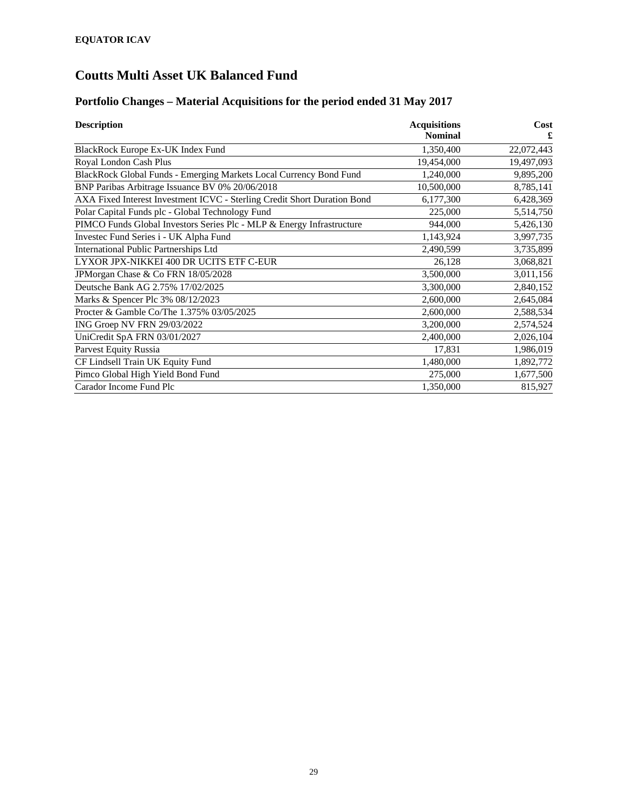# **Portfolio Changes – Material Acquisitions for the period ended 31 May 2017**

| <b>Description</b>                                                       | <b>Acquisitions</b> | Cost       |
|--------------------------------------------------------------------------|---------------------|------------|
|                                                                          | <b>Nominal</b>      |            |
| BlackRock Europe Ex-UK Index Fund                                        | 1,350,400           | 22,072,443 |
| Royal London Cash Plus                                                   | 19,454,000          | 19,497,093 |
| BlackRock Global Funds - Emerging Markets Local Currency Bond Fund       | 1,240,000           | 9,895,200  |
| BNP Paribas Arbitrage Issuance BV 0% 20/06/2018                          | 10,500,000          | 8,785,141  |
| AXA Fixed Interest Investment ICVC - Sterling Credit Short Duration Bond | 6,177,300           | 6,428,369  |
| Polar Capital Funds plc - Global Technology Fund                         | 225,000             | 5,514,750  |
| PIMCO Funds Global Investors Series Plc - MLP & Energy Infrastructure    | 944,000             | 5,426,130  |
| Investec Fund Series i - UK Alpha Fund                                   | 1,143,924           | 3,997,735  |
| <b>International Public Partnerships Ltd</b>                             | 2,490,599           | 3,735,899  |
| LYXOR JPX-NIKKEI 400 DR UCITS ETF C-EUR                                  | 26,128              | 3,068,821  |
| JPMorgan Chase & Co FRN 18/05/2028                                       | 3,500,000           | 3,011,156  |
| Deutsche Bank AG 2.75% 17/02/2025                                        | 3,300,000           | 2,840,152  |
| Marks & Spencer Plc 3% 08/12/2023                                        | 2,600,000           | 2,645,084  |
| Procter & Gamble Co/The 1.375% 03/05/2025                                | 2,600,000           | 2,588,534  |
| ING Groep NV FRN 29/03/2022                                              | 3,200,000           | 2,574,524  |
| UniCredit SpA FRN 03/01/2027                                             | 2,400,000           | 2,026,104  |
| <b>Parvest Equity Russia</b>                                             | 17,831              | 1,986,019  |
| CF Lindsell Train UK Equity Fund                                         | 1,480,000           | 1,892,772  |
| Pimco Global High Yield Bond Fund                                        | 275,000             | 1,677,500  |
| Carador Income Fund Plc                                                  | 1,350,000           | 815,927    |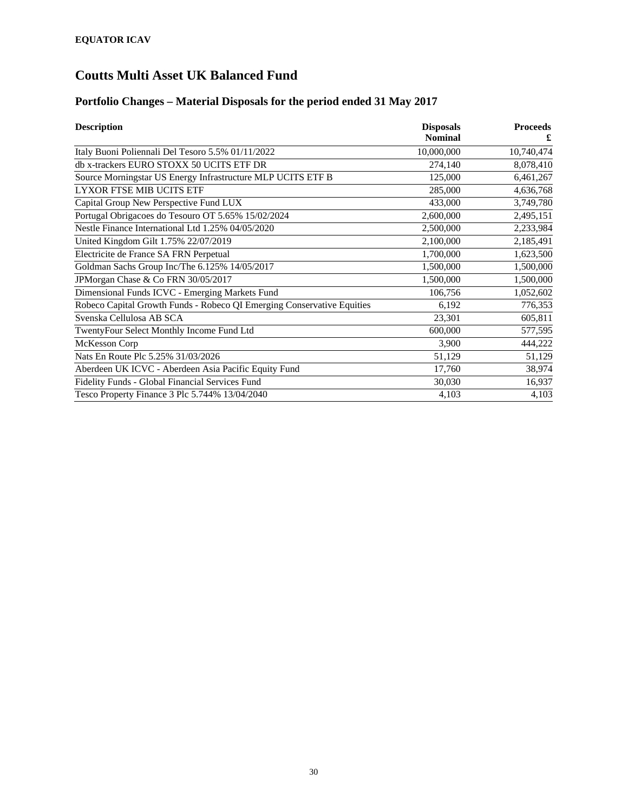# **Portfolio Changes – Material Disposals for the period ended 31 May 2017**

| <b>Description</b>                                                     | <b>Disposals</b> | <b>Proceeds</b> |
|------------------------------------------------------------------------|------------------|-----------------|
|                                                                        | <b>Nominal</b>   |                 |
| Italy Buoni Poliennali Del Tesoro 5.5% 01/11/2022                      | 10,000,000       | 10,740,474      |
| db x-trackers EURO STOXX 50 UCITS ETF DR                               | 274,140          | 8,078,410       |
| Source Morningstar US Energy Infrastructure MLP UCITS ETF B            | 125,000          | 6,461,267       |
| <b>LYXOR FTSE MIB UCITS ETF</b>                                        | 285,000          | 4,636,768       |
| Capital Group New Perspective Fund LUX                                 | 433,000          | 3,749,780       |
| Portugal Obrigacoes do Tesouro OT 5.65% 15/02/2024                     | 2,600,000        | 2,495,151       |
| Nestle Finance International Ltd 1.25% 04/05/2020                      | 2,500,000        | 2,233,984       |
| United Kingdom Gilt 1.75% 22/07/2019                                   | 2,100,000        | 2,185,491       |
| Electricite de France SA FRN Perpetual                                 | 1,700,000        | 1,623,500       |
| Goldman Sachs Group Inc/The 6.125% 14/05/2017                          | 1,500,000        | 1,500,000       |
| JPMorgan Chase & Co FRN 30/05/2017                                     | 1,500,000        | 1,500,000       |
| Dimensional Funds ICVC - Emerging Markets Fund                         | 106,756          | 1,052,602       |
| Robeco Capital Growth Funds - Robeco QI Emerging Conservative Equities | 6,192            | 776,353         |
| Svenska Cellulosa AB SCA                                               | 23,301           | 605,811         |
| TwentyFour Select Monthly Income Fund Ltd                              | 600,000          | 577,595         |
| McKesson Corp                                                          | 3,900            | 444,222         |
| Nats En Route Plc 5.25% 31/03/2026                                     | 51,129           | 51,129          |
| Aberdeen UK ICVC - Aberdeen Asia Pacific Equity Fund                   | 17,760           | 38,974          |
| Fidelity Funds - Global Financial Services Fund                        | 30,030           | 16,937          |
| Tesco Property Finance 3 Plc 5.744% 13/04/2040                         | 4,103            | 4,103           |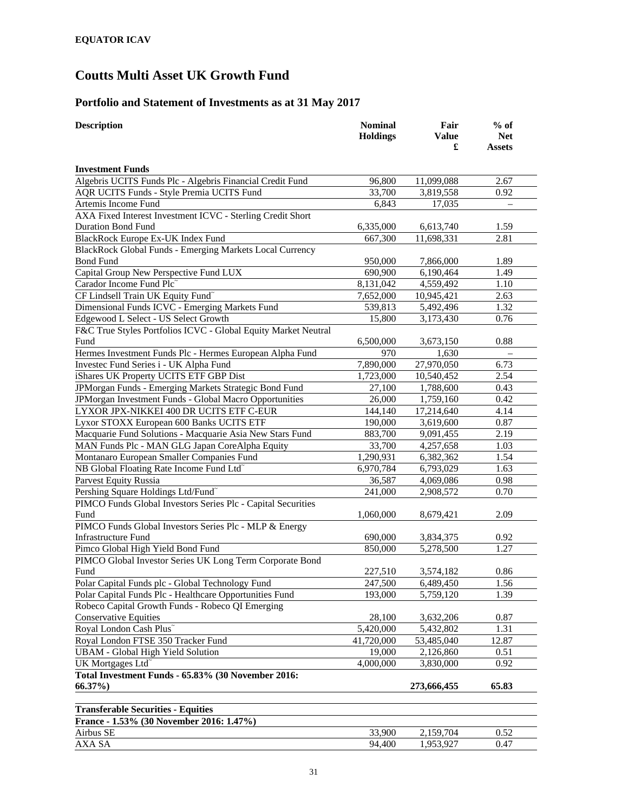# **Portfolio and Statement of Investments as at 31 May 2017**

| <b>Description</b>                                             | <b>Nominal</b>  | Fair                   | $%$ of            |
|----------------------------------------------------------------|-----------------|------------------------|-------------------|
|                                                                | <b>Holdings</b> | <b>Value</b>           | <b>Net</b>        |
|                                                                |                 | £                      | <b>Assets</b>     |
| <b>Investment Funds</b>                                        |                 |                        |                   |
| Algebris UCITS Funds Plc - Algebris Financial Credit Fund      | 96,800          | 11,099,088             | 2.67              |
| AQR UCITS Funds - Style Premia UCITS Fund                      | 33,700          | 3,819,558              | 0.92              |
| Artemis Income Fund                                            | 6,843           | 17,035                 | $\qquad \qquad -$ |
| AXA Fixed Interest Investment ICVC - Sterling Credit Short     |                 |                        |                   |
| <b>Duration Bond Fund</b>                                      | 6,335,000       | 6,613,740              | 1.59              |
| BlackRock Europe Ex-UK Index Fund                              | 667,300         | 11,698,331             | 2.81              |
| BlackRock Global Funds - Emerging Markets Local Currency       |                 |                        |                   |
| <b>Bond Fund</b>                                               | 950,000         | 7,866,000              | 1.89              |
| Capital Group New Perspective Fund LUX                         | 690,900         | 6,190,464              | 1.49              |
| Carador Income Fund Plc                                        | 8,131,042       | 4,559,492              | 1.10              |
| CF Lindsell Train UK Equity Fund~                              | 7,652,000       | 10,945,421             | 2.63              |
| Dimensional Funds ICVC - Emerging Markets Fund                 | 539,813         | 5,492,496              | 1.32              |
| Edgewood L Select - US Select Growth                           | 15,800          | 3,173,430              | 0.76              |
| F&C True Styles Portfolios ICVC - Global Equity Market Neutral |                 |                        |                   |
| Fund                                                           | 6,500,000       | 3,673,150              | 0.88              |
| Hermes Investment Funds Plc - Hermes European Alpha Fund       | 970             | 1,630                  |                   |
| Investec Fund Series i - UK Alpha Fund                         | 7,890,000       | 27,970,050             | 6.73              |
| iShares UK Property UCITS ETF GBP Dist                         | 1,723,000       | 10,540,452             | 2.54              |
| JPMorgan Funds - Emerging Markets Strategic Bond Fund          | 27,100          | 1,788,600              | 0.43              |
| JPMorgan Investment Funds - Global Macro Opportunities         | 26,000          | 1,759,160              | 0.42              |
| LYXOR JPX-NIKKEI 400 DR UCITS ETF C-EUR                        | 144,140         | 17,214,640             | 4.14              |
| Lyxor STOXX European 600 Banks UCITS ETF                       | 190,000         | 3,619,600              | 0.87              |
| Macquarie Fund Solutions - Macquarie Asia New Stars Fund       | 883,700         |                        | 2.19              |
|                                                                | 33,700          | 9,091,455              |                   |
| MAN Funds Plc - MAN GLG Japan CoreAlpha Equity                 |                 | 4,257,658              | 1.03              |
| Montanaro European Smaller Companies Fund                      | 1,290,931       | 6,382,362              | 1.54              |
| NB Global Floating Rate Income Fund Ltd <sup>®</sup>           | 6,970,784       | 6,793,029              | 1.63              |
| Parvest Equity Russia                                          | 36,587          | 4,069,086              | 0.98              |
| Pershing Square Holdings Ltd/Fund <sup>~</sup>                 | 241,000         | 2,908,572              | 0.70              |
| PIMCO Funds Global Investors Series Plc - Capital Securities   |                 |                        |                   |
| Fund                                                           | 1,060,000       | 8,679,421              | 2.09              |
| PIMCO Funds Global Investors Series Plc - MLP & Energy         |                 |                        |                   |
| <b>Infrastructure Fund</b>                                     | 690,000         | 3,834,375              | 0.92              |
| Pimco Global High Yield Bond Fund                              | 850,000         | 5,278,500              | 1.27              |
| PIMCO Global Investor Series UK Long Term Corporate Bond       |                 |                        |                   |
| Fund                                                           | 227,510         | 3,574,182              | 0.86              |
| Polar Capital Funds plc - Global Technology Fund               | 247,500         | 6,489,450              | 1.56              |
| Polar Capital Funds Plc - Healthcare Opportunities Fund        | 193,000         | 5,759,120              | 1.39              |
| Robeco Capital Growth Funds - Robeco QI Emerging               |                 |                        |                   |
| <b>Conservative Equities</b>                                   | 28,100          | 3,632,206              | 0.87<br>1.31      |
| Royal London Cash Plus <sup>~</sup>                            | 5,420,000       | 5,432,802              |                   |
| Royal London FTSE 350 Tracker Fund                             | 41,720,000      | 53,485,040             | 12.87             |
| <b>UBAM - Global High Yield Solution</b>                       | 19,000          | 2,126,860              | 0.51              |
| UK Mortgages Ltd <sup>~</sup>                                  | 4,000,000       | 3,830,000              | 0.92              |
| Total Investment Funds - 65.83% (30 November 2016:             |                 |                        |                   |
| $66.37\%$                                                      |                 | 273,666,455            | 65.83             |
| <b>Transferable Securities - Equities</b>                      |                 |                        |                   |
| France - 1.53% (30 November 2016: 1.47%)                       |                 |                        |                   |
| Airbus SE                                                      | 33,900          | 2,159,704              | 0.52              |
| AXA SA                                                         | 94,400          | $\overline{1,}953,927$ | 0.47              |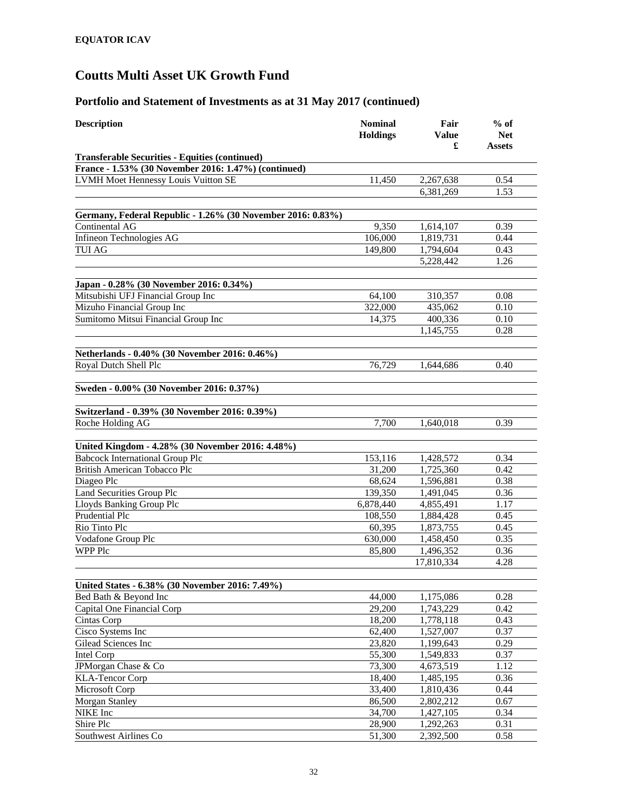| <b>Description</b>                                          | <b>Nominal</b><br><b>Holdings</b> | Fair<br>Value<br>£     | $%$ of<br><b>Net</b><br><b>Assets</b> |
|-------------------------------------------------------------|-----------------------------------|------------------------|---------------------------------------|
| <b>Transferable Securities - Equities (continued)</b>       |                                   |                        |                                       |
| France - 1.53% (30 November 2016: 1.47%) (continued)        |                                   |                        |                                       |
| LVMH Moet Hennessy Louis Vuitton SE                         | 11,450                            | 2,267,638              | 0.54                                  |
|                                                             |                                   | 6,381,269              | 1.53                                  |
|                                                             |                                   |                        |                                       |
| Germany, Federal Republic - 1.26% (30 November 2016: 0.83%) |                                   |                        |                                       |
| Continental AG                                              | 9,350                             | 1,614,107              | 0.39                                  |
| Infineon Technologies AG                                    | 106,000                           | 1,819,731              | 0.44                                  |
| <b>TUI AG</b>                                               | 149,800                           | 1,794,604              | 0.43                                  |
|                                                             |                                   | 5,228,442              | 1.26                                  |
| Japan - 0.28% (30 November 2016: 0.34%)                     |                                   |                        |                                       |
| Mitsubishi UFJ Financial Group Inc                          | 64,100                            | 310,357                | 0.08                                  |
| Mizuho Financial Group Inc                                  | 322,000                           | 435,062                | 0.10                                  |
| Sumitomo Mitsui Financial Group Inc                         | 14,375                            | 400,336                | 0.10                                  |
|                                                             |                                   | 1,145,755              | 0.28                                  |
|                                                             |                                   |                        |                                       |
| Netherlands - 0.40% (30 November 2016: 0.46%)               |                                   |                        |                                       |
| Royal Dutch Shell Plc                                       | 76,729                            | 1,644,686              | 0.40                                  |
| Sweden - 0.00% (30 November 2016: 0.37%)                    |                                   |                        |                                       |
|                                                             |                                   |                        |                                       |
| Switzerland - 0.39% (30 November 2016: 0.39%)               |                                   |                        |                                       |
| Roche Holding AG                                            | 7,700                             | 1,640,018              | 0.39                                  |
|                                                             |                                   |                        |                                       |
| United Kingdom - 4.28% (30 November 2016: 4.48%)            |                                   |                        |                                       |
| <b>Babcock International Group Plc</b>                      | 153,116                           | 1,428,572              | 0.34                                  |
| British American Tobacco Plc<br>Diageo Plc                  | 31,200<br>68,624                  | 1,725,360<br>1,596,881 | 0.42<br>0.38                          |
| Land Securities Group Plc                                   | 139,350                           | 1,491,045              | 0.36                                  |
| Lloyds Banking Group Plc                                    | 6,878,440                         | 4,855,491              | 1.17                                  |
| Prudential Plc                                              | 108,550                           | 1,884,428              | 0.45                                  |
| Rio Tinto Plc                                               | 60,395                            | 1,873,755              | 0.45                                  |
| Vodafone Group Plc                                          | 630,000                           | 1,458,450              | 0.35                                  |
| WPP Plc                                                     | 85,800                            | 1,496,352              | 0.36                                  |
|                                                             |                                   | 17,810,334             | 4.28                                  |
|                                                             |                                   |                        |                                       |
| United States - 6.38% (30 November 2016: 7.49%)             |                                   |                        |                                       |
| Bed Bath & Beyond Inc                                       | 44,000                            | 1,175,086              | 0.28                                  |
| Capital One Financial Corp                                  | 29,200                            | 1,743,229              | 0.42                                  |
| Cintas Corp                                                 | 18,200                            | 1,778,118              | 0.43                                  |
| Cisco Systems Inc                                           | 62,400                            | 1,527,007              | 0.37                                  |
| Gilead Sciences Inc                                         | 23,820                            | 1,199,643              | 0.29                                  |
| Intel Corp                                                  | 55,300                            | 1,549,833              | $0.\overline{37}$                     |
| JPMorgan Chase & Co                                         | 73,300                            | 4,673,519              | 1.12                                  |
| <b>KLA-Tencor Corp</b>                                      | 18,400                            | 1,485,195              | 0.36                                  |
| Microsoft Corp                                              | 33,400                            | 1,810,436              | 0.44                                  |
| <b>Morgan Stanley</b>                                       | 86,500                            | 2,802,212              | 0.67                                  |
| NIKE Inc                                                    | 34,700                            | 1,427,105              | 0.34                                  |
| Shire Plc                                                   | 28,900                            | 1,292,263              | 0.31                                  |
| Southwest Airlines Co                                       | 51,300                            | 2,392,500              | 0.58                                  |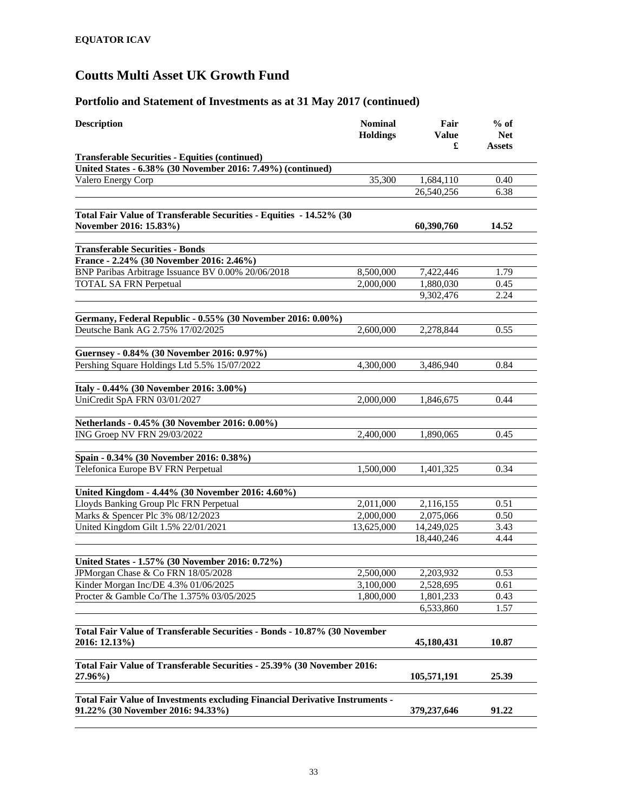| <b>Description</b>                                                                            | <b>Nominal</b><br><b>Holdings</b> | Fair<br>Value<br>£ | $%$ of<br><b>Net</b><br>Assets |
|-----------------------------------------------------------------------------------------------|-----------------------------------|--------------------|--------------------------------|
| <b>Transferable Securities - Equities (continued)</b>                                         |                                   |                    |                                |
| United States - 6.38% (30 November 2016: 7.49%) (continued)                                   |                                   |                    |                                |
| Valero Energy Corp                                                                            | 35,300                            | 1,684,110          | 0.40                           |
|                                                                                               |                                   | 26,540,256         | 6.38                           |
|                                                                                               |                                   |                    |                                |
| Total Fair Value of Transferable Securities - Equities - 14.52% (30<br>November 2016: 15.83%) |                                   | 60,390,760         | 14.52                          |
| <b>Transferable Securities - Bonds</b>                                                        |                                   |                    |                                |
| France - 2.24% (30 November 2016: 2.46%)                                                      |                                   |                    |                                |
| BNP Paribas Arbitrage Issuance BV 0.00% 20/06/2018                                            | 8,500,000                         | 7,422,446          | 1.79                           |
| <b>TOTAL SA FRN Perpetual</b>                                                                 | 2,000,000                         | 1,880,030          | 0.45                           |
|                                                                                               |                                   | 9,302,476          | 2.24                           |
|                                                                                               |                                   |                    |                                |
| Germany, Federal Republic - 0.55% (30 November 2016: 0.00%)                                   |                                   |                    |                                |
| Deutsche Bank AG 2.75% 17/02/2025                                                             | 2,600,000                         | 2,278,844          | 0.55                           |
|                                                                                               |                                   |                    |                                |
| Guernsey - 0.84% (30 November 2016: 0.97%)                                                    |                                   |                    |                                |
| Pershing Square Holdings Ltd 5.5% 15/07/2022                                                  | 4,300,000                         | 3,486,940          | 0.84                           |
|                                                                                               |                                   |                    |                                |
| Italy - 0.44% (30 November 2016: 3.00%)<br>UniCredit SpA FRN 03/01/2027                       | 2,000,000                         |                    | 0.44                           |
|                                                                                               |                                   | 1,846,675          |                                |
| Netherlands - 0.45% (30 November 2016: 0.00%)                                                 |                                   |                    |                                |
| ING Groep NV FRN 29/03/2022                                                                   | 2,400,000                         | 1,890,065          | 0.45                           |
|                                                                                               |                                   |                    |                                |
| Spain - 0.34% (30 November 2016: 0.38%)                                                       |                                   |                    |                                |
| Telefonica Europe BV FRN Perpetual                                                            | 1,500,000                         | 1,401,325          | 0.34                           |
|                                                                                               |                                   |                    |                                |
| United Kingdom - 4.44% (30 November 2016: 4.60%)                                              |                                   |                    |                                |
| Lloyds Banking Group Plc FRN Perpetual                                                        | 2,011,000                         | 2,116,155          | 0.51                           |
| Marks & Spencer Plc 3% 08/12/2023                                                             | 2,000,000                         | 2,075,066          | 0.50                           |
| United Kingdom Gilt 1.5% 22/01/2021                                                           | 13,625,000                        | 14,249,025         | 3.43                           |
|                                                                                               |                                   | 18,440,246         | 4.44                           |
| United States - 1.57% (30 November 2016: 0.72%)                                               |                                   |                    |                                |
| JPMorgan Chase & Co FRN 18/05/2028                                                            | 2,500,000                         | 2,203,932          | 0.53                           |
| Kinder Morgan Inc/DE 4.3% 01/06/2025                                                          | 3,100,000                         | 2,528,695          | 0.61                           |
| Procter & Gamble Co/The 1.375% 03/05/2025                                                     | 1,800,000                         | 1,801,233          | 0.43                           |
|                                                                                               |                                   | 6,533,860          | 1.57                           |
|                                                                                               |                                   |                    |                                |
| Total Fair Value of Transferable Securities - Bonds - 10.87% (30 November                     |                                   |                    |                                |
| 2016: 12.13%)                                                                                 |                                   | 45,180,431         | 10.87                          |
|                                                                                               |                                   |                    |                                |
| Total Fair Value of Transferable Securities - 25.39% (30 November 2016:                       |                                   |                    |                                |
| 27.96%)                                                                                       |                                   | 105,571,191        | 25.39                          |
| Total Fair Value of Investments excluding Financial Derivative Instruments -                  |                                   |                    |                                |
| 91.22% (30 November 2016: 94.33%)                                                             |                                   | 379, 237, 646      | 91.22                          |
|                                                                                               |                                   |                    |                                |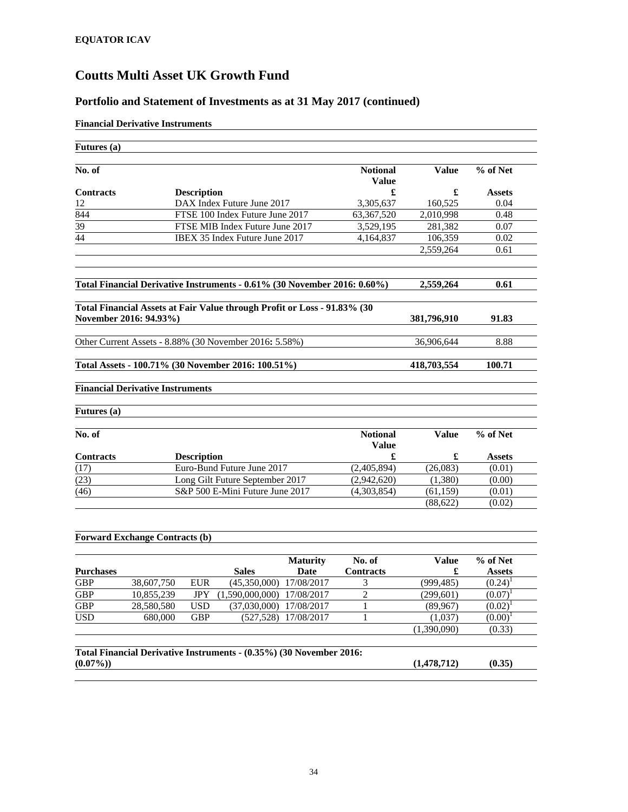## **Portfolio and Statement of Investments as at 31 May 2017 (continued)**

### **Financial Derivative Instruments**

| <b>Futures</b> (a)                            |                                         |                    |                                                                          |                      |                                 |                          |               |
|-----------------------------------------------|-----------------------------------------|--------------------|--------------------------------------------------------------------------|----------------------|---------------------------------|--------------------------|---------------|
| $\overline{\text{No. of}}$                    |                                         |                    |                                                                          |                      | <b>Notional</b><br><b>Value</b> | <b>Value</b>             | % of Net      |
| <b>Contracts</b>                              |                                         | <b>Description</b> |                                                                          |                      | £                               | £                        | <b>Assets</b> |
| 12                                            |                                         |                    | DAX Index Future June 2017                                               |                      | 3,305,637                       | 160,525                  | 0.04          |
| 844                                           |                                         |                    | FTSE 100 Index Future June 2017                                          |                      | 63,367,520                      | 2,010,998                | 0.48          |
| 39                                            |                                         |                    | FTSE MIB Index Future June 2017                                          |                      | 3,529,195                       | 281,382                  | 0.07          |
| $\overline{44}$                               |                                         |                    | IBEX 35 Index Future June 2017                                           |                      | 4,164,837                       | 106,359                  | 0.02          |
|                                               |                                         |                    |                                                                          |                      |                                 | 2,559,264                | 0.61          |
|                                               |                                         |                    | Total Financial Derivative Instruments - 0.61% (30 November 2016: 0.60%) |                      |                                 | 2,559,264                | 0.61          |
|                                               | November 2016: 94.93%)                  |                    | Total Financial Assets at Fair Value through Profit or Loss - 91.83% (30 |                      |                                 | 381,796,910              | 91.83         |
|                                               |                                         |                    |                                                                          |                      |                                 |                          |               |
|                                               |                                         |                    | Other Current Assets - 8.88% (30 November 2016: 5.58%)                   |                      |                                 | 36,906,644               | 8.88          |
|                                               |                                         |                    | Total Assets - 100.71% (30 November 2016: 100.51%)                       |                      |                                 | 418,703,554              | 100.71        |
|                                               | <b>Financial Derivative Instruments</b> |                    |                                                                          |                      |                                 |                          |               |
| Futures (a)                                   |                                         |                    |                                                                          |                      |                                 |                          |               |
| No. of                                        |                                         |                    |                                                                          |                      | <b>Notional</b><br><b>Value</b> | <b>Value</b>             | % of Net      |
| <b>Contracts</b>                              |                                         | <b>Description</b> |                                                                          |                      | £                               | £                        | <b>Assets</b> |
| (17)                                          |                                         |                    | Euro-Bund Future June 2017                                               |                      | (2,405,894)                     | (26,083)                 | (0.01)        |
| (23)                                          |                                         |                    | Long Gilt Future September 2017                                          |                      | (2,942,620)                     | (1,380)                  | (0.00)        |
| (46)                                          |                                         |                    | S&P 500 E-Mini Future June 2017                                          |                      | (4,303,854)                     | (61, 159)                | (0.01)        |
|                                               |                                         |                    |                                                                          |                      |                                 | (88, 622)                | (0.02)        |
|                                               | <b>Forward Exchange Contracts (b)</b>   |                    |                                                                          |                      |                                 |                          |               |
|                                               |                                         |                    |                                                                          | <b>Maturity</b>      | No. of                          | <b>Value</b>             | % of Net      |
| <b>Purchases</b>                              |                                         |                    | <b>Sales</b>                                                             | Date                 | <b>Contracts</b>                | £                        | <b>Assets</b> |
|                                               | 38,607,750                              | <b>EUR</b>         | (45,350,000)                                                             | 17/08/2017           | 3                               | (999, 485)               | $(0.24)^1$    |
|                                               |                                         | <b>JPY</b>         | (1,590,000,000)                                                          | 17/08/2017           | $\overline{2}$                  | (299, 601)               | $(0.07)^T$    |
|                                               | 10,855,239                              |                    | (37,030,000)                                                             | 17/08/2017           | 1                               | (89,967)                 | $(0.02)^{1}$  |
|                                               | 28,580,580                              | <b>USD</b>         |                                                                          |                      |                                 |                          |               |
|                                               | 680,000                                 | <b>GBP</b>         |                                                                          | (527,528) 17/08/2017 | $\mathbf{1}$                    | (1,037)                  | $(0.00)^1$    |
| <b>GBP</b><br><b>GBP</b><br>GBP<br><b>USD</b> |                                         |                    |                                                                          |                      |                                 | $\overline{(1,390,090)}$ | (0.33)        |
|                                               |                                         |                    | Total Financial Derivative Instruments - (0.35%) (30 November 2016:      |                      |                                 |                          |               |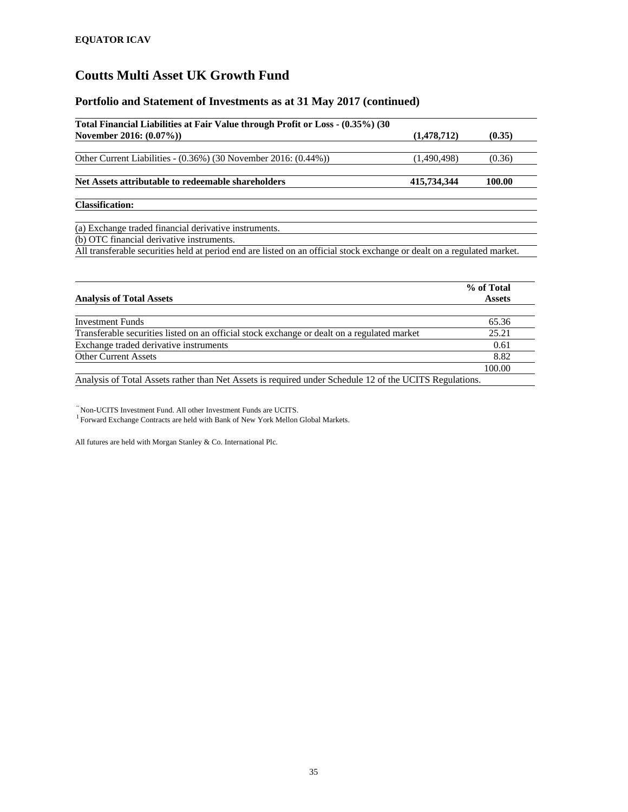## **Portfolio and Statement of Investments as at 31 May 2017 (continued)**

| Total Financial Liabilities at Fair Value through Profit or Loss - (0.35%) (30                                          |             |        |  |
|-------------------------------------------------------------------------------------------------------------------------|-------------|--------|--|
| November 2016: (0.07%))                                                                                                 | (1,478,712) | (0.35) |  |
|                                                                                                                         |             |        |  |
| Other Current Liabilities - (0.36%) (30 November 2016: (0.44%))                                                         | (1,490,498) | (0.36) |  |
|                                                                                                                         |             |        |  |
| Net Assets attributable to redeemable shareholders                                                                      | 415,734,344 | 100.00 |  |
| <b>Classification:</b>                                                                                                  |             |        |  |
| (a) Exchange traded financial derivative instruments.                                                                   |             |        |  |
| (b) OTC financial derivative instruments.                                                                               |             |        |  |
| All transferable securities held at period end are listed on an official stock exchange or dealt on a regulated market. |             |        |  |

|                                                                                                         | % of Total    |
|---------------------------------------------------------------------------------------------------------|---------------|
| <b>Analysis of Total Assets</b>                                                                         | <b>Assets</b> |
| <b>Investment Funds</b>                                                                                 | 65.36         |
| Transferable securities listed on an official stock exchange or dealt on a regulated market             | 25.21         |
| Exchange traded derivative instruments                                                                  | 0.61          |
| <b>Other Current Assets</b>                                                                             | 8.82          |
|                                                                                                         | 100.00        |
| Analysis of Total Assets rather than Net Assets is required under Schedule 12 of the UCITS Regulations. |               |

 $\tilde{}$ Non-UCITS Investment Fund. All other Investment Funds are UCITS.  $^1$  Forward Exchange Contracts are held with Bank of New York Mellon Global Markets.

All futures are held with Morgan Stanley & Co. International Plc.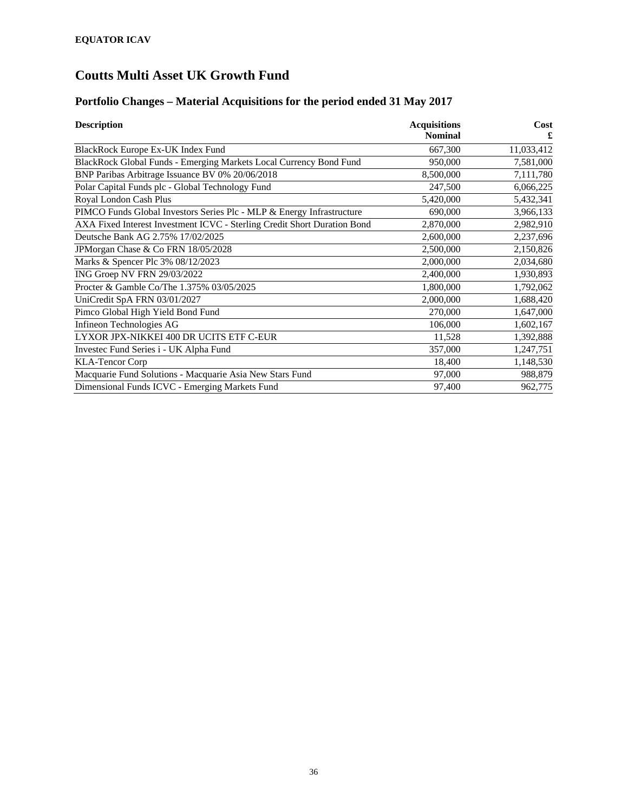### **Portfolio Changes – Material Acquisitions for the period ended 31 May 2017**

| <b>Description</b>                                                       | <b>Acquisitions</b> | Cost       |
|--------------------------------------------------------------------------|---------------------|------------|
|                                                                          | <b>Nominal</b>      |            |
| BlackRock Europe Ex-UK Index Fund                                        | 667,300             | 11,033,412 |
| BlackRock Global Funds - Emerging Markets Local Currency Bond Fund       | 950,000             | 7,581,000  |
| BNP Paribas Arbitrage Issuance BV 0% 20/06/2018                          | 8,500,000           | 7,111,780  |
| Polar Capital Funds plc - Global Technology Fund                         | 247,500             | 6,066,225  |
| Royal London Cash Plus                                                   | 5,420,000           | 5,432,341  |
| PIMCO Funds Global Investors Series Plc - MLP & Energy Infrastructure    | 690,000             | 3,966,133  |
| AXA Fixed Interest Investment ICVC - Sterling Credit Short Duration Bond | 2,870,000           | 2,982,910  |
| Deutsche Bank AG 2.75% 17/02/2025                                        | 2,600,000           | 2,237,696  |
| JPMorgan Chase & Co FRN 18/05/2028                                       | 2,500,000           | 2,150,826  |
| Marks & Spencer Plc 3% 08/12/2023                                        | 2,000,000           | 2,034,680  |
| ING Groep NV FRN 29/03/2022                                              | 2,400,000           | 1,930,893  |
| Procter & Gamble Co/The 1.375% 03/05/2025                                | 1,800,000           | 1,792,062  |
| UniCredit SpA FRN 03/01/2027                                             | 2,000,000           | 1,688,420  |
| Pimco Global High Yield Bond Fund                                        | 270,000             | 1,647,000  |
| Infineon Technologies AG                                                 | 106,000             | 1,602,167  |
| LYXOR JPX-NIKKEI 400 DR UCITS ETF C-EUR                                  | 11,528              | 1,392,888  |
| Investec Fund Series i - UK Alpha Fund                                   | 357,000             | 1,247,751  |
| <b>KLA-Tencor Corp</b>                                                   | 18,400              | 1,148,530  |
| Macquarie Fund Solutions - Macquarie Asia New Stars Fund                 | 97,000              | 988,879    |
| Dimensional Funds ICVC - Emerging Markets Fund                           | 97,400              | 962,775    |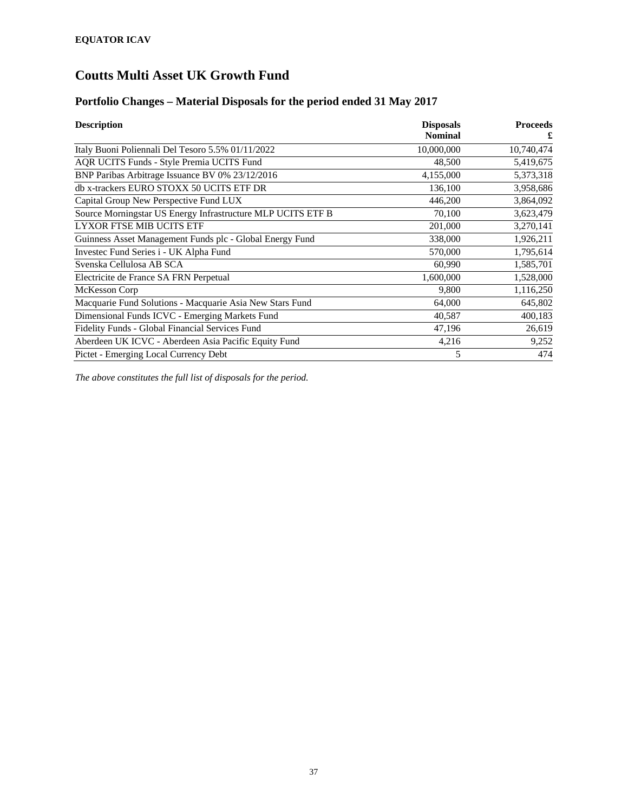#### **Portfolio Changes – Material Disposals for the period ended 31 May 2017**

| <b>Description</b>                                          | <b>Disposals</b> | <b>Proceeds</b> |
|-------------------------------------------------------------|------------------|-----------------|
|                                                             | <b>Nominal</b>   | £               |
| Italy Buoni Poliennali Del Tesoro 5.5% 01/11/2022           | 10,000,000       | 10,740,474      |
| AQR UCITS Funds - Style Premia UCITS Fund                   | 48,500           | 5,419,675       |
| BNP Paribas Arbitrage Issuance BV 0% 23/12/2016             | 4,155,000        | 5,373,318       |
| db x-trackers EURO STOXX 50 UCITS ETF DR                    | 136,100          | 3,958,686       |
| Capital Group New Perspective Fund LUX                      | 446,200          | 3,864,092       |
| Source Morningstar US Energy Infrastructure MLP UCITS ETF B | 70,100           | 3,623,479       |
| LYXOR FTSE MIB UCITS ETF                                    | 201,000          | 3,270,141       |
| Guinness Asset Management Funds plc - Global Energy Fund    | 338,000          | 1,926,211       |
| Investec Fund Series i - UK Alpha Fund                      | 570,000          | 1,795,614       |
| Svenska Cellulosa AB SCA                                    | 60,990           | 1,585,701       |
| Electricite de France SA FRN Perpetual                      | 1,600,000        | 1,528,000       |
| McKesson Corp                                               | 9,800            | 1,116,250       |
| Macquarie Fund Solutions - Macquarie Asia New Stars Fund    | 64,000           | 645,802         |
| Dimensional Funds ICVC - Emerging Markets Fund              | 40,587           | 400,183         |
| Fidelity Funds - Global Financial Services Fund             | 47,196           | 26,619          |
| Aberdeen UK ICVC - Aberdeen Asia Pacific Equity Fund        | 4,216            | 9,252           |
| Pictet - Emerging Local Currency Debt                       | 5                | 474             |

*The above constitutes the full list of disposals for the period.*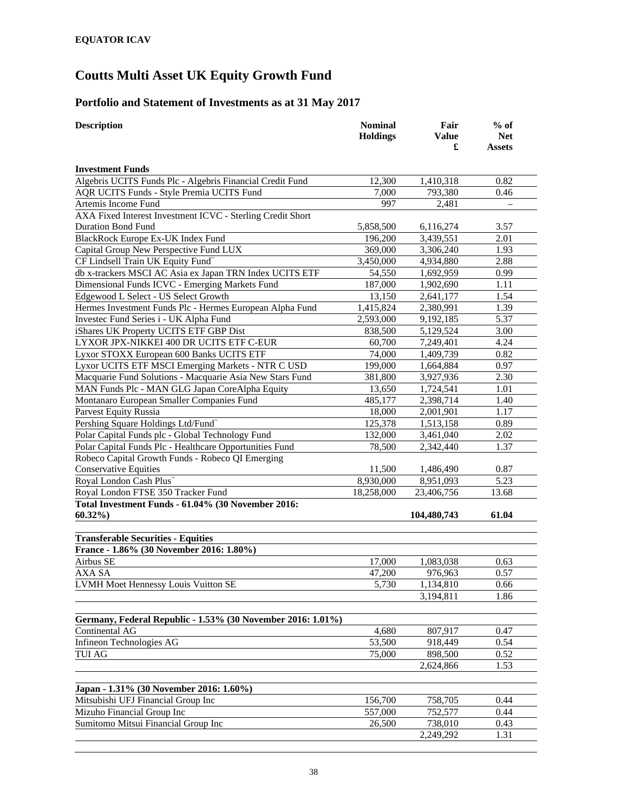#### **Portfolio and Statement of Investments as at 31 May 2017**

| <b>Description</b>                                          | <b>Nominal</b><br><b>Holdings</b> | Fair<br><b>Value</b> | $%$ of<br><b>Net</b> |
|-------------------------------------------------------------|-----------------------------------|----------------------|----------------------|
|                                                             |                                   | £                    | <b>Assets</b>        |
| <b>Investment Funds</b>                                     |                                   |                      |                      |
| Algebris UCITS Funds Plc - Algebris Financial Credit Fund   | 12,300                            | 1,410,318            | 0.82                 |
| AQR UCITS Funds - Style Premia UCITS Fund                   | 7,000                             | 793,380              | 0.46                 |
| Artemis Income Fund                                         | 997                               | 2,481                |                      |
| AXA Fixed Interest Investment ICVC - Sterling Credit Short  |                                   |                      |                      |
| <b>Duration Bond Fund</b>                                   | 5,858,500                         | 6,116,274            | 3.57                 |
| BlackRock Europe Ex-UK Index Fund                           | 196,200                           | 3,439,551            | 2.01                 |
| Capital Group New Perspective Fund LUX                      | 369,000                           | 3,306,240            | 1.93                 |
| CF Lindsell Train UK Equity Fund~                           | 3,450,000                         | 4,934,880            | 2.88                 |
| db x-trackers MSCI AC Asia ex Japan TRN Index UCITS ETF     | 54,550                            | 1,692,959            | 0.99                 |
| Dimensional Funds ICVC - Emerging Markets Fund              | 187,000                           | 1,902,690            | 1.11                 |
| Edgewood L Select - US Select Growth                        | 13,150                            | 2,641,177            | 1.54                 |
| Hermes Investment Funds Plc - Hermes European Alpha Fund    | 1,415,824                         | 2,380,991            | 1.39                 |
| Investec Fund Series i - UK Alpha Fund                      | 2,593,000                         | 9,192,185            | 5.37                 |
| iShares UK Property UCITS ETF GBP Dist                      | 838,500                           | 5,129,524            | 3.00                 |
| LYXOR JPX-NIKKEI 400 DR UCITS ETF C-EUR                     | 60,700                            | 7,249,401            | 4.24                 |
| Lyxor STOXX European 600 Banks UCITS ETF                    | 74,000                            | 1,409,739            | 0.82                 |
| Lyxor UCITS ETF MSCI Emerging Markets - NTR C USD           | 199,000                           | 1,664,884            | 0.97                 |
| Macquarie Fund Solutions - Macquarie Asia New Stars Fund    | 381,800                           | 3,927,936            | 2.30                 |
| MAN Funds Plc - MAN GLG Japan CoreAlpha Equity              | 13,650                            | 1,724,541            | 1.01                 |
| Montanaro European Smaller Companies Fund                   | 485,177                           | 2,398,714            | 1.40                 |
| <b>Parvest Equity Russia</b>                                | 18,000                            | 2,001,901            | 1.17                 |
| Pershing Square Holdings Ltd/Fund <sup>~</sup>              | 125,378                           | 1,513,158            | 0.89                 |
| Polar Capital Funds plc - Global Technology Fund            | 132,000                           | 3,461,040            | 2.02                 |
| Polar Capital Funds Plc - Healthcare Opportunities Fund     | 78,500                            | 2,342,440            | 1.37                 |
| Robeco Capital Growth Funds - Robeco QI Emerging            |                                   |                      |                      |
| <b>Conservative Equities</b>                                | 11,500                            | 1,486,490            | 0.87                 |
| Royal London Cash Plus~                                     | 8,930,000                         | 8,951,093            | 5.23                 |
| Royal London FTSE 350 Tracker Fund                          | 18,258,000                        | 23,406,756           | 13.68                |
| Total Investment Funds - 61.04% (30 November 2016:          |                                   |                      |                      |
| $60.32\%$                                                   |                                   | 104,480,743          | 61.04                |
| <b>Transferable Securities - Equities</b>                   |                                   |                      |                      |
| France - 1.86% (30 November 2016: 1.80%)                    |                                   |                      |                      |
| Airbus SE                                                   | 17,000                            | 1,083,038            | 0.63                 |
| AXA SA                                                      | 47,200                            | 976,963              | 0.57                 |
| LVMH Moet Hennessy Louis Vuitton SE                         | 5,730                             | 1,134,810            | 0.66                 |
|                                                             |                                   | 3,194,811            | 1.86                 |
|                                                             |                                   |                      |                      |
| Germany, Federal Republic - 1.53% (30 November 2016: 1.01%) |                                   |                      |                      |
| Continental AG                                              | 4,680                             | 807,917              | 0.47                 |
| Infineon Technologies AG                                    | 53,500                            | 918,449              | 0.54                 |
| <b>TUI AG</b>                                               | 75,000                            | 898,500              | 0.52                 |
|                                                             |                                   | 2,624,866            | 1.53                 |
|                                                             |                                   |                      |                      |
| Japan - 1.31% (30 November 2016: 1.60%)                     |                                   |                      |                      |
| Mitsubishi UFJ Financial Group Inc                          | 156,700                           | 758,705              | 0.44                 |
| Mizuho Financial Group Inc                                  | 557,000                           | 752,577              | 0.44                 |
| Sumitomo Mitsui Financial Group Inc                         | 26,500                            | 738,010              | 0.43                 |
|                                                             |                                   | 2,249,292            | 1.31                 |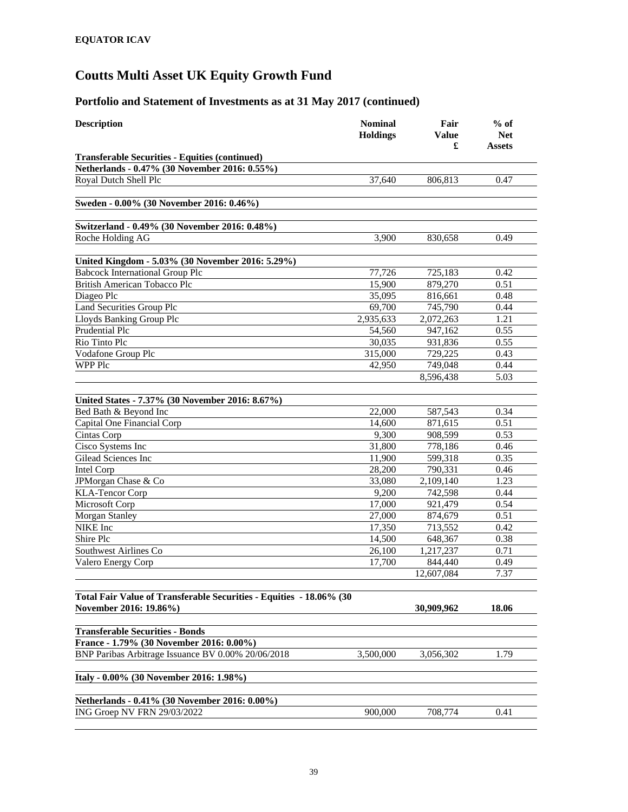| <b>Description</b>                                                                            | <b>Nominal</b><br><b>Holdings</b> | Fair<br>Value<br>£ | $%$ of<br><b>Net</b><br><b>Assets</b> |
|-----------------------------------------------------------------------------------------------|-----------------------------------|--------------------|---------------------------------------|
| <b>Transferable Securities - Equities (continued)</b>                                         |                                   |                    |                                       |
| Netherlands - 0.47% (30 November 2016: 0.55%)                                                 |                                   |                    |                                       |
| Royal Dutch Shell Plc                                                                         | 37,640                            | 806,813            | 0.47                                  |
| Sweden - 0.00% (30 November 2016: 0.46%)                                                      |                                   |                    |                                       |
| Switzerland - 0.49% (30 November 2016: 0.48%)                                                 |                                   |                    |                                       |
| Roche Holding AG                                                                              | 3,900                             | 830,658            | 0.49                                  |
| United Kingdom - 5.03% (30 November 2016: 5.29%)                                              |                                   |                    |                                       |
| <b>Babcock International Group Plc</b>                                                        | 77,726                            | 725,183            | 0.42                                  |
| <b>British American Tobacco Plc</b>                                                           | 15,900                            | 879,270            | 0.51                                  |
| Diageo Plc                                                                                    | 35,095                            | 816,661            | 0.48                                  |
| <b>Land Securities Group Plc</b>                                                              | 69,700                            | 745,790            | 0.44                                  |
| Lloyds Banking Group Plc                                                                      | 2,935,633                         | 2,072,263          | 1.21                                  |
| Prudential Plc                                                                                | 54,560                            | 947,162            | 0.55                                  |
| Rio Tinto Plc                                                                                 | 30,035                            | 931,836            | 0.55                                  |
| Vodafone Group Plc                                                                            | 315,000                           | 729,225            | 0.43                                  |
| <b>WPP Plc</b>                                                                                | 42,950                            | 749,048            | 0.44                                  |
|                                                                                               |                                   | 8,596,438          | 5.03                                  |
| United States - 7.37% (30 November 2016: 8.67%)                                               |                                   |                    |                                       |
| Bed Bath & Beyond Inc                                                                         | 22,000                            | 587,543            | 0.34                                  |
| Capital One Financial Corp                                                                    | 14,600                            | 871,615            | 0.51                                  |
| Cintas Corp                                                                                   | 9,300                             | 908,599            | 0.53                                  |
| Cisco Systems Inc                                                                             | 31,800                            | 778,186            | 0.46                                  |
| Gilead Sciences Inc                                                                           | 11,900                            | 599,318            | 0.35                                  |
| Intel Corp                                                                                    | 28,200                            | 790,331            | 0.46                                  |
| JPMorgan Chase & Co                                                                           | 33,080                            | 2,109,140          | 1.23                                  |
| <b>KLA-Tencor Corp</b>                                                                        | 9,200                             | 742,598            | 0.44                                  |
| Microsoft Corp                                                                                | 17,000                            | 921,479            | 0.54                                  |
| <b>Morgan Stanley</b>                                                                         | 27,000                            | 874,679            | 0.51                                  |
| NIKE Inc                                                                                      | 17,350                            | 713,552            | 0.42                                  |
| Shire Plc                                                                                     | 14,500                            | 648,367            | 0.38                                  |
| Southwest Airlines Co                                                                         | 26,100                            | 1,217,237          | 0.71                                  |
| Valero Energy Corp                                                                            | 17,700                            | 844,440            | 0.49                                  |
|                                                                                               |                                   | 12,607,084         | 7.37                                  |
|                                                                                               |                                   |                    |                                       |
| Total Fair Value of Transferable Securities - Equities - 18.06% (30<br>November 2016: 19.86%) |                                   | 30,909,962         | 18.06                                 |
|                                                                                               |                                   |                    |                                       |
| <b>Transferable Securities - Bonds</b>                                                        |                                   |                    |                                       |
| France - 1.79% (30 November 2016: 0.00%)                                                      |                                   |                    |                                       |
| BNP Paribas Arbitrage Issuance BV 0.00% 20/06/2018                                            | 3,500,000                         | 3,056,302          | 1.79                                  |
| Italy - 0.00% (30 November 2016: 1.98%)                                                       |                                   |                    |                                       |
|                                                                                               |                                   |                    |                                       |
| Netherlands - 0.41% (30 November 2016: 0.00%)                                                 |                                   |                    |                                       |
| ING Groep NV FRN 29/03/2022                                                                   | 900,000                           | 708,774            | 0.41                                  |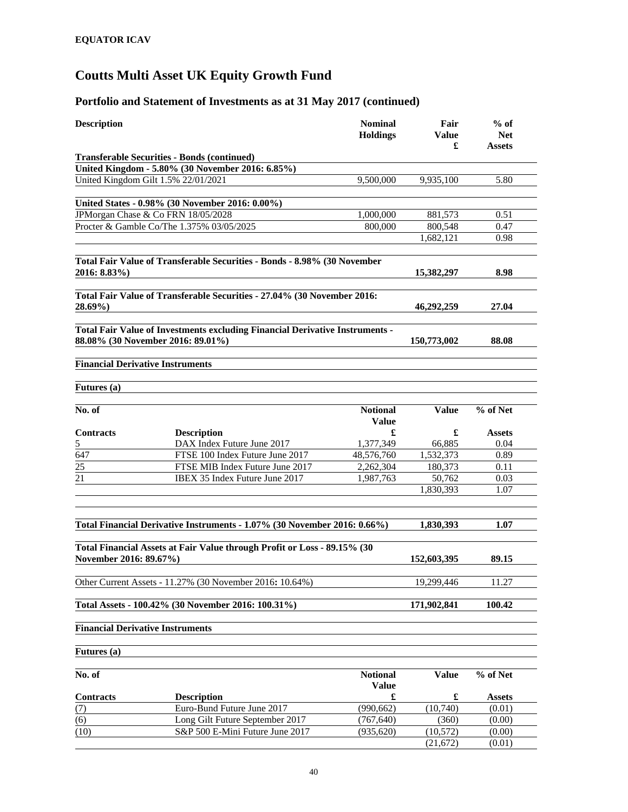| <b>Description</b>                      |                                                                                                                   | <b>Nominal</b><br><b>Holdings</b> | Fair<br>Value<br>£ | $%$ of<br><b>Net</b><br>Assets |
|-----------------------------------------|-------------------------------------------------------------------------------------------------------------------|-----------------------------------|--------------------|--------------------------------|
|                                         | <b>Transferable Securities - Bonds (continued)</b>                                                                |                                   |                    |                                |
|                                         | United Kingdom - 5.80% (30 November 2016: 6.85%)                                                                  |                                   |                    |                                |
|                                         | United Kingdom Gilt 1.5% 22/01/2021                                                                               | 9,500,000                         | 9.935.100          | 5.80                           |
|                                         |                                                                                                                   |                                   |                    |                                |
|                                         | United States - 0.98% (30 November 2016: 0.00%)                                                                   |                                   |                    |                                |
|                                         | JPMorgan Chase & Co FRN 18/05/2028                                                                                | 1,000,000                         | 881,573            | 0.51                           |
|                                         | Procter & Gamble Co/The 1.375% 03/05/2025                                                                         | 800.000                           | 800,548            | 0.47                           |
|                                         |                                                                                                                   |                                   | 1,682,121          | 0.98                           |
| 2016: 8.83%)                            | Total Fair Value of Transferable Securities - Bonds - 8.98% (30 November                                          |                                   | 15,382,297         | 8.98                           |
|                                         |                                                                                                                   |                                   |                    |                                |
| $28.69\%$                               | Total Fair Value of Transferable Securities - 27.04% (30 November 2016:                                           |                                   | 46,292,259         | 27.04                          |
|                                         | Total Fair Value of Investments excluding Financial Derivative Instruments -<br>88.08% (30 November 2016: 89.01%) |                                   | 150,773,002        | 88.08                          |
|                                         |                                                                                                                   |                                   |                    |                                |
| <b>Financial Derivative Instruments</b> |                                                                                                                   |                                   |                    |                                |
|                                         |                                                                                                                   |                                   |                    |                                |
| Futures (a)                             |                                                                                                                   |                                   |                    |                                |
|                                         |                                                                                                                   |                                   |                    |                                |
| No. of                                  |                                                                                                                   | <b>Notional</b><br><b>Value</b>   | <b>Value</b>       | % of Net                       |
| <b>Contracts</b>                        | <b>Description</b>                                                                                                | £                                 | £                  | <b>Assets</b>                  |
| 5                                       | DAX Index Future June 2017                                                                                        | 1,377,349                         | 66,885             | 0.04                           |
| $\overline{647}$                        | FTSE 100 Index Future June 2017                                                                                   | 48,576,760                        | 1,532,373          | 0.89                           |
| $\overline{25}$                         | FTSE MIB Index Future June 2017                                                                                   | 2,262,304                         | 180,373            | 0.11                           |
| $\overline{21}$                         | IBEX 35 Index Future June 2017                                                                                    | 1,987,763                         | 50,762             | 0.03                           |
|                                         |                                                                                                                   |                                   | 1,830,393          | 1.07                           |
|                                         | Total Financial Derivative Instruments - 1.07% (30 November 2016: 0.66%)                                          |                                   | 1,830,393          | 1.07                           |
|                                         |                                                                                                                   |                                   |                    |                                |
| November 2016: 89.67%)                  | Total Financial Assets at Fair Value through Profit or Loss - 89.15% (30                                          |                                   | 152,603,395        | 89.15                          |
|                                         | Other Current Assets - 11.27% (30 November 2016: 10.64%)                                                          |                                   | 19,299,446         | 11.27                          |
|                                         |                                                                                                                   |                                   |                    |                                |
|                                         | Total Assets - 100.42% (30 November 2016: 100.31%)                                                                |                                   | 171,902,841        | 100.42                         |
| <b>Financial Derivative Instruments</b> |                                                                                                                   |                                   |                    |                                |
| Futures (a)                             |                                                                                                                   |                                   |                    |                                |
| No. of                                  |                                                                                                                   | <b>Notional</b><br><b>Value</b>   | <b>Value</b>       | % of Net                       |
| <b>Contracts</b>                        | <b>Description</b>                                                                                                | £                                 | £                  | <b>Assets</b>                  |
| (7)                                     | Euro-Bund Future June 2017                                                                                        | (990, 662)                        | (10,740)           | (0.01)                         |
| (6)                                     | Long Gilt Future September 2017                                                                                   | (767, 640)                        | (360)              | (0.00)                         |
| (10)                                    | S&P 500 E-Mini Future June 2017                                                                                   | (935, 620)                        | (10, 572)          | (0.00)                         |
|                                         |                                                                                                                   |                                   | (21, 672)          | (0.01)                         |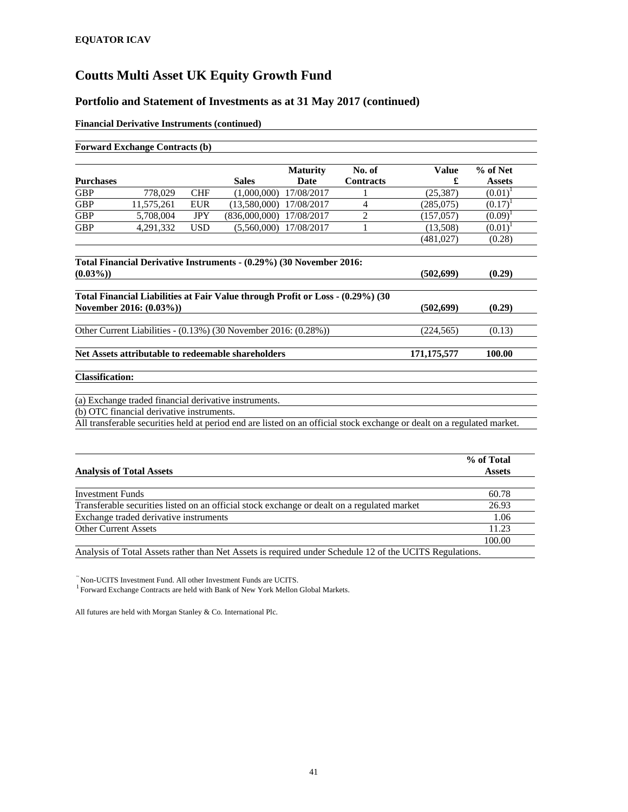#### **Portfolio and Statement of Investments as at 31 May 2017 (continued)**

#### **Financial Derivative Instruments (continued)**

|                        | <b>Forward Exchange Contracts (b)</b>     |            |                                                                     |                         |                            |                                                                                                                         |                           |
|------------------------|-------------------------------------------|------------|---------------------------------------------------------------------|-------------------------|----------------------------|-------------------------------------------------------------------------------------------------------------------------|---------------------------|
| <b>Purchases</b>       |                                           |            | <b>Sales</b>                                                        | <b>Maturity</b><br>Date | No. of<br><b>Contracts</b> | <b>Value</b>                                                                                                            | % of Net<br><b>Assets</b> |
| <b>GBP</b>             | 778,029                                   | <b>CHF</b> | (1,000,000)                                                         | 17/08/2017              |                            | (25, 387)                                                                                                               | $(0.01)^1$                |
| <b>GBP</b>             | 11,575,261                                | <b>EUR</b> | $(13,580,000)$ $17/08/2017$                                         |                         | 4                          | (285,075)                                                                                                               | $(0.17)^T$                |
| <b>GBP</b>             | 5,708,004                                 | <b>JPY</b> | (836,000,000)                                                       | 17/08/2017              | $\overline{2}$             | (157, 057)                                                                                                              | $(0.09)^1$                |
| <b>GBP</b>             | 4,291,332                                 | <b>USD</b> | (5.560.000)                                                         | 17/08/2017              |                            | (13,508)                                                                                                                | $(0.01)^1$                |
|                        |                                           |            |                                                                     |                         |                            | (481,027)                                                                                                               | (0.28)                    |
|                        |                                           |            | Total Financial Derivative Instruments - (0.29%) (30 November 2016: |                         |                            |                                                                                                                         |                           |
| $(0.03\%)$             |                                           |            |                                                                     |                         |                            | (502, 699)                                                                                                              | (0.29)                    |
|                        |                                           |            |                                                                     |                         |                            |                                                                                                                         |                           |
|                        | November 2016: (0.03%))                   |            |                                                                     |                         |                            | (502, 699)                                                                                                              | (0.29)                    |
|                        |                                           |            | Other Current Liabilities - (0.13%) (30 November 2016: (0.28%))     |                         |                            | (224, 565)                                                                                                              | (0.13)                    |
|                        |                                           |            | Net Assets attributable to redeemable shareholders                  |                         |                            | 171, 175, 577                                                                                                           | 100.00                    |
| <b>Classification:</b> |                                           |            |                                                                     |                         |                            |                                                                                                                         |                           |
|                        |                                           |            | (a) Exchange traded financial derivative instruments.               |                         |                            |                                                                                                                         |                           |
|                        | (b) OTC financial derivative instruments. |            |                                                                     |                         |                            |                                                                                                                         |                           |
|                        |                                           |            |                                                                     |                         |                            | All transferable securities held at period end are listed on an official stock exchange or dealt on a regulated market. |                           |
|                        |                                           |            |                                                                     |                         |                            |                                                                                                                         |                           |
|                        |                                           |            |                                                                     |                         |                            |                                                                                                                         | % of Total                |

| <b>Analysis of Total Assets</b>                                                                                                                                                                                                                                                                  | Assets |
|--------------------------------------------------------------------------------------------------------------------------------------------------------------------------------------------------------------------------------------------------------------------------------------------------|--------|
|                                                                                                                                                                                                                                                                                                  |        |
| <b>Investment Funds</b>                                                                                                                                                                                                                                                                          | 60.78  |
| Transferable securities listed on an official stock exchange or dealt on a regulated market                                                                                                                                                                                                      | 26.93  |
| Exchange traded derivative instruments                                                                                                                                                                                                                                                           | 1.06   |
| <b>Other Current Assets</b>                                                                                                                                                                                                                                                                      | 11.23  |
|                                                                                                                                                                                                                                                                                                  | 100.00 |
| $\mathbf{A}$ and $\mathbf{B}$ and $\mathbf{A}$ and $\mathbf{A}$ and $\mathbf{A}$ and $\mathbf{B}$ and $\mathbf{B}$ and $\mathbf{B}$ and $\mathbf{B}$ and $\mathbf{B}$ and $\mathbf{B}$ and $\mathbf{B}$ and $\mathbf{B}$ and $\mathbf{B}$ and $\mathbf{B}$ and $\mathbf{B}$ and $\mathbf{B}$ and |        |

Analysis of Total Assets rather than Net Assets is required under Schedule 12 of the UCITS Regulations.

 $\tilde{}$ Non-UCITS Investment Fund. All other Investment Funds are UCITS.  $^1$  Forward Exchange Contracts are held with Bank of New York Mellon Global Markets.

All futures are held with Morgan Stanley & Co. International Plc.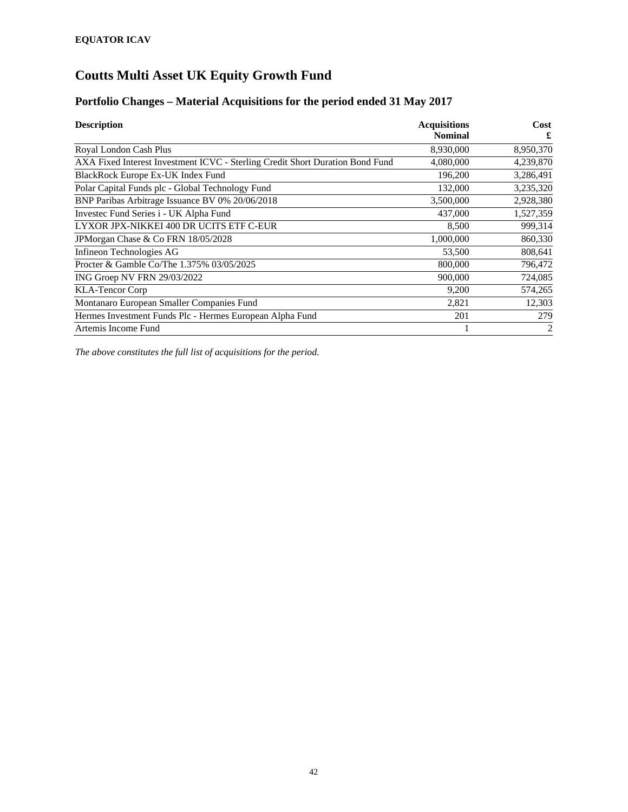#### **Portfolio Changes – Material Acquisitions for the period ended 31 May 2017**

| <b>Description</b>                                                            | <b>Acquisitions</b><br><b>Nominal</b> | Cost<br>£      |
|-------------------------------------------------------------------------------|---------------------------------------|----------------|
| Royal London Cash Plus                                                        | 8,930,000                             | 8,950,370      |
| AXA Fixed Interest Investment ICVC - Sterling Credit Short Duration Bond Fund | 4,080,000                             | 4,239,870      |
| BlackRock Europe Ex-UK Index Fund                                             | 196,200                               | 3,286,491      |
| Polar Capital Funds plc - Global Technology Fund                              | 132,000                               | 3,235,320      |
| BNP Paribas Arbitrage Issuance BV 0% 20/06/2018                               | 3,500,000                             | 2,928,380      |
| Investec Fund Series i - UK Alpha Fund                                        | 437,000                               | 1,527,359      |
| LYXOR JPX-NIKKEI 400 DR UCITS ETF C-EUR                                       | 8,500                                 | 999,314        |
| JPMorgan Chase & Co FRN 18/05/2028                                            | 1,000,000                             | 860,330        |
| Infineon Technologies AG                                                      | 53,500                                | 808,641        |
| Procter & Gamble Co/The 1.375% 03/05/2025                                     | 800,000                               | 796,472        |
| ING Groep NV FRN 29/03/2022                                                   | 900,000                               | 724,085        |
| <b>KLA-Tencor Corp</b>                                                        | 9,200                                 | 574,265        |
| Montanaro European Smaller Companies Fund                                     | 2,821                                 | 12,303         |
| Hermes Investment Funds Plc - Hermes European Alpha Fund                      | 201                                   | 279            |
| Artemis Income Fund                                                           |                                       | $\overline{2}$ |

*The above constitutes the full list of acquisitions for the period.*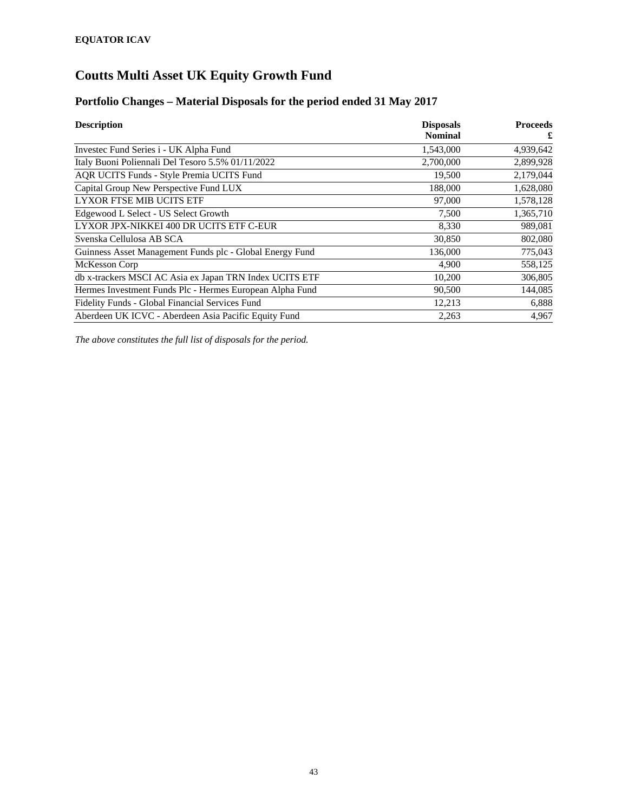#### **Portfolio Changes – Material Disposals for the period ended 31 May 2017**

| <b>Description</b>                                       | <b>Disposals</b> | <b>Proceeds</b> |
|----------------------------------------------------------|------------------|-----------------|
|                                                          | <b>Nominal</b>   | £               |
| Investec Fund Series i - UK Alpha Fund                   | 1,543,000        | 4,939,642       |
| Italy Buoni Poliennali Del Tesoro 5.5% 01/11/2022        | 2,700,000        | 2,899,928       |
| AQR UCITS Funds - Style Premia UCITS Fund                | 19,500           | 2,179,044       |
| Capital Group New Perspective Fund LUX                   | 188,000          | 1,628,080       |
| LYXOR FTSE MIB UCITS ETF                                 | 97,000           | 1,578,128       |
| Edgewood L Select - US Select Growth                     | 7,500            | 1,365,710       |
| LYXOR JPX-NIKKEI 400 DR UCITS ETF C-EUR                  | 8,330            | 989,081         |
| Svenska Cellulosa AB SCA                                 | 30,850           | 802,080         |
| Guinness Asset Management Funds plc - Global Energy Fund | 136,000          | 775,043         |
| McKesson Corp                                            | 4,900            | 558,125         |
| db x-trackers MSCI AC Asia ex Japan TRN Index UCITS ETF  | 10,200           | 306,805         |
| Hermes Investment Funds Plc - Hermes European Alpha Fund | 90,500           | 144,085         |
| Fidelity Funds - Global Financial Services Fund          | 12,213           | 6,888           |
| Aberdeen UK ICVC - Aberdeen Asia Pacific Equity Fund     | 2,263            | 4,967           |

*The above constitutes the full list of disposals for the period.*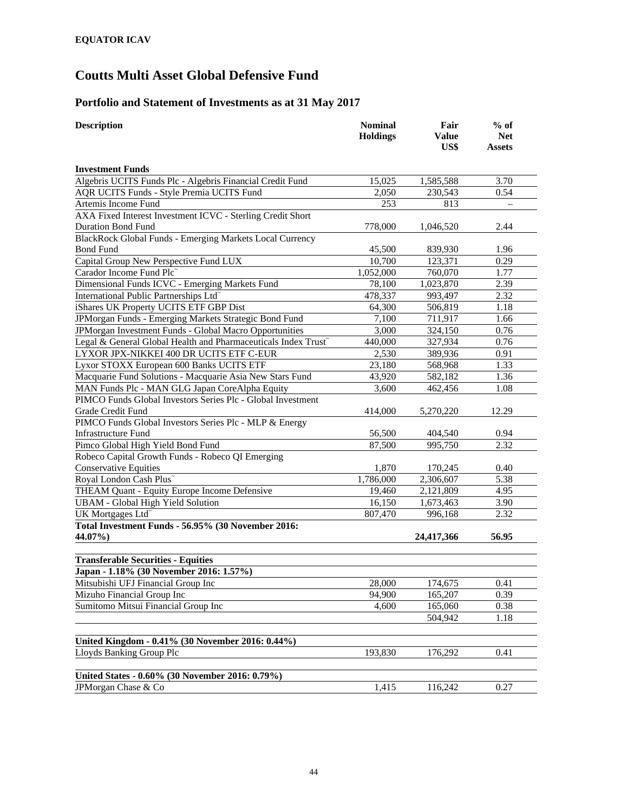### **Portfolio and Statement of Investments as at 31 May 2017**

| <b>Description</b>                                             | <b>Nominal</b><br><b>Holdings</b> | Fair<br><b>Value</b><br>US\$ | $%$ of<br><b>Net</b><br><b>Assets</b> |  |
|----------------------------------------------------------------|-----------------------------------|------------------------------|---------------------------------------|--|
| <b>Investment Funds</b>                                        |                                   |                              |                                       |  |
| Algebris UCITS Funds Plc - Algebris Financial Credit Fund      | 15,025                            | 1,585,588                    | 3.70                                  |  |
| AQR UCITS Funds - Style Premia UCITS Fund                      | 2,050                             | 230,543                      | 0.54                                  |  |
| Artemis Income Fund                                            | 253                               | 813                          |                                       |  |
| AXA Fixed Interest Investment ICVC - Sterling Credit Short     |                                   |                              |                                       |  |
| <b>Duration Bond Fund</b>                                      | 778,000                           | 1,046,520                    | 2.44                                  |  |
| BlackRock Global Funds - Emerging Markets Local Currency       |                                   |                              |                                       |  |
| <b>Bond Fund</b>                                               | 45,500                            | 839,930                      | 1.96                                  |  |
| Capital Group New Perspective Fund LUX                         | 10,700                            | 123,371                      | 0.29                                  |  |
| Carador Income Fund Plc                                        | 1,052,000                         | 760,070                      | 1.77                                  |  |
| Dimensional Funds ICVC - Emerging Markets Fund                 | 78,100                            | 1,023,870                    | 2.39                                  |  |
| International Public Partnerships Ltd <sup>®</sup>             | 478,337                           | 993,497                      | 2.32                                  |  |
| iShares UK Property UCITS ETF GBP Dist                         | 64,300                            | 506,819                      | 1.18                                  |  |
| JPMorgan Funds - Emerging Markets Strategic Bond Fund          | 7,100                             | 711,917                      | 1.66                                  |  |
| JPMorgan Investment Funds - Global Macro Opportunities         | 3,000                             | 324,150                      | 0.76                                  |  |
| Legal & General Global Health and Pharmaceuticals Index Trust~ | 440,000                           | 327,934                      | 0.76                                  |  |
| LYXOR JPX-NIKKEI 400 DR UCITS ETF C-EUR                        | 2,530                             | 389,936                      | 0.91                                  |  |
| Lyxor STOXX European 600 Banks UCITS ETF                       | 23,180                            | 568,968                      | 1.33                                  |  |
| Macquarie Fund Solutions - Macquarie Asia New Stars Fund       | 43,920                            | 582,182                      | 1.36                                  |  |
| MAN Funds Plc - MAN GLG Japan CoreAlpha Equity                 | 3,600                             | 462,456                      | 1.08                                  |  |
| PIMCO Funds Global Investors Series Plc - Global Investment    |                                   |                              |                                       |  |
| Grade Credit Fund                                              | 414,000                           | 5,270,220                    | 12.29                                 |  |
| PIMCO Funds Global Investors Series Plc - MLP & Energy         |                                   |                              |                                       |  |
| <b>Infrastructure Fund</b>                                     | 56,500                            | 404,540                      | 0.94                                  |  |
| Pimco Global High Yield Bond Fund                              | 87,500                            | 995,750                      | 2.32                                  |  |
| Robeco Capital Growth Funds - Robeco QI Emerging               |                                   |                              |                                       |  |
| <b>Conservative Equities</b>                                   | 1,870                             | 170,245                      | 0.40                                  |  |
| Royal London Cash Plus~                                        | 1,786,000                         | 2,306,607                    | 5.38                                  |  |
| THEAM Quant - Equity Europe Income Defensive                   | 19,460                            | 2,121,809                    | 4.95                                  |  |
| <b>UBAM - Global High Yield Solution</b>                       | 16,150                            | 1,673,463                    | 3.90                                  |  |
| UK Mortgages Ltd <sup>®</sup>                                  | 807,470                           | 996,168                      | 2.32                                  |  |
| Total Investment Funds - 56.95% (30 November 2016:             |                                   |                              |                                       |  |
| 44.07%)                                                        |                                   | 24,417,366                   | 56.95                                 |  |
| <b>Transferable Securities - Equities</b>                      |                                   |                              |                                       |  |
| Japan - 1.18% (30 November 2016: 1.57%)                        |                                   |                              |                                       |  |
| Mitsubishi UFJ Financial Group Inc                             | 28,000                            | 174,675                      | 0.41                                  |  |
| Mizuho Financial Group Inc                                     | 94,900                            | 165,207                      | 0.39                                  |  |
| Sumitomo Mitsui Financial Group Inc                            | 4,600                             | 165,060                      | 0.38                                  |  |
|                                                                |                                   | 504,942                      | 1.18                                  |  |
|                                                                |                                   |                              |                                       |  |
| United Kingdom - 0.41% (30 November 2016: 0.44%)               |                                   |                              |                                       |  |
| Lloyds Banking Group Plc                                       | 193,830                           | 176,292                      | 0.41                                  |  |
| United States - 0.60% (30 November 2016: 0.79%)                |                                   |                              |                                       |  |
| JPMorgan Chase & Co                                            | 1,415                             | 116,242                      | 0.27                                  |  |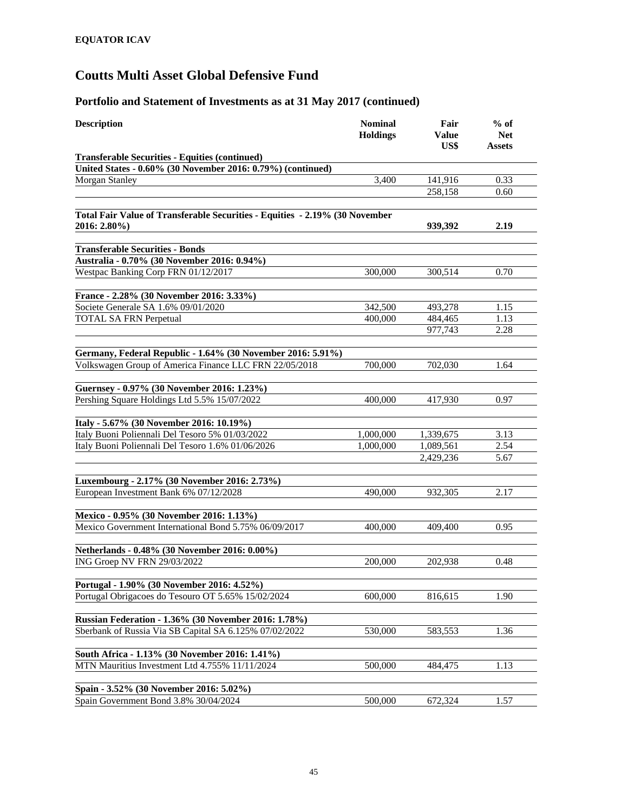| <b>Description</b>                                                                               | <b>Nominal</b><br><b>Holdings</b> | Fair<br>Value<br>US\$ | $%$ of<br><b>Net</b><br>Assets |
|--------------------------------------------------------------------------------------------------|-----------------------------------|-----------------------|--------------------------------|
| <b>Transferable Securities - Equities (continued)</b>                                            |                                   |                       |                                |
| United States - 0.60% (30 November 2016: 0.79%) (continued)                                      |                                   |                       |                                |
| <b>Morgan Stanley</b>                                                                            | 3,400                             | 141,916               | 0.33                           |
|                                                                                                  |                                   | 258,158               | 0.60                           |
| Total Fair Value of Transferable Securities - Equities - 2.19% (30 November<br>2016: 2.80%)      |                                   | 939,392               | 2.19                           |
| <b>Transferable Securities - Bonds</b>                                                           |                                   |                       |                                |
|                                                                                                  |                                   |                       |                                |
| Australia - 0.70% (30 November 2016: 0.94%)<br>Westpac Banking Corp FRN 01/12/2017               | 300,000                           | 300,514               | 0.70                           |
|                                                                                                  |                                   |                       |                                |
| France - 2.28% (30 November 2016: 3.33%)                                                         |                                   |                       |                                |
| Societe Generale SA 1.6% 09/01/2020                                                              | 342,500                           | 493,278               | 1.15                           |
| <b>TOTAL SA FRN Perpetual</b>                                                                    | 400,000                           | 484,465               | 1.13                           |
|                                                                                                  |                                   | 977,743               | 2.28                           |
| Germany, Federal Republic - 1.64% (30 November 2016: 5.91%)                                      |                                   |                       |                                |
| Volkswagen Group of America Finance LLC FRN 22/05/2018                                           | 700,000                           | 702,030               | 1.64                           |
|                                                                                                  |                                   |                       |                                |
| Guernsey - 0.97% (30 November 2016: 1.23%)                                                       |                                   |                       |                                |
| Pershing Square Holdings Ltd 5.5% 15/07/2022                                                     | 400,000                           | 417.930               | 0.97                           |
| Italy - 5.67% (30 November 2016: 10.19%)                                                         |                                   |                       |                                |
| Italy Buoni Poliennali Del Tesoro 5% 01/03/2022                                                  | 1,000,000                         | 1,339,675             | 3.13                           |
| Italy Buoni Poliennali Del Tesoro 1.6% 01/06/2026                                                | 1,000,000                         | 1,089,561             | 2.54                           |
|                                                                                                  |                                   | 2,429,236             | 5.67                           |
|                                                                                                  |                                   |                       |                                |
| Luxembourg - 2.17% (30 November 2016: 2.73%)                                                     |                                   |                       |                                |
| European Investment Bank 6% 07/12/2028                                                           | 490,000                           | 932,305               | 2.17                           |
| Mexico - 0.95% (30 November 2016: 1.13%)                                                         |                                   |                       |                                |
| Mexico Government International Bond 5.75% 06/09/2017                                            | 400,000                           | 409,400               | 0.95                           |
|                                                                                                  |                                   |                       |                                |
| Netherlands - 0.48% (30 November 2016: 0.00%)                                                    |                                   |                       |                                |
| ING Groep NV FRN 29/03/2022                                                                      | 200,000                           | 202,938               | 0.48                           |
| Portugal - 1.90% (30 November 2016: 4.52%)                                                       |                                   |                       |                                |
| Portugal Obrigacoes do Tesouro OT 5.65% 15/02/2024                                               | 600,000                           | 816,615               | 1.90                           |
|                                                                                                  |                                   |                       |                                |
| Russian Federation - 1.36% (30 November 2016: 1.78%)                                             |                                   |                       |                                |
| Sberbank of Russia Via SB Capital SA 6.125% 07/02/2022                                           | 530,000                           | 583,553               | 1.36                           |
|                                                                                                  |                                   |                       |                                |
| South Africa - 1.13% (30 November 2016: 1.41%)<br>MTN Mauritius Investment Ltd 4.755% 11/11/2024 | 500,000                           | 484,475               | 1.13                           |
|                                                                                                  |                                   |                       |                                |
| Spain - 3.52% (30 November 2016: 5.02%)                                                          |                                   |                       |                                |
| Spain Government Bond 3.8% 30/04/2024                                                            | 500,000                           | 672,324               | 1.57                           |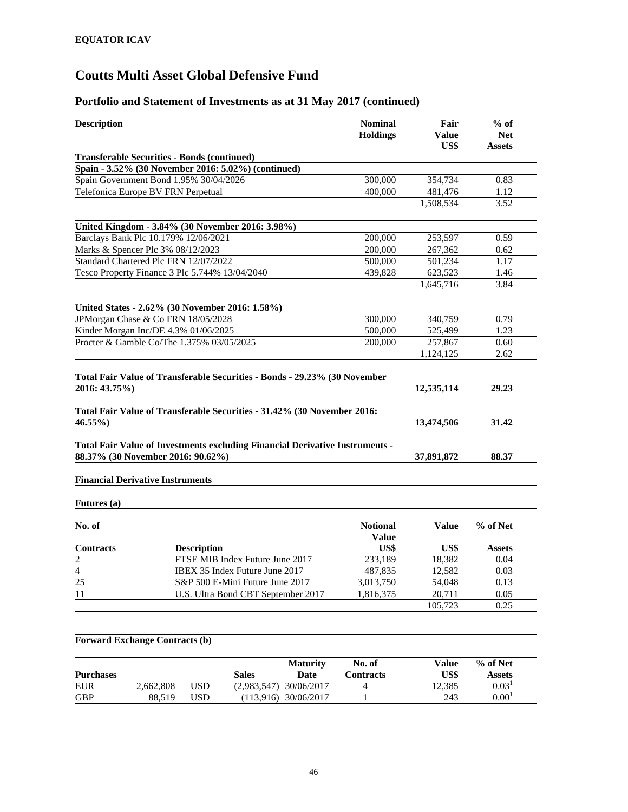#### **Portfolio and Statement of Investments as at 31 May 2017 (continued)**

|                                                                              | <b>Holdings</b> | Value<br>US\$        | <b>Net</b><br><b>Assets</b> |
|------------------------------------------------------------------------------|-----------------|----------------------|-----------------------------|
| <b>Transferable Securities - Bonds (continued)</b>                           |                 |                      |                             |
| Spain - 3.52% (30 November 2016: 5.02%) (continued)                          |                 |                      |                             |
| Spain Government Bond 1.95% 30/04/2026                                       | 300,000         | 354,734              | 0.83                        |
| Telefonica Europe BV FRN Perpetual                                           | 400,000         | 481,476              | 1.12                        |
|                                                                              |                 | 1,508,534            | 3.52                        |
| United Kingdom - 3.84% (30 November 2016: 3.98%)                             |                 |                      |                             |
| Barclays Bank Plc 10.179% 12/06/2021                                         | 200,000         | 253,597              | 0.59                        |
| Marks & Spencer Plc 3% 08/12/2023                                            | 200,000         |                      |                             |
|                                                                              |                 | 267,362              | 0.62<br>1.17                |
| Standard Chartered Plc FRN 12/07/2022                                        | 500,000         | 501,234              |                             |
| Tesco Property Finance 3 Plc 5.744% 13/04/2040                               | 439.828         | 623,523<br>1,645,716 | 1.46<br>3.84                |
|                                                                              |                 |                      |                             |
| United States - 2.62% (30 November 2016: 1.58%)                              |                 |                      |                             |
| JPMorgan Chase & Co FRN 18/05/2028                                           | 300,000         | 340,759              | 0.79                        |
| Kinder Morgan Inc/DE 4.3% 01/06/2025                                         | 500,000         | 525,499              | 1.23                        |
| Procter & Gamble Co/The 1.375% 03/05/2025                                    | 200,000         | 257,867              | 0.60                        |
|                                                                              |                 | 1,124,125            | 2.62                        |
|                                                                              |                 |                      |                             |
| Total Fair Value of Transferable Securities - Bonds - 29.23% (30 November    |                 |                      |                             |
| 2016: 43.75%)                                                                |                 | 12,535,114           | 29.23                       |
| Total Fair Value of Transferable Securities - 31.42% (30 November 2016:      |                 |                      |                             |
| 46.55%)                                                                      |                 | 13,474,506           | 31.42                       |
|                                                                              |                 |                      |                             |
| Total Fair Value of Investments excluding Financial Derivative Instruments - |                 |                      |                             |
| 88.37% (30 November 2016: 90.62%)                                            |                 | 37,891,872           | 88.37                       |
|                                                                              |                 |                      |                             |
| <b>Financial Derivative Instruments</b>                                      |                 |                      |                             |
| Futures (a)                                                                  |                 |                      |                             |
| No. of                                                                       | <b>Notional</b> | <b>Value</b>         | % of Net                    |
|                                                                              | <b>Value</b>    |                      |                             |
| <b>Contracts</b><br><b>Description</b>                                       | US\$            | US\$                 | <b>Assets</b>               |
| FTSE MIB Index Future June 2017                                              | 233,189         | 18,382               | 0.04                        |
| $\frac{2}{\frac{4}{25}}$<br>IBEX 35 Index Future June 2017                   | 487,835         | 12,582               | 0.03                        |
| S&P 500 E-Mini Future June 2017                                              | 3,013,750       | 54,048               | 0.13                        |
| $\overline{11}$<br>U.S. Ultra Bond CBT September 2017                        | 1,816,375       | 20,711               | 0.05                        |
|                                                                              |                 | 105,723              | 0.25                        |
|                                                                              |                 |                      |                             |
|                                                                              |                 |                      |                             |

#### **Forward Exchange Contracts (b)**

| <b>Purchases</b> |           |     | <b>Sales</b> | <b>Maturity</b><br><b>Date</b> | No. of<br><b>Contracts</b> | Value<br>US\$ | % of Net<br>Assets    |
|------------------|-----------|-----|--------------|--------------------------------|----------------------------|---------------|-----------------------|
| <b>EUR</b>       | 2.662.808 | USD | (2.983.547)  | 30/06/2017                     |                            | 12.385        | 0.03 <sup>1</sup>     |
| <b>GBP</b>       | 88.519    | USD | (113.916)    | 30/06/2017                     |                            | 243           | $0.00^\text{\tiny I}$ |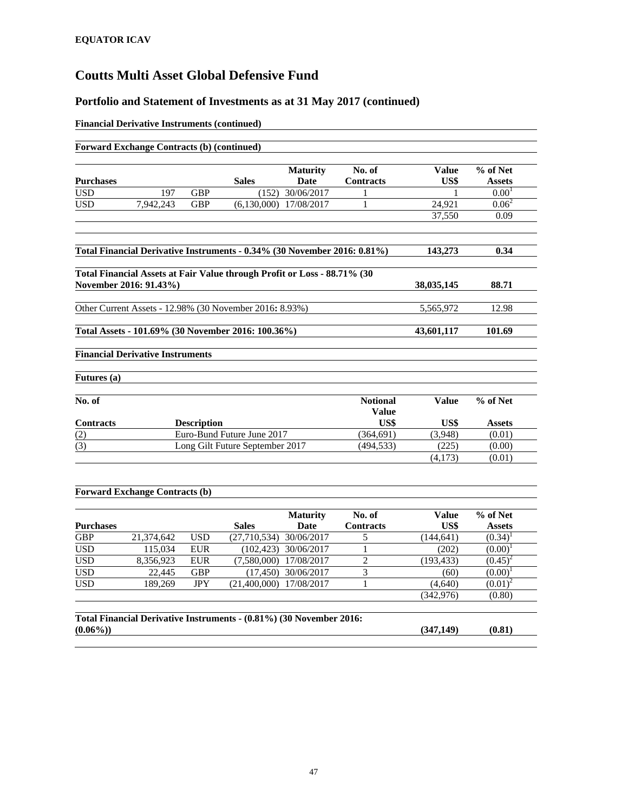#### **Portfolio and Statement of Investments as at 31 May 2017 (continued)**

#### **Financial Derivative Instruments (continued)**

|                  |                                         |                    |                                                                          | <b>Maturity</b> | No. of                          | <b>Value</b> | % of Net          |
|------------------|-----------------------------------------|--------------------|--------------------------------------------------------------------------|-----------------|---------------------------------|--------------|-------------------|
| <b>Purchases</b> |                                         |                    | <b>Sales</b>                                                             | Date            | <b>Contracts</b>                | US\$         | <b>Assets</b>     |
| <b>USD</b>       | 197                                     | <b>GBP</b>         | (152)                                                                    | 30/06/2017      | 1                               |              | 0.00 <sup>1</sup> |
| <b>USD</b>       | 7.942.243                               | <b>GBP</b>         | (6.130.000)                                                              | 17/08/2017      | 1                               | 24.921       | $0.06^2$          |
|                  |                                         |                    |                                                                          |                 |                                 | 37.550       | 0.09              |
|                  |                                         |                    | Total Financial Derivative Instruments - 0.34% (30 November 2016: 0.81%) |                 |                                 | 143,273      | 0.34              |
|                  |                                         |                    |                                                                          |                 |                                 |              |                   |
|                  |                                         |                    | Total Financial Assets at Fair Value through Profit or Loss - 88.71% (30 |                 |                                 |              |                   |
|                  | November 2016: 91.43%)                  |                    |                                                                          |                 |                                 | 38,035,145   | 88.71             |
|                  |                                         |                    | Other Current Assets - 12.98% (30 November 2016: 8.93%)                  |                 |                                 | 5,565,972    | 12.98             |
|                  |                                         |                    | Total Assets - 101.69% (30 November 2016: 100.36%)                       |                 |                                 | 43,601,117   | 101.69            |
|                  | <b>Financial Derivative Instruments</b> |                    |                                                                          |                 |                                 |              |                   |
| Futures (a)      |                                         |                    |                                                                          |                 |                                 |              |                   |
| No. of           |                                         |                    |                                                                          |                 | <b>Notional</b><br><b>Value</b> | <b>Value</b> | % of Net          |
| <b>Contracts</b> |                                         | <b>Description</b> |                                                                          |                 | US\$                            | US\$         | <b>Assets</b>     |
|                  |                                         |                    | Euro-Bund Future June 2017                                               |                 | (364, 691)                      | (3,948)      | (0.01)            |
|                  |                                         |                    | Long Gilt Future September 2017                                          |                 | (494, 533)                      | (225)        | (0.00)            |
| (2)<br>(3)       |                                         |                    |                                                                          |                 |                                 | (4,173)      | (0.01)            |

|                  |            |            |                                                                     | <b>Maturity</b> | No. of           | <b>Value</b> | % of Net      |  |
|------------------|------------|------------|---------------------------------------------------------------------|-----------------|------------------|--------------|---------------|--|
| <b>Purchases</b> |            |            | <b>Sales</b>                                                        | Date            | <b>Contracts</b> | US\$         | <b>Assets</b> |  |
| GBP              | 21,374,642 | <b>USD</b> | (27,710,534)                                                        | 30/06/2017      |                  | (144, 641)   | (0.34)        |  |
| <b>USD</b>       | 115,034    | <b>EUR</b> | (102.423)                                                           | 30/06/2017      |                  | (202)        | (0.00)        |  |
| <b>USD</b>       | 8,356,923  | <b>EUR</b> | (7.580,000)                                                         | 17/08/2017      | າ                | (193, 433)   | $(0.45)^2$    |  |
| <b>USD</b>       | 22,445     | <b>GBP</b> | (17, 450)                                                           | 30/06/2017      | 3                | (60)         | $(0.00)^1$    |  |
| <b>USD</b>       | 189,269    | <b>JPY</b> | (21.400.000)                                                        | 17/08/2017      |                  | (4,640)      | $(0.01)^2$    |  |
|                  |            |            |                                                                     |                 |                  | (342, 976)   | (0.80)        |  |
| $(0.06\%)$       |            |            | Total Financial Derivative Instruments - (0.81%) (30 November 2016: |                 |                  | (347, 149)   | (0.81)        |  |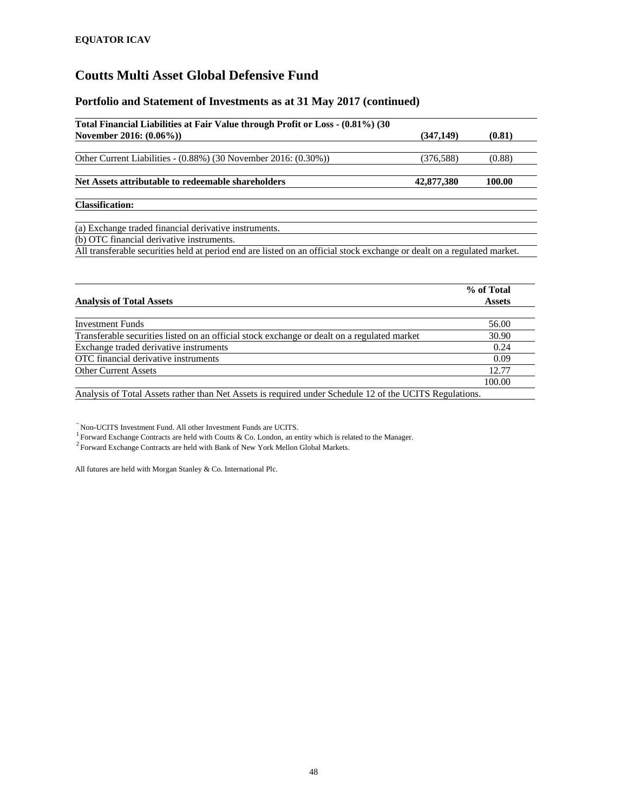#### **Portfolio and Statement of Investments as at 31 May 2017 (continued)**

| Total Financial Liabilities at Fair Value through Profit or Loss - (0.81%) (30                                          |                                                                      |  |
|-------------------------------------------------------------------------------------------------------------------------|----------------------------------------------------------------------|--|
| November 2016: (0.06%))                                                                                                 | (347, 149)<br>(0.81)<br>(376, 588)<br>(0.88)<br>42,877,380<br>100.00 |  |
| Other Current Liabilities - $(0.88\%)$ (30 November 2016: $(0.30\%)$ )                                                  |                                                                      |  |
|                                                                                                                         |                                                                      |  |
| Net Assets attributable to redeemable shareholders                                                                      |                                                                      |  |
| <b>Classification:</b>                                                                                                  |                                                                      |  |
| (a) Exchange traded financial derivative instruments.                                                                   |                                                                      |  |
| (b) OTC financial derivative instruments.                                                                               |                                                                      |  |
| All transferable securities held at period end are listed on an official stock exchange or dealt on a regulated market. |                                                                      |  |

| <b>Analysis of Total Assets</b>                                                                         | % of Total<br><b>Assets</b> |
|---------------------------------------------------------------------------------------------------------|-----------------------------|
|                                                                                                         |                             |
| Investment Funds                                                                                        | 56.00                       |
| Transferable securities listed on an official stock exchange or dealt on a regulated market             | 30.90                       |
| Exchange traded derivative instruments                                                                  | 0.24                        |
| OTC financial derivative instruments                                                                    | 0.09                        |
| <b>Other Current Assets</b>                                                                             | 12.77                       |
|                                                                                                         | 100.00                      |
| Analysis of Total Assets rather than Net Assets is required under Schedule 12 of the UCITS Regulations. |                             |

~ Non-UCITS Investment Fund. All other Investment Funds are UCITS.<br> $\frac{1}{2}$  Forward Exchange Contracts are held with Coutts & Co. London, an entity which is related to the Manager.

<sup>2</sup> Forward Exchange Contracts are held with Bank of New York Mellon Global Markets.

All futures are held with Morgan Stanley & Co. International Plc.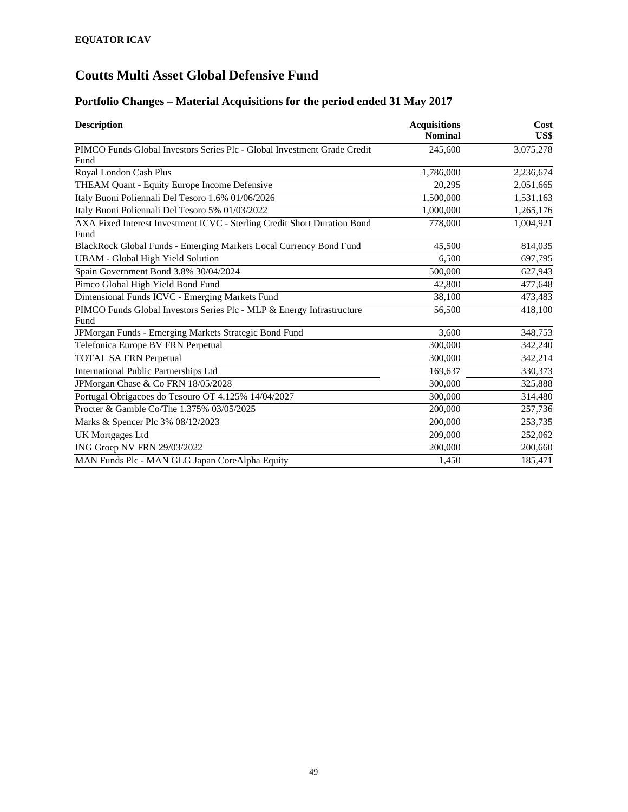### **Portfolio Changes – Material Acquisitions for the period ended 31 May 2017**

| <b>Description</b>                                                       | <b>Acquisitions</b><br><b>Nominal</b> | Cost<br>US\$ |
|--------------------------------------------------------------------------|---------------------------------------|--------------|
| PIMCO Funds Global Investors Series Plc - Global Investment Grade Credit | 245,600                               | 3,075,278    |
| Fund                                                                     |                                       |              |
| Royal London Cash Plus                                                   | 1,786,000                             | 2,236,674    |
| THEAM Quant - Equity Europe Income Defensive                             | 20,295                                | 2,051,665    |
| Italy Buoni Poliennali Del Tesoro 1.6% 01/06/2026                        | 1,500,000                             | 1,531,163    |
| Italy Buoni Poliennali Del Tesoro 5% 01/03/2022                          | 1,000,000                             | 1,265,176    |
| AXA Fixed Interest Investment ICVC - Sterling Credit Short Duration Bond | 778,000                               | 1,004,921    |
| Fund                                                                     |                                       |              |
| BlackRock Global Funds - Emerging Markets Local Currency Bond Fund       | 45,500                                | 814,035      |
| <b>UBAM - Global High Yield Solution</b>                                 | 6.500                                 | 697,795      |
| Spain Government Bond 3.8% 30/04/2024                                    | 500,000                               | 627,943      |
| Pimco Global High Yield Bond Fund                                        | 42,800                                | 477,648      |
| Dimensional Funds ICVC - Emerging Markets Fund                           | 38,100                                | 473,483      |
| PIMCO Funds Global Investors Series Plc - MLP & Energy Infrastructure    | 56,500                                | 418,100      |
| Fund                                                                     |                                       |              |
| JPMorgan Funds - Emerging Markets Strategic Bond Fund                    | 3,600                                 | 348,753      |
| Telefonica Europe BV FRN Perpetual                                       | 300,000                               | 342,240      |
| <b>TOTAL SA FRN Perpetual</b>                                            | 300,000                               | 342,214      |
| <b>International Public Partnerships Ltd</b>                             | 169,637                               | 330,373      |
| JPMorgan Chase & Co FRN 18/05/2028                                       | 300,000                               | 325,888      |
| Portugal Obrigacoes do Tesouro OT 4.125% 14/04/2027                      | 300,000                               | 314,480      |
| Procter & Gamble Co/The 1.375% 03/05/2025                                | 200,000                               | 257,736      |
| Marks & Spencer Plc 3% 08/12/2023                                        | 200,000                               | 253,735      |
| <b>UK Mortgages Ltd</b>                                                  | 209,000                               | 252,062      |
| ING Groep NV FRN 29/03/2022                                              | 200,000                               | 200,660      |
| MAN Funds Plc - MAN GLG Japan CoreAlpha Equity                           | 1,450                                 | 185,471      |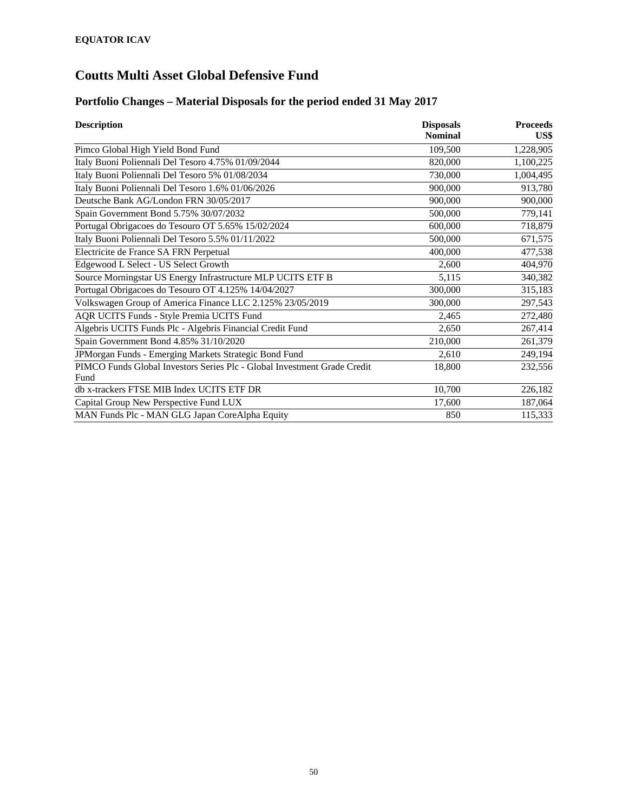### **Portfolio Changes – Material Disposals for the period ended 31 May 2017**

| <b>Description</b>                                                       | <b>Disposals</b> | <b>Proceeds</b> |
|--------------------------------------------------------------------------|------------------|-----------------|
|                                                                          | <b>Nominal</b>   | US\$            |
| Pimco Global High Yield Bond Fund                                        | 109,500          | 1,228,905       |
| Italy Buoni Poliennali Del Tesoro 4.75% 01/09/2044                       | 820,000          | 1,100,225       |
| Italy Buoni Poliennali Del Tesoro 5% 01/08/2034                          | 730,000          | 1,004,495       |
| Italy Buoni Poliennali Del Tesoro 1.6% 01/06/2026                        | 900,000          | 913,780         |
| Deutsche Bank AG/London FRN 30/05/2017                                   | 900,000          | 900,000         |
| Spain Government Bond 5.75% 30/07/2032                                   | 500,000          | 779,141         |
| Portugal Obrigacoes do Tesouro OT 5.65% 15/02/2024                       | 600,000          | 718,879         |
| Italy Buoni Poliennali Del Tesoro 5.5% 01/11/2022                        | 500,000          | 671,575         |
| Electricite de France SA FRN Perpetual                                   | 400,000          | 477,538         |
| Edgewood L Select - US Select Growth                                     | 2,600            | 404,970         |
| Source Morningstar US Energy Infrastructure MLP UCITS ETF B              | 5,115            | 340,382         |
| Portugal Obrigacoes do Tesouro OT 4.125% 14/04/2027                      | 300,000          | 315,183         |
| Volkswagen Group of America Finance LLC 2.125% 23/05/2019                | 300,000          | 297,543         |
| <b>AQR UCITS Funds - Style Premia UCITS Fund</b>                         | 2,465            | 272,480         |
| Algebris UCITS Funds Plc - Algebris Financial Credit Fund                | 2,650            | 267,414         |
| Spain Government Bond 4.85% 31/10/2020                                   | 210,000          | 261,379         |
| JPMorgan Funds - Emerging Markets Strategic Bond Fund                    | 2,610            | 249,194         |
| PIMCO Funds Global Investors Series Plc - Global Investment Grade Credit | 18,800           | 232,556         |
| Fund                                                                     |                  |                 |
| db x-trackers FTSE MIB Index UCITS ETF DR                                | 10,700           | 226,182         |
| Capital Group New Perspective Fund LUX                                   | 17,600           | 187,064         |
| MAN Funds Plc - MAN GLG Japan CoreAlpha Equity                           | 850              | 115,333         |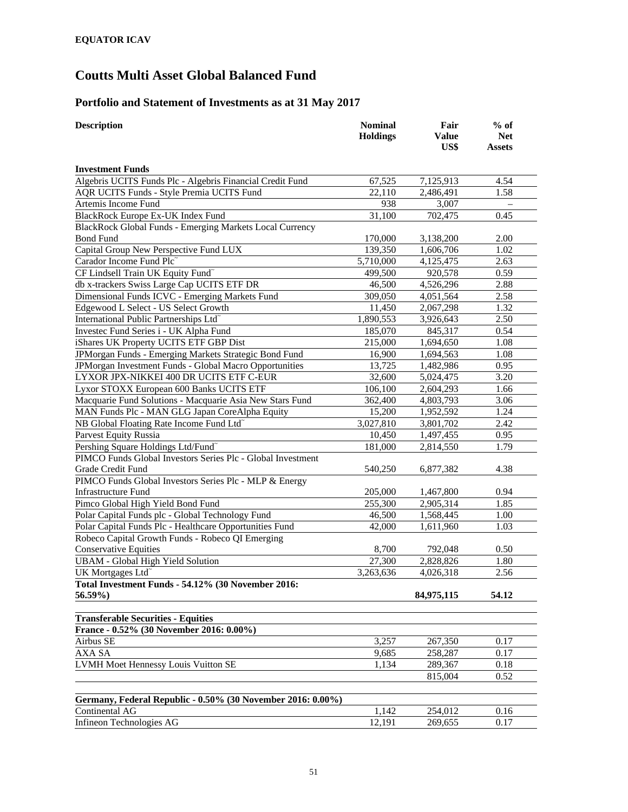### **Portfolio and Statement of Investments as at 31 May 2017**

| <b>Description</b>                                                            | <b>Nominal</b><br><b>Holdings</b> | Fair<br><b>Value</b><br>US\$ | $%$ of<br><b>Net</b><br><b>Assets</b> |
|-------------------------------------------------------------------------------|-----------------------------------|------------------------------|---------------------------------------|
| <b>Investment Funds</b>                                                       |                                   |                              |                                       |
| Algebris UCITS Funds Plc - Algebris Financial Credit Fund                     | 67,525                            | 7,125,913                    | 4.54                                  |
| AQR UCITS Funds - Style Premia UCITS Fund                                     | 22,110                            | 2,486,491                    | 1.58                                  |
| Artemis Income Fund                                                           | 938                               | 3,007                        |                                       |
| BlackRock Europe Ex-UK Index Fund                                             | 31,100                            | 702,475                      | 0.45                                  |
| <b>BlackRock Global Funds - Emerging Markets Local Currency</b>               |                                   |                              |                                       |
| <b>Bond Fund</b>                                                              | 170,000                           | 3,138,200                    | 2.00                                  |
| Capital Group New Perspective Fund LUX                                        | 139,350                           | 1,606,706                    | 1.02                                  |
| Carador Income Fund Plc                                                       | 5,710,000                         | 4,125,475                    | 2.63                                  |
| CF Lindsell Train UK Equity Fund <sup>~</sup>                                 | 499,500                           | 920,578                      | 0.59                                  |
| db x-trackers Swiss Large Cap UCITS ETF DR                                    | 46,500                            | 4,526,296                    | 2.88                                  |
| Dimensional Funds ICVC - Emerging Markets Fund                                | 309,050                           | 4,051,564                    | 2.58                                  |
| Edgewood L Select - US Select Growth                                          | 11,450                            | 2,067,298                    | 1.32                                  |
| International Public Partnerships Ltd <sup>~</sup>                            | 1,890,553                         | 3,926,643                    | 2.50                                  |
| Investec Fund Series i - UK Alpha Fund                                        | 185,070                           | 845,317                      | 0.54                                  |
| iShares UK Property UCITS ETF GBP Dist                                        | 215,000                           | 1,694,650                    | 1.08                                  |
| JPMorgan Funds - Emerging Markets Strategic Bond Fund                         | 16,900                            | 1,694,563                    | 1.08                                  |
| JPMorgan Investment Funds - Global Macro Opportunities                        | 13,725                            | 1,482,986                    | 0.95                                  |
| LYXOR JPX-NIKKEI 400 DR UCITS ETF C-EUR                                       | 32,600                            | 5,024,475                    | 3.20                                  |
| Lyxor STOXX European 600 Banks UCITS ETF                                      | 106,100                           | 2,604,293                    | 1.66                                  |
| Macquarie Fund Solutions - Macquarie Asia New Stars Fund                      | 362,400                           | 4,803,793                    | 3.06                                  |
| MAN Funds Plc - MAN GLG Japan CoreAlpha Equity                                | 15,200                            | 1,952,592                    | 1.24                                  |
| NB Global Floating Rate Income Fund Ltd <sup>®</sup>                          | 3,027,810                         | 3,801,702                    | 2.42                                  |
| <b>Parvest Equity Russia</b>                                                  | 10,450                            | 1,497,455                    | 0.95                                  |
| Pershing Square Holdings Ltd/Fund <sup>~</sup>                                | 181,000                           | 2,814,550                    | 1.79                                  |
| PIMCO Funds Global Investors Series Plc - Global Investment                   |                                   |                              |                                       |
| Grade Credit Fund                                                             | 540,250                           | 6,877,382                    | 4.38                                  |
| PIMCO Funds Global Investors Series Plc - MLP & Energy                        |                                   |                              |                                       |
| <b>Infrastructure Fund</b>                                                    | 205,000                           | 1,467,800                    | 0.94                                  |
| Pimco Global High Yield Bond Fund                                             | 255,300                           | 2,905,314                    | 1.85                                  |
| Polar Capital Funds plc - Global Technology Fund                              | 46,500                            | 1,568,445                    | 1.00                                  |
| Polar Capital Funds Plc - Healthcare Opportunities Fund                       | 42,000                            | 1,611,960                    | 1.03                                  |
| Robeco Capital Growth Funds - Robeco QI Emerging                              |                                   |                              |                                       |
| <b>Conservative Equities</b>                                                  | 8,700                             | 792,048                      | 0.50                                  |
| <b>UBAM</b> - Global High Yield Solution                                      | 27,300                            | 2,828,826                    | 1.80                                  |
| UK Mortgages Ltd <sup>~</sup>                                                 | 3,263,636                         | 4,026,318                    | 2.56                                  |
| Total Investment Funds - 54.12% (30 November 2016:                            |                                   |                              |                                       |
| 56.59%)                                                                       |                                   | 84,975,115                   | 54.12                                 |
| <b>Transferable Securities - Equities</b>                                     |                                   |                              |                                       |
| France - 0.52% (30 November 2016: 0.00%)                                      |                                   |                              |                                       |
| Airbus SE                                                                     | 3,257                             | 267,350                      | 0.17                                  |
| AXA SA                                                                        | 9,685                             | 258,287                      | 0.17                                  |
| LVMH Moet Hennessy Louis Vuitton SE                                           | 1,134                             | 289,367                      | 0.18                                  |
|                                                                               |                                   | 815,004                      | 0.52                                  |
|                                                                               |                                   |                              |                                       |
| Germany, Federal Republic - 0.50% (30 November 2016: 0.00%)<br>Continental AG |                                   |                              |                                       |
|                                                                               | 1,142                             | 254,012                      | 0.16                                  |
| Infineon Technologies AG                                                      | 12,191                            | 269,655                      | 0.17                                  |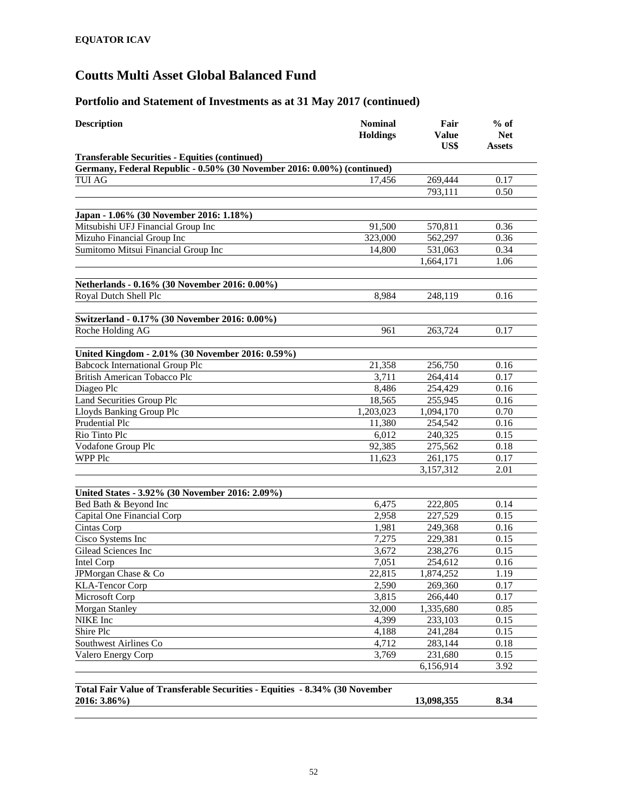| <b>Transferable Securities - Equities (continued)</b><br>Germany, Federal Republic - 0.50% (30 November 2016: 0.00%) (continued)<br><b>TUI AG</b><br>269,444<br>0.17<br>17,456<br>793,111<br>0.50<br>Japan - 1.06% (30 November 2016: 1.18%)<br>Mitsubishi UFJ Financial Group Inc<br>91,500<br>0.36<br>570,811<br>Mizuho Financial Group Inc<br>323,000<br>0.36<br>562,297<br>Sumitomo Mitsui Financial Group Inc<br>14,800<br>0.34<br>531,063<br>1,664,171<br>1.06<br>Netherlands - 0.16% (30 November 2016: 0.00%)<br>Royal Dutch Shell Plc<br>8,984<br>248,119<br>0.16<br>Switzerland - 0.17% (30 November 2016: 0.00%)<br>Roche Holding AG<br>961<br>263,724<br>0.17<br>United Kingdom - 2.01% (30 November 2016: 0.59%)<br><b>Babcock International Group Plc</b><br>21,358<br>256,750<br>0.16<br>3,711<br>264,414<br>0.17<br>British American Tobacco Plc<br>Diageo Plc<br>8,486<br>254,429<br>0.16<br><b>Land Securities Group Plc</b><br>18,565<br>255,945<br>0.16<br>Lloyds Banking Group Plc<br>1,203,023<br>0.70<br>1,094,170<br>Prudential Plc<br>11,380<br>254,542<br>0.16<br>Rio Tinto Plc<br>6,012<br>240,325<br>0.15<br>92,385<br>Vodafone Group Plc<br>275,562<br>0.18<br>WPP Plc<br>11,623<br>261,175<br>0.17<br>3,157,312<br>2.01<br>United States - 3.92% (30 November 2016: 2.09%)<br>Bed Bath & Beyond Inc<br>6,475<br>222,805<br>0.14<br>Capital One Financial Corp<br>2,958<br>227,529<br>0.15<br>Cintas Corp<br>1,981<br>249,368<br>0.16<br>Cisco Systems Inc<br>7,275<br>229,381<br>0.15<br>Gilead Sciences Inc<br>3,672<br>238,276<br>0.15<br>7,051<br>254,612<br>0.16<br>Intel Corp<br>22,815<br>JPMorgan Chase & Co<br>1,874,252<br>1.19<br>2,590<br>269,360<br>0.17<br>3,815<br>266,440<br>0.17<br><b>Morgan Stanley</b><br>32,000<br>1,335,680<br>0.85<br>NIKE Inc<br>4,399<br>233,103<br>0.15<br>Shire Plc<br>0.15<br>4,188<br>241,284<br>Southwest Airlines Co<br>4,712<br>283,144<br>0.18<br>Valero Energy Corp<br>3,769<br>231,680<br>0.15<br>3.92<br>6,156,914<br>Total Fair Value of Transferable Securities - Equities - 8.34% (30 November<br>2016: 3.86%)<br>8.34<br>13,098,355 | <b>Description</b>     | <b>Nominal</b><br><b>Holdings</b> | Fair<br><b>Value</b><br>US\$ | $%$ of<br><b>Net</b><br><b>Assets</b> |
|--------------------------------------------------------------------------------------------------------------------------------------------------------------------------------------------------------------------------------------------------------------------------------------------------------------------------------------------------------------------------------------------------------------------------------------------------------------------------------------------------------------------------------------------------------------------------------------------------------------------------------------------------------------------------------------------------------------------------------------------------------------------------------------------------------------------------------------------------------------------------------------------------------------------------------------------------------------------------------------------------------------------------------------------------------------------------------------------------------------------------------------------------------------------------------------------------------------------------------------------------------------------------------------------------------------------------------------------------------------------------------------------------------------------------------------------------------------------------------------------------------------------------------------------------------------------------------------------------------------------------------------------------------------------------------------------------------------------------------------------------------------------------------------------------------------------------------------------------------------------------------------------------------------------------------------------------------------------------------------------------------------------------------------------------------------------------------------------------------------------------|------------------------|-----------------------------------|------------------------------|---------------------------------------|
|                                                                                                                                                                                                                                                                                                                                                                                                                                                                                                                                                                                                                                                                                                                                                                                                                                                                                                                                                                                                                                                                                                                                                                                                                                                                                                                                                                                                                                                                                                                                                                                                                                                                                                                                                                                                                                                                                                                                                                                                                                                                                                                          |                        |                                   |                              |                                       |
|                                                                                                                                                                                                                                                                                                                                                                                                                                                                                                                                                                                                                                                                                                                                                                                                                                                                                                                                                                                                                                                                                                                                                                                                                                                                                                                                                                                                                                                                                                                                                                                                                                                                                                                                                                                                                                                                                                                                                                                                                                                                                                                          |                        |                                   |                              |                                       |
|                                                                                                                                                                                                                                                                                                                                                                                                                                                                                                                                                                                                                                                                                                                                                                                                                                                                                                                                                                                                                                                                                                                                                                                                                                                                                                                                                                                                                                                                                                                                                                                                                                                                                                                                                                                                                                                                                                                                                                                                                                                                                                                          |                        |                                   |                              |                                       |
|                                                                                                                                                                                                                                                                                                                                                                                                                                                                                                                                                                                                                                                                                                                                                                                                                                                                                                                                                                                                                                                                                                                                                                                                                                                                                                                                                                                                                                                                                                                                                                                                                                                                                                                                                                                                                                                                                                                                                                                                                                                                                                                          |                        |                                   |                              |                                       |
|                                                                                                                                                                                                                                                                                                                                                                                                                                                                                                                                                                                                                                                                                                                                                                                                                                                                                                                                                                                                                                                                                                                                                                                                                                                                                                                                                                                                                                                                                                                                                                                                                                                                                                                                                                                                                                                                                                                                                                                                                                                                                                                          |                        |                                   |                              |                                       |
|                                                                                                                                                                                                                                                                                                                                                                                                                                                                                                                                                                                                                                                                                                                                                                                                                                                                                                                                                                                                                                                                                                                                                                                                                                                                                                                                                                                                                                                                                                                                                                                                                                                                                                                                                                                                                                                                                                                                                                                                                                                                                                                          |                        |                                   |                              |                                       |
|                                                                                                                                                                                                                                                                                                                                                                                                                                                                                                                                                                                                                                                                                                                                                                                                                                                                                                                                                                                                                                                                                                                                                                                                                                                                                                                                                                                                                                                                                                                                                                                                                                                                                                                                                                                                                                                                                                                                                                                                                                                                                                                          |                        |                                   |                              |                                       |
|                                                                                                                                                                                                                                                                                                                                                                                                                                                                                                                                                                                                                                                                                                                                                                                                                                                                                                                                                                                                                                                                                                                                                                                                                                                                                                                                                                                                                                                                                                                                                                                                                                                                                                                                                                                                                                                                                                                                                                                                                                                                                                                          |                        |                                   |                              |                                       |
|                                                                                                                                                                                                                                                                                                                                                                                                                                                                                                                                                                                                                                                                                                                                                                                                                                                                                                                                                                                                                                                                                                                                                                                                                                                                                                                                                                                                                                                                                                                                                                                                                                                                                                                                                                                                                                                                                                                                                                                                                                                                                                                          |                        |                                   |                              |                                       |
|                                                                                                                                                                                                                                                                                                                                                                                                                                                                                                                                                                                                                                                                                                                                                                                                                                                                                                                                                                                                                                                                                                                                                                                                                                                                                                                                                                                                                                                                                                                                                                                                                                                                                                                                                                                                                                                                                                                                                                                                                                                                                                                          |                        |                                   |                              |                                       |
|                                                                                                                                                                                                                                                                                                                                                                                                                                                                                                                                                                                                                                                                                                                                                                                                                                                                                                                                                                                                                                                                                                                                                                                                                                                                                                                                                                                                                                                                                                                                                                                                                                                                                                                                                                                                                                                                                                                                                                                                                                                                                                                          |                        |                                   |                              |                                       |
|                                                                                                                                                                                                                                                                                                                                                                                                                                                                                                                                                                                                                                                                                                                                                                                                                                                                                                                                                                                                                                                                                                                                                                                                                                                                                                                                                                                                                                                                                                                                                                                                                                                                                                                                                                                                                                                                                                                                                                                                                                                                                                                          |                        |                                   |                              |                                       |
|                                                                                                                                                                                                                                                                                                                                                                                                                                                                                                                                                                                                                                                                                                                                                                                                                                                                                                                                                                                                                                                                                                                                                                                                                                                                                                                                                                                                                                                                                                                                                                                                                                                                                                                                                                                                                                                                                                                                                                                                                                                                                                                          |                        |                                   |                              |                                       |
|                                                                                                                                                                                                                                                                                                                                                                                                                                                                                                                                                                                                                                                                                                                                                                                                                                                                                                                                                                                                                                                                                                                                                                                                                                                                                                                                                                                                                                                                                                                                                                                                                                                                                                                                                                                                                                                                                                                                                                                                                                                                                                                          |                        |                                   |                              |                                       |
|                                                                                                                                                                                                                                                                                                                                                                                                                                                                                                                                                                                                                                                                                                                                                                                                                                                                                                                                                                                                                                                                                                                                                                                                                                                                                                                                                                                                                                                                                                                                                                                                                                                                                                                                                                                                                                                                                                                                                                                                                                                                                                                          |                        |                                   |                              |                                       |
|                                                                                                                                                                                                                                                                                                                                                                                                                                                                                                                                                                                                                                                                                                                                                                                                                                                                                                                                                                                                                                                                                                                                                                                                                                                                                                                                                                                                                                                                                                                                                                                                                                                                                                                                                                                                                                                                                                                                                                                                                                                                                                                          |                        |                                   |                              |                                       |
|                                                                                                                                                                                                                                                                                                                                                                                                                                                                                                                                                                                                                                                                                                                                                                                                                                                                                                                                                                                                                                                                                                                                                                                                                                                                                                                                                                                                                                                                                                                                                                                                                                                                                                                                                                                                                                                                                                                                                                                                                                                                                                                          |                        |                                   |                              |                                       |
|                                                                                                                                                                                                                                                                                                                                                                                                                                                                                                                                                                                                                                                                                                                                                                                                                                                                                                                                                                                                                                                                                                                                                                                                                                                                                                                                                                                                                                                                                                                                                                                                                                                                                                                                                                                                                                                                                                                                                                                                                                                                                                                          |                        |                                   |                              |                                       |
|                                                                                                                                                                                                                                                                                                                                                                                                                                                                                                                                                                                                                                                                                                                                                                                                                                                                                                                                                                                                                                                                                                                                                                                                                                                                                                                                                                                                                                                                                                                                                                                                                                                                                                                                                                                                                                                                                                                                                                                                                                                                                                                          |                        |                                   |                              |                                       |
|                                                                                                                                                                                                                                                                                                                                                                                                                                                                                                                                                                                                                                                                                                                                                                                                                                                                                                                                                                                                                                                                                                                                                                                                                                                                                                                                                                                                                                                                                                                                                                                                                                                                                                                                                                                                                                                                                                                                                                                                                                                                                                                          |                        |                                   |                              |                                       |
|                                                                                                                                                                                                                                                                                                                                                                                                                                                                                                                                                                                                                                                                                                                                                                                                                                                                                                                                                                                                                                                                                                                                                                                                                                                                                                                                                                                                                                                                                                                                                                                                                                                                                                                                                                                                                                                                                                                                                                                                                                                                                                                          |                        |                                   |                              |                                       |
|                                                                                                                                                                                                                                                                                                                                                                                                                                                                                                                                                                                                                                                                                                                                                                                                                                                                                                                                                                                                                                                                                                                                                                                                                                                                                                                                                                                                                                                                                                                                                                                                                                                                                                                                                                                                                                                                                                                                                                                                                                                                                                                          |                        |                                   |                              |                                       |
|                                                                                                                                                                                                                                                                                                                                                                                                                                                                                                                                                                                                                                                                                                                                                                                                                                                                                                                                                                                                                                                                                                                                                                                                                                                                                                                                                                                                                                                                                                                                                                                                                                                                                                                                                                                                                                                                                                                                                                                                                                                                                                                          |                        |                                   |                              |                                       |
|                                                                                                                                                                                                                                                                                                                                                                                                                                                                                                                                                                                                                                                                                                                                                                                                                                                                                                                                                                                                                                                                                                                                                                                                                                                                                                                                                                                                                                                                                                                                                                                                                                                                                                                                                                                                                                                                                                                                                                                                                                                                                                                          |                        |                                   |                              |                                       |
|                                                                                                                                                                                                                                                                                                                                                                                                                                                                                                                                                                                                                                                                                                                                                                                                                                                                                                                                                                                                                                                                                                                                                                                                                                                                                                                                                                                                                                                                                                                                                                                                                                                                                                                                                                                                                                                                                                                                                                                                                                                                                                                          |                        |                                   |                              |                                       |
|                                                                                                                                                                                                                                                                                                                                                                                                                                                                                                                                                                                                                                                                                                                                                                                                                                                                                                                                                                                                                                                                                                                                                                                                                                                                                                                                                                                                                                                                                                                                                                                                                                                                                                                                                                                                                                                                                                                                                                                                                                                                                                                          |                        |                                   |                              |                                       |
|                                                                                                                                                                                                                                                                                                                                                                                                                                                                                                                                                                                                                                                                                                                                                                                                                                                                                                                                                                                                                                                                                                                                                                                                                                                                                                                                                                                                                                                                                                                                                                                                                                                                                                                                                                                                                                                                                                                                                                                                                                                                                                                          |                        |                                   |                              |                                       |
|                                                                                                                                                                                                                                                                                                                                                                                                                                                                                                                                                                                                                                                                                                                                                                                                                                                                                                                                                                                                                                                                                                                                                                                                                                                                                                                                                                                                                                                                                                                                                                                                                                                                                                                                                                                                                                                                                                                                                                                                                                                                                                                          |                        |                                   |                              |                                       |
|                                                                                                                                                                                                                                                                                                                                                                                                                                                                                                                                                                                                                                                                                                                                                                                                                                                                                                                                                                                                                                                                                                                                                                                                                                                                                                                                                                                                                                                                                                                                                                                                                                                                                                                                                                                                                                                                                                                                                                                                                                                                                                                          |                        |                                   |                              |                                       |
|                                                                                                                                                                                                                                                                                                                                                                                                                                                                                                                                                                                                                                                                                                                                                                                                                                                                                                                                                                                                                                                                                                                                                                                                                                                                                                                                                                                                                                                                                                                                                                                                                                                                                                                                                                                                                                                                                                                                                                                                                                                                                                                          |                        |                                   |                              |                                       |
|                                                                                                                                                                                                                                                                                                                                                                                                                                                                                                                                                                                                                                                                                                                                                                                                                                                                                                                                                                                                                                                                                                                                                                                                                                                                                                                                                                                                                                                                                                                                                                                                                                                                                                                                                                                                                                                                                                                                                                                                                                                                                                                          |                        |                                   |                              |                                       |
|                                                                                                                                                                                                                                                                                                                                                                                                                                                                                                                                                                                                                                                                                                                                                                                                                                                                                                                                                                                                                                                                                                                                                                                                                                                                                                                                                                                                                                                                                                                                                                                                                                                                                                                                                                                                                                                                                                                                                                                                                                                                                                                          |                        |                                   |                              |                                       |
|                                                                                                                                                                                                                                                                                                                                                                                                                                                                                                                                                                                                                                                                                                                                                                                                                                                                                                                                                                                                                                                                                                                                                                                                                                                                                                                                                                                                                                                                                                                                                                                                                                                                                                                                                                                                                                                                                                                                                                                                                                                                                                                          |                        |                                   |                              |                                       |
|                                                                                                                                                                                                                                                                                                                                                                                                                                                                                                                                                                                                                                                                                                                                                                                                                                                                                                                                                                                                                                                                                                                                                                                                                                                                                                                                                                                                                                                                                                                                                                                                                                                                                                                                                                                                                                                                                                                                                                                                                                                                                                                          |                        |                                   |                              |                                       |
|                                                                                                                                                                                                                                                                                                                                                                                                                                                                                                                                                                                                                                                                                                                                                                                                                                                                                                                                                                                                                                                                                                                                                                                                                                                                                                                                                                                                                                                                                                                                                                                                                                                                                                                                                                                                                                                                                                                                                                                                                                                                                                                          |                        |                                   |                              |                                       |
|                                                                                                                                                                                                                                                                                                                                                                                                                                                                                                                                                                                                                                                                                                                                                                                                                                                                                                                                                                                                                                                                                                                                                                                                                                                                                                                                                                                                                                                                                                                                                                                                                                                                                                                                                                                                                                                                                                                                                                                                                                                                                                                          | <b>KLA-Tencor Corp</b> |                                   |                              |                                       |
|                                                                                                                                                                                                                                                                                                                                                                                                                                                                                                                                                                                                                                                                                                                                                                                                                                                                                                                                                                                                                                                                                                                                                                                                                                                                                                                                                                                                                                                                                                                                                                                                                                                                                                                                                                                                                                                                                                                                                                                                                                                                                                                          | Microsoft Corp         |                                   |                              |                                       |
|                                                                                                                                                                                                                                                                                                                                                                                                                                                                                                                                                                                                                                                                                                                                                                                                                                                                                                                                                                                                                                                                                                                                                                                                                                                                                                                                                                                                                                                                                                                                                                                                                                                                                                                                                                                                                                                                                                                                                                                                                                                                                                                          |                        |                                   |                              |                                       |
|                                                                                                                                                                                                                                                                                                                                                                                                                                                                                                                                                                                                                                                                                                                                                                                                                                                                                                                                                                                                                                                                                                                                                                                                                                                                                                                                                                                                                                                                                                                                                                                                                                                                                                                                                                                                                                                                                                                                                                                                                                                                                                                          |                        |                                   |                              |                                       |
|                                                                                                                                                                                                                                                                                                                                                                                                                                                                                                                                                                                                                                                                                                                                                                                                                                                                                                                                                                                                                                                                                                                                                                                                                                                                                                                                                                                                                                                                                                                                                                                                                                                                                                                                                                                                                                                                                                                                                                                                                                                                                                                          |                        |                                   |                              |                                       |
|                                                                                                                                                                                                                                                                                                                                                                                                                                                                                                                                                                                                                                                                                                                                                                                                                                                                                                                                                                                                                                                                                                                                                                                                                                                                                                                                                                                                                                                                                                                                                                                                                                                                                                                                                                                                                                                                                                                                                                                                                                                                                                                          |                        |                                   |                              |                                       |
|                                                                                                                                                                                                                                                                                                                                                                                                                                                                                                                                                                                                                                                                                                                                                                                                                                                                                                                                                                                                                                                                                                                                                                                                                                                                                                                                                                                                                                                                                                                                                                                                                                                                                                                                                                                                                                                                                                                                                                                                                                                                                                                          |                        |                                   |                              |                                       |
|                                                                                                                                                                                                                                                                                                                                                                                                                                                                                                                                                                                                                                                                                                                                                                                                                                                                                                                                                                                                                                                                                                                                                                                                                                                                                                                                                                                                                                                                                                                                                                                                                                                                                                                                                                                                                                                                                                                                                                                                                                                                                                                          |                        |                                   |                              |                                       |
|                                                                                                                                                                                                                                                                                                                                                                                                                                                                                                                                                                                                                                                                                                                                                                                                                                                                                                                                                                                                                                                                                                                                                                                                                                                                                                                                                                                                                                                                                                                                                                                                                                                                                                                                                                                                                                                                                                                                                                                                                                                                                                                          |                        |                                   |                              |                                       |
|                                                                                                                                                                                                                                                                                                                                                                                                                                                                                                                                                                                                                                                                                                                                                                                                                                                                                                                                                                                                                                                                                                                                                                                                                                                                                                                                                                                                                                                                                                                                                                                                                                                                                                                                                                                                                                                                                                                                                                                                                                                                                                                          |                        |                                   |                              |                                       |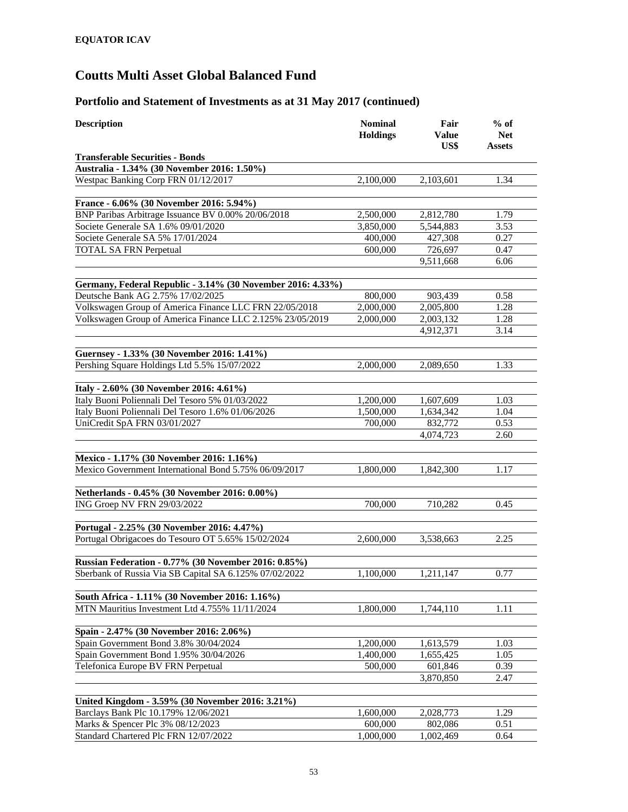| <b>Transferable Securities - Bonds</b><br>Australia - 1.34% (30 November 2016: 1.50%)<br>Westpac Banking Corp FRN 01/12/2017<br>1.34<br>2,100,000<br>2,103,601<br>France - 6.06% (30 November 2016: 5.94%)<br>BNP Paribas Arbitrage Issuance BV 0.00% 20/06/2018<br>2,500,000<br>2,812,780<br>1.79<br>3.53<br>Societe Generale SA 1.6% 09/01/2020<br>3,850,000<br>5,544,883<br>Societe Generale SA 5% 17/01/2024<br>400,000<br>427,308<br>0.27<br><b>TOTAL SA FRN Perpetual</b><br>600,000<br>726,697<br>0.47<br>9,511,668<br>6.06<br>Germany, Federal Republic - 3.14% (30 November 2016: 4.33%)<br>Deutsche Bank AG 2.75% 17/02/2025<br>800,000<br>903,439<br>0.58<br>Volkswagen Group of America Finance LLC FRN 22/05/2018<br>2,000,000<br>1.28<br>2,005,800<br>Volkswagen Group of America Finance LLC 2.125% 23/05/2019<br>2,000,000<br>2,003,132<br>1.28<br>4,912,371<br>3.14<br>Guernsey - 1.33% (30 November 2016: 1.41%)<br>Pershing Square Holdings Ltd 5.5% 15/07/2022<br>1.33<br>2,000,000<br>2,089,650<br>Italy - 2.60% (30 November 2016: 4.61%)<br>Italy Buoni Poliennali Del Tesoro 5% 01/03/2022<br>1,200,000<br>1,607,609<br>1.03<br>Italy Buoni Poliennali Del Tesoro 1.6% 01/06/2026<br>1,500,000<br>1,634,342<br>1.04<br>UniCredit SpA FRN 03/01/2027<br>700,000<br>832,772<br>0.53<br>4,074,723<br>2.60<br>Mexico - 1.17% (30 November 2016: 1.16%)<br>Mexico Government International Bond 5.75% 06/09/2017<br>1,842,300<br>1.17<br>1,800,000<br>Netherlands - 0.45% (30 November 2016: 0.00%)<br>ING Groep NV FRN 29/03/2022<br>710,282<br>700,000<br>0.45<br>Portugal - 2.25% (30 November 2016: 4.47%)<br>Portugal Obrigacoes do Tesouro OT 5.65% 15/02/2024<br>2,600,000<br>2.25<br>3,538,663<br>Russian Federation - 0.77% (30 November 2016: 0.85%)<br>Sberbank of Russia Via SB Capital SA 6.125% 07/02/2022<br>1.100.000<br>0.77<br>1.211.147<br>South Africa - 1.11% (30 November 2016: 1.16%)<br>MTN Mauritius Investment Ltd 4.755% 11/11/2024<br>1,744,110<br>1.11<br>1,800,000<br>Spain - 2.47% (30 November 2016: 2.06%)<br>Spain Government Bond 3.8% 30/04/2024<br>1,200,000<br>1.03<br>1,613,579<br>Spain Government Bond 1.95% 30/04/2026<br>1,400,000<br>1,655,425<br>1.05<br>Telefonica Europe BV FRN Perpetual<br>601,846<br>500,000<br>0.39<br>3,870,850<br>2.47<br>United Kingdom - 3.59% (30 November 2016: 3.21%)<br>Barclays Bank Plc 10.179% 12/06/2021<br>1.29<br>1,600,000<br>2,028,773<br>Marks & Spencer Plc 3% 08/12/2023<br>600,000<br>802,086<br>0.51<br>Standard Chartered Plc FRN 12/07/2022<br>1,000,000<br>1,002,469<br>0.64 | <b>Description</b> | <b>Nominal</b><br><b>Holdings</b> | Fair<br><b>Value</b><br>US\$ | $%$ of<br><b>Net</b><br>Assets |
|--------------------------------------------------------------------------------------------------------------------------------------------------------------------------------------------------------------------------------------------------------------------------------------------------------------------------------------------------------------------------------------------------------------------------------------------------------------------------------------------------------------------------------------------------------------------------------------------------------------------------------------------------------------------------------------------------------------------------------------------------------------------------------------------------------------------------------------------------------------------------------------------------------------------------------------------------------------------------------------------------------------------------------------------------------------------------------------------------------------------------------------------------------------------------------------------------------------------------------------------------------------------------------------------------------------------------------------------------------------------------------------------------------------------------------------------------------------------------------------------------------------------------------------------------------------------------------------------------------------------------------------------------------------------------------------------------------------------------------------------------------------------------------------------------------------------------------------------------------------------------------------------------------------------------------------------------------------------------------------------------------------------------------------------------------------------------------------------------------------------------------------------------------------------------------------------------------------------------------------------------------------------------------------------------------------------------------------------------------------------------------------------------------------------------------------------------------------------------------------------------------------------------------------------------------------------------------------------|--------------------|-----------------------------------|------------------------------|--------------------------------|
|                                                                                                                                                                                                                                                                                                                                                                                                                                                                                                                                                                                                                                                                                                                                                                                                                                                                                                                                                                                                                                                                                                                                                                                                                                                                                                                                                                                                                                                                                                                                                                                                                                                                                                                                                                                                                                                                                                                                                                                                                                                                                                                                                                                                                                                                                                                                                                                                                                                                                                                                                                                            |                    |                                   |                              |                                |
|                                                                                                                                                                                                                                                                                                                                                                                                                                                                                                                                                                                                                                                                                                                                                                                                                                                                                                                                                                                                                                                                                                                                                                                                                                                                                                                                                                                                                                                                                                                                                                                                                                                                                                                                                                                                                                                                                                                                                                                                                                                                                                                                                                                                                                                                                                                                                                                                                                                                                                                                                                                            |                    |                                   |                              |                                |
|                                                                                                                                                                                                                                                                                                                                                                                                                                                                                                                                                                                                                                                                                                                                                                                                                                                                                                                                                                                                                                                                                                                                                                                                                                                                                                                                                                                                                                                                                                                                                                                                                                                                                                                                                                                                                                                                                                                                                                                                                                                                                                                                                                                                                                                                                                                                                                                                                                                                                                                                                                                            |                    |                                   |                              |                                |
|                                                                                                                                                                                                                                                                                                                                                                                                                                                                                                                                                                                                                                                                                                                                                                                                                                                                                                                                                                                                                                                                                                                                                                                                                                                                                                                                                                                                                                                                                                                                                                                                                                                                                                                                                                                                                                                                                                                                                                                                                                                                                                                                                                                                                                                                                                                                                                                                                                                                                                                                                                                            |                    |                                   |                              |                                |
|                                                                                                                                                                                                                                                                                                                                                                                                                                                                                                                                                                                                                                                                                                                                                                                                                                                                                                                                                                                                                                                                                                                                                                                                                                                                                                                                                                                                                                                                                                                                                                                                                                                                                                                                                                                                                                                                                                                                                                                                                                                                                                                                                                                                                                                                                                                                                                                                                                                                                                                                                                                            |                    |                                   |                              |                                |
|                                                                                                                                                                                                                                                                                                                                                                                                                                                                                                                                                                                                                                                                                                                                                                                                                                                                                                                                                                                                                                                                                                                                                                                                                                                                                                                                                                                                                                                                                                                                                                                                                                                                                                                                                                                                                                                                                                                                                                                                                                                                                                                                                                                                                                                                                                                                                                                                                                                                                                                                                                                            |                    |                                   |                              |                                |
|                                                                                                                                                                                                                                                                                                                                                                                                                                                                                                                                                                                                                                                                                                                                                                                                                                                                                                                                                                                                                                                                                                                                                                                                                                                                                                                                                                                                                                                                                                                                                                                                                                                                                                                                                                                                                                                                                                                                                                                                                                                                                                                                                                                                                                                                                                                                                                                                                                                                                                                                                                                            |                    |                                   |                              |                                |
|                                                                                                                                                                                                                                                                                                                                                                                                                                                                                                                                                                                                                                                                                                                                                                                                                                                                                                                                                                                                                                                                                                                                                                                                                                                                                                                                                                                                                                                                                                                                                                                                                                                                                                                                                                                                                                                                                                                                                                                                                                                                                                                                                                                                                                                                                                                                                                                                                                                                                                                                                                                            |                    |                                   |                              |                                |
|                                                                                                                                                                                                                                                                                                                                                                                                                                                                                                                                                                                                                                                                                                                                                                                                                                                                                                                                                                                                                                                                                                                                                                                                                                                                                                                                                                                                                                                                                                                                                                                                                                                                                                                                                                                                                                                                                                                                                                                                                                                                                                                                                                                                                                                                                                                                                                                                                                                                                                                                                                                            |                    |                                   |                              |                                |
|                                                                                                                                                                                                                                                                                                                                                                                                                                                                                                                                                                                                                                                                                                                                                                                                                                                                                                                                                                                                                                                                                                                                                                                                                                                                                                                                                                                                                                                                                                                                                                                                                                                                                                                                                                                                                                                                                                                                                                                                                                                                                                                                                                                                                                                                                                                                                                                                                                                                                                                                                                                            |                    |                                   |                              |                                |
|                                                                                                                                                                                                                                                                                                                                                                                                                                                                                                                                                                                                                                                                                                                                                                                                                                                                                                                                                                                                                                                                                                                                                                                                                                                                                                                                                                                                                                                                                                                                                                                                                                                                                                                                                                                                                                                                                                                                                                                                                                                                                                                                                                                                                                                                                                                                                                                                                                                                                                                                                                                            |                    |                                   |                              |                                |
|                                                                                                                                                                                                                                                                                                                                                                                                                                                                                                                                                                                                                                                                                                                                                                                                                                                                                                                                                                                                                                                                                                                                                                                                                                                                                                                                                                                                                                                                                                                                                                                                                                                                                                                                                                                                                                                                                                                                                                                                                                                                                                                                                                                                                                                                                                                                                                                                                                                                                                                                                                                            |                    |                                   |                              |                                |
|                                                                                                                                                                                                                                                                                                                                                                                                                                                                                                                                                                                                                                                                                                                                                                                                                                                                                                                                                                                                                                                                                                                                                                                                                                                                                                                                                                                                                                                                                                                                                                                                                                                                                                                                                                                                                                                                                                                                                                                                                                                                                                                                                                                                                                                                                                                                                                                                                                                                                                                                                                                            |                    |                                   |                              |                                |
|                                                                                                                                                                                                                                                                                                                                                                                                                                                                                                                                                                                                                                                                                                                                                                                                                                                                                                                                                                                                                                                                                                                                                                                                                                                                                                                                                                                                                                                                                                                                                                                                                                                                                                                                                                                                                                                                                                                                                                                                                                                                                                                                                                                                                                                                                                                                                                                                                                                                                                                                                                                            |                    |                                   |                              |                                |
|                                                                                                                                                                                                                                                                                                                                                                                                                                                                                                                                                                                                                                                                                                                                                                                                                                                                                                                                                                                                                                                                                                                                                                                                                                                                                                                                                                                                                                                                                                                                                                                                                                                                                                                                                                                                                                                                                                                                                                                                                                                                                                                                                                                                                                                                                                                                                                                                                                                                                                                                                                                            |                    |                                   |                              |                                |
|                                                                                                                                                                                                                                                                                                                                                                                                                                                                                                                                                                                                                                                                                                                                                                                                                                                                                                                                                                                                                                                                                                                                                                                                                                                                                                                                                                                                                                                                                                                                                                                                                                                                                                                                                                                                                                                                                                                                                                                                                                                                                                                                                                                                                                                                                                                                                                                                                                                                                                                                                                                            |                    |                                   |                              |                                |
|                                                                                                                                                                                                                                                                                                                                                                                                                                                                                                                                                                                                                                                                                                                                                                                                                                                                                                                                                                                                                                                                                                                                                                                                                                                                                                                                                                                                                                                                                                                                                                                                                                                                                                                                                                                                                                                                                                                                                                                                                                                                                                                                                                                                                                                                                                                                                                                                                                                                                                                                                                                            |                    |                                   |                              |                                |
|                                                                                                                                                                                                                                                                                                                                                                                                                                                                                                                                                                                                                                                                                                                                                                                                                                                                                                                                                                                                                                                                                                                                                                                                                                                                                                                                                                                                                                                                                                                                                                                                                                                                                                                                                                                                                                                                                                                                                                                                                                                                                                                                                                                                                                                                                                                                                                                                                                                                                                                                                                                            |                    |                                   |                              |                                |
|                                                                                                                                                                                                                                                                                                                                                                                                                                                                                                                                                                                                                                                                                                                                                                                                                                                                                                                                                                                                                                                                                                                                                                                                                                                                                                                                                                                                                                                                                                                                                                                                                                                                                                                                                                                                                                                                                                                                                                                                                                                                                                                                                                                                                                                                                                                                                                                                                                                                                                                                                                                            |                    |                                   |                              |                                |
|                                                                                                                                                                                                                                                                                                                                                                                                                                                                                                                                                                                                                                                                                                                                                                                                                                                                                                                                                                                                                                                                                                                                                                                                                                                                                                                                                                                                                                                                                                                                                                                                                                                                                                                                                                                                                                                                                                                                                                                                                                                                                                                                                                                                                                                                                                                                                                                                                                                                                                                                                                                            |                    |                                   |                              |                                |
|                                                                                                                                                                                                                                                                                                                                                                                                                                                                                                                                                                                                                                                                                                                                                                                                                                                                                                                                                                                                                                                                                                                                                                                                                                                                                                                                                                                                                                                                                                                                                                                                                                                                                                                                                                                                                                                                                                                                                                                                                                                                                                                                                                                                                                                                                                                                                                                                                                                                                                                                                                                            |                    |                                   |                              |                                |
|                                                                                                                                                                                                                                                                                                                                                                                                                                                                                                                                                                                                                                                                                                                                                                                                                                                                                                                                                                                                                                                                                                                                                                                                                                                                                                                                                                                                                                                                                                                                                                                                                                                                                                                                                                                                                                                                                                                                                                                                                                                                                                                                                                                                                                                                                                                                                                                                                                                                                                                                                                                            |                    |                                   |                              |                                |
|                                                                                                                                                                                                                                                                                                                                                                                                                                                                                                                                                                                                                                                                                                                                                                                                                                                                                                                                                                                                                                                                                                                                                                                                                                                                                                                                                                                                                                                                                                                                                                                                                                                                                                                                                                                                                                                                                                                                                                                                                                                                                                                                                                                                                                                                                                                                                                                                                                                                                                                                                                                            |                    |                                   |                              |                                |
|                                                                                                                                                                                                                                                                                                                                                                                                                                                                                                                                                                                                                                                                                                                                                                                                                                                                                                                                                                                                                                                                                                                                                                                                                                                                                                                                                                                                                                                                                                                                                                                                                                                                                                                                                                                                                                                                                                                                                                                                                                                                                                                                                                                                                                                                                                                                                                                                                                                                                                                                                                                            |                    |                                   |                              |                                |
|                                                                                                                                                                                                                                                                                                                                                                                                                                                                                                                                                                                                                                                                                                                                                                                                                                                                                                                                                                                                                                                                                                                                                                                                                                                                                                                                                                                                                                                                                                                                                                                                                                                                                                                                                                                                                                                                                                                                                                                                                                                                                                                                                                                                                                                                                                                                                                                                                                                                                                                                                                                            |                    |                                   |                              |                                |
|                                                                                                                                                                                                                                                                                                                                                                                                                                                                                                                                                                                                                                                                                                                                                                                                                                                                                                                                                                                                                                                                                                                                                                                                                                                                                                                                                                                                                                                                                                                                                                                                                                                                                                                                                                                                                                                                                                                                                                                                                                                                                                                                                                                                                                                                                                                                                                                                                                                                                                                                                                                            |                    |                                   |                              |                                |
|                                                                                                                                                                                                                                                                                                                                                                                                                                                                                                                                                                                                                                                                                                                                                                                                                                                                                                                                                                                                                                                                                                                                                                                                                                                                                                                                                                                                                                                                                                                                                                                                                                                                                                                                                                                                                                                                                                                                                                                                                                                                                                                                                                                                                                                                                                                                                                                                                                                                                                                                                                                            |                    |                                   |                              |                                |
|                                                                                                                                                                                                                                                                                                                                                                                                                                                                                                                                                                                                                                                                                                                                                                                                                                                                                                                                                                                                                                                                                                                                                                                                                                                                                                                                                                                                                                                                                                                                                                                                                                                                                                                                                                                                                                                                                                                                                                                                                                                                                                                                                                                                                                                                                                                                                                                                                                                                                                                                                                                            |                    |                                   |                              |                                |
|                                                                                                                                                                                                                                                                                                                                                                                                                                                                                                                                                                                                                                                                                                                                                                                                                                                                                                                                                                                                                                                                                                                                                                                                                                                                                                                                                                                                                                                                                                                                                                                                                                                                                                                                                                                                                                                                                                                                                                                                                                                                                                                                                                                                                                                                                                                                                                                                                                                                                                                                                                                            |                    |                                   |                              |                                |
|                                                                                                                                                                                                                                                                                                                                                                                                                                                                                                                                                                                                                                                                                                                                                                                                                                                                                                                                                                                                                                                                                                                                                                                                                                                                                                                                                                                                                                                                                                                                                                                                                                                                                                                                                                                                                                                                                                                                                                                                                                                                                                                                                                                                                                                                                                                                                                                                                                                                                                                                                                                            |                    |                                   |                              |                                |
|                                                                                                                                                                                                                                                                                                                                                                                                                                                                                                                                                                                                                                                                                                                                                                                                                                                                                                                                                                                                                                                                                                                                                                                                                                                                                                                                                                                                                                                                                                                                                                                                                                                                                                                                                                                                                                                                                                                                                                                                                                                                                                                                                                                                                                                                                                                                                                                                                                                                                                                                                                                            |                    |                                   |                              |                                |
|                                                                                                                                                                                                                                                                                                                                                                                                                                                                                                                                                                                                                                                                                                                                                                                                                                                                                                                                                                                                                                                                                                                                                                                                                                                                                                                                                                                                                                                                                                                                                                                                                                                                                                                                                                                                                                                                                                                                                                                                                                                                                                                                                                                                                                                                                                                                                                                                                                                                                                                                                                                            |                    |                                   |                              |                                |
|                                                                                                                                                                                                                                                                                                                                                                                                                                                                                                                                                                                                                                                                                                                                                                                                                                                                                                                                                                                                                                                                                                                                                                                                                                                                                                                                                                                                                                                                                                                                                                                                                                                                                                                                                                                                                                                                                                                                                                                                                                                                                                                                                                                                                                                                                                                                                                                                                                                                                                                                                                                            |                    |                                   |                              |                                |
|                                                                                                                                                                                                                                                                                                                                                                                                                                                                                                                                                                                                                                                                                                                                                                                                                                                                                                                                                                                                                                                                                                                                                                                                                                                                                                                                                                                                                                                                                                                                                                                                                                                                                                                                                                                                                                                                                                                                                                                                                                                                                                                                                                                                                                                                                                                                                                                                                                                                                                                                                                                            |                    |                                   |                              |                                |
|                                                                                                                                                                                                                                                                                                                                                                                                                                                                                                                                                                                                                                                                                                                                                                                                                                                                                                                                                                                                                                                                                                                                                                                                                                                                                                                                                                                                                                                                                                                                                                                                                                                                                                                                                                                                                                                                                                                                                                                                                                                                                                                                                                                                                                                                                                                                                                                                                                                                                                                                                                                            |                    |                                   |                              |                                |
|                                                                                                                                                                                                                                                                                                                                                                                                                                                                                                                                                                                                                                                                                                                                                                                                                                                                                                                                                                                                                                                                                                                                                                                                                                                                                                                                                                                                                                                                                                                                                                                                                                                                                                                                                                                                                                                                                                                                                                                                                                                                                                                                                                                                                                                                                                                                                                                                                                                                                                                                                                                            |                    |                                   |                              |                                |
|                                                                                                                                                                                                                                                                                                                                                                                                                                                                                                                                                                                                                                                                                                                                                                                                                                                                                                                                                                                                                                                                                                                                                                                                                                                                                                                                                                                                                                                                                                                                                                                                                                                                                                                                                                                                                                                                                                                                                                                                                                                                                                                                                                                                                                                                                                                                                                                                                                                                                                                                                                                            |                    |                                   |                              |                                |
|                                                                                                                                                                                                                                                                                                                                                                                                                                                                                                                                                                                                                                                                                                                                                                                                                                                                                                                                                                                                                                                                                                                                                                                                                                                                                                                                                                                                                                                                                                                                                                                                                                                                                                                                                                                                                                                                                                                                                                                                                                                                                                                                                                                                                                                                                                                                                                                                                                                                                                                                                                                            |                    |                                   |                              |                                |
|                                                                                                                                                                                                                                                                                                                                                                                                                                                                                                                                                                                                                                                                                                                                                                                                                                                                                                                                                                                                                                                                                                                                                                                                                                                                                                                                                                                                                                                                                                                                                                                                                                                                                                                                                                                                                                                                                                                                                                                                                                                                                                                                                                                                                                                                                                                                                                                                                                                                                                                                                                                            |                    |                                   |                              |                                |
|                                                                                                                                                                                                                                                                                                                                                                                                                                                                                                                                                                                                                                                                                                                                                                                                                                                                                                                                                                                                                                                                                                                                                                                                                                                                                                                                                                                                                                                                                                                                                                                                                                                                                                                                                                                                                                                                                                                                                                                                                                                                                                                                                                                                                                                                                                                                                                                                                                                                                                                                                                                            |                    |                                   |                              |                                |
|                                                                                                                                                                                                                                                                                                                                                                                                                                                                                                                                                                                                                                                                                                                                                                                                                                                                                                                                                                                                                                                                                                                                                                                                                                                                                                                                                                                                                                                                                                                                                                                                                                                                                                                                                                                                                                                                                                                                                                                                                                                                                                                                                                                                                                                                                                                                                                                                                                                                                                                                                                                            |                    |                                   |                              |                                |
|                                                                                                                                                                                                                                                                                                                                                                                                                                                                                                                                                                                                                                                                                                                                                                                                                                                                                                                                                                                                                                                                                                                                                                                                                                                                                                                                                                                                                                                                                                                                                                                                                                                                                                                                                                                                                                                                                                                                                                                                                                                                                                                                                                                                                                                                                                                                                                                                                                                                                                                                                                                            |                    |                                   |                              |                                |
|                                                                                                                                                                                                                                                                                                                                                                                                                                                                                                                                                                                                                                                                                                                                                                                                                                                                                                                                                                                                                                                                                                                                                                                                                                                                                                                                                                                                                                                                                                                                                                                                                                                                                                                                                                                                                                                                                                                                                                                                                                                                                                                                                                                                                                                                                                                                                                                                                                                                                                                                                                                            |                    |                                   |                              |                                |
|                                                                                                                                                                                                                                                                                                                                                                                                                                                                                                                                                                                                                                                                                                                                                                                                                                                                                                                                                                                                                                                                                                                                                                                                                                                                                                                                                                                                                                                                                                                                                                                                                                                                                                                                                                                                                                                                                                                                                                                                                                                                                                                                                                                                                                                                                                                                                                                                                                                                                                                                                                                            |                    |                                   |                              |                                |
|                                                                                                                                                                                                                                                                                                                                                                                                                                                                                                                                                                                                                                                                                                                                                                                                                                                                                                                                                                                                                                                                                                                                                                                                                                                                                                                                                                                                                                                                                                                                                                                                                                                                                                                                                                                                                                                                                                                                                                                                                                                                                                                                                                                                                                                                                                                                                                                                                                                                                                                                                                                            |                    |                                   |                              |                                |
|                                                                                                                                                                                                                                                                                                                                                                                                                                                                                                                                                                                                                                                                                                                                                                                                                                                                                                                                                                                                                                                                                                                                                                                                                                                                                                                                                                                                                                                                                                                                                                                                                                                                                                                                                                                                                                                                                                                                                                                                                                                                                                                                                                                                                                                                                                                                                                                                                                                                                                                                                                                            |                    |                                   |                              |                                |
|                                                                                                                                                                                                                                                                                                                                                                                                                                                                                                                                                                                                                                                                                                                                                                                                                                                                                                                                                                                                                                                                                                                                                                                                                                                                                                                                                                                                                                                                                                                                                                                                                                                                                                                                                                                                                                                                                                                                                                                                                                                                                                                                                                                                                                                                                                                                                                                                                                                                                                                                                                                            |                    |                                   |                              |                                |
|                                                                                                                                                                                                                                                                                                                                                                                                                                                                                                                                                                                                                                                                                                                                                                                                                                                                                                                                                                                                                                                                                                                                                                                                                                                                                                                                                                                                                                                                                                                                                                                                                                                                                                                                                                                                                                                                                                                                                                                                                                                                                                                                                                                                                                                                                                                                                                                                                                                                                                                                                                                            |                    |                                   |                              |                                |
|                                                                                                                                                                                                                                                                                                                                                                                                                                                                                                                                                                                                                                                                                                                                                                                                                                                                                                                                                                                                                                                                                                                                                                                                                                                                                                                                                                                                                                                                                                                                                                                                                                                                                                                                                                                                                                                                                                                                                                                                                                                                                                                                                                                                                                                                                                                                                                                                                                                                                                                                                                                            |                    |                                   |                              |                                |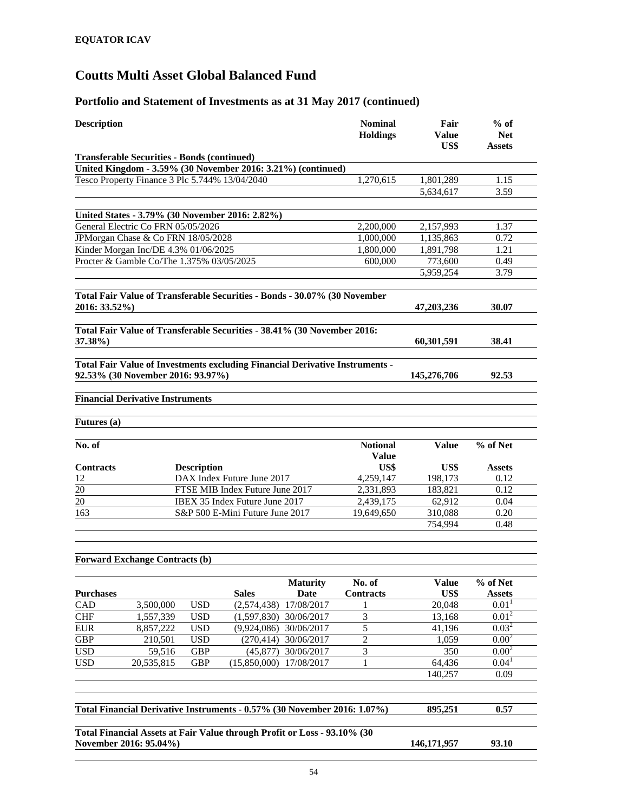| <b>Description</b>                                                                                                |                        |                    |                                 |                         | <b>Nominal</b><br><b>Holdings</b> | Fair<br>Value<br>US\$ | $%$ of<br><b>Net</b><br><b>Assets</b> |
|-------------------------------------------------------------------------------------------------------------------|------------------------|--------------------|---------------------------------|-------------------------|-----------------------------------|-----------------------|---------------------------------------|
| <b>Transferable Securities - Bonds (continued)</b>                                                                |                        |                    |                                 |                         |                                   |                       |                                       |
| United Kingdom - 3.59% (30 November 2016: 3.21%) (continued)                                                      |                        |                    |                                 |                         |                                   |                       |                                       |
| Tesco Property Finance 3 Plc 5.744% 13/04/2040                                                                    |                        |                    |                                 |                         | 1,270,615                         | 1,801,289             | 1.15                                  |
|                                                                                                                   |                        |                    |                                 |                         |                                   | 5,634,617             | 3.59                                  |
| United States - 3.79% (30 November 2016: 2.82%)                                                                   |                        |                    |                                 |                         |                                   |                       |                                       |
| General Electric Co FRN 05/05/2026                                                                                |                        |                    |                                 |                         | 2.200.000                         | 2,157,993             | 1.37                                  |
| JPMorgan Chase & Co FRN 18/05/2028                                                                                |                        |                    |                                 |                         | 1,000,000                         | 1,135,863             | 0.72                                  |
| Kinder Morgan Inc/DE 4.3% 01/06/2025                                                                              |                        |                    |                                 |                         | 1,800,000                         | 1,891,798             | 1.21                                  |
| Procter & Gamble Co/The 1.375% 03/05/2025                                                                         |                        |                    |                                 |                         | 600,000                           | 773,600               | 0.49                                  |
|                                                                                                                   |                        |                    |                                 |                         |                                   | 5,959,254             | 3.79                                  |
| Total Fair Value of Transferable Securities - Bonds - 30.07% (30 November<br>2016: 33.52%)                        |                        |                    |                                 |                         |                                   | 47,203,236            | 30.07                                 |
| Total Fair Value of Transferable Securities - 38.41% (30 November 2016:<br>37.38%)                                |                        |                    |                                 |                         |                                   | 60,301,591            | 38.41                                 |
| Total Fair Value of Investments excluding Financial Derivative Instruments -<br>92.53% (30 November 2016: 93.97%) |                        |                    |                                 |                         |                                   | 145,276,706           | 92.53                                 |
| <b>Financial Derivative Instruments</b>                                                                           |                        |                    |                                 |                         |                                   |                       |                                       |
|                                                                                                                   |                        |                    |                                 |                         |                                   |                       |                                       |
| Futures (a)                                                                                                       |                        |                    |                                 |                         |                                   |                       |                                       |
| No. of                                                                                                            |                        |                    |                                 |                         | <b>Notional</b><br><b>Value</b>   | <b>Value</b>          | % of Net                              |
| <b>Contracts</b>                                                                                                  |                        | <b>Description</b> |                                 |                         | US\$                              | US\$                  | <b>Assets</b>                         |
| 12                                                                                                                |                        |                    | DAX Index Future June 2017      |                         | 4,259,147                         | 198,173               | 0.12                                  |
| 20                                                                                                                |                        |                    | FTSE MIB Index Future June 2017 |                         | 2,331,893                         | 183,821               | 0.12                                  |
| $\overline{20}$                                                                                                   |                        |                    | IBEX 35 Index Future June 2017  |                         | 2,439,175                         | 62,912                | 0.04                                  |
| 163                                                                                                               |                        |                    | S&P 500 E-Mini Future June 2017 |                         | 19,649,650                        | 310,088               | 0.20                                  |
|                                                                                                                   |                        |                    |                                 |                         |                                   | 754,994               | 0.48                                  |
|                                                                                                                   |                        |                    |                                 |                         |                                   |                       |                                       |
| <b>Forward Exchange Contracts (b)</b>                                                                             |                        |                    |                                 |                         |                                   |                       |                                       |
| <b>Purchases</b>                                                                                                  |                        |                    | <b>Sales</b>                    | <b>Maturity</b><br>Date | No. of<br><b>Contracts</b>        | <b>Value</b><br>US\$  | % of Net<br><b>Assets</b>             |
| CAD                                                                                                               | 3,500,000              | <b>USD</b>         | (2,574,438)                     | 17/08/2017              | 1                                 | 20,048                | 0.01 <sup>1</sup>                     |
| <b>CHF</b>                                                                                                        | $\overline{1,}557,339$ | <b>USD</b>         | (1,597,830)                     | 30/06/2017              | $\overline{\mathbf{3}}$           | 13,168                | $0.01^{2}$                            |
| <b>EUR</b>                                                                                                        | 8,857,222              | <b>USD</b>         | (9,924,086)                     | 30/06/2017              | 5                                 | 41,196                | 0.03 <sup>2</sup>                     |
| GBP                                                                                                               | 210,501                | <b>USD</b>         | (270, 414)                      | 30/06/2017              | $\overline{c}$                    | 1,059                 | $0.00^{2}$                            |
|                                                                                                                   | 59,516                 | <b>GBP</b>         | (45, 877)                       | 30/06/2017              | 3<br>1                            | 350                   | $0.00^{2}$<br>0.04 <sup>1</sup>       |
| <b>USD</b>                                                                                                        |                        |                    |                                 |                         |                                   |                       |                                       |
|                                                                                                                   | 20,535,815             | GBP                | (15,850,000)                    | 17/08/2017              |                                   | 64,436                |                                       |
| <b>USD</b>                                                                                                        |                        |                    |                                 |                         |                                   | 140,257               | 0.09                                  |
| Total Financial Derivative Instruments - 0.57% (30 November 2016: 1.07%)                                          |                        |                    |                                 |                         |                                   | 895,251               | 0.57                                  |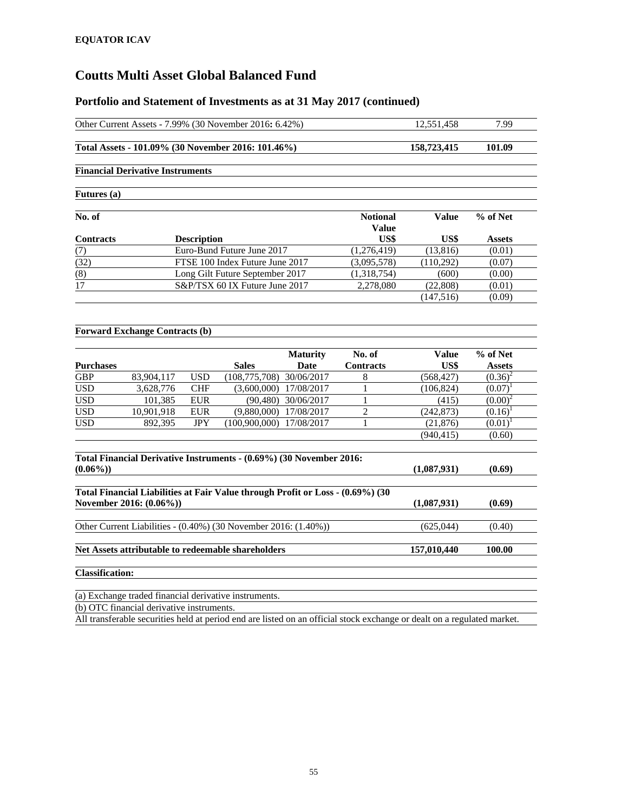|                        |                                           |                    | Other Current Assets - 7.99% (30 November 2016: 6.42%)                         |                            |                                                                                                                         | 12,551,458   | 7.99          |
|------------------------|-------------------------------------------|--------------------|--------------------------------------------------------------------------------|----------------------------|-------------------------------------------------------------------------------------------------------------------------|--------------|---------------|
|                        |                                           |                    | Total Assets - 101.09% (30 November 2016: 101.46%)                             |                            |                                                                                                                         | 158,723,415  | 101.09        |
|                        | <b>Financial Derivative Instruments</b>   |                    |                                                                                |                            |                                                                                                                         |              |               |
| Futures (a)            |                                           |                    |                                                                                |                            |                                                                                                                         |              |               |
| No. of                 |                                           |                    |                                                                                |                            | <b>Notional</b>                                                                                                         | <b>Value</b> | % of Net      |
|                        |                                           |                    |                                                                                |                            | Value                                                                                                                   |              |               |
| <b>Contracts</b>       |                                           | <b>Description</b> |                                                                                |                            | US\$                                                                                                                    | US\$         | <b>Assets</b> |
| (7)                    |                                           |                    | Euro-Bund Future June 2017                                                     |                            | (1,276,419)                                                                                                             | (13,816)     | (0.01)        |
| (32)                   |                                           |                    | FTSE 100 Index Future June 2017                                                |                            | (3,095,578)                                                                                                             | (110, 292)   | (0.07)        |
| (8)                    |                                           |                    | Long Gilt Future September 2017                                                |                            | (1,318,754)                                                                                                             | (600)        | (0.00)        |
| 17                     |                                           |                    | S&P/TSX 60 IX Future June 2017                                                 |                            | 2,278,080                                                                                                               | (22,808)     | (0.01)        |
|                        |                                           |                    |                                                                                |                            |                                                                                                                         | (147, 516)   | (0.09)        |
|                        | <b>Forward Exchange Contracts (b)</b>     |                    |                                                                                |                            |                                                                                                                         |              |               |
|                        |                                           |                    |                                                                                | <b>Maturity</b>            | No. of                                                                                                                  | Value        | % of Net      |
| <b>Purchases</b>       |                                           |                    | <b>Sales</b>                                                                   | Date                       | <b>Contracts</b>                                                                                                        | US\$         | <b>Assets</b> |
| <b>GBP</b>             | 83,904,117                                | <b>USD</b>         | (108,775,708) 30/06/2017                                                       |                            | 8                                                                                                                       | (568, 427)   | $(0.36)^2$    |
| <b>USD</b>             | 3,628,776                                 | <b>CHF</b>         |                                                                                | $(3,600,000)$ 17/08/2017   | 1                                                                                                                       | (106, 824)   | $(0.07)^1$    |
| <b>USD</b>             | 101,385                                   | <b>EUR</b>         |                                                                                | (90,480) 30/06/2017        | $\mathbf{1}$                                                                                                            | (415)        | $(0.00)^2$    |
| $\overline{USD}$       | 10,901,918                                | <b>EUR</b>         |                                                                                | $(9,880,000)$ $17/08/2017$ | $\overline{2}$                                                                                                          | (242, 873)   | $(0.16)^1$    |
| $\overline{USD}$       | 892,395                                   | <b>JPY</b>         | $(100,900,000)$ $17/08/2017$                                                   |                            | 1                                                                                                                       | (21, 876)    | $(0.01)^1$    |
|                        |                                           |                    |                                                                                |                            |                                                                                                                         | (940.415)    | (0.60)        |
|                        |                                           |                    |                                                                                |                            |                                                                                                                         |              |               |
|                        |                                           |                    | Total Financial Derivative Instruments - (0.69%) (30 November 2016:            |                            |                                                                                                                         |              |               |
| $(0.06\%)$             |                                           |                    |                                                                                |                            |                                                                                                                         | (1,087,931)  | (0.69)        |
|                        |                                           |                    | Total Financial Liabilities at Fair Value through Profit or Loss - (0.69%) (30 |                            |                                                                                                                         |              |               |
|                        | November 2016: (0.06%))                   |                    |                                                                                |                            |                                                                                                                         | (1,087,931)  | (0.69)        |
|                        |                                           |                    |                                                                                |                            |                                                                                                                         |              |               |
|                        |                                           |                    | Other Current Liabilities - (0.40%) (30 November 2016: (1.40%))                |                            |                                                                                                                         | (625,044)    | (0.40)        |
|                        |                                           |                    | Net Assets attributable to redeemable shareholders                             |                            |                                                                                                                         | 157,010,440  | 100.00        |
|                        |                                           |                    |                                                                                |                            |                                                                                                                         |              |               |
| <b>Classification:</b> |                                           |                    |                                                                                |                            |                                                                                                                         |              |               |
|                        |                                           |                    | (a) Exchange traded financial derivative instruments.                          |                            |                                                                                                                         |              |               |
|                        | (b) OTC financial derivative instruments. |                    |                                                                                |                            |                                                                                                                         |              |               |
|                        |                                           |                    |                                                                                |                            | All transferable securities held at period end are listed on an official stock exchange or dealt on a regulated market. |              |               |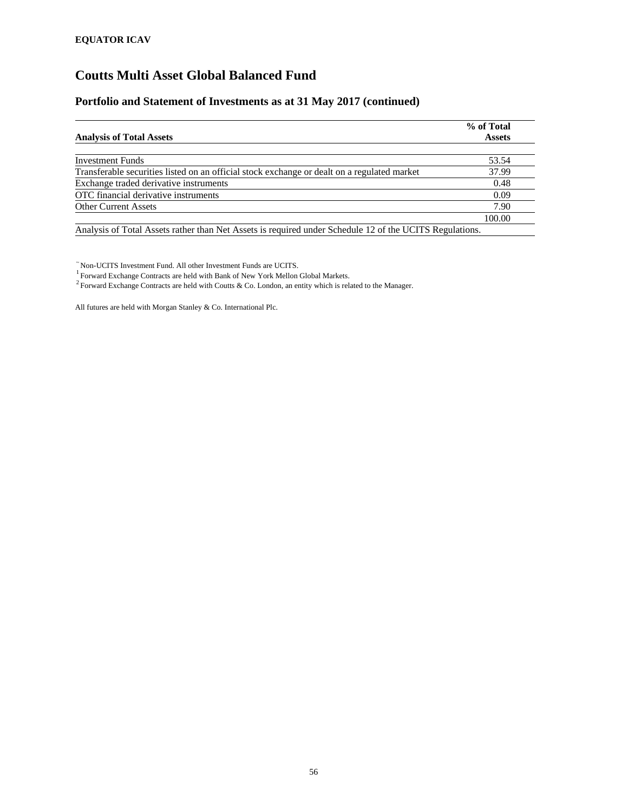#### **Portfolio and Statement of Investments as at 31 May 2017 (continued)**

|                                                                                                         | % of Total    |
|---------------------------------------------------------------------------------------------------------|---------------|
| <b>Analysis of Total Assets</b>                                                                         | <b>Assets</b> |
|                                                                                                         |               |
| <b>Investment Funds</b>                                                                                 | 53.54         |
| Transferable securities listed on an official stock exchange or dealt on a regulated market             | 37.99         |
| Exchange traded derivative instruments                                                                  | 0.48          |
| OTC financial derivative instruments                                                                    | 0.09          |
| <b>Other Current Assets</b>                                                                             | 7.90          |
|                                                                                                         | 100.00        |
| Analysis of Total Assets rather than Net Assets is required under Schedule 12 of the UCITS Regulations. |               |

 $\tilde{}$  Non-UCITS Investment Fund. All other Investment Funds are UCITS.<br><sup>1</sup> Forward Exchange Contracts are held with Bank of New York Mellon Global Markets.

<sup>2</sup> Forward Exchange Contracts are held with Coutts & Co. London, an entity which is related to the Manager.

All futures are held with Morgan Stanley & Co. International Plc.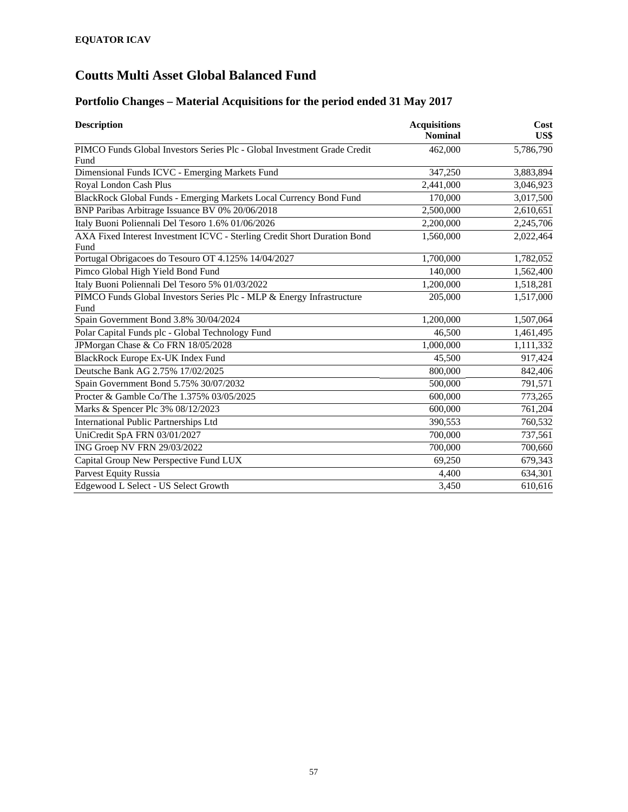# **Portfolio Changes – Material Acquisitions for the period ended 31 May 2017**

| <b>Description</b>                                                               | <b>Acquisitions</b><br><b>Nominal</b> | Cost<br>US\$ |
|----------------------------------------------------------------------------------|---------------------------------------|--------------|
| PIMCO Funds Global Investors Series Plc - Global Investment Grade Credit         | 462,000                               | 5,786,790    |
| Fund                                                                             |                                       |              |
| Dimensional Funds ICVC - Emerging Markets Fund                                   | 347,250                               | 3,883,894    |
| Royal London Cash Plus                                                           | 2,441,000                             | 3,046,923    |
| BlackRock Global Funds - Emerging Markets Local Currency Bond Fund               | 170,000                               | 3,017,500    |
| BNP Paribas Arbitrage Issuance BV 0% 20/06/2018                                  | 2,500,000                             | 2,610,651    |
| Italy Buoni Poliennali Del Tesoro 1.6% 01/06/2026                                | 2,200,000                             | 2,245,706    |
| AXA Fixed Interest Investment ICVC - Sterling Credit Short Duration Bond<br>Fund | 1,560,000                             | 2,022,464    |
| Portugal Obrigacoes do Tesouro OT 4.125% 14/04/2027                              | 1,700,000                             | 1,782,052    |
| Pimco Global High Yield Bond Fund                                                | 140,000                               | 1,562,400    |
| Italy Buoni Poliennali Del Tesoro 5% 01/03/2022                                  | 1,200,000                             | 1,518,281    |
| PIMCO Funds Global Investors Series Plc - MLP & Energy Infrastructure<br>Fund    | 205,000                               | 1,517,000    |
| Spain Government Bond 3.8% 30/04/2024                                            | 1,200,000                             | 1,507,064    |
| Polar Capital Funds plc - Global Technology Fund                                 | 46,500                                | 1,461,495    |
| JPMorgan Chase & Co FRN 18/05/2028                                               | 1,000,000                             | 1,111,332    |
| BlackRock Europe Ex-UK Index Fund                                                | 45,500                                | 917,424      |
| Deutsche Bank AG 2.75% 17/02/2025                                                | 800,000                               | 842,406      |
| Spain Government Bond 5.75% 30/07/2032                                           | 500,000                               | 791,571      |
| Procter & Gamble Co/The 1.375% 03/05/2025                                        | 600,000                               | 773,265      |
| Marks & Spencer Plc 3% 08/12/2023                                                | 600,000                               | 761,204      |
| <b>International Public Partnerships Ltd</b>                                     | 390,553                               | 760,532      |
| UniCredit SpA FRN 03/01/2027                                                     | 700,000                               | 737,561      |
| ING Groep NV FRN 29/03/2022                                                      | 700,000                               | 700,660      |
| Capital Group New Perspective Fund LUX                                           | 69,250                                | 679,343      |
| Parvest Equity Russia                                                            | 4,400                                 | 634,301      |
| Edgewood L Select - US Select Growth                                             | 3,450                                 | 610,616      |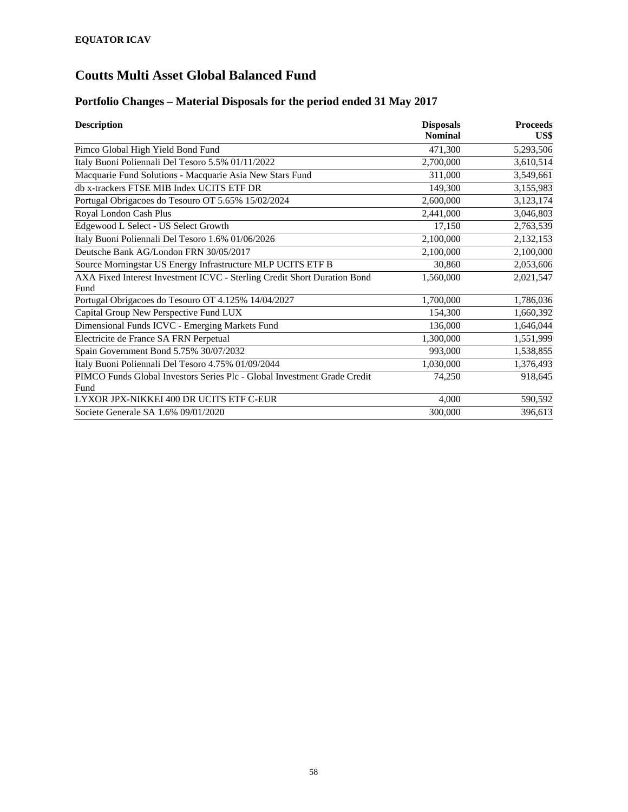### **Portfolio Changes – Material Disposals for the period ended 31 May 2017**

| <b>Description</b>                                                       | <b>Disposals</b> | <b>Proceeds</b> |
|--------------------------------------------------------------------------|------------------|-----------------|
|                                                                          | <b>Nominal</b>   | US\$            |
| Pimco Global High Yield Bond Fund                                        | 471,300          | 5,293,506       |
| Italy Buoni Poliennali Del Tesoro 5.5% 01/11/2022                        | 2,700,000        | 3,610,514       |
| Macquarie Fund Solutions - Macquarie Asia New Stars Fund                 | 311,000          | 3,549,661       |
| db x-trackers FTSE MIB Index UCITS ETF DR                                | 149,300          | 3,155,983       |
| Portugal Obrigacoes do Tesouro OT 5.65% 15/02/2024                       | 2,600,000        | 3,123,174       |
| Royal London Cash Plus                                                   | 2,441,000        | 3,046,803       |
| Edgewood L Select - US Select Growth                                     | 17,150           | 2,763,539       |
| Italy Buoni Poliennali Del Tesoro 1.6% 01/06/2026                        | 2,100,000        | 2,132,153       |
| Deutsche Bank AG/London FRN 30/05/2017                                   | 2,100,000        | 2,100,000       |
| Source Morningstar US Energy Infrastructure MLP UCITS ETF B              | 30,860           | 2,053,606       |
| AXA Fixed Interest Investment ICVC - Sterling Credit Short Duration Bond | 1,560,000        | 2,021,547       |
| Fund                                                                     |                  |                 |
| Portugal Obrigacoes do Tesouro OT 4.125% 14/04/2027                      | 1,700,000        | 1,786,036       |
| Capital Group New Perspective Fund LUX                                   | 154,300          | 1,660,392       |
| Dimensional Funds ICVC - Emerging Markets Fund                           | 136,000          | 1,646,044       |
| Electricite de France SA FRN Perpetual                                   | 1,300,000        | 1,551,999       |
| Spain Government Bond 5.75% 30/07/2032                                   | 993,000          | 1,538,855       |
| Italy Buoni Poliennali Del Tesoro 4.75% 01/09/2044                       | 1,030,000        | 1,376,493       |
| PIMCO Funds Global Investors Series Plc - Global Investment Grade Credit | 74,250           | 918,645         |
| Fund                                                                     |                  |                 |
| LYXOR JPX-NIKKEI 400 DR UCITS ETF C-EUR                                  | 4,000            | 590,592         |
| Societe Generale SA 1.6% 09/01/2020                                      | 300,000          | 396,613         |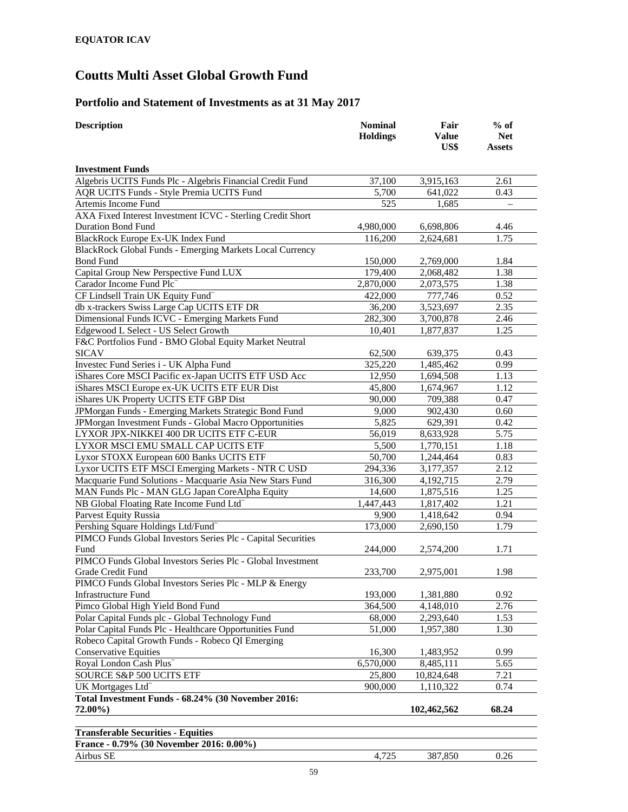### **Portfolio and Statement of Investments as at 31 May 2017**

| <b>Description</b>                                           | <b>Nominal</b><br><b>Holdings</b> | Fair<br><b>Value</b> | $%$ of<br><b>Net</b> |
|--------------------------------------------------------------|-----------------------------------|----------------------|----------------------|
|                                                              |                                   | US\$                 | <b>Assets</b>        |
|                                                              |                                   |                      |                      |
| <b>Investment Funds</b>                                      |                                   |                      |                      |
| Algebris UCITS Funds Plc - Algebris Financial Credit Fund    | 37,100                            | 3,915,163            | 2.61                 |
| AQR UCITS Funds - Style Premia UCITS Fund                    | 5,700                             | 641,022              | 0.43                 |
| Artemis Income Fund                                          | 525                               | 1,685                |                      |
| AXA Fixed Interest Investment ICVC - Sterling Credit Short   |                                   |                      |                      |
| <b>Duration Bond Fund</b>                                    | 4,980,000                         | 6,698,806            | 4.46                 |
| BlackRock Europe Ex-UK Index Fund                            | 116,200                           | 2,624,681            | 1.75                 |
| BlackRock Global Funds - Emerging Markets Local Currency     |                                   |                      |                      |
| <b>Bond Fund</b>                                             | 150,000                           | 2,769,000            | 1.84                 |
| Capital Group New Perspective Fund LUX                       | 179,400                           | 2,068,482            | 1.38                 |
| Carador Income Fund Plc                                      | 2,870,000                         | 2,073,575            | 1.38                 |
| CF Lindsell Train UK Equity Fund~                            | 422,000                           | 777,746              | 0.52                 |
| db x-trackers Swiss Large Cap UCITS ETF DR                   | 36,200                            | 3,523,697            | 2.35                 |
| Dimensional Funds ICVC - Emerging Markets Fund               | 282,300                           | 3,700,878            | 2.46                 |
| Edgewood L Select - US Select Growth                         | 10,401                            | 1,877,837            | 1.25                 |
| F&C Portfolios Fund - BMO Global Equity Market Neutral       |                                   |                      |                      |
| <b>SICAV</b>                                                 | 62,500                            | 639,375              | 0.43                 |
| Investec Fund Series i - UK Alpha Fund                       | 325,220                           | 1,485,462            | 0.99                 |
| iShares Core MSCI Pacific ex-Japan UCITS ETF USD Acc         | 12,950                            | 1,694,508            | 1.13                 |
| iShares MSCI Europe ex-UK UCITS ETF EUR Dist                 | 45,800                            | 1,674,967            | 1.12                 |
| iShares UK Property UCITS ETF GBP Dist                       | 90,000                            | 709,388              | 0.47                 |
| JPMorgan Funds - Emerging Markets Strategic Bond Fund        | 9,000                             | 902,430              | 0.60                 |
| JPMorgan Investment Funds - Global Macro Opportunities       | 5,825                             | 629,391              | 0.42                 |
| LYXOR JPX-NIKKEI 400 DR UCITS ETF C-EUR                      | 56,019                            | 8,633,928            | 5.75                 |
| LYXOR MSCI EMU SMALL CAP UCITS ETF                           | 5,500                             | 1,770,151            | 1.18                 |
| Lyxor STOXX European 600 Banks UCITS ETF                     | 50,700                            | 1,244,464            | 0.83                 |
| Lyxor UCITS ETF MSCI Emerging Markets - NTR C USD            | 294,336                           | 3,177,357            | 2.12                 |
| Macquarie Fund Solutions - Macquarie Asia New Stars Fund     | 316,300                           | 4,192,715            | 2.79                 |
| MAN Funds Plc - MAN GLG Japan CoreAlpha Equity               | 14,600                            | 1,875,516            | 1.25                 |
| NB Global Floating Rate Income Fund Ltd <sup>~</sup>         | 1,447,443                         | 1,817,402            | 1.21                 |
| Parvest Equity Russia                                        | 9,900                             | 1,418,642            | 0.94                 |
| Pershing Square Holdings Ltd/Fund <sup>~</sup>               | 173,000                           | 2,690,150            | 1.79                 |
| PIMCO Funds Global Investors Series Plc - Capital Securities |                                   |                      |                      |
| Fund                                                         | 244,000                           | 2,574,200            | 1.71                 |
| PIMCO Funds Global Investors Series Plc - Global Investment  |                                   |                      |                      |
| <b>Grade Credit Fund</b>                                     | 233,700                           | 2,975,001            | 1.98                 |
| PIMCO Funds Global Investors Series Plc - MLP & Energy       |                                   |                      |                      |
| <b>Infrastructure Fund</b>                                   | 193,000                           | 1,381,880            | 0.92                 |
| Pimco Global High Yield Bond Fund                            | 364,500                           | 4,148,010            | 2.76                 |
| Polar Capital Funds plc - Global Technology Fund             | 68,000                            | 2,293,640            | 1.53                 |
| Polar Capital Funds Plc - Healthcare Opportunities Fund      | 51,000                            | 1,957,380            | 1.30                 |
| Robeco Capital Growth Funds - Robeco QI Emerging             |                                   |                      |                      |
| <b>Conservative Equities</b>                                 | 16,300                            | 1,483,952            | 0.99                 |
| Royal London Cash Plus~                                      | 6,570,000                         | 8,485,111            | 5.65                 |
| SOURCE S&P 500 UCITS ETF                                     | 25,800                            | 10,824,648           | 7.21                 |
| UK Mortgages Ltd <sup>~</sup>                                | 900,000                           | 1,110,322            | 0.74                 |
| Total Investment Funds - 68.24% (30 November 2016:           |                                   |                      |                      |
| 72.00%)                                                      |                                   | 102,462,562          | 68.24                |
|                                                              |                                   |                      |                      |
| <b>Transferable Securities - Equities</b>                    |                                   |                      |                      |
| France - 0.79% (30 November 2016: 0.00%)                     |                                   |                      |                      |
| Airbus SE                                                    | 4,725                             | 387,850              | 0.26                 |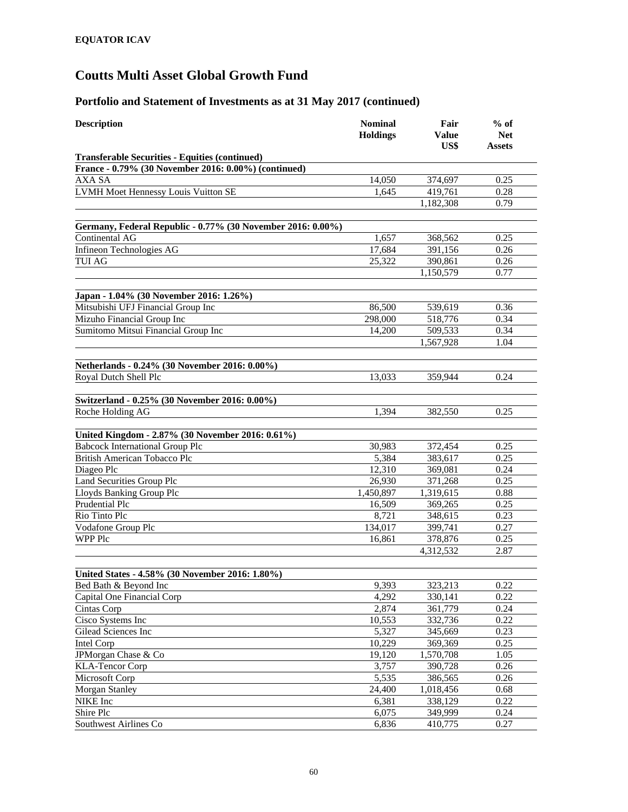| <b>Description</b>                                          | <b>Nominal</b><br><b>Holdings</b> | Fair<br><b>Value</b><br>US\$ | $%$ of<br><b>Net</b><br>Assets |
|-------------------------------------------------------------|-----------------------------------|------------------------------|--------------------------------|
| <b>Transferable Securities - Equities (continued)</b>       |                                   |                              |                                |
| France - 0.79% (30 November 2016: 0.00%) (continued)        |                                   |                              |                                |
| AXA SA                                                      | 14,050                            | 374,697                      | 0.25                           |
| <b>LVMH Moet Hennessy Louis Vuitton SE</b>                  | 1,645                             | 419,761                      | 0.28                           |
|                                                             |                                   | 1,182,308                    | 0.79                           |
| Germany, Federal Republic - 0.77% (30 November 2016: 0.00%) |                                   |                              |                                |
| Continental AG                                              | 1,657                             | 368,562                      | 0.25                           |
| Infineon Technologies AG                                    | 17,684                            | 391,156                      | 0.26                           |
| <b>TUI AG</b>                                               | 25,322                            | 390,861                      | 0.26                           |
|                                                             |                                   | 1,150,579                    | 0.77                           |
|                                                             |                                   |                              |                                |
| Japan - 1.04% (30 November 2016: 1.26%)                     |                                   |                              |                                |
| Mitsubishi UFJ Financial Group Inc                          | 86,500                            | 539,619                      | 0.36                           |
| Mizuho Financial Group Inc                                  | 298,000                           | 518,776                      | 0.34                           |
| Sumitomo Mitsui Financial Group Inc                         | 14,200                            | 509,533                      | 0.34                           |
|                                                             |                                   | 1,567,928                    | 1.04                           |
| Netherlands - 0.24% (30 November 2016: 0.00%)               |                                   |                              |                                |
| Royal Dutch Shell Plc                                       | 13,033                            | 359.944                      | 0.24                           |
|                                                             |                                   |                              |                                |
| Switzerland - 0.25% (30 November 2016: 0.00%)               |                                   |                              |                                |
| Roche Holding AG                                            | 1,394                             | 382,550                      | 0.25                           |
| United Kingdom - 2.87% (30 November 2016: 0.61%)            |                                   |                              |                                |
| <b>Babcock International Group Plc</b>                      | 30,983                            | 372,454                      | 0.25                           |
| <b>British American Tobacco Plc</b>                         | 5,384                             | 383,617                      | 0.25                           |
| Diageo Plc                                                  | 12,310                            | 369,081                      | 0.24                           |
| <b>Land Securities Group Plc</b>                            | 26,930                            | 371,268                      | 0.25                           |
| Lloyds Banking Group Plc                                    | 1,450,897                         | 1,319,615                    | 0.88                           |
| Prudential Plc                                              | 16,509                            | 369,265                      | 0.25                           |
| Rio Tinto Plc                                               | 8,721                             | 348,615                      | 0.23                           |
| Vodafone Group Plc                                          | 134,017                           | 399,741                      | 0.27                           |
| WPP Plc                                                     | 16,861                            | 378,876                      | 0.25                           |
|                                                             |                                   | 4,312,532                    | 2.87                           |
|                                                             |                                   |                              |                                |
| United States - 4.58% (30 November 2016: 1.80%)             |                                   |                              |                                |
| Bed Bath & Beyond Inc                                       | 9,393                             | 323,213                      | 0.22                           |
| Capital One Financial Corp                                  | 4,292                             | 330,141                      | 0.22                           |
| Cintas Corp                                                 | 2,874                             | 361,779                      | 0.24                           |
| Cisco Systems Inc                                           | 10,553                            | 332,736                      | 0.22                           |
| Gilead Sciences Inc                                         | 5,327                             | 345,669                      | 0.23                           |
| Intel Corp                                                  | 10,229                            | 369,369                      | 0.25                           |
| JPMorgan Chase & Co                                         | 19,120                            | 1,570,708                    | 1.05                           |
| <b>KLA-Tencor Corp</b>                                      | 3,757                             | 390,728                      | 0.26                           |
| Microsoft Corp                                              | 5,535                             | 386,565                      | 0.26                           |
| <b>Morgan Stanley</b>                                       | 24,400                            | 1,018,456                    | 0.68                           |
| NIKE Inc                                                    | 6,381                             | 338,129                      | 0.22<br>0.24                   |
| Shire Plc<br>Southwest Airlines Co                          | 6,075<br>6,836                    | 349,999<br>410,775           | 0.27                           |
|                                                             |                                   |                              |                                |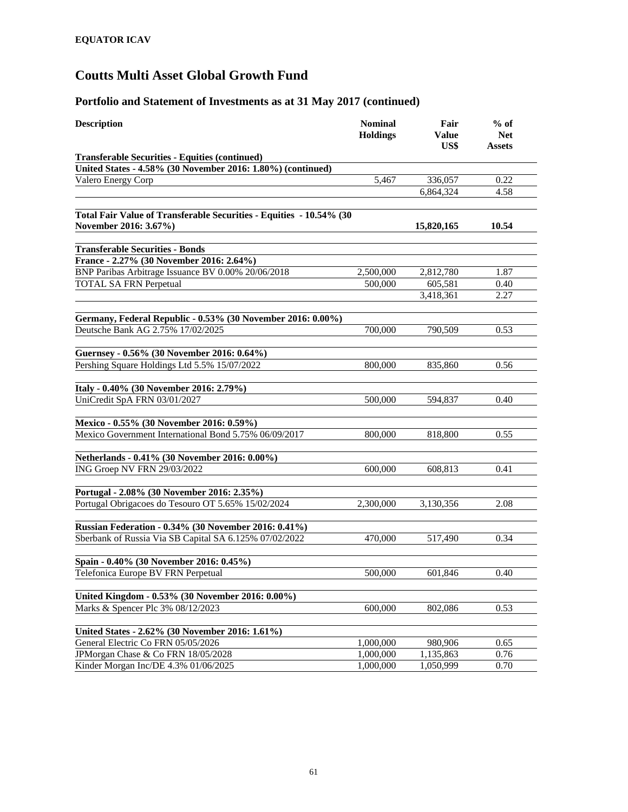| <b>Description</b>                                                  | <b>Nominal</b><br><b>Holdings</b> | Fair<br>Value<br>US\$ | $%$ of<br><b>Net</b><br>Assets |
|---------------------------------------------------------------------|-----------------------------------|-----------------------|--------------------------------|
| <b>Transferable Securities - Equities (continued)</b>               |                                   |                       |                                |
| United States - 4.58% (30 November 2016: 1.80%) (continued)         |                                   |                       |                                |
| Valero Energy Corp                                                  | 5,467                             | 336,057               | 0.22                           |
|                                                                     |                                   | 6,864,324             | 4.58                           |
| Total Fair Value of Transferable Securities - Equities - 10.54% (30 |                                   |                       |                                |
| November 2016: 3.67%)                                               |                                   | 15,820,165            | 10.54                          |
| <b>Transferable Securities - Bonds</b>                              |                                   |                       |                                |
| France - 2.27% (30 November 2016: 2.64%)                            |                                   |                       |                                |
| BNP Paribas Arbitrage Issuance BV 0.00% 20/06/2018                  | 2,500,000                         | 2,812,780             | 1.87                           |
| <b>TOTAL SA FRN Perpetual</b>                                       | 500,000                           | 605,581               | 0.40                           |
|                                                                     |                                   | 3,418,361             | 2.27                           |
| Germany, Federal Republic - 0.53% (30 November 2016: 0.00%)         |                                   |                       |                                |
| Deutsche Bank AG 2.75% 17/02/2025                                   | 700,000                           | 790,509               | 0.53                           |
|                                                                     |                                   |                       |                                |
| Guernsey - 0.56% (30 November 2016: 0.64%)                          |                                   |                       |                                |
| Pershing Square Holdings Ltd 5.5% 15/07/2022                        | 800,000                           | 835,860               | 0.56                           |
| Italy - 0.40% (30 November 2016: 2.79%)                             |                                   |                       |                                |
| UniCredit SpA FRN 03/01/2027                                        | 500,000                           | 594,837               | 0.40                           |
| Mexico - 0.55% (30 November 2016: 0.59%)                            |                                   |                       |                                |
| Mexico Government International Bond 5.75% 06/09/2017               | 800,000                           | 818,800               | 0.55                           |
|                                                                     |                                   |                       |                                |
| Netherlands - 0.41% (30 November 2016: 0.00%)                       |                                   |                       |                                |
| ING Groep NV FRN 29/03/2022                                         | 600,000                           | 608,813               | 0.41                           |
| Portugal - 2.08% (30 November 2016: 2.35%)                          |                                   |                       |                                |
| Portugal Obrigacoes do Tesouro OT 5.65% 15/02/2024                  | 2,300,000                         | 3,130,356             | 2.08                           |
|                                                                     |                                   |                       |                                |
| <b>Russian Federation - 0.34% (30 November 2016: 0.41%)</b>         |                                   |                       |                                |
| Sberbank of Russia Via SB Capital SA 6.125% 07/02/2022              | 470,000                           | 517,490               | 0.34                           |
| Spain - 0.40% (30 November 2016: 0.45%)                             |                                   |                       |                                |
| Telefonica Europe BV FRN Perpetual                                  | 500,000                           | 601,846               | 0.40                           |
|                                                                     |                                   |                       |                                |
| United Kingdom - 0.53% (30 November 2016: 0.00%)                    |                                   |                       |                                |
| Marks & Spencer Plc 3% 08/12/2023                                   | 600,000                           | 802,086               | 0.53                           |
| United States - 2.62% (30 November 2016: 1.61%)                     |                                   |                       |                                |
| General Electric Co FRN 05/05/2026                                  | 1,000,000                         | 980,906               | 0.65                           |
| JPMorgan Chase & Co FRN 18/05/2028                                  | 1,000,000                         | 1,135,863             | 0.76                           |
| Kinder Morgan Inc/DE 4.3% 01/06/2025                                | 1,000,000                         | 1,050,999             | 0.70                           |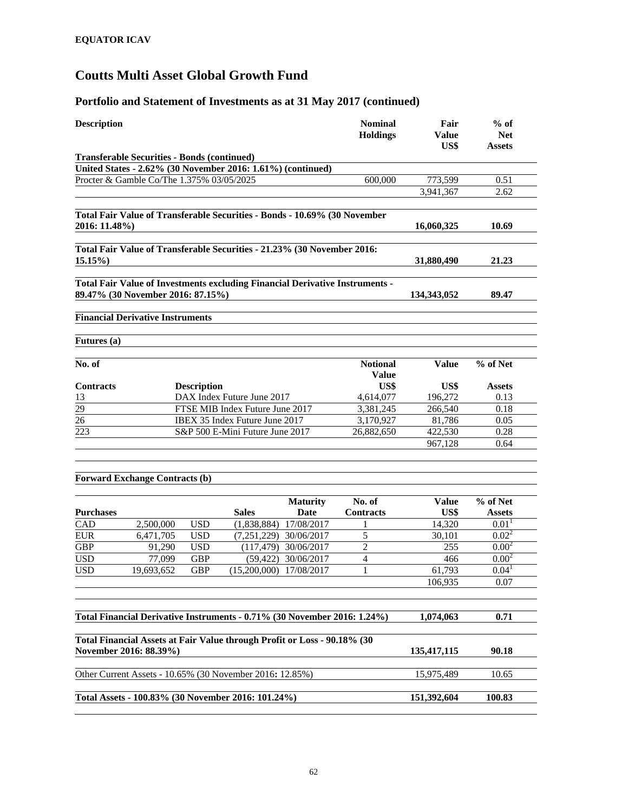| <b>Nominal</b><br><b>Description</b><br><b>Holdings</b>                                                           | Fair<br><b>Value</b><br>US\$ | $%$ of<br><b>Net</b><br><b>Assets</b> |
|-------------------------------------------------------------------------------------------------------------------|------------------------------|---------------------------------------|
| <b>Transferable Securities - Bonds (continued)</b>                                                                |                              |                                       |
| United States - 2.62% (30 November 2016: 1.61%) (continued)                                                       |                              |                                       |
| Procter & Gamble Co/The 1.375% 03/05/2025<br>600,000                                                              | 773,599                      | 0.51                                  |
|                                                                                                                   | 3,941,367                    | 2.62                                  |
| Total Fair Value of Transferable Securities - Bonds - 10.69% (30 November<br>2016: 11.48%)                        | 16,060,325                   | 10.69                                 |
| Total Fair Value of Transferable Securities - 21.23% (30 November 2016:<br>$15.15\%$                              | 31,880,490                   | 21.23                                 |
| Total Fair Value of Investments excluding Financial Derivative Instruments -<br>89.47% (30 November 2016: 87.15%) | 134, 343, 052                | 89.47                                 |
| <b>Financial Derivative Instruments</b>                                                                           |                              |                                       |
| <b>Futures</b> (a)                                                                                                |                              |                                       |
| $\overline{\text{No}}$ . of<br><b>Notional</b><br><b>Value</b>                                                    | <b>Value</b>                 | % of Net                              |
| US\$<br><b>Contracts</b><br><b>Description</b>                                                                    | US\$                         | <b>Assets</b>                         |
| 4,614,077<br>13<br>DAX Index Future June 2017                                                                     | 196,272                      | 0.13                                  |
| 29<br>FTSE MIB Index Future June 2017<br>3,381,245                                                                | 266,540                      | 0.18                                  |
| 26<br>IBEX 35 Index Future June 2017<br>3,170,927                                                                 | 81,786                       | 0.05                                  |
| 223<br>S&P 500 E-Mini Future June 2017<br>26,882,650                                                              | 422,530                      | 0.28                                  |
|                                                                                                                   | 967,128                      | 0.64                                  |
| <b>Forward Exchange Contracts (b)</b>                                                                             |                              |                                       |
| No. of<br><b>Maturity</b>                                                                                         | <b>Value</b>                 | % of Net                              |
| <b>Sales</b><br><b>Purchases</b><br>Date<br><b>Contracts</b>                                                      | US\$                         | <b>Assets</b>                         |
| <b>USD</b><br>(1,838,884)<br>17/08/2017<br>CAD<br>2,500,000                                                       | 14,320                       | 0.01 <sup>1</sup>                     |
| <b>EUR</b><br><b>USD</b><br>5<br>6,471,705<br>(7,251,229)<br>30/06/2017                                           | 30,101                       | $0.02^2$                              |
| <b>GBP</b><br><b>USD</b><br>$\overline{2}$<br>91,290<br>(117, 479)<br>30/06/2017                                  | 255                          | $0.00^{2}$                            |
| <b>USD</b><br><b>GBP</b><br>(59, 422)<br>30/06/2017<br>$\overline{4}$<br>77,099                                   | 466                          | $0.00^{2}$                            |
| <b>USD</b><br><b>GBP</b><br>(15,200,000)<br>1<br>19,693,652<br>17/08/2017                                         | 61,793                       | 0.04 <sup>1</sup>                     |
|                                                                                                                   | 106,935                      | 0.07                                  |
|                                                                                                                   |                              |                                       |
| Total Financial Derivative Instruments - 0.71% (30 November 2016: 1.24%)                                          | 1,074,063                    | 0.71                                  |
| Total Financial Assets at Fair Value through Profit or Loss - 90.18% (30<br>November 2016: 88.39%)                | 135,417,115                  | 90.18                                 |
| Other Current Assets - 10.65% (30 November 2016: 12.85%)                                                          | 15,975,489                   | 10.65                                 |
| Total Assets - 100.83% (30 November 2016: 101.24%)                                                                | 151,392,604                  | 100.83                                |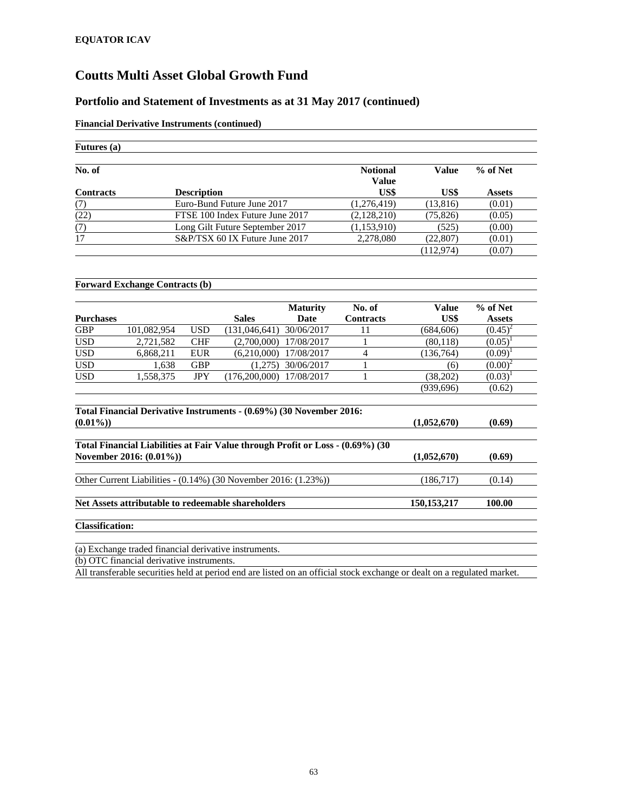#### **Portfolio and Statement of Investments as at 31 May 2017 (continued)**

#### **Financial Derivative Instruments (continued)**

| <b>Futures</b> (a) |                                 |                          |              |               |
|--------------------|---------------------------------|--------------------------|--------------|---------------|
| No. of             |                                 | <b>Notional</b><br>Value | <b>Value</b> | % of Net      |
| <b>Contracts</b>   | <b>Description</b>              | US\$                     | US\$         | <b>Assets</b> |
| (7)                | Euro-Bund Future June 2017      | (1,276,419)              | (13,816)     | (0.01)        |
| (22)               | FTSE 100 Index Future June 2017 | (2,128,210)              | (75, 826)    | (0.05)        |
| (7)                | Long Gilt Future September 2017 | (1,153,910)              | (525)        | (0.00)        |
| 17                 | S&P/TSX 60 IX Future June 2017  | 2,278,080                | (22, 807)    | (0.01)        |
|                    |                                 |                          | (112, 974)   | (0.07)        |

#### **Forward Exchange Contracts (b)**

|                  |             |            |                 | <b>Maturity</b> | No. of           | Value      | % of Net      |
|------------------|-------------|------------|-----------------|-----------------|------------------|------------|---------------|
| <b>Purchases</b> |             |            | <b>Sales</b>    | Date            | <b>Contracts</b> | US\$       | <b>Assets</b> |
| GBP              | 101,082,954 | <b>USD</b> | (131, 046, 641) | 30/06/2017      |                  | (684, 606) | $(0.45)^2$    |
| USD              | 2,721,582   | <b>CHF</b> | (2,700,000)     | 17/08/2017      |                  | (80, 118)  | (0.05)        |
| <b>USD</b>       | 6,868,211   | <b>EUR</b> | (6,210,000)     | 17/08/2017      |                  | (136, 764) | (0.09)        |
| <b>USD</b>       | 1,638       | <b>GBP</b> | (1,275)         | 30/06/2017      |                  | (6)        | $(0.00)^2$    |
| <b>USD</b>       | 1,558,375   | <b>JPY</b> | (176, 200, 000) | 17/08/2017      |                  | (38,202)   | (0.03)        |
|                  |             |            |                 |                 |                  | (939, 696) | (0.62)        |

| Total Financial Derivative Instruments - (0.69%) (30 November 2016:            |               |        |
|--------------------------------------------------------------------------------|---------------|--------|
| $(0.01\%)$                                                                     | (1,052,670)   | (0.69) |
| Total Financial Liabilities at Fair Value through Profit or Loss - (0.69%) (30 |               |        |
| November 2016: (0.01%))                                                        | (1,052,670)   | (0.69) |
| Other Current Liabilities - $(0.14\%)$ (30 November 2016: $(1.23\%)$ )         | (186,717)     | (0.14) |
| Net Assets attributable to redeemable shareholders                             | 150, 153, 217 | 100.00 |
| <b>Classification:</b>                                                         |               |        |
| (a) Exchange traded financial derivative instruments.                          |               |        |
| (b) OTC financial derivative instruments                                       |               |        |

(b) OTC financial derivative instruments.

All transferable securities held at period end are listed on an official stock exchange or dealt on a regulated market.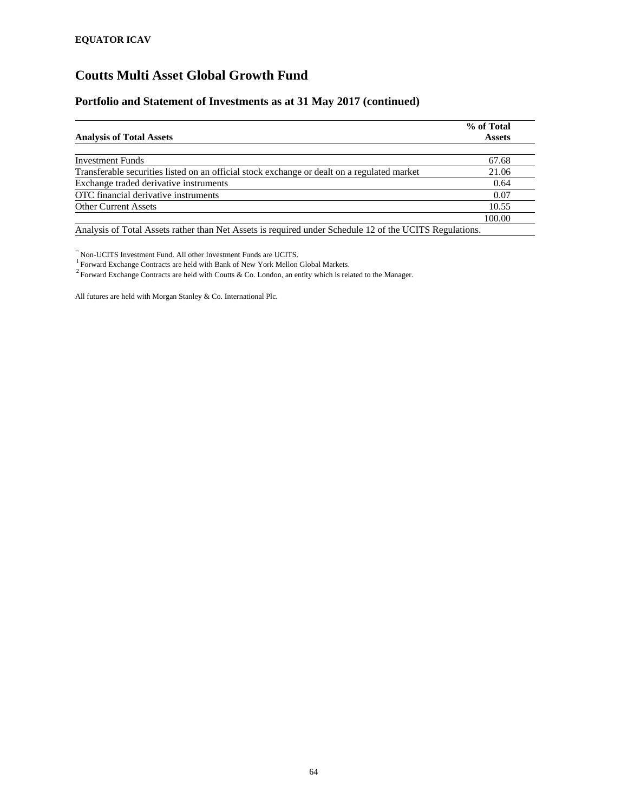#### **Portfolio and Statement of Investments as at 31 May 2017 (continued)**

|                                                                                                                                                                                                     | % of Total    |
|-----------------------------------------------------------------------------------------------------------------------------------------------------------------------------------------------------|---------------|
| <b>Analysis of Total Assets</b>                                                                                                                                                                     | <b>Assets</b> |
| <b>Investment Funds</b>                                                                                                                                                                             | 67.68         |
| Transferable securities listed on an official stock exchange or dealt on a regulated market                                                                                                         | 21.06         |
| Exchange traded derivative instruments                                                                                                                                                              | 0.64          |
| OTC financial derivative instruments                                                                                                                                                                | 0.07          |
| <b>Other Current Assets</b>                                                                                                                                                                         | 10.55         |
|                                                                                                                                                                                                     | 100.00        |
| $\sigma$ = $\sigma$ + $\sigma$ + $\sigma$ + $\sigma$ + $\sigma$ + $\sigma$ + $\sigma$ + $\sigma$ + $\sigma$ + $\sigma$ + $\sigma$<br>$\cdots$ $\cdots$ $\cdots$ $\cdots$ $\cdots$ $\cdots$ $\cdots$ |               |

Analysis of Total Assets rather than Net Assets is required under Schedule 12 of the UCITS Regulations.

 $\tilde{}$  Non-UCITS Investment Fund. All other Investment Funds are UCITS.<br><sup>1</sup> Forward Exchange Contracts are held with Bank of New York Mellon Global Markets.

<sup>2</sup> Forward Exchange Contracts are held with Coutts & Co. London, an entity which is related to the Manager.

All futures are held with Morgan Stanley & Co. International Plc.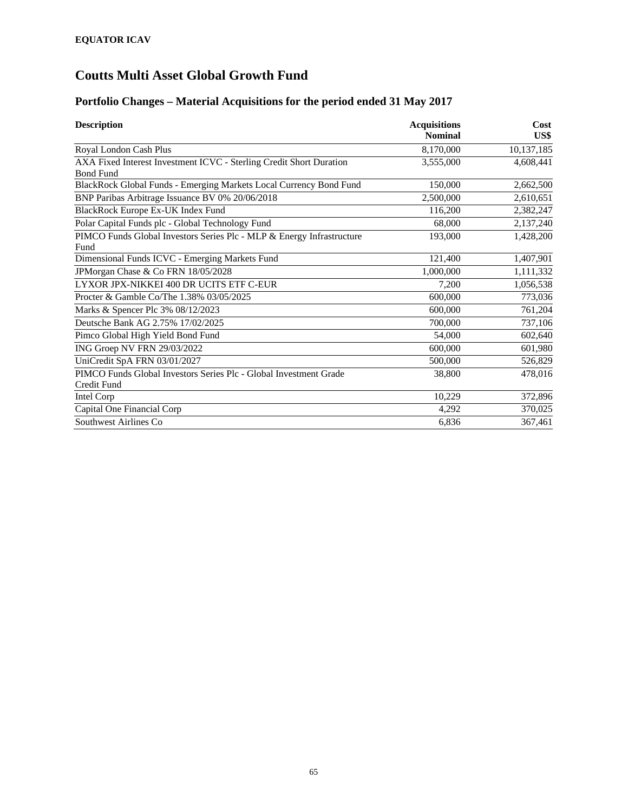### **Portfolio Changes – Material Acquisitions for the period ended 31 May 2017**

| <b>Description</b>                                                    | <b>Acquisitions</b><br><b>Nominal</b> | Cost<br>US\$ |
|-----------------------------------------------------------------------|---------------------------------------|--------------|
| Royal London Cash Plus                                                | 8,170,000                             | 10,137,185   |
| AXA Fixed Interest Investment ICVC - Sterling Credit Short Duration   | 3,555,000                             | 4,608,441    |
| <b>Bond Fund</b>                                                      |                                       |              |
| BlackRock Global Funds - Emerging Markets Local Currency Bond Fund    | 150,000                               | 2,662,500    |
| BNP Paribas Arbitrage Issuance BV 0% 20/06/2018                       | 2,500,000                             | 2,610,651    |
| <b>BlackRock Europe Ex-UK Index Fund</b>                              | 116,200                               | 2,382,247    |
| Polar Capital Funds plc - Global Technology Fund                      | 68,000                                | 2,137,240    |
| PIMCO Funds Global Investors Series Plc - MLP & Energy Infrastructure | 193,000                               | 1,428,200    |
| Fund                                                                  |                                       |              |
| Dimensional Funds ICVC - Emerging Markets Fund                        | 121,400                               | 1,407,901    |
| JPMorgan Chase & Co FRN 18/05/2028                                    | 1,000,000                             | 1,111,332    |
| LYXOR JPX-NIKKEI 400 DR UCITS ETF C-EUR                               | 7,200                                 | 1,056,538    |
| Procter & Gamble Co/The 1.38% 03/05/2025                              | 600,000                               | 773,036      |
| Marks & Spencer Plc 3% 08/12/2023                                     | 600,000                               | 761,204      |
| Deutsche Bank AG 2.75% 17/02/2025                                     | 700,000                               | 737,106      |
| Pimco Global High Yield Bond Fund                                     | 54,000                                | 602,640      |
| ING Groep NV FRN 29/03/2022                                           | 600,000                               | 601,980      |
| UniCredit SpA FRN 03/01/2027                                          | 500,000                               | 526,829      |
| PIMCO Funds Global Investors Series Plc - Global Investment Grade     | 38,800                                | 478,016      |
| Credit Fund                                                           |                                       |              |
| Intel Corp                                                            | 10,229                                | 372,896      |
| Capital One Financial Corp                                            | 4,292                                 | 370,025      |
| Southwest Airlines Co                                                 | 6,836                                 | 367,461      |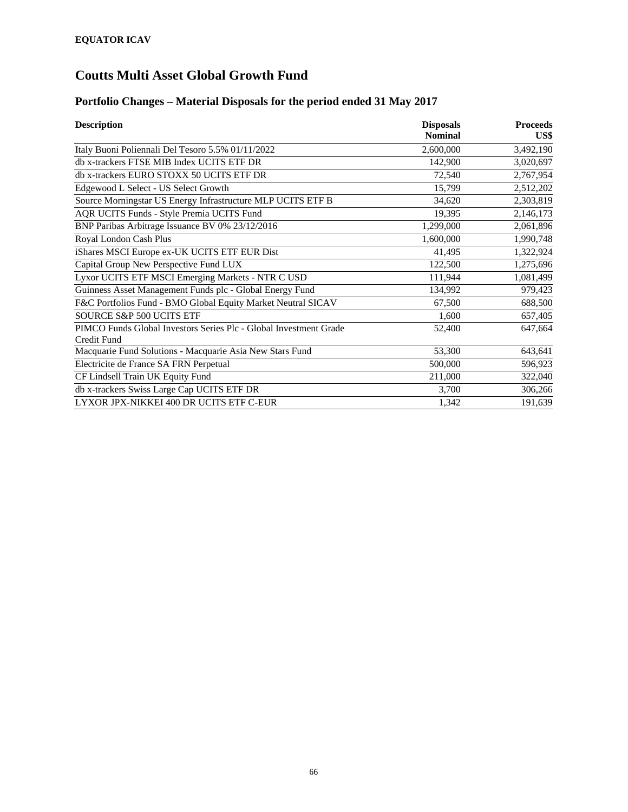### **Portfolio Changes – Material Disposals for the period ended 31 May 2017**

| <b>Description</b>                                                               | <b>Disposals</b> | <b>Proceeds</b> |
|----------------------------------------------------------------------------------|------------------|-----------------|
|                                                                                  | <b>Nominal</b>   | US\$            |
| Italy Buoni Poliennali Del Tesoro 5.5% 01/11/2022                                | 2,600,000        | 3,492,190       |
| db x-trackers FTSE MIB Index UCITS ETF DR                                        | 142,900          | 3,020,697       |
| db x-trackers EURO STOXX 50 UCITS ETF DR                                         | 72,540           | 2,767,954       |
| Edgewood L Select - US Select Growth                                             | 15,799           | 2,512,202       |
| Source Morningstar US Energy Infrastructure MLP UCITS ETF B                      | 34,620           | 2,303,819       |
| AQR UCITS Funds - Style Premia UCITS Fund                                        | 19,395           | 2,146,173       |
| BNP Paribas Arbitrage Issuance BV 0% 23/12/2016                                  | 1,299,000        | 2,061,896       |
| Royal London Cash Plus                                                           | 1,600,000        | 1,990,748       |
| iShares MSCI Europe ex-UK UCITS ETF EUR Dist                                     | 41,495           | 1,322,924       |
| Capital Group New Perspective Fund LUX                                           | 122,500          | 1,275,696       |
| Lyxor UCITS ETF MSCI Emerging Markets - NTR C USD                                | 111,944          | 1,081,499       |
| Guinness Asset Management Funds plc - Global Energy Fund                         | 134,992          | 979,423         |
| F&C Portfolios Fund - BMO Global Equity Market Neutral SICAV                     | 67,500           | 688,500         |
| <b>SOURCE S&amp;P 500 UCITS ETF</b>                                              | 1,600            | 657,405         |
| PIMCO Funds Global Investors Series Plc - Global Investment Grade<br>Credit Fund | 52,400           | 647,664         |
| Macquarie Fund Solutions - Macquarie Asia New Stars Fund                         | 53,300           | 643,641         |
| Electricite de France SA FRN Perpetual                                           | 500,000          | 596,923         |
| CF Lindsell Train UK Equity Fund                                                 | 211,000          | 322,040         |
| db x-trackers Swiss Large Cap UCITS ETF DR                                       | 3,700            | 306,266         |
| LYXOR JPX-NIKKEI 400 DR UCITS ETF C-EUR                                          | 1,342            | 191,639         |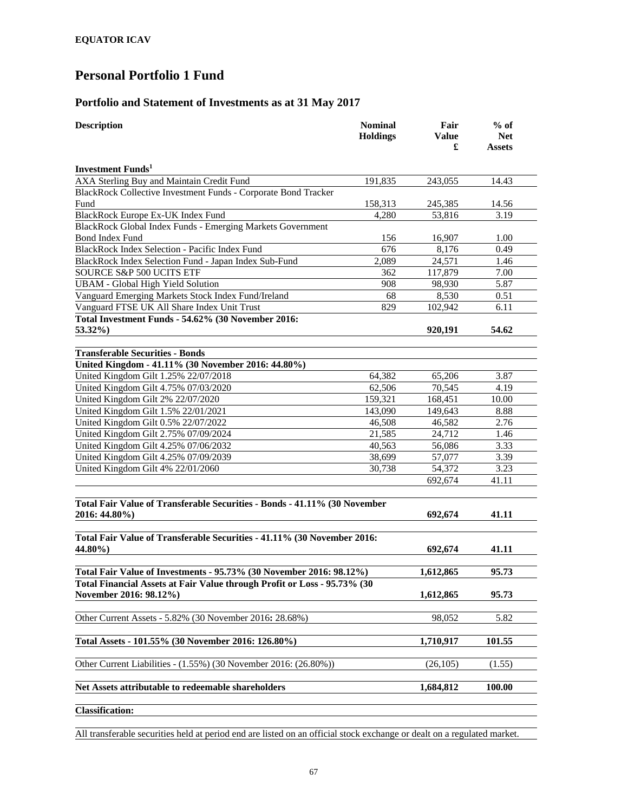#### **Portfolio and Statement of Investments as at 31 May 2017**

| <b>Description</b>                                                                         | <b>Nominal</b><br><b>Holdings</b> | Fair<br><b>Value</b><br>£ | $%$ of<br><b>Net</b><br>Assets |  |
|--------------------------------------------------------------------------------------------|-----------------------------------|---------------------------|--------------------------------|--|
| <b>Investment Funds</b> <sup>1</sup>                                                       |                                   |                           |                                |  |
| AXA Sterling Buy and Maintain Credit Fund                                                  | 191,835                           | 243,055                   | 14.43                          |  |
| BlackRock Collective Investment Funds - Corporate Bond Tracker                             |                                   |                           |                                |  |
| Fund                                                                                       | 158,313                           | 245,385                   | 14.56                          |  |
| BlackRock Europe Ex-UK Index Fund                                                          | 4,280                             | 53,816                    | 3.19                           |  |
| BlackRock Global Index Funds - Emerging Markets Government                                 |                                   |                           |                                |  |
| <b>Bond Index Fund</b>                                                                     | 156                               | 16,907                    | 1.00                           |  |
| <b>BlackRock Index Selection - Pacific Index Fund</b>                                      | 676                               | 8,176                     | 0.49                           |  |
| BlackRock Index Selection Fund - Japan Index Sub-Fund                                      | 2,089                             | 24,571                    | 1.46                           |  |
| SOURCE S&P 500 UCITS ETF                                                                   | 362                               | 117,879                   | 7.00                           |  |
| <b>UBAM - Global High Yield Solution</b>                                                   | 908                               | 98,930                    | 5.87                           |  |
| Vanguard Emerging Markets Stock Index Fund/Ireland                                         | 68                                | 8,530                     | 0.51                           |  |
| Vanguard FTSE UK All Share Index Unit Trust                                                | 829                               | 102,942                   | 6.11                           |  |
| Total Investment Funds - 54.62% (30 November 2016:                                         |                                   |                           |                                |  |
| 53.32%)                                                                                    |                                   | 920,191                   | 54.62                          |  |
| <b>Transferable Securities - Bonds</b>                                                     |                                   |                           |                                |  |
| United Kingdom - 41.11% (30 November 2016: 44.80%)                                         |                                   |                           |                                |  |
| United Kingdom Gilt 1.25% 22/07/2018                                                       | 64,382                            | 65,206                    | 3.87                           |  |
| United Kingdom Gilt 4.75% 07/03/2020                                                       | 62,506                            | 70,545                    | 4.19                           |  |
| United Kingdom Gilt 2% 22/07/2020                                                          | 159,321                           | 168,451                   | 10.00                          |  |
| United Kingdom Gilt 1.5% 22/01/2021                                                        | 143,090                           | 149,643                   | 8.88                           |  |
| United Kingdom Gilt 0.5% 22/07/2022                                                        | 46,508                            | 46,582                    | 2.76                           |  |
| United Kingdom Gilt 2.75% 07/09/2024                                                       | 21,585                            | 24,712                    | 1.46                           |  |
| United Kingdom Gilt 4.25% 07/06/2032                                                       | 40,563                            | 56,086                    | 3.33                           |  |
| United Kingdom Gilt 4.25% 07/09/2039                                                       | 38,699                            | 57,077                    | 3.39                           |  |
| United Kingdom Gilt 4% 22/01/2060                                                          | 30,738                            | 54,372                    | 3.23                           |  |
|                                                                                            |                                   | 692,674                   | 41.11                          |  |
| Total Fair Value of Transferable Securities - Bonds - 41.11% (30 November<br>2016: 44.80%) |                                   | 692,674                   | 41.11                          |  |
|                                                                                            |                                   |                           |                                |  |
| Total Fair Value of Transferable Securities - 41.11% (30 November 2016:<br>44.80%)         |                                   | 692,674                   | 41.11                          |  |
| Total Fair Value of Investments - 95.73% (30 November 2016: 98.12%)                        |                                   | 1,612,865                 | 95.73                          |  |
| Total Financial Assets at Fair Value through Profit or Loss - 95.73% (30                   |                                   |                           |                                |  |
| November 2016: 98.12%)                                                                     |                                   | 1,612,865                 | 95.73                          |  |
| Other Current Assets - 5.82% (30 November 2016: 28.68%)                                    |                                   | 98,052                    | 5.82                           |  |
| Total Assets - 101.55% (30 November 2016: 126.80%)                                         |                                   | 1,710,917                 | 101.55                         |  |
| Other Current Liabilities - (1.55%) (30 November 2016: (26.80%))                           |                                   | (26, 105)                 | (1.55)                         |  |
| Net Assets attributable to redeemable shareholders                                         |                                   | 1,684,812                 | 100.00                         |  |
|                                                                                            |                                   |                           |                                |  |
| <b>Classification:</b>                                                                     |                                   |                           |                                |  |

All transferable securities held at period end are listed on an official stock exchange or dealt on a regulated market.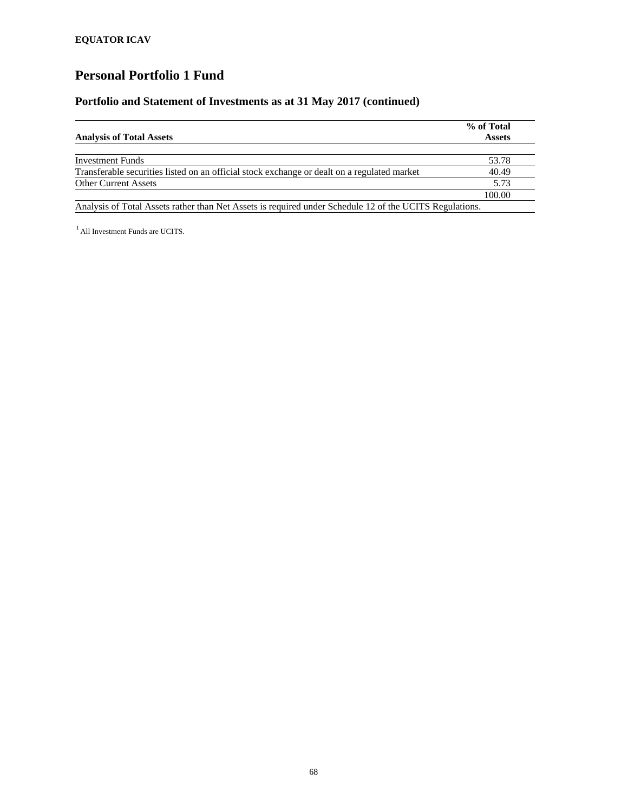#### **Portfolio and Statement of Investments as at 31 May 2017 (continued)**

|                                                                                                         | % of Total    |
|---------------------------------------------------------------------------------------------------------|---------------|
| <b>Analysis of Total Assets</b>                                                                         | <b>Assets</b> |
| <b>Investment Funds</b>                                                                                 | 53.78         |
| Transferable securities listed on an official stock exchange or dealt on a regulated market             | 40.49         |
| <b>Other Current Assets</b>                                                                             | 5.73          |
|                                                                                                         | 100.00        |
| Analysis of Total Assets rather than Net Assets is required under Schedule 12 of the UCITS Regulations. |               |

<sup>1</sup> All Investment Funds are UCITS.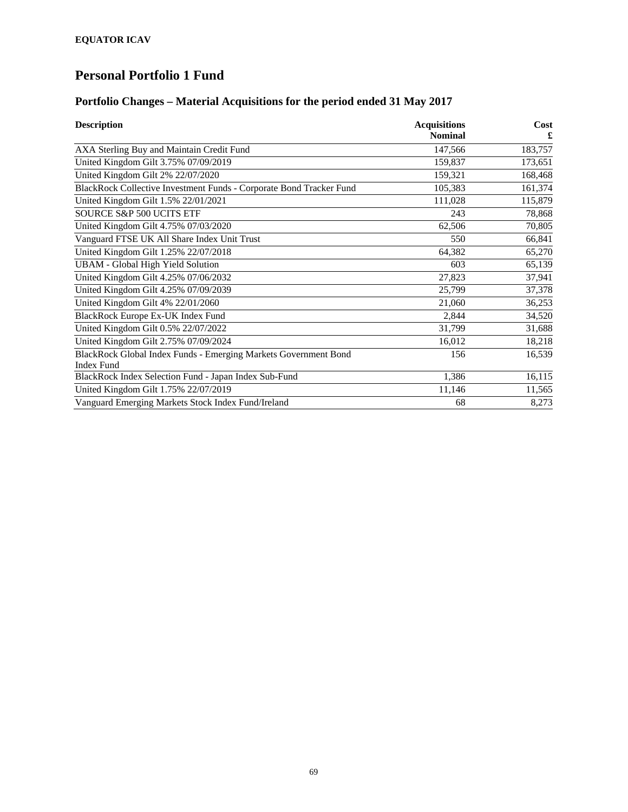### **Portfolio Changes – Material Acquisitions for the period ended 31 May 2017**

| <b>Description</b>                                                  | <b>Acquisitions</b><br><b>Nominal</b> | Cost<br>£ |
|---------------------------------------------------------------------|---------------------------------------|-----------|
|                                                                     |                                       |           |
| AXA Sterling Buy and Maintain Credit Fund                           | 147,566                               | 183,757   |
| United Kingdom Gilt 3.75% 07/09/2019                                | 159,837                               | 173,651   |
| United Kingdom Gilt 2% 22/07/2020                                   | 159,321                               | 168,468   |
| BlackRock Collective Investment Funds - Corporate Bond Tracker Fund | 105,383                               | 161,374   |
| United Kingdom Gilt 1.5% 22/01/2021                                 | 111,028                               | 115,879   |
| SOURCE S&P 500 UCITS ETF                                            | 243                                   | 78,868    |
| United Kingdom Gilt 4.75% 07/03/2020                                | 62,506                                | 70,805    |
| Vanguard FTSE UK All Share Index Unit Trust                         | 550                                   | 66,841    |
| United Kingdom Gilt 1.25% 22/07/2018                                | 64,382                                | 65,270    |
| <b>UBAM - Global High Yield Solution</b>                            | 603                                   | 65,139    |
| United Kingdom Gilt 4.25% 07/06/2032                                | 27,823                                | 37,941    |
| United Kingdom Gilt 4.25% 07/09/2039                                | 25,799                                | 37,378    |
| United Kingdom Gilt 4% 22/01/2060                                   | 21,060                                | 36,253    |
| BlackRock Europe Ex-UK Index Fund                                   | 2,844                                 | 34,520    |
| United Kingdom Gilt 0.5% 22/07/2022                                 | 31,799                                | 31,688    |
| United Kingdom Gilt 2.75% 07/09/2024                                | 16,012                                | 18,218    |
| BlackRock Global Index Funds - Emerging Markets Government Bond     | 156                                   | 16,539    |
| <b>Index Fund</b>                                                   |                                       |           |
| BlackRock Index Selection Fund - Japan Index Sub-Fund               | 1,386                                 | 16,115    |
| United Kingdom Gilt 1.75% 22/07/2019                                | 11,146                                | 11,565    |
| Vanguard Emerging Markets Stock Index Fund/Ireland                  | 68                                    | 8,273     |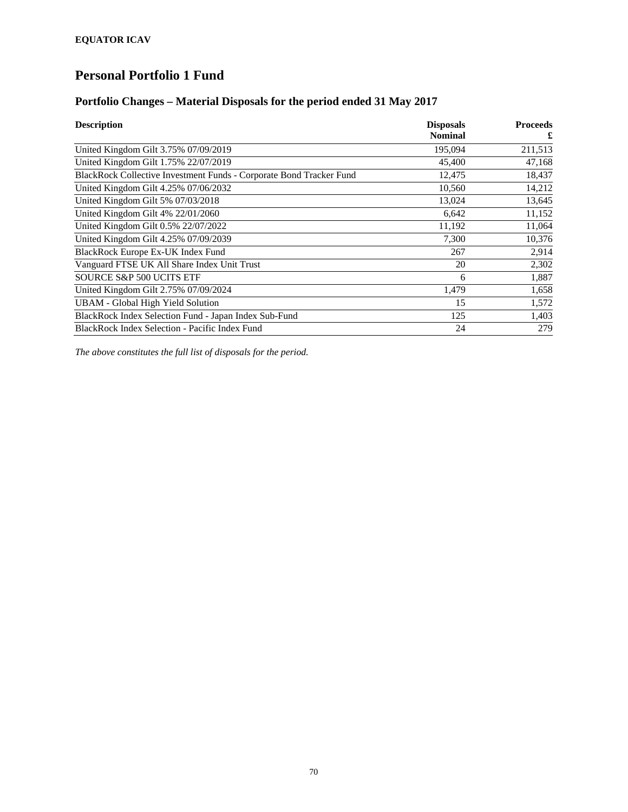#### **Portfolio Changes – Material Disposals for the period ended 31 May 2017**

| <b>Description</b>                                                  | <b>Disposals</b> | <b>Proceeds</b> |
|---------------------------------------------------------------------|------------------|-----------------|
|                                                                     | <b>Nominal</b>   | £               |
| United Kingdom Gilt 3.75% 07/09/2019                                | 195,094          | 211,513         |
| United Kingdom Gilt 1.75% 22/07/2019                                | 45,400           | 47,168          |
| BlackRock Collective Investment Funds - Corporate Bond Tracker Fund | 12,475           | 18,437          |
| United Kingdom Gilt 4.25% 07/06/2032                                | 10,560           | 14,212          |
| United Kingdom Gilt 5% 07/03/2018                                   | 13,024           | 13,645          |
| United Kingdom Gilt 4% 22/01/2060                                   | 6,642            | 11,152          |
| United Kingdom Gilt 0.5% 22/07/2022                                 | 11,192           | 11,064          |
| United Kingdom Gilt 4.25% 07/09/2039                                | 7,300            | 10,376          |
| BlackRock Europe Ex-UK Index Fund                                   | 267              | 2,914           |
| Vanguard FTSE UK All Share Index Unit Trust                         | 20               | 2,302           |
| SOURCE S&P 500 UCITS ETF                                            | 6                | 1,887           |
| United Kingdom Gilt 2.75% 07/09/2024                                | 1,479            | 1,658           |
| <b>UBAM - Global High Yield Solution</b>                            | 15               | 1,572           |
| BlackRock Index Selection Fund - Japan Index Sub-Fund               | 125              | 1,403           |
| BlackRock Index Selection - Pacific Index Fund                      | 24               | 279             |

*The above constitutes the full list of disposals for the period.*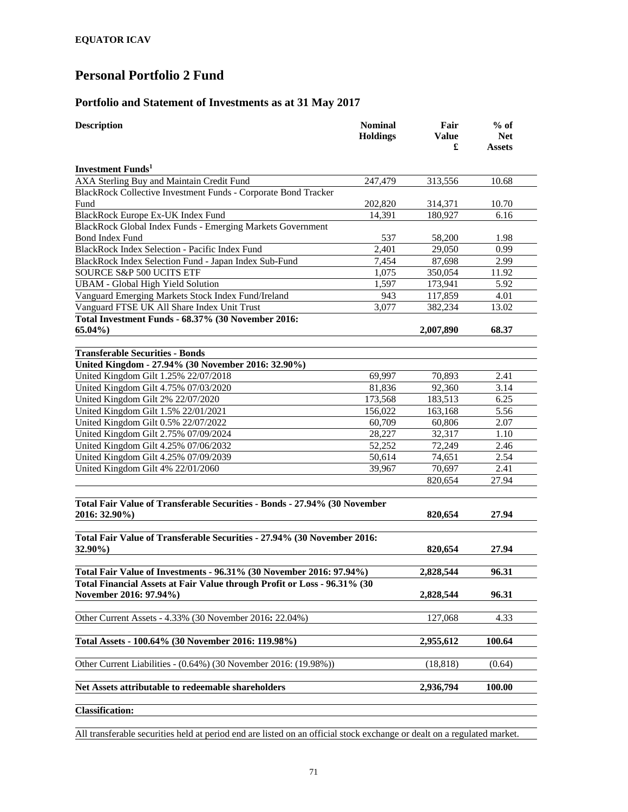#### **Portfolio and Statement of Investments as at 31 May 2017**

| <b>Description</b>                                                        | <b>Nominal</b><br><b>Holdings</b> | Fair<br><b>Value</b><br>£ | $%$ of<br><b>Net</b><br>Assets |  |
|---------------------------------------------------------------------------|-----------------------------------|---------------------------|--------------------------------|--|
| <b>Investment Funds</b>                                                   |                                   |                           |                                |  |
| AXA Sterling Buy and Maintain Credit Fund                                 | 247,479                           | 313,556                   | 10.68                          |  |
| BlackRock Collective Investment Funds - Corporate Bond Tracker            |                                   |                           |                                |  |
| Fund                                                                      | 202,820                           | 314,371                   | 10.70                          |  |
| BlackRock Europe Ex-UK Index Fund                                         | 14,391                            | 180,927                   | 6.16                           |  |
| BlackRock Global Index Funds - Emerging Markets Government                |                                   |                           |                                |  |
| <b>Bond Index Fund</b>                                                    | 537                               | 58,200                    | 1.98                           |  |
| BlackRock Index Selection - Pacific Index Fund                            | 2,401                             | 29,050                    | 0.99                           |  |
| BlackRock Index Selection Fund - Japan Index Sub-Fund                     | 7,454                             | 87,698                    | 2.99                           |  |
| SOURCE S&P 500 UCITS ETF                                                  | 1,075                             | 350,054                   | 11.92                          |  |
| <b>UBAM - Global High Yield Solution</b>                                  | 1,597                             | 173,941                   | 5.92                           |  |
| Vanguard Emerging Markets Stock Index Fund/Ireland                        | 943                               | 117,859                   | 4.01                           |  |
| Vanguard FTSE UK All Share Index Unit Trust                               | 3,077                             | 382,234                   | 13.02                          |  |
| Total Investment Funds - 68.37% (30 November 2016:<br>$65.04\%$           |                                   | 2,007,890                 | 68.37                          |  |
|                                                                           |                                   |                           |                                |  |
| <b>Transferable Securities - Bonds</b>                                    |                                   |                           |                                |  |
| United Kingdom - 27.94% (30 November 2016: 32.90%)                        |                                   |                           |                                |  |
| United Kingdom Gilt 1.25% 22/07/2018                                      | 69,997                            | 70,893                    | 2.41                           |  |
| United Kingdom Gilt 4.75% 07/03/2020                                      | 81,836                            | 92,360                    | 3.14                           |  |
| United Kingdom Gilt 2% 22/07/2020                                         | 173,568                           | 183,513                   | 6.25                           |  |
| United Kingdom Gilt 1.5% 22/01/2021                                       | 156,022                           | 163,168                   | 5.56                           |  |
| United Kingdom Gilt 0.5% 22/07/2022                                       | 60,709                            | 60,806                    | 2.07                           |  |
| United Kingdom Gilt 2.75% 07/09/2024                                      | 28,227                            | 32,317                    | 1.10                           |  |
| United Kingdom Gilt 4.25% 07/06/2032                                      | 52,252                            | 72,249                    | 2.46                           |  |
| United Kingdom Gilt 4.25% 07/09/2039                                      | 50,614                            | 74,651                    | 2.54                           |  |
| United Kingdom Gilt 4% 22/01/2060                                         | 39,967                            | 70,697                    | 2.41                           |  |
|                                                                           |                                   | 820,654                   | 27.94                          |  |
| Total Fair Value of Transferable Securities - Bonds - 27.94% (30 November |                                   |                           |                                |  |
| 2016: 32.90%)                                                             |                                   | 820,654                   | 27.94                          |  |
| Total Fair Value of Transferable Securities - 27.94% (30 November 2016:   |                                   |                           |                                |  |
| 32.90%)                                                                   |                                   | 820,654                   | 27.94                          |  |
| Total Fair Value of Investments - 96.31% (30 November 2016: 97.94%)       |                                   | 2,828,544                 | 96.31                          |  |
| Total Financial Assets at Fair Value through Profit or Loss - 96.31% (30  |                                   |                           |                                |  |
| November 2016: 97.94%)                                                    |                                   | 2,828,544                 | 96.31                          |  |
| Other Current Assets - 4.33% (30 November 2016: 22.04%)                   |                                   | 127,068                   | 4.33                           |  |
| Total Assets - 100.64% (30 November 2016: 119.98%)                        |                                   | 2,955,612                 | 100.64                         |  |
| Other Current Liabilities - (0.64%) (30 November 2016: (19.98%))          |                                   | (18, 818)                 | (0.64)                         |  |
|                                                                           |                                   |                           |                                |  |
| Net Assets attributable to redeemable shareholders                        |                                   | 2,936,794                 | 100.00                         |  |
| <b>Classification:</b>                                                    |                                   |                           |                                |  |
|                                                                           |                                   |                           |                                |  |

All transferable securities held at period end are listed on an official stock exchange or dealt on a regulated market.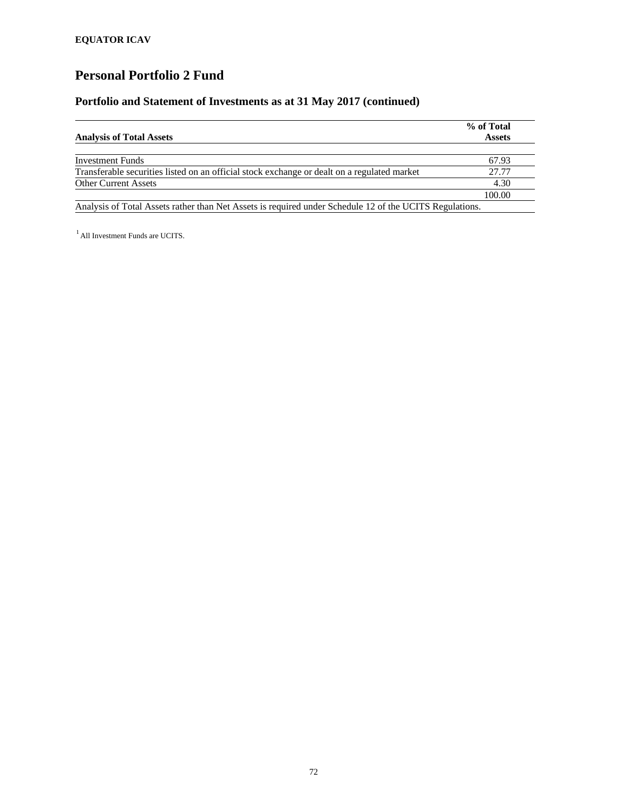### **Portfolio and Statement of Investments as at 31 May 2017 (continued)**

|                                                                                                         | % of Total    |
|---------------------------------------------------------------------------------------------------------|---------------|
| <b>Analysis of Total Assets</b>                                                                         | <b>Assets</b> |
| <b>Investment Funds</b>                                                                                 | 67.93         |
| Transferable securities listed on an official stock exchange or dealt on a regulated market             | 27.77         |
| <b>Other Current Assets</b>                                                                             | 4.30          |
|                                                                                                         | 100.00        |
| Analysis of Total Assets rather than Net Assets is required under Schedule 12 of the UCITS Regulations. |               |

<sup>1</sup> All Investment Funds are UCITS.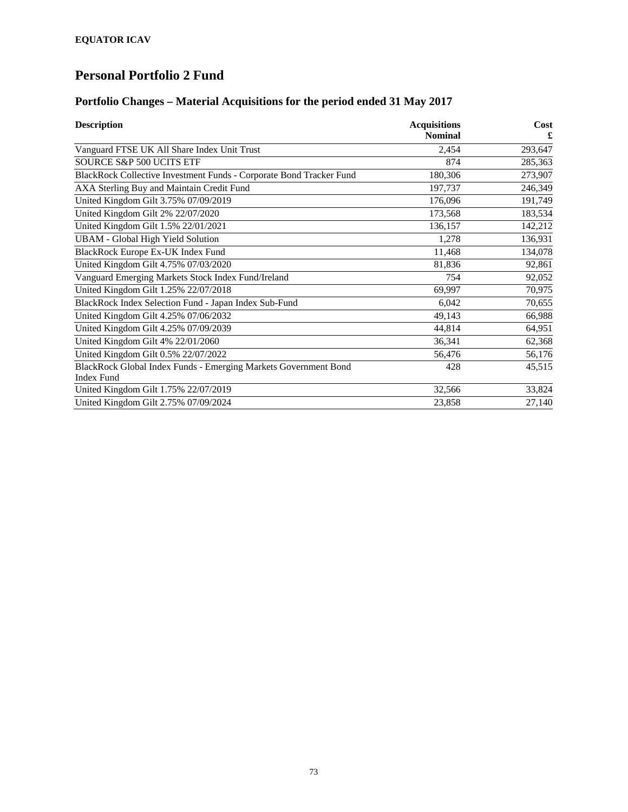### **Portfolio Changes – Material Acquisitions for the period ended 31 May 2017**

| <b>Description</b>                                                  | <b>Acquisitions</b> | Cost    |
|---------------------------------------------------------------------|---------------------|---------|
|                                                                     | <b>Nominal</b>      | £       |
| Vanguard FTSE UK All Share Index Unit Trust                         | 2,454               | 293,647 |
| SOURCE S&P 500 UCITS ETF                                            | 874                 | 285,363 |
| BlackRock Collective Investment Funds - Corporate Bond Tracker Fund | 180,306             | 273,907 |
| AXA Sterling Buy and Maintain Credit Fund                           | 197,737             | 246,349 |
| United Kingdom Gilt 3.75% 07/09/2019                                | 176,096             | 191,749 |
| United Kingdom Gilt 2% 22/07/2020                                   | 173,568             | 183,534 |
| United Kingdom Gilt 1.5% 22/01/2021                                 | 136,157             | 142,212 |
| <b>UBAM</b> - Global High Yield Solution                            | 1,278               | 136,931 |
| BlackRock Europe Ex-UK Index Fund                                   | 11,468              | 134,078 |
| United Kingdom Gilt 4.75% 07/03/2020                                | 81,836              | 92,861  |
| Vanguard Emerging Markets Stock Index Fund/Ireland                  | 754                 | 92,052  |
| United Kingdom Gilt 1.25% 22/07/2018                                | 69,997              | 70,975  |
| BlackRock Index Selection Fund - Japan Index Sub-Fund               | 6,042               | 70,655  |
| United Kingdom Gilt 4.25% 07/06/2032                                | 49,143              | 66,988  |
| United Kingdom Gilt 4.25% 07/09/2039                                | 44,814              | 64,951  |
| United Kingdom Gilt 4% 22/01/2060                                   | 36,341              | 62,368  |
| United Kingdom Gilt 0.5% 22/07/2022                                 | 56,476              | 56,176  |
| BlackRock Global Index Funds - Emerging Markets Government Bond     | 428                 | 45,515  |
| <b>Index Fund</b>                                                   |                     |         |
| United Kingdom Gilt 1.75% 22/07/2019                                | 32,566              | 33,824  |
| United Kingdom Gilt 2.75% 07/09/2024                                | 23,858              | 27,140  |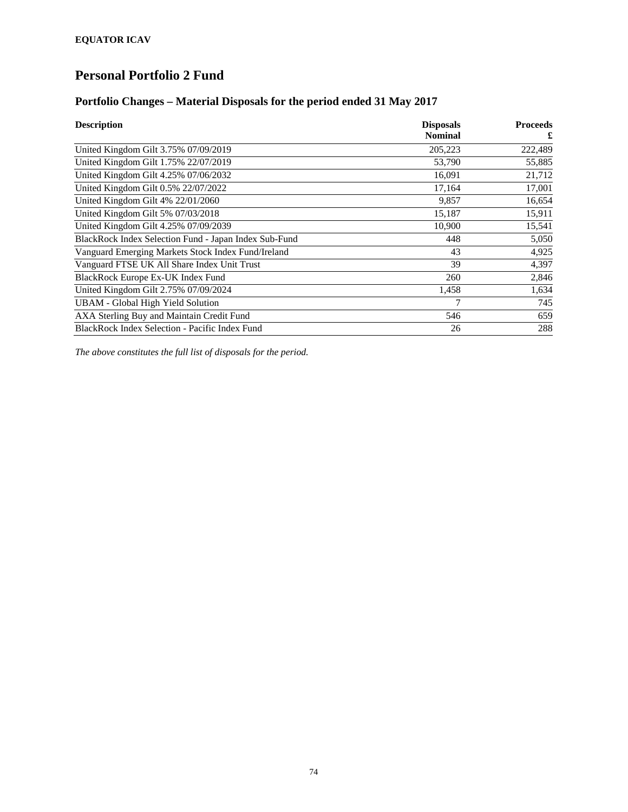### **Portfolio Changes – Material Disposals for the period ended 31 May 2017**

| <b>Description</b>                                    | <b>Disposals</b> | <b>Proceeds</b> |
|-------------------------------------------------------|------------------|-----------------|
|                                                       | <b>Nominal</b>   | £               |
| United Kingdom Gilt 3.75% 07/09/2019                  | 205,223          | 222,489         |
| United Kingdom Gilt 1.75% 22/07/2019                  | 53,790           | 55,885          |
| United Kingdom Gilt 4.25% 07/06/2032                  | 16,091           | 21,712          |
| United Kingdom Gilt 0.5% 22/07/2022                   | 17,164           | 17,001          |
| United Kingdom Gilt 4% 22/01/2060                     | 9,857            | 16,654          |
| United Kingdom Gilt 5% 07/03/2018                     | 15,187           | 15,911          |
| United Kingdom Gilt 4.25% 07/09/2039                  | 10,900           | 15,541          |
| BlackRock Index Selection Fund - Japan Index Sub-Fund | 448              | 5,050           |
| Vanguard Emerging Markets Stock Index Fund/Ireland    | 43               | 4,925           |
| Vanguard FTSE UK All Share Index Unit Trust           | 39               | 4,397           |
| BlackRock Europe Ex-UK Index Fund                     | 260              | 2,846           |
| United Kingdom Gilt 2.75% 07/09/2024                  | 1,458            | 1,634           |
| <b>UBAM - Global High Yield Solution</b>              | 7                | 745             |
| AXA Sterling Buy and Maintain Credit Fund             | 546              | 659             |
| BlackRock Index Selection - Pacific Index Fund        | 26               | 288             |

*The above constitutes the full list of disposals for the period.*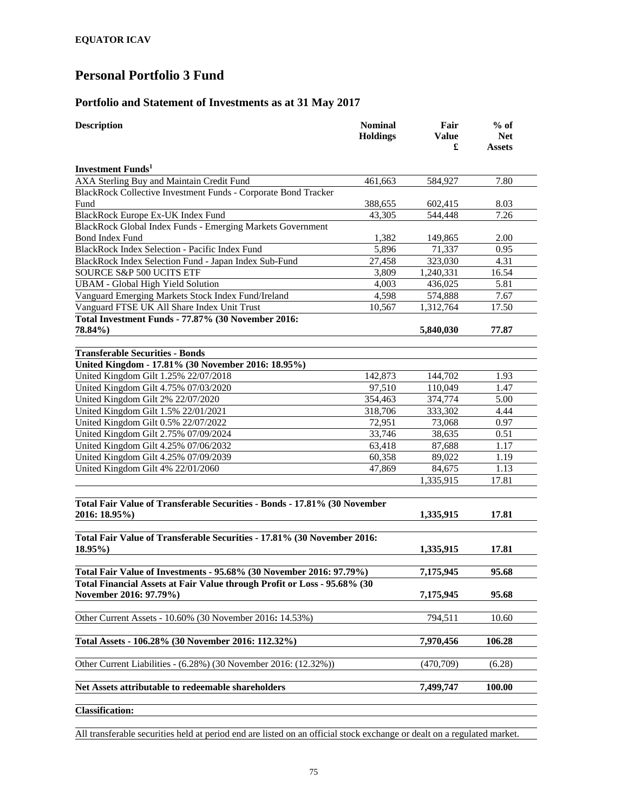#### **Portfolio and Statement of Investments as at 31 May 2017**

| <b>Description</b>                                                                                 | <b>Nominal</b><br><b>Holdings</b> | Fair<br><b>Value</b><br>£ | $%$ of<br><b>Net</b><br>Assets |  |
|----------------------------------------------------------------------------------------------------|-----------------------------------|---------------------------|--------------------------------|--|
| <b>Investment Funds</b>                                                                            |                                   |                           |                                |  |
| AXA Sterling Buy and Maintain Credit Fund                                                          | 461,663                           | 584,927                   | 7.80                           |  |
| BlackRock Collective Investment Funds - Corporate Bond Tracker                                     |                                   |                           |                                |  |
| Fund                                                                                               | 388,655                           | 602,415                   | 8.03                           |  |
| BlackRock Europe Ex-UK Index Fund                                                                  | 43,305                            | 544,448                   | 7.26                           |  |
| BlackRock Global Index Funds - Emerging Markets Government                                         |                                   |                           |                                |  |
| Bond Index Fund                                                                                    | 1,382                             | 149,865                   | 2.00                           |  |
| BlackRock Index Selection - Pacific Index Fund                                                     | 5,896                             | 71,337                    | 0.95                           |  |
| BlackRock Index Selection Fund - Japan Index Sub-Fund                                              | 27,458                            | 323,030                   | 4.31                           |  |
| SOURCE S&P 500 UCITS ETF                                                                           | 3,809                             | 1,240,331                 | 16.54                          |  |
| <b>UBAM - Global High Yield Solution</b>                                                           | 4,003                             | 436,025                   | 5.81                           |  |
| Vanguard Emerging Markets Stock Index Fund/Ireland                                                 | 4,598                             | 574,888                   | 7.67                           |  |
| Vanguard FTSE UK All Share Index Unit Trust                                                        | 10,567                            | 1,312,764                 | 17.50                          |  |
| Total Investment Funds - 77.87% (30 November 2016:                                                 |                                   |                           |                                |  |
| 78.84%)                                                                                            |                                   | 5,840,030                 | 77.87                          |  |
| <b>Transferable Securities - Bonds</b>                                                             |                                   |                           |                                |  |
| United Kingdom - 17.81% (30 November 2016: 18.95%)                                                 |                                   |                           |                                |  |
| United Kingdom Gilt 1.25% 22/07/2018                                                               | 142,873                           | 144,702                   | 1.93                           |  |
| United Kingdom Gilt 4.75% 07/03/2020                                                               | 97,510                            | 110,049                   | 1.47                           |  |
| United Kingdom Gilt 2% 22/07/2020                                                                  | 354,463                           | 374,774                   | 5.00                           |  |
| United Kingdom Gilt 1.5% 22/01/2021                                                                | 318,706                           | 333,302                   | 4.44                           |  |
| United Kingdom Gilt 0.5% 22/07/2022                                                                | 72,951                            | 73,068                    | 0.97                           |  |
| United Kingdom Gilt 2.75% 07/09/2024                                                               | 33,746                            | 38,635                    | 0.51                           |  |
| United Kingdom Gilt 4.25% 07/06/2032                                                               | 63,418                            | 87,688                    | 1.17                           |  |
| United Kingdom Gilt 4.25% 07/09/2039                                                               | 60,358                            | 89,022                    | 1.19                           |  |
| United Kingdom Gilt 4% 22/01/2060                                                                  | 47,869                            | 84,675                    | 1.13                           |  |
|                                                                                                    |                                   | 1,335,915                 | 17.81                          |  |
| Total Fair Value of Transferable Securities - Bonds - 17.81% (30 November<br>2016: 18.95%)         |                                   | 1,335,915                 | 17.81                          |  |
| Total Fair Value of Transferable Securities - 17.81% (30 November 2016:<br>18.95%)                 |                                   | 1,335,915                 | 17.81                          |  |
| Total Fair Value of Investments - 95.68% (30 November 2016: 97.79%)                                |                                   | 7,175,945                 | 95.68                          |  |
| Total Financial Assets at Fair Value through Profit or Loss - 95.68% (30<br>November 2016: 97.79%) |                                   | 7,175,945                 | 95.68                          |  |
| Other Current Assets - 10.60% (30 November 2016: 14.53%)                                           |                                   | 794,511                   | 10.60                          |  |
| Total Assets - 106.28% (30 November 2016: 112.32%)                                                 |                                   | 7,970,456                 | 106.28                         |  |
| Other Current Liabilities - (6.28%) (30 November 2016: (12.32%))                                   |                                   | (470,709)                 | (6.28)                         |  |
| Net Assets attributable to redeemable shareholders                                                 |                                   | 7,499,747                 | 100.00                         |  |
| <b>Classification:</b>                                                                             |                                   |                           |                                |  |

All transferable securities held at period end are listed on an official stock exchange or dealt on a regulated market.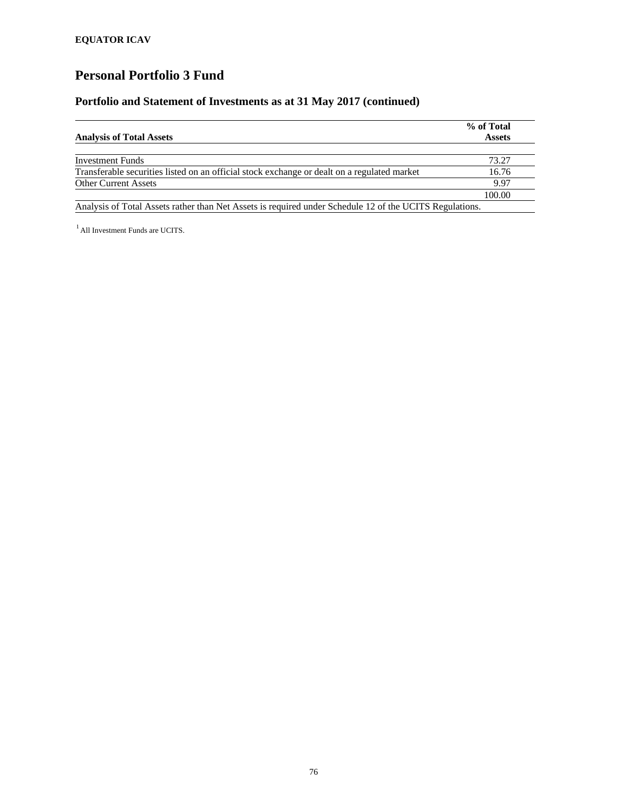### **Portfolio and Statement of Investments as at 31 May 2017 (continued)**

|                                                                                             | % of Total    |
|---------------------------------------------------------------------------------------------|---------------|
| <b>Analysis of Total Assets</b>                                                             | <b>Assets</b> |
| <b>Investment Funds</b>                                                                     | 73.27         |
| Transferable securities listed on an official stock exchange or dealt on a regulated market | 16.76         |
| <b>Other Current Assets</b>                                                                 | 9.97          |
|                                                                                             | 100.00        |

<sup>1</sup> All Investment Funds are UCITS.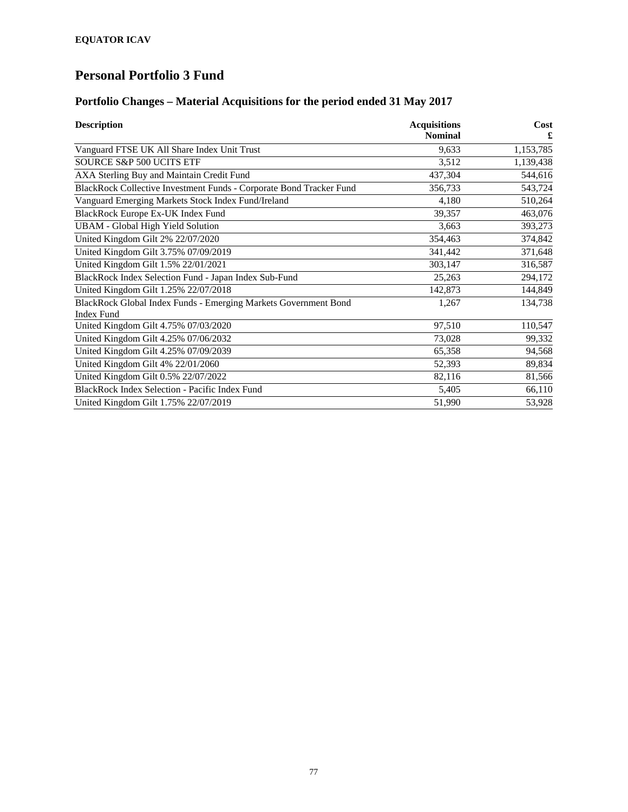### **Portfolio Changes – Material Acquisitions for the period ended 31 May 2017**

| <b>Description</b>                                                  | <b>Acquisitions</b> | Cost      |
|---------------------------------------------------------------------|---------------------|-----------|
|                                                                     | <b>Nominal</b>      |           |
| Vanguard FTSE UK All Share Index Unit Trust                         | 9,633               | 1,153,785 |
| <b>SOURCE S&amp;P 500 UCITS ETF</b>                                 | 3,512               | 1,139,438 |
| AXA Sterling Buy and Maintain Credit Fund                           | 437,304             | 544,616   |
| BlackRock Collective Investment Funds - Corporate Bond Tracker Fund | 356,733             | 543,724   |
| Vanguard Emerging Markets Stock Index Fund/Ireland                  | 4,180               | 510,264   |
| BlackRock Europe Ex-UK Index Fund                                   | 39,357              | 463,076   |
| <b>UBAM - Global High Yield Solution</b>                            | 3,663               | 393,273   |
| United Kingdom Gilt 2% 22/07/2020                                   | 354,463             | 374,842   |
| United Kingdom Gilt 3.75% 07/09/2019                                | 341,442             | 371,648   |
| United Kingdom Gilt 1.5% 22/01/2021                                 | 303,147             | 316,587   |
| BlackRock Index Selection Fund - Japan Index Sub-Fund               | 25,263              | 294,172   |
| United Kingdom Gilt 1.25% 22/07/2018                                | 142,873             | 144,849   |
| BlackRock Global Index Funds - Emerging Markets Government Bond     | 1,267               | 134,738   |
| <b>Index Fund</b>                                                   |                     |           |
| United Kingdom Gilt 4.75% 07/03/2020                                | 97,510              | 110,547   |
| United Kingdom Gilt 4.25% 07/06/2032                                | 73,028              | 99,332    |
| United Kingdom Gilt 4.25% 07/09/2039                                | 65,358              | 94,568    |
| United Kingdom Gilt 4% 22/01/2060                                   | 52,393              | 89,834    |
| United Kingdom Gilt 0.5% 22/07/2022                                 | 82,116              | 81,566    |
| BlackRock Index Selection - Pacific Index Fund                      | 5,405               | 66,110    |
| United Kingdom Gilt 1.75% 22/07/2019                                | 51,990              | 53,928    |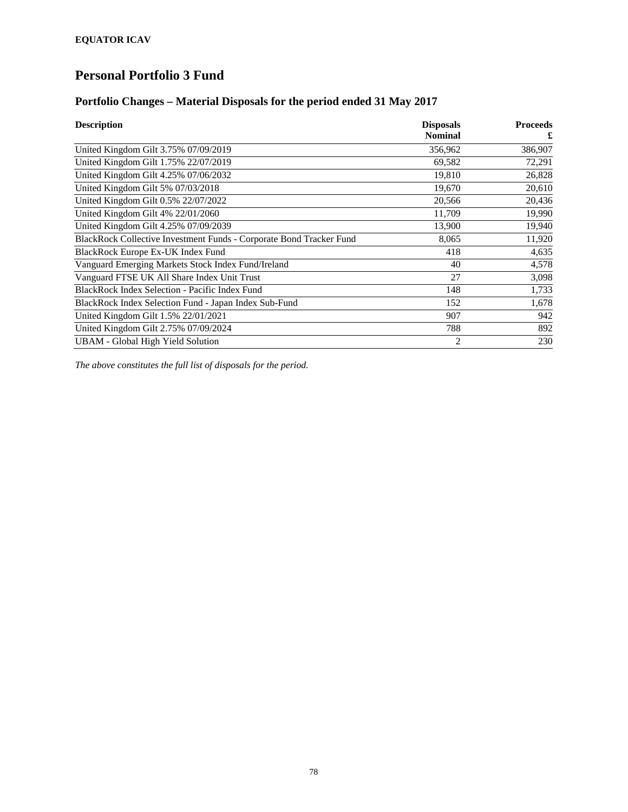### **Portfolio Changes – Material Disposals for the period ended 31 May 2017**

| <b>Description</b>                                                  | <b>Disposals</b> | <b>Proceeds</b> |
|---------------------------------------------------------------------|------------------|-----------------|
|                                                                     | <b>Nominal</b>   | £               |
| United Kingdom Gilt 3.75% 07/09/2019                                | 356,962          | 386,907         |
| United Kingdom Gilt 1.75% 22/07/2019                                | 69,582           | 72,291          |
| United Kingdom Gilt 4.25% 07/06/2032                                | 19,810           | 26,828          |
| United Kingdom Gilt 5% 07/03/2018                                   | 19,670           | 20,610          |
| United Kingdom Gilt 0.5% 22/07/2022                                 | 20,566           | 20,436          |
| United Kingdom Gilt 4% 22/01/2060                                   | 11,709           | 19,990          |
| United Kingdom Gilt 4.25% 07/09/2039                                | 13,900           | 19,940          |
| BlackRock Collective Investment Funds - Corporate Bond Tracker Fund | 8,065            | 11,920          |
| BlackRock Europe Ex-UK Index Fund                                   | 418              | 4,635           |
| Vanguard Emerging Markets Stock Index Fund/Ireland                  | 40               | 4,578           |
| Vanguard FTSE UK All Share Index Unit Trust                         | 27               | 3,098           |
| BlackRock Index Selection - Pacific Index Fund                      | 148              | 1,733           |
| BlackRock Index Selection Fund - Japan Index Sub-Fund               | 152              | 1,678           |
| United Kingdom Gilt 1.5% 22/01/2021                                 | 907              | 942             |
| United Kingdom Gilt 2.75% 07/09/2024                                | 788              | 892             |
| <b>UBAM</b> - Global High Yield Solution                            | 2                | 230             |

*The above constitutes the full list of disposals for the period.*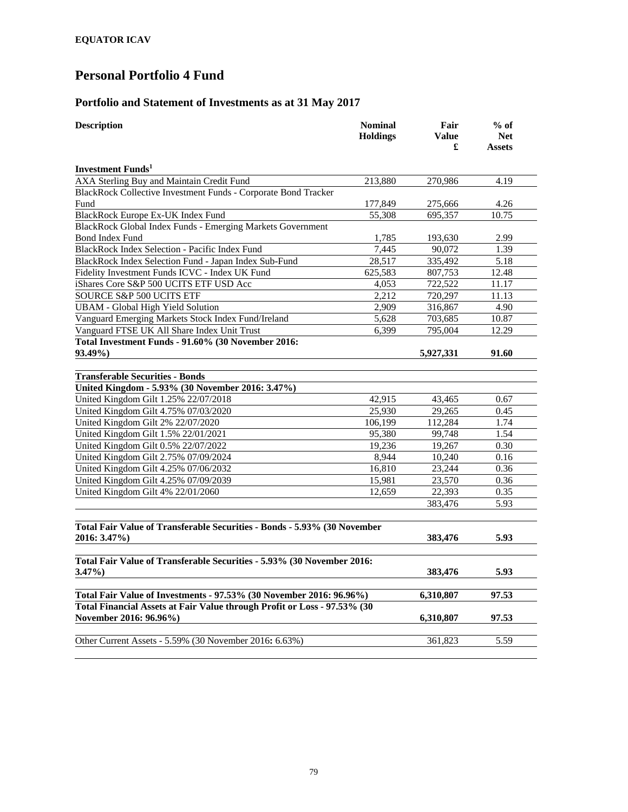### **Portfolio and Statement of Investments as at 31 May 2017**

| <b>Description</b>                                                                                 | <b>Nominal</b><br><b>Holdings</b> | Fair<br><b>Value</b><br>£ | $%$ of<br><b>Net</b><br><b>Assets</b> |  |
|----------------------------------------------------------------------------------------------------|-----------------------------------|---------------------------|---------------------------------------|--|
| <b>Investment Funds</b>                                                                            |                                   |                           |                                       |  |
| AXA Sterling Buy and Maintain Credit Fund                                                          | 213,880                           | 270,986                   | 4.19                                  |  |
| BlackRock Collective Investment Funds - Corporate Bond Tracker                                     |                                   |                           |                                       |  |
| Fund                                                                                               | 177,849                           | 275,666                   | 4.26                                  |  |
| BlackRock Europe Ex-UK Index Fund                                                                  | 55,308                            | 695,357                   | 10.75                                 |  |
| BlackRock Global Index Funds - Emerging Markets Government                                         |                                   |                           |                                       |  |
| <b>Bond Index Fund</b>                                                                             | 1,785                             | 193,630                   | 2.99                                  |  |
| BlackRock Index Selection - Pacific Index Fund                                                     | 7,445                             | 90,072                    | 1.39                                  |  |
| BlackRock Index Selection Fund - Japan Index Sub-Fund                                              | 28,517                            | 335,492                   | 5.18                                  |  |
| Fidelity Investment Funds ICVC - Index UK Fund                                                     | 625,583                           | 807,753                   | 12.48                                 |  |
| iShares Core S&P 500 UCITS ETF USD Acc                                                             | 4,053                             | 722,522                   | 11.17                                 |  |
| <b>SOURCE S&amp;P 500 UCITS ETF</b>                                                                | 2.212                             | 720,297                   | 11.13                                 |  |
| <b>UBAM - Global High Yield Solution</b>                                                           | 2,909                             | 316,867                   | 4.90                                  |  |
| Vanguard Emerging Markets Stock Index Fund/Ireland                                                 | 5,628                             | 703,685                   | 10.87                                 |  |
| Vanguard FTSE UK All Share Index Unit Trust                                                        | 6,399                             | 795,004                   | 12.29                                 |  |
| Total Investment Funds - 91.60% (30 November 2016:                                                 |                                   |                           |                                       |  |
| 93.49%)                                                                                            |                                   | 5,927,331                 | 91.60                                 |  |
| <b>Transferable Securities - Bonds</b>                                                             |                                   |                           |                                       |  |
| United Kingdom - 5.93% (30 November 2016: 3.47%)                                                   |                                   |                           |                                       |  |
| United Kingdom Gilt 1.25% 22/07/2018                                                               | 42,915                            | 43.465                    | 0.67                                  |  |
| United Kingdom Gilt 4.75% 07/03/2020                                                               | 25,930                            | 29,265                    | 0.45                                  |  |
| United Kingdom Gilt 2% 22/07/2020                                                                  | 106,199                           | 112.284                   | 1.74                                  |  |
| United Kingdom Gilt 1.5% 22/01/2021                                                                | 95,380                            | 99,748                    | 1.54                                  |  |
| United Kingdom Gilt 0.5% 22/07/2022                                                                | 19.236                            | 19.267                    | 0.30                                  |  |
| United Kingdom Gilt 2.75% 07/09/2024                                                               | 8,944                             | 10,240                    | 0.16                                  |  |
| United Kingdom Gilt 4.25% 07/06/2032                                                               | 16,810                            | 23,244                    | 0.36                                  |  |
| United Kingdom Gilt 4.25% 07/09/2039                                                               | 15,981                            | 23,570                    | 0.36                                  |  |
| United Kingdom Gilt 4% 22/01/2060                                                                  | 12.659                            | 22,393                    | 0.35                                  |  |
|                                                                                                    |                                   | 383,476                   | 5.93                                  |  |
| Total Fair Value of Transferable Securities - Bonds - 5.93% (30 November<br>2016: 3.47%)           |                                   | 383,476                   | 5.93                                  |  |
|                                                                                                    |                                   |                           |                                       |  |
| Total Fair Value of Transferable Securities - 5.93% (30 November 2016:                             |                                   |                           |                                       |  |
| $3.47\%$                                                                                           |                                   | 383,476                   | 5.93                                  |  |
| Total Fair Value of Investments - 97.53% (30 November 2016: 96.96%)                                |                                   | 6,310,807                 | 97.53                                 |  |
| Total Financial Assets at Fair Value through Profit or Loss - 97.53% (30<br>November 2016: 96.96%) |                                   | 6,310,807                 | 97.53                                 |  |
|                                                                                                    |                                   |                           |                                       |  |
| Other Current Assets - 5.59% (30 November 2016: 6.63%)                                             |                                   | 361,823                   | 5.59                                  |  |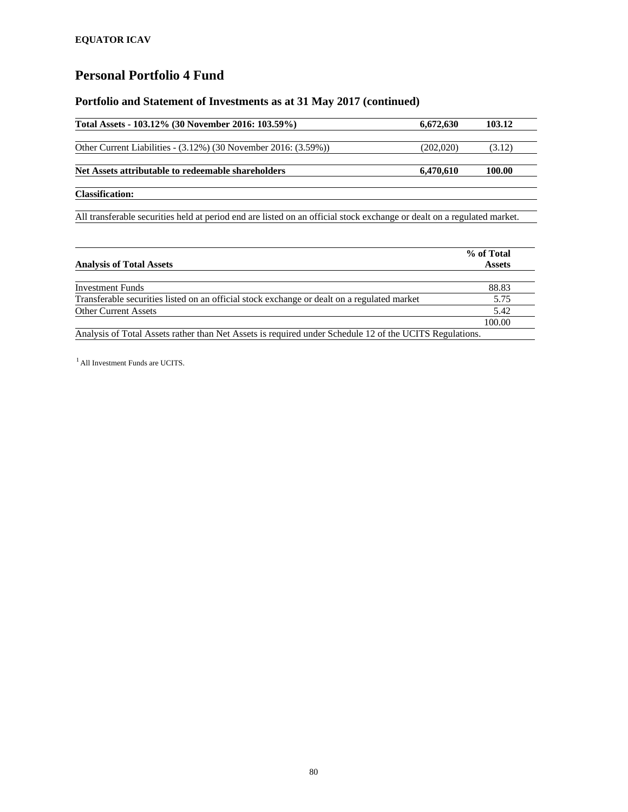### **Portfolio and Statement of Investments as at 31 May 2017 (continued)**

| Total Assets - 103.12% (30 November 2016: 103.59%)                                                                      | 6,672,630 | 103.12        |
|-------------------------------------------------------------------------------------------------------------------------|-----------|---------------|
|                                                                                                                         |           |               |
| Other Current Liabilities - $(3.12\%)$ (30 November 2016: $(3.59\%)$ )                                                  | (202,020) | (3.12)        |
| Net Assets attributable to redeemable shareholders                                                                      | 6,470,610 | 100.00        |
| <b>Classification:</b>                                                                                                  |           |               |
| All transferable securities held at period end are listed on an official stock exchange or dealt on a regulated market. |           |               |
|                                                                                                                         |           |               |
|                                                                                                                         |           | % of Total    |
| <b>Analysis of Total Assets</b>                                                                                         |           | <b>Assets</b> |

| <b>Investment Funds</b>                                                                                 | 88.83  |
|---------------------------------------------------------------------------------------------------------|--------|
| Transferable securities listed on an official stock exchange or dealt on a regulated market             | 5.75   |
| <b>Other Current Assets</b>                                                                             | 5.42   |
|                                                                                                         | 100.00 |
| Analysis of Total Assets rather than Net Assets is required under Schedule 12 of the UCITS Regulations. |        |

<sup>1</sup> All Investment Funds are UCITS.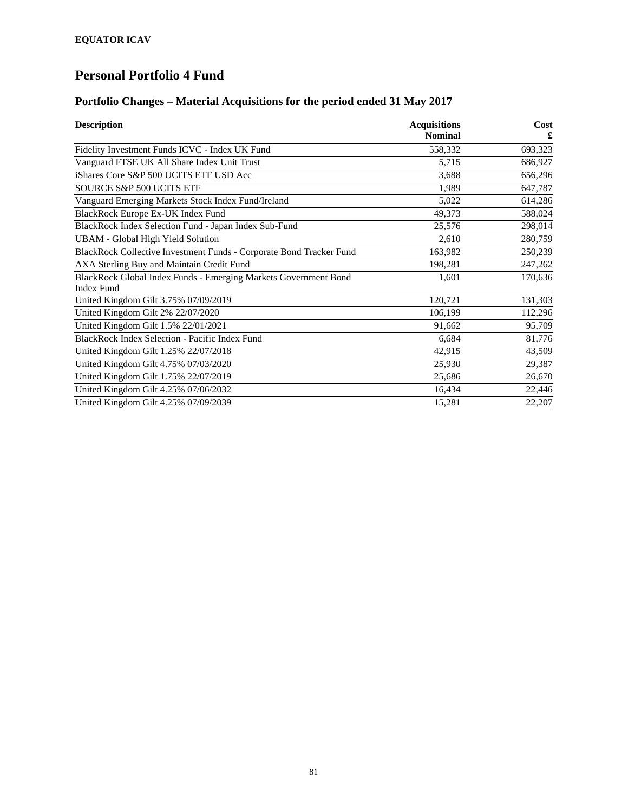### **Portfolio Changes – Material Acquisitions for the period ended 31 May 2017**

| <b>Description</b>                                                  | <b>Acquisitions</b> | Cost    |
|---------------------------------------------------------------------|---------------------|---------|
|                                                                     | <b>Nominal</b>      | £       |
| Fidelity Investment Funds ICVC - Index UK Fund                      | 558,332             | 693,323 |
| Vanguard FTSE UK All Share Index Unit Trust                         | 5,715               | 686,927 |
| iShares Core S&P 500 UCITS ETF USD Acc                              | 3,688               | 656,296 |
| <b>SOURCE S&amp;P 500 UCITS ETF</b>                                 | 1,989               | 647,787 |
| Vanguard Emerging Markets Stock Index Fund/Ireland                  | 5,022               | 614,286 |
| BlackRock Europe Ex-UK Index Fund                                   | 49,373              | 588,024 |
| BlackRock Index Selection Fund - Japan Index Sub-Fund               | 25,576              | 298,014 |
| <b>UBAM - Global High Yield Solution</b>                            | 2,610               | 280,759 |
| BlackRock Collective Investment Funds - Corporate Bond Tracker Fund | 163,982             | 250,239 |
| AXA Sterling Buy and Maintain Credit Fund                           | 198,281             | 247,262 |
| BlackRock Global Index Funds - Emerging Markets Government Bond     | 1,601               | 170,636 |
| <b>Index Fund</b>                                                   |                     |         |
| United Kingdom Gilt 3.75% 07/09/2019                                | 120,721             | 131,303 |
| United Kingdom Gilt 2% 22/07/2020                                   | 106,199             | 112,296 |
| United Kingdom Gilt 1.5% 22/01/2021                                 | 91,662              | 95,709  |
| <b>BlackRock Index Selection - Pacific Index Fund</b>               | 6,684               | 81,776  |
| United Kingdom Gilt 1.25% 22/07/2018                                | 42,915              | 43,509  |
| United Kingdom Gilt 4.75% 07/03/2020                                | 25,930              | 29,387  |
| United Kingdom Gilt 1.75% 22/07/2019                                | 25,686              | 26,670  |
| United Kingdom Gilt 4.25% 07/06/2032                                | 16,434              | 22,446  |
| United Kingdom Gilt 4.25% 07/09/2039                                | 15,281              | 22,207  |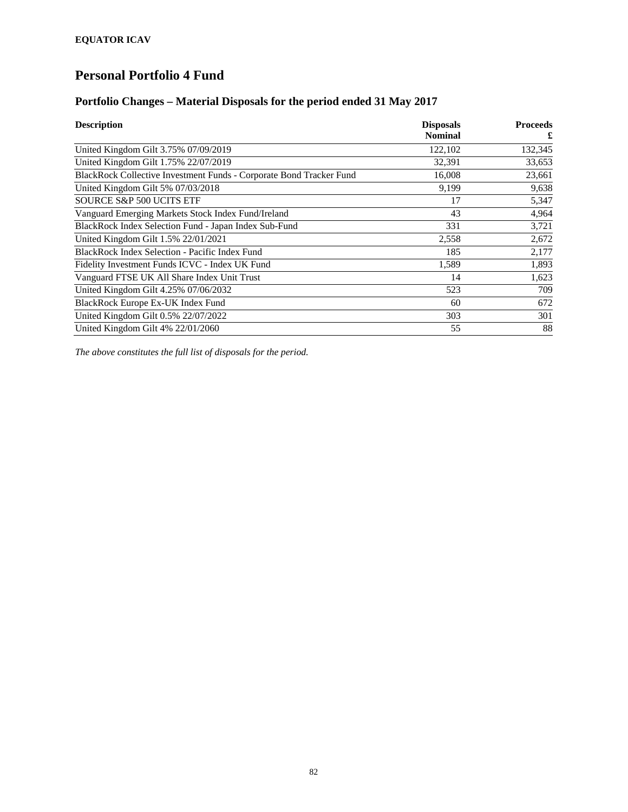### **Portfolio Changes – Material Disposals for the period ended 31 May 2017**

| <b>Description</b>                                                  | <b>Disposals</b><br><b>Nominal</b> | <b>Proceeds</b><br>£ |
|---------------------------------------------------------------------|------------------------------------|----------------------|
| United Kingdom Gilt 3.75% 07/09/2019                                | 122,102                            | 132,345              |
| United Kingdom Gilt 1.75% 22/07/2019                                | 32,391                             | 33,653               |
| BlackRock Collective Investment Funds - Corporate Bond Tracker Fund | 16,008                             | 23,661               |
| United Kingdom Gilt 5% 07/03/2018                                   | 9,199                              | 9,638                |
| <b>SOURCE S&amp;P 500 UCITS ETF</b>                                 | 17                                 | 5,347                |
| Vanguard Emerging Markets Stock Index Fund/Ireland                  | 43                                 | 4,964                |
| BlackRock Index Selection Fund - Japan Index Sub-Fund               | 331                                | 3,721                |
| United Kingdom Gilt 1.5% 22/01/2021                                 | 2,558                              | 2,672                |
| BlackRock Index Selection - Pacific Index Fund                      | 185                                | 2,177                |
| Fidelity Investment Funds ICVC - Index UK Fund                      | 1,589                              | 1,893                |
| Vanguard FTSE UK All Share Index Unit Trust                         | 14                                 | 1,623                |
| United Kingdom Gilt 4.25% 07/06/2032                                | 523                                | 709                  |
| BlackRock Europe Ex-UK Index Fund                                   | 60                                 | 672                  |
| United Kingdom Gilt 0.5% 22/07/2022                                 | 303                                | 301                  |
| United Kingdom Gilt 4% 22/01/2060                                   | 55                                 | 88                   |

*The above constitutes the full list of disposals for the period.*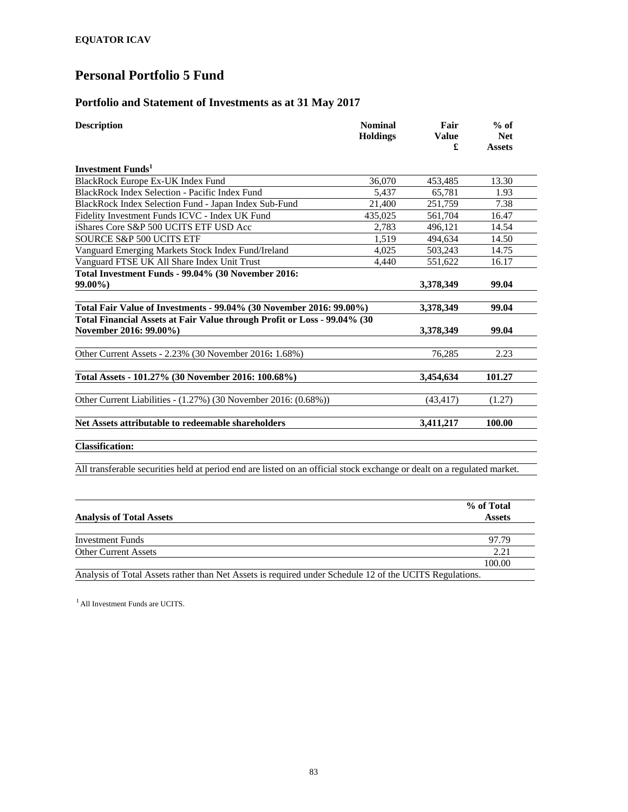#### **Portfolio and Statement of Investments as at 31 May 2017**

| <b>Description</b>                                                                                 | <b>Nominal</b><br><b>Holdings</b> | Fair<br><b>Value</b><br>£ | $%$ of<br><b>Net</b><br><b>Assets</b> |
|----------------------------------------------------------------------------------------------------|-----------------------------------|---------------------------|---------------------------------------|
| Investment Funds <sup>1</sup>                                                                      |                                   |                           |                                       |
| BlackRock Europe Ex-UK Index Fund                                                                  | 36,070                            | 453,485                   | 13.30                                 |
| BlackRock Index Selection - Pacific Index Fund                                                     | 5,437                             | 65.781                    | 1.93                                  |
| BlackRock Index Selection Fund - Japan Index Sub-Fund                                              | 21,400                            | 251.759                   | 7.38                                  |
| Fidelity Investment Funds ICVC - Index UK Fund                                                     | 435.025                           | 561.704                   | 16.47                                 |
| iShares Core S&P 500 UCITS ETF USD Acc                                                             | 2.783                             | 496.121                   | 14.54                                 |
| SOURCE S&P 500 UCITS ETF                                                                           | 1.519                             | 494,634                   | 14.50                                 |
| Vanguard Emerging Markets Stock Index Fund/Ireland                                                 | 4,025                             | 503,243                   | 14.75                                 |
| Vanguard FTSE UK All Share Index Unit Trust                                                        | 4.440                             | 551,622                   | 16.17                                 |
| Total Investment Funds - 99.04% (30 November 2016:                                                 |                                   |                           |                                       |
| $99.00\%$                                                                                          |                                   | 3,378,349                 | 99.04                                 |
| Total Fair Value of Investments - 99.04% (30 November 2016: 99.00%)                                |                                   | 3,378,349                 | 99.04                                 |
| Total Financial Assets at Fair Value through Profit or Loss - 99.04% (30<br>November 2016: 99.00%) |                                   | 3,378,349                 | 99.04                                 |
| Other Current Assets - 2.23% (30 November 2016: 1.68%)                                             |                                   | 76,285                    | 2.23                                  |
| Total Assets - 101.27% (30 November 2016: 100.68%)                                                 |                                   | 3,454,634                 | 101.27                                |
| Other Current Liabilities - (1.27%) (30 November 2016: (0.68%))                                    |                                   | (43, 417)                 | (1.27)                                |
| Net Assets attributable to redeemable shareholders                                                 |                                   | 3,411,217                 | 100.00                                |
| <b>Classification:</b>                                                                             |                                   |                           |                                       |

All transferable securities held at period end are listed on an official stock exchange or dealt on a regulated market.

| <b>Analysis of Total Assets</b>                                                                         | % of Total<br><b>Assets</b> |
|---------------------------------------------------------------------------------------------------------|-----------------------------|
|                                                                                                         |                             |
| <b>Investment Funds</b>                                                                                 | 97.79                       |
| <b>Other Current Assets</b>                                                                             | 2.21                        |
|                                                                                                         | 100.00                      |
| Analysis of Total Assets rather than Net Assets is required under Schedule 12 of the UCITS Regulations. |                             |

 $<sup>1</sup>$  All Investment Funds are UCITS.</sup>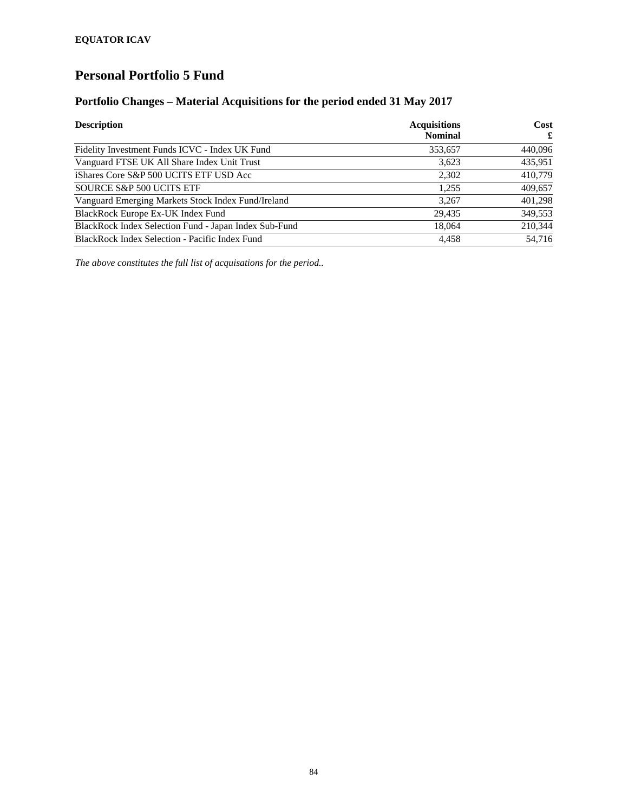### **Portfolio Changes – Material Acquisitions for the period ended 31 May 2017**

| <b>Description</b>                                    | <b>Acquisitions</b><br><b>Nominal</b> | Cost<br>£ |
|-------------------------------------------------------|---------------------------------------|-----------|
| Fidelity Investment Funds ICVC - Index UK Fund        | 353,657                               | 440,096   |
| Vanguard FTSE UK All Share Index Unit Trust           | 3.623                                 | 435,951   |
| iShares Core S&P 500 UCITS ETF USD Acc                | 2,302                                 | 410,779   |
| SOURCE S&P 500 UCITS ETF                              | 1,255                                 | 409,657   |
| Vanguard Emerging Markets Stock Index Fund/Ireland    | 3,267                                 | 401,298   |
| BlackRock Europe Ex-UK Index Fund                     | 29,435                                | 349,553   |
| BlackRock Index Selection Fund - Japan Index Sub-Fund | 18,064                                | 210,344   |
| BlackRock Index Selection - Pacific Index Fund        | 4,458                                 | 54.716    |

*The above constitutes the full list of acquisations for the period..*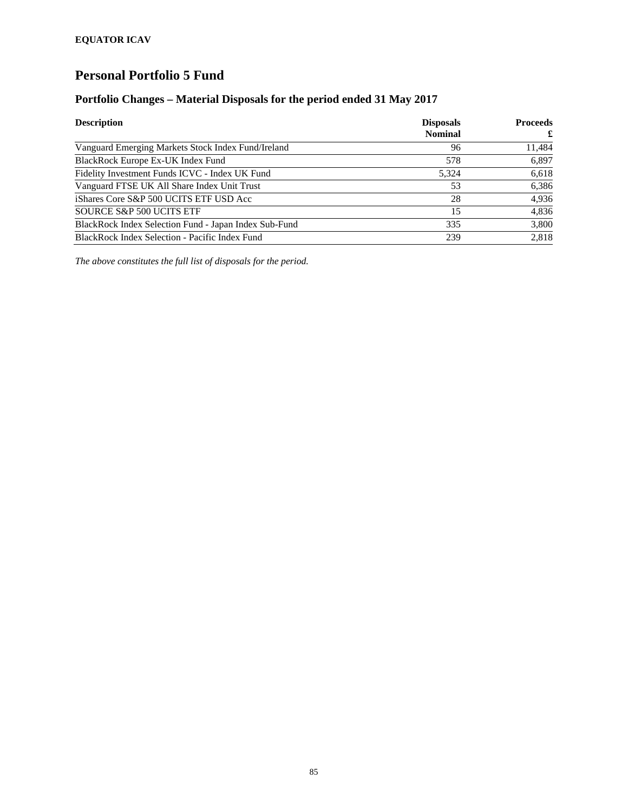### **Portfolio Changes – Material Disposals for the period ended 31 May 2017**

| <b>Description</b>                                    | <b>Disposals</b><br><b>Nominal</b> | <b>Proceeds</b><br>£ |
|-------------------------------------------------------|------------------------------------|----------------------|
| Vanguard Emerging Markets Stock Index Fund/Ireland    | 96                                 | 11,484               |
| BlackRock Europe Ex-UK Index Fund                     | 578                                | 6,897                |
| Fidelity Investment Funds ICVC - Index UK Fund        | 5.324                              | 6,618                |
| Vanguard FTSE UK All Share Index Unit Trust           | 53                                 | 6,386                |
| iShares Core S&P 500 UCITS ETF USD Acc                | 28                                 | 4,936                |
| SOURCE S&P 500 UCITS ETF                              | 15                                 | 4,836                |
| BlackRock Index Selection Fund - Japan Index Sub-Fund | 335                                | 3,800                |
| BlackRock Index Selection - Pacific Index Fund        | 239                                | 2.818                |

*The above constitutes the full list of disposals for the period.*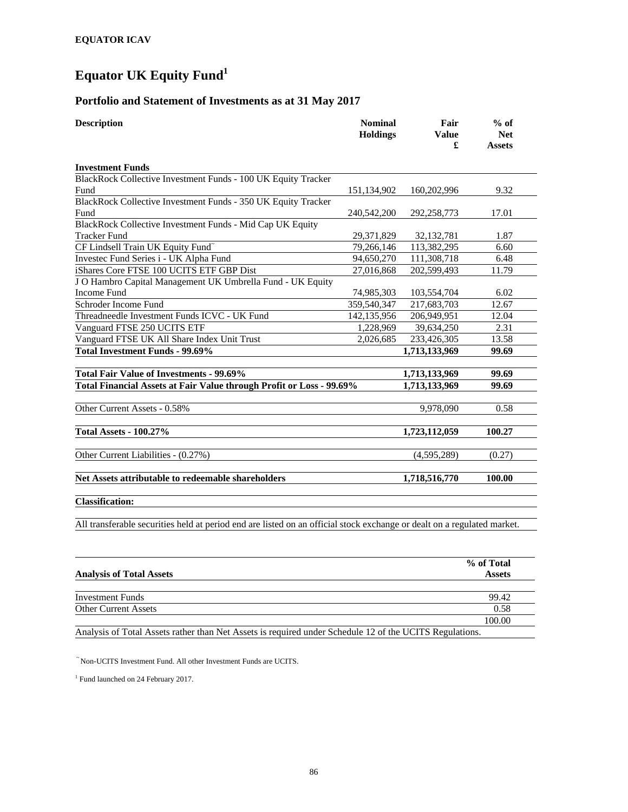# **Equator UK Equity Fund1**

### **Portfolio and Statement of Investments as at 31 May 2017**

| <b>Description</b>                                                                                                      | <b>Nominal</b><br><b>Holdings</b> | Fair<br><b>Value</b><br>£ | $%$ of<br><b>Net</b><br><b>Assets</b> |
|-------------------------------------------------------------------------------------------------------------------------|-----------------------------------|---------------------------|---------------------------------------|
| <b>Investment Funds</b>                                                                                                 |                                   |                           |                                       |
| BlackRock Collective Investment Funds - 100 UK Equity Tracker                                                           |                                   |                           |                                       |
| Fund                                                                                                                    | 151,134,902                       | 160,202,996               | 9.32                                  |
| BlackRock Collective Investment Funds - 350 UK Equity Tracker                                                           |                                   |                           |                                       |
| Fund                                                                                                                    | 240,542,200                       | 292,258,773               | 17.01                                 |
| BlackRock Collective Investment Funds - Mid Cap UK Equity                                                               |                                   |                           |                                       |
| <b>Tracker Fund</b>                                                                                                     | 29,371,829                        | 32, 132, 781              | 1.87                                  |
| CF Lindsell Train UK Equity Fund <sup>~</sup>                                                                           | 79,266,146                        | 113,382,295               | 6.60                                  |
| Investec Fund Series i - UK Alpha Fund                                                                                  | 94,650,270                        | 111,308,718               | 6.48                                  |
| iShares Core FTSE 100 UCITS ETF GBP Dist                                                                                | 27,016,868                        | 202,599,493               | 11.79                                 |
| J O Hambro Capital Management UK Umbrella Fund - UK Equity                                                              |                                   |                           |                                       |
| <b>Income Fund</b>                                                                                                      | 74,985,303                        | 103,554,704               | 6.02                                  |
| Schroder Income Fund                                                                                                    | 359,540,347                       | 217,683,703               | 12.67                                 |
| Threadneedle Investment Funds ICVC - UK Fund                                                                            | 142, 135, 956                     | 206,949,951               | 12.04                                 |
| Vanguard FTSE 250 UCITS ETF                                                                                             | 1,228,969                         | 39,634,250                | 2.31                                  |
| Vanguard FTSE UK All Share Index Unit Trust                                                                             | 2,026,685                         | 233,426,305               | 13.58                                 |
| <b>Total Investment Funds - 99.69%</b>                                                                                  |                                   | 1,713,133,969             | 99.69                                 |
|                                                                                                                         |                                   |                           |                                       |
| Total Fair Value of Investments - 99.69%                                                                                |                                   | 1,713,133,969             | 99.69                                 |
| Total Financial Assets at Fair Value through Profit or Loss - 99.69%                                                    |                                   | 1,713,133,969             | 99.69                                 |
| Other Current Assets - 0.58%                                                                                            |                                   | 9,978,090                 | 0.58                                  |
| <b>Total Assets - 100.27%</b>                                                                                           |                                   | 1,723,112,059             | 100.27                                |
| Other Current Liabilities - (0.27%)                                                                                     |                                   | (4,595,289)               | (0.27)                                |
| Net Assets attributable to redeemable shareholders                                                                      |                                   | 1,718,516,770             | 100.00                                |
| <b>Classification:</b>                                                                                                  |                                   |                           |                                       |
| All transferable securities held at period end are listed on an official stock exchange or dealt on a regulated market. |                                   |                           |                                       |

|                                                                                                         | % of Total    |
|---------------------------------------------------------------------------------------------------------|---------------|
| <b>Analysis of Total Assets</b>                                                                         | <b>Assets</b> |
|                                                                                                         |               |
| <b>Investment Funds</b>                                                                                 | 99.42         |
| <b>Other Current Assets</b>                                                                             | 0.58          |
|                                                                                                         | 100.00        |
| Analysis of Total Assets rather than Net Assets is required under Schedule 12 of the UCITS Regulations. |               |

~ Non-UCITS Investment Fund. All other Investment Funds are UCITS.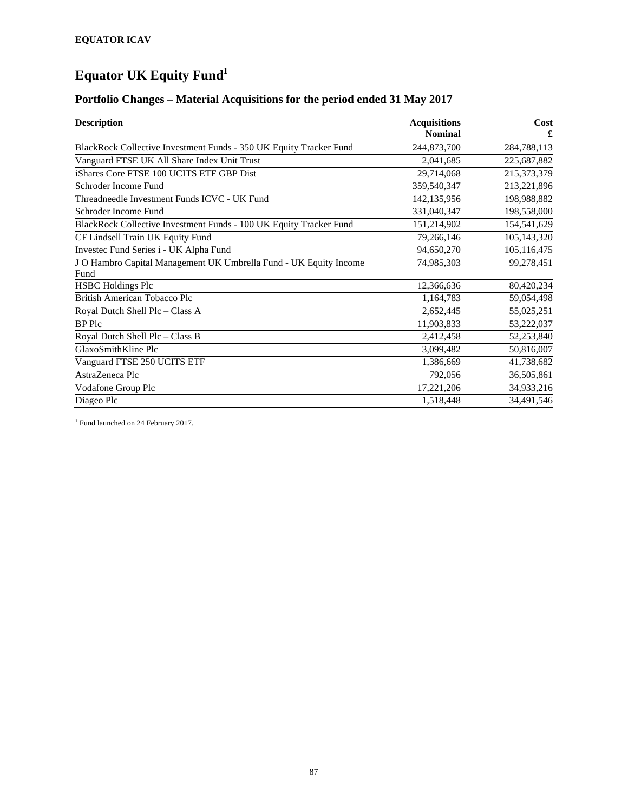# **Equator UK Equity Fund1**

# **Portfolio Changes – Material Acquisitions for the period ended 31 May 2017**

| <b>Description</b>                                                 | <b>Acquisitions</b><br><b>Nominal</b> | Cost<br>£     |
|--------------------------------------------------------------------|---------------------------------------|---------------|
| BlackRock Collective Investment Funds - 350 UK Equity Tracker Fund | 244,873,700                           | 284,788,113   |
| Vanguard FTSE UK All Share Index Unit Trust                        | 2,041,685                             | 225,687,882   |
| iShares Core FTSE 100 UCITS ETF GBP Dist                           | 29,714,068                            | 215,373,379   |
| Schroder Income Fund                                               | 359,540,347                           | 213,221,896   |
| Threadneedle Investment Funds ICVC - UK Fund                       | 142, 135, 956                         | 198,988,882   |
| Schroder Income Fund                                               | 331,040,347                           | 198,558,000   |
| BlackRock Collective Investment Funds - 100 UK Equity Tracker Fund | 151,214,902                           | 154,541,629   |
| CF Lindsell Train UK Equity Fund                                   | 79,266,146                            | 105, 143, 320 |
| Investec Fund Series i - UK Alpha Fund                             | 94,650,270                            | 105,116,475   |
| J O Hambro Capital Management UK Umbrella Fund - UK Equity Income  | 74,985,303                            | 99,278,451    |
| Fund                                                               |                                       |               |
| <b>HSBC Holdings Plc</b>                                           | 12,366,636                            | 80,420,234    |
| <b>British American Tobacco Plc</b>                                | 1,164,783                             | 59,054,498    |
| Royal Dutch Shell Plc - Class A                                    | 2,652,445                             | 55,025,251    |
| BP Plc                                                             | 11,903,833                            | 53,222,037    |
| Royal Dutch Shell Plc - Class B                                    | 2,412,458                             | 52,253,840    |
| GlaxoSmithKline Plc                                                | 3,099,482                             | 50,816,007    |
| Vanguard FTSE 250 UCITS ETF                                        | 1,386,669                             | 41,738,682    |
| AstraZeneca Plc                                                    | 792,056                               | 36,505,861    |
| Vodafone Group Plc                                                 | 17,221,206                            | 34,933,216    |
| Diageo Plc                                                         | 1,518,448                             | 34,491,546    |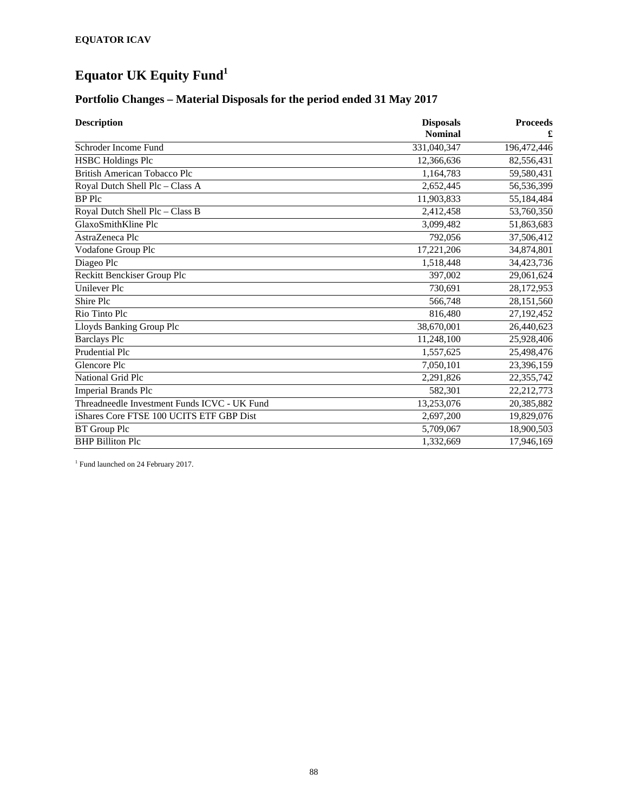# **Equator UK Equity Fund1**

# **Portfolio Changes – Material Disposals for the period ended 31 May 2017**

| <b>Description</b>                           | <b>Disposals</b><br><b>Nominal</b> | <b>Proceeds</b><br>£ |
|----------------------------------------------|------------------------------------|----------------------|
| Schroder Income Fund                         | 331,040,347                        | 196,472,446          |
| <b>HSBC Holdings Plc</b>                     | 12,366,636                         | 82,556,431           |
| <b>British American Tobacco Plc</b>          | 1,164,783                          | 59,580,431           |
| Royal Dutch Shell Plc - Class A              | 2,652,445                          | 56,536,399           |
| <b>BP</b> Plc                                | 11,903,833                         | 55,184,484           |
| Royal Dutch Shell Plc - Class B              | 2,412,458                          | 53,760,350           |
| GlaxoSmithKline Plc                          | 3,099,482                          | 51,863,683           |
| AstraZeneca Plc                              | 792,056                            | 37,506,412           |
| Vodafone Group Plc                           | 17,221,206                         | 34,874,801           |
| Diageo Plc                                   | 1,518,448                          | 34,423,736           |
| Reckitt Benckiser Group Plc                  | 397,002                            | 29,061,624           |
| Unilever Plc                                 | 730.691                            | 28,172,953           |
| Shire Plc                                    | 566,748                            | 28,151,560           |
| Rio Tinto Plc                                | 816,480                            | 27,192,452           |
| Lloyds Banking Group Plc                     | 38,670,001                         | 26,440,623           |
| <b>Barclays Plc</b>                          | 11,248,100                         | 25,928,406           |
| Prudential Plc                               | 1,557,625                          | 25,498,476           |
| Glencore Plc                                 | 7,050,101                          | 23,396,159           |
| National Grid Plc                            | 2,291,826                          | 22,355,742           |
| <b>Imperial Brands Plc</b>                   | 582,301                            | 22,212,773           |
| Threadneedle Investment Funds ICVC - UK Fund | 13,253,076                         | 20,385,882           |
| iShares Core FTSE 100 UCITS ETF GBP Dist     | 2,697,200                          | 19,829,076           |
| <b>BT</b> Group Plc                          | 5,709,067                          | 18,900,503           |
| <b>BHP Billiton Plc</b>                      | 1,332,669                          | 17,946,169           |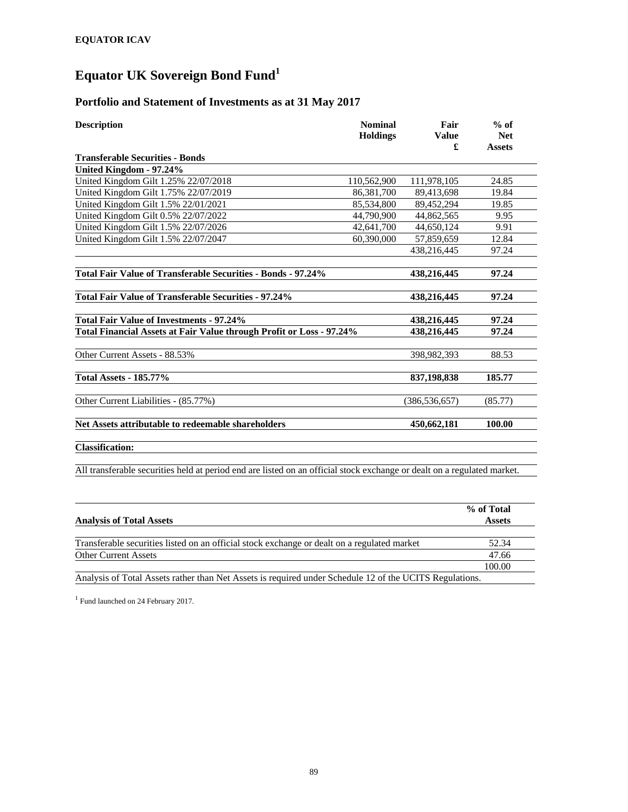# **Equator UK Sovereign Bond Fund<sup>1</sup>**

### **Portfolio and Statement of Investments as at 31 May 2017**

| <b>Description</b>                                                                                                      | <b>Nominal</b><br><b>Holdings</b> | Fair<br><b>Value</b><br>£ | $%$ of<br><b>Net</b><br><b>Assets</b> |
|-------------------------------------------------------------------------------------------------------------------------|-----------------------------------|---------------------------|---------------------------------------|
| <b>Transferable Securities - Bonds</b>                                                                                  |                                   |                           |                                       |
| United Kingdom - 97.24%                                                                                                 |                                   |                           |                                       |
| United Kingdom Gilt 1.25% 22/07/2018                                                                                    | 110,562,900                       | 111,978,105               | 24.85                                 |
| United Kingdom Gilt 1.75% 22/07/2019                                                                                    | 86,381,700                        | 89,413,698                | 19.84                                 |
| United Kingdom Gilt 1.5% 22/01/2021                                                                                     | 85,534,800                        | 89,452,294                | 19.85                                 |
| United Kingdom Gilt 0.5% 22/07/2022                                                                                     | 44,790,900                        | 44,862,565                | 9.95                                  |
| United Kingdom Gilt 1.5% 22/07/2026                                                                                     | 42,641,700                        | 44,650,124                | 9.91                                  |
| United Kingdom Gilt 1.5% 22/07/2047                                                                                     | 60,390,000                        | 57,859,659                | 12.84                                 |
|                                                                                                                         |                                   | 438,216,445               | 97.24                                 |
| Total Fair Value of Transferable Securities - Bonds - 97.24%                                                            |                                   | 438,216,445               | 97.24                                 |
| <b>Total Fair Value of Transferable Securities - 97.24%</b>                                                             |                                   | 438,216,445               | 97.24                                 |
| <b>Total Fair Value of Investments - 97.24%</b>                                                                         |                                   | 438.216.445               | 97.24                                 |
| Total Financial Assets at Fair Value through Profit or Loss - 97.24%                                                    |                                   | 438,216,445               | 97.24                                 |
| Other Current Assets - 88.53%                                                                                           |                                   | 398,982,393               | 88.53                                 |
| <b>Total Assets - 185.77%</b>                                                                                           |                                   | 837,198,838               | 185.77                                |
| Other Current Liabilities - (85.77%)                                                                                    |                                   | (386, 536, 657)           | (85.77)                               |
| Net Assets attributable to redeemable shareholders                                                                      |                                   | 450,662,181               | 100.00                                |
| <b>Classification:</b>                                                                                                  |                                   |                           |                                       |
| All transferable securities held at period end are listed on an official stock exchange or dealt on a regulated market. |                                   |                           |                                       |

|                                                                                                         | % of Total    |
|---------------------------------------------------------------------------------------------------------|---------------|
| <b>Analysis of Total Assets</b>                                                                         | <b>Assets</b> |
|                                                                                                         |               |
| Transferable securities listed on an official stock exchange or dealt on a regulated market             | 52.34         |
| <b>Other Current Assets</b>                                                                             | 47.66         |
|                                                                                                         | 100.00        |
| Analysis of Total Assets rather than Net Assets is required under Schedule 12 of the UCITS Regulations. |               |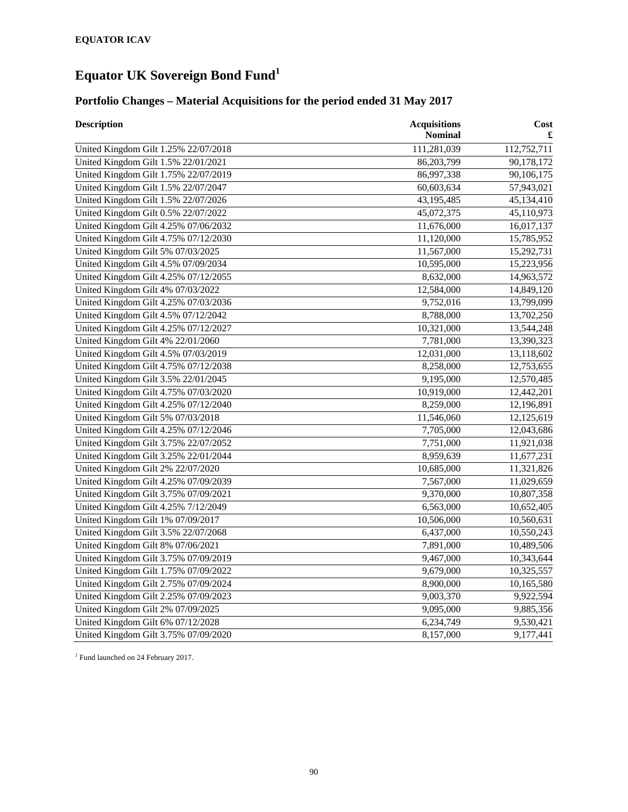# **Equator UK Sovereign Bond Fund<sup>1</sup>**

### **Portfolio Changes – Material Acquisitions for the period ended 31 May 2017**

| <b>Description</b>                   | <b>Acquisitions</b><br>Nominal | Cost<br>£   |
|--------------------------------------|--------------------------------|-------------|
| United Kingdom Gilt 1.25% 22/07/2018 | 111,281,039                    | 112,752,711 |
| United Kingdom Gilt 1.5% 22/01/2021  | 86,203,799                     | 90,178,172  |
| United Kingdom Gilt 1.75% 22/07/2019 | 86,997,338                     | 90,106,175  |
| United Kingdom Gilt 1.5% 22/07/2047  | 60,603,634                     | 57,943,021  |
| United Kingdom Gilt 1.5% 22/07/2026  | 43,195,485                     | 45,134,410  |
| United Kingdom Gilt 0.5% 22/07/2022  | 45,072,375                     | 45,110,973  |
| United Kingdom Gilt 4.25% 07/06/2032 | 11,676,000                     | 16,017,137  |
| United Kingdom Gilt 4.75% 07/12/2030 | 11,120,000                     | 15,785,952  |
| United Kingdom Gilt 5% 07/03/2025    | 11,567,000                     | 15,292,731  |
| United Kingdom Gilt 4.5% 07/09/2034  | 10,595,000                     | 15,223,956  |
| United Kingdom Gilt 4.25% 07/12/2055 | 8,632,000                      | 14,963,572  |
| United Kingdom Gilt 4% 07/03/2022    | 12,584,000                     | 14,849,120  |
| United Kingdom Gilt 4.25% 07/03/2036 | 9,752,016                      | 13,799,099  |
| United Kingdom Gilt 4.5% 07/12/2042  | 8,788,000                      | 13,702,250  |
| United Kingdom Gilt 4.25% 07/12/2027 | 10,321,000                     | 13,544,248  |
| United Kingdom Gilt 4% 22/01/2060    | 7,781,000                      | 13,390,323  |
| United Kingdom Gilt 4.5% 07/03/2019  | 12,031,000                     | 13,118,602  |
| United Kingdom Gilt 4.75% 07/12/2038 | 8,258,000                      | 12,753,655  |
| United Kingdom Gilt 3.5% 22/01/2045  | 9,195,000                      | 12,570,485  |
| United Kingdom Gilt 4.75% 07/03/2020 | 10,919,000                     | 12,442,201  |
| United Kingdom Gilt 4.25% 07/12/2040 | 8,259,000                      | 12,196,891  |
| United Kingdom Gilt 5% 07/03/2018    | 11,546,060                     | 12,125,619  |
| United Kingdom Gilt 4.25% 07/12/2046 | 7,705,000                      | 12,043,686  |
| United Kingdom Gilt 3.75% 22/07/2052 | 7,751,000                      | 11,921,038  |
| United Kingdom Gilt 3.25% 22/01/2044 | 8,959,639                      | 11,677,231  |
| United Kingdom Gilt 2% 22/07/2020    | 10,685,000                     | 11,321,826  |
| United Kingdom Gilt 4.25% 07/09/2039 | 7,567,000                      | 11,029,659  |
| United Kingdom Gilt 3.75% 07/09/2021 | 9,370,000                      | 10,807,358  |
| United Kingdom Gilt 4.25% 7/12/2049  | 6,563,000                      | 10,652,405  |
| United Kingdom Gilt 1% 07/09/2017    | 10,506,000                     | 10,560,631  |
| United Kingdom Gilt 3.5% 22/07/2068  | 6,437,000                      | 10,550,243  |
| United Kingdom Gilt 8% 07/06/2021    | 7,891,000                      | 10,489,506  |
| United Kingdom Gilt 3.75% 07/09/2019 | 9,467,000                      | 10,343,644  |
| United Kingdom Gilt 1.75% 07/09/2022 | 9,679,000                      | 10,325,557  |
| United Kingdom Gilt 2.75% 07/09/2024 | 8,900,000                      | 10,165,580  |
| United Kingdom Gilt 2.25% 07/09/2023 | 9,003,370                      | 9,922,594   |
| United Kingdom Gilt 2% 07/09/2025    | 9,095,000                      | 9,885,356   |
| United Kingdom Gilt 6% 07/12/2028    | 6,234,749                      | 9,530,421   |
| United Kingdom Gilt 3.75% 07/09/2020 | 8,157,000                      | 9,177,441   |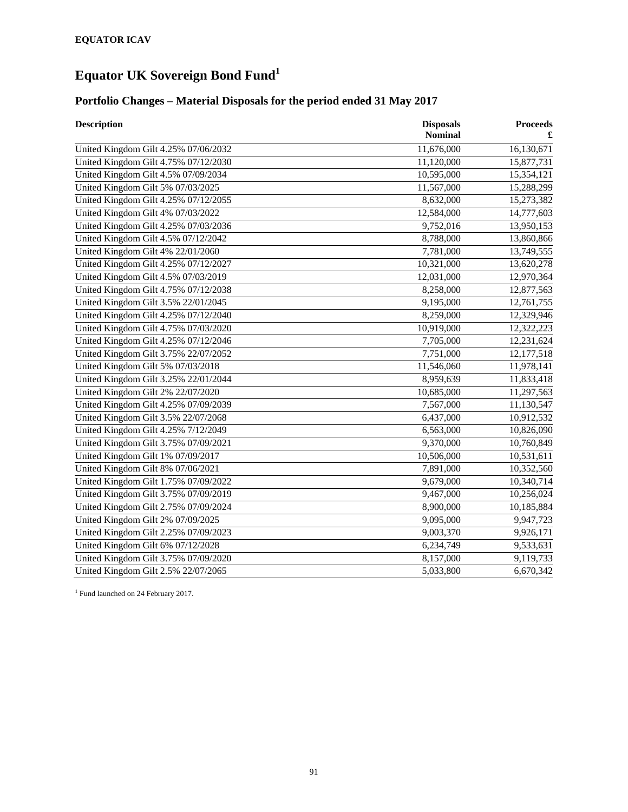# **Equator UK Sovereign Bond Fund<sup>1</sup>**

### **Portfolio Changes – Material Disposals for the period ended 31 May 2017**

| <b>Description</b>                   | <b>Disposals</b><br><b>Nominal</b> | <b>Proceeds</b> |
|--------------------------------------|------------------------------------|-----------------|
| United Kingdom Gilt 4.25% 07/06/2032 | 11,676,000                         | 16,130,671      |
| United Kingdom Gilt 4.75% 07/12/2030 | 11,120,000                         | 15,877,731      |
| United Kingdom Gilt 4.5% 07/09/2034  | 10,595,000                         | 15,354,121      |
| United Kingdom Gilt 5% 07/03/2025    | 11,567,000                         | 15,288,299      |
| United Kingdom Gilt 4.25% 07/12/2055 | 8,632,000                          | 15,273,382      |
| United Kingdom Gilt 4% 07/03/2022    | 12,584,000                         | 14,777,603      |
| United Kingdom Gilt 4.25% 07/03/2036 | 9,752,016                          | 13,950,153      |
| United Kingdom Gilt 4.5% 07/12/2042  | 8,788,000                          | 13,860,866      |
| United Kingdom Gilt 4% 22/01/2060    | 7,781,000                          | 13,749,555      |
| United Kingdom Gilt 4.25% 07/12/2027 | 10,321,000                         | 13,620,278      |
| United Kingdom Gilt 4.5% 07/03/2019  | 12,031,000                         | 12,970,364      |
| United Kingdom Gilt 4.75% 07/12/2038 | 8,258,000                          | 12,877,563      |
| United Kingdom Gilt 3.5% 22/01/2045  | 9,195,000                          | 12,761,755      |
| United Kingdom Gilt 4.25% 07/12/2040 | 8,259,000                          | 12,329,946      |
| United Kingdom Gilt 4.75% 07/03/2020 | 10,919,000                         | 12,322,223      |
| United Kingdom Gilt 4.25% 07/12/2046 | 7,705,000                          | 12,231,624      |
| United Kingdom Gilt 3.75% 22/07/2052 | 7,751,000                          | 12,177,518      |
| United Kingdom Gilt 5% 07/03/2018    | 11,546,060                         | 11,978,141      |
| United Kingdom Gilt 3.25% 22/01/2044 | 8,959,639                          | 11,833,418      |
| United Kingdom Gilt 2% 22/07/2020    | 10,685,000                         | 11,297,563      |
| United Kingdom Gilt 4.25% 07/09/2039 | 7,567,000                          | 11,130,547      |
| United Kingdom Gilt 3.5% 22/07/2068  | 6,437,000                          | 10,912,532      |
| United Kingdom Gilt 4.25% 7/12/2049  | 6,563,000                          | 10,826,090      |
| United Kingdom Gilt 3.75% 07/09/2021 | 9,370,000                          | 10,760,849      |
| United Kingdom Gilt 1% 07/09/2017    | 10,506,000                         | 10,531,611      |
| United Kingdom Gilt 8% 07/06/2021    | 7,891,000                          | 10,352,560      |
| United Kingdom Gilt 1.75% 07/09/2022 | 9,679,000                          | 10,340,714      |
| United Kingdom Gilt 3.75% 07/09/2019 | 9,467,000                          | 10,256,024      |
| United Kingdom Gilt 2.75% 07/09/2024 | 8,900,000                          | 10,185,884      |
| United Kingdom Gilt 2% 07/09/2025    | 9,095,000                          | 9,947,723       |
| United Kingdom Gilt 2.25% 07/09/2023 | 9,003,370                          | 9,926,171       |
| United Kingdom Gilt 6% 07/12/2028    | 6,234,749                          | 9,533,631       |
| United Kingdom Gilt 3.75% 07/09/2020 | 8,157,000                          | 9,119,733       |
| United Kingdom Gilt 2.5% 22/07/2065  | 5,033,800                          | 6,670,342       |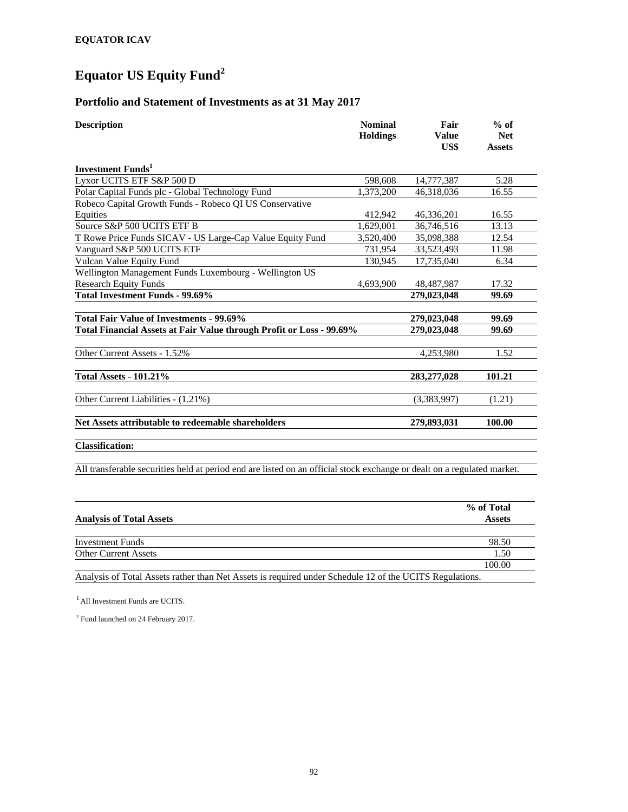# **Equator US Equity Fund<sup>2</sup>**

#### **Portfolio and Statement of Investments as at 31 May 2017**

| <b>Description</b>                                                   | <b>Nominal</b><br><b>Holdings</b> | Fair<br><b>Value</b><br>US\$ | $%$ of<br><b>Net</b><br><b>Assets</b> |
|----------------------------------------------------------------------|-----------------------------------|------------------------------|---------------------------------------|
| <b>Investment Funds</b> <sup>1</sup>                                 |                                   |                              |                                       |
| Lyxor UCITS ETF S&P 500 D                                            | 598,608                           | 14,777,387                   | 5.28                                  |
| Polar Capital Funds plc - Global Technology Fund                     | 1,373,200                         | 46,318,036                   | 16.55                                 |
| Robeco Capital Growth Funds - Robeco QI US Conservative              |                                   |                              |                                       |
| Equities                                                             | 412,942                           | 46,336,201                   | 16.55                                 |
| Source S&P 500 UCITS ETF B                                           | 1,629,001                         | 36,746,516                   | 13.13                                 |
| T Rowe Price Funds SICAV - US Large-Cap Value Equity Fund            | 3,520,400                         | 35,098,388                   | 12.54                                 |
| Vanguard S&P 500 UCITS ETF                                           | 731,954                           | 33,523,493                   | 11.98                                 |
| Vulcan Value Equity Fund                                             | 130,945                           | 17,735,040                   | 6.34                                  |
| Wellington Management Funds Luxembourg - Wellington US               |                                   |                              |                                       |
| <b>Research Equity Funds</b>                                         | 4,693,900                         | 48,487,987                   | 17.32                                 |
| Total Investment Funds - 99.69%                                      |                                   | 279,023,048                  | 99.69                                 |
|                                                                      |                                   |                              |                                       |
| Total Fair Value of Investments - 99.69%                             |                                   | 279,023,048                  | 99.69                                 |
| Total Financial Assets at Fair Value through Profit or Loss - 99.69% |                                   | 279,023,048                  | 99.69                                 |
| Other Current Assets - 1.52%                                         |                                   | 4,253,980                    | 1.52                                  |
| <b>Total Assets - 101.21%</b>                                        |                                   | 283,277,028                  | 101.21                                |
| Other Current Liabilities - (1.21%)                                  |                                   | (3,383,997)                  | (1.21)                                |
| Net Assets attributable to redeemable shareholders                   |                                   | 279,893,031                  | 100.00                                |
| $C1 - 2R - 4$                                                        |                                   |                              |                                       |

**Classification:** 

All transferable securities held at period end are listed on an official stock exchange or dealt on a regulated market.

|                                                                                                         | % of Total    |
|---------------------------------------------------------------------------------------------------------|---------------|
| <b>Analysis of Total Assets</b>                                                                         | <b>Assets</b> |
|                                                                                                         |               |
| Investment Funds                                                                                        | 98.50         |
| <b>Other Current Assets</b>                                                                             | 1.50          |
|                                                                                                         | 100.00        |
| Analysis of Total Assets rather than Net Assets is required under Schedule 12 of the UCITS Regulations. |               |

 $<sup>1</sup>$  All Investment Funds are UCITS.</sup>

2 Fund launched on 24 February 2017.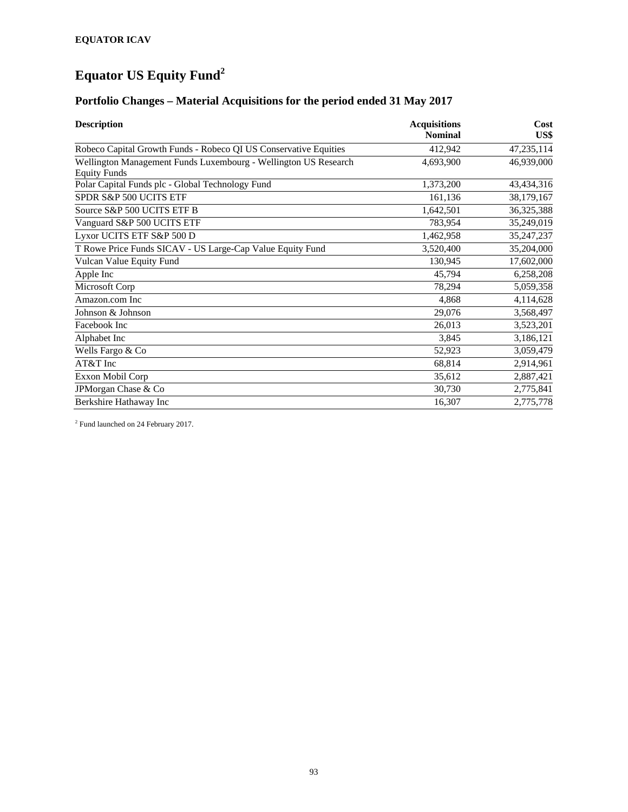# **Equator US Equity Fund<sup>2</sup>**

### **Portfolio Changes – Material Acquisitions for the period ended 31 May 2017**

| <b>Description</b>                                                                     | <b>Acquisitions</b><br><b>Nominal</b> | Cost<br>US\$ |
|----------------------------------------------------------------------------------------|---------------------------------------|--------------|
| Robeco Capital Growth Funds - Robeco QI US Conservative Equities                       | 412,942                               | 47,235,114   |
| Wellington Management Funds Luxembourg - Wellington US Research<br><b>Equity Funds</b> | 4,693,900                             | 46,939,000   |
| Polar Capital Funds plc - Global Technology Fund                                       | 1,373,200                             | 43,434,316   |
| SPDR S&P 500 UCITS ETF                                                                 | 161,136                               | 38,179,167   |
| Source S&P 500 UCITS ETF B                                                             | 1,642,501                             | 36, 325, 388 |
| Vanguard S&P 500 UCITS ETF                                                             | 783,954                               | 35,249,019   |
| Lyxor UCITS ETF S&P 500 D                                                              | 1,462,958                             | 35,247,237   |
| T Rowe Price Funds SICAV - US Large-Cap Value Equity Fund                              | 3,520,400                             | 35,204,000   |
| Vulcan Value Equity Fund                                                               | 130,945                               | 17,602,000   |
| Apple Inc                                                                              | 45,794                                | 6,258,208    |
| Microsoft Corp                                                                         | 78,294                                | 5,059,358    |
| Amazon.com Inc                                                                         | 4,868                                 | 4,114,628    |
| Johnson & Johnson                                                                      | 29,076                                | 3,568,497    |
| Facebook Inc                                                                           | 26,013                                | 3,523,201    |
| Alphabet Inc                                                                           | 3,845                                 | 3,186,121    |
| Wells Fargo & Co                                                                       | 52,923                                | 3,059,479    |
| AT&T Inc                                                                               | 68,814                                | 2,914,961    |
| Exxon Mobil Corp                                                                       | 35,612                                | 2,887,421    |
| JPMorgan Chase & Co                                                                    | 30,730                                | 2,775,841    |
| Berkshire Hathaway Inc                                                                 | 16,307                                | 2,775,778    |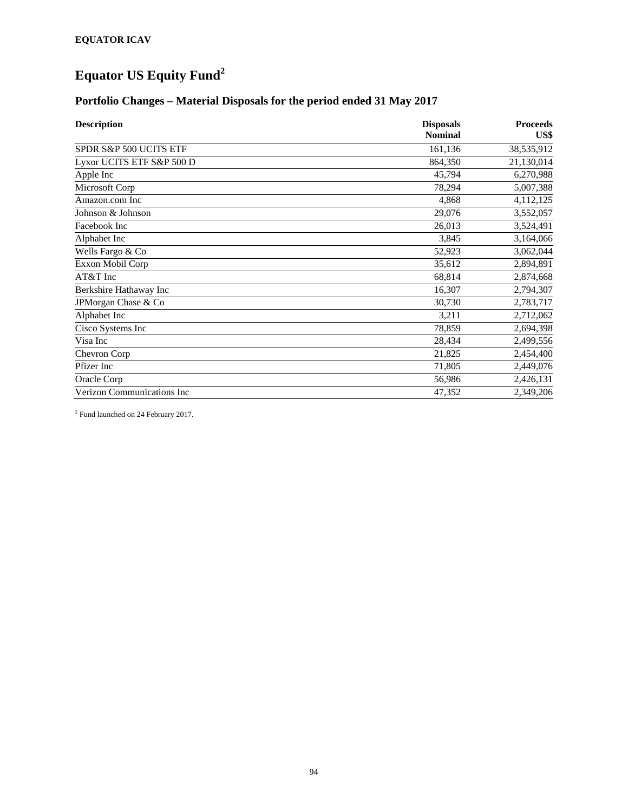# **Equator US Equity Fund<sup>2</sup>**

### **Portfolio Changes – Material Disposals for the period ended 31 May 2017**

| <b>Description</b>                | <b>Disposals</b><br><b>Nominal</b> | <b>Proceeds</b><br>US\$ |
|-----------------------------------|------------------------------------|-------------------------|
| SPDR S&P 500 UCITS ETF            | 161,136                            | 38,535,912              |
| Lyxor UCITS ETF S&P 500 D         | 864,350                            | 21,130,014              |
| Apple Inc                         | 45,794                             | 6,270,988               |
| Microsoft Corp                    | 78,294                             | 5,007,388               |
| Amazon.com Inc                    | 4,868                              | 4,112,125               |
| Johnson & Johnson                 | 29,076                             | 3,552,057               |
| Facebook Inc                      | 26,013                             | 3,524,491               |
| Alphabet Inc                      | 3,845                              | 3,164,066               |
| Wells Fargo & Co                  | 52,923                             | 3,062,044               |
| Exxon Mobil Corp                  | 35,612                             | 2,894,891               |
| AT&T Inc                          | 68,814                             | 2,874,668               |
| Berkshire Hathaway Inc            | 16,307                             | 2,794,307               |
| JPMorgan Chase & Co               | 30,730                             | 2,783,717               |
| Alphabet Inc                      | 3,211                              | 2,712,062               |
| Cisco Systems Inc                 | 78,859                             | 2,694,398               |
| Visa Inc                          | 28,434                             | 2,499,556               |
| Chevron Corp                      | 21,825                             | 2,454,400               |
| Pfizer Inc                        | 71,805                             | 2,449,076               |
| Oracle Corp                       | 56,986                             | 2,426,131               |
| <b>Verizon Communications Inc</b> | 47,352                             | 2,349,206               |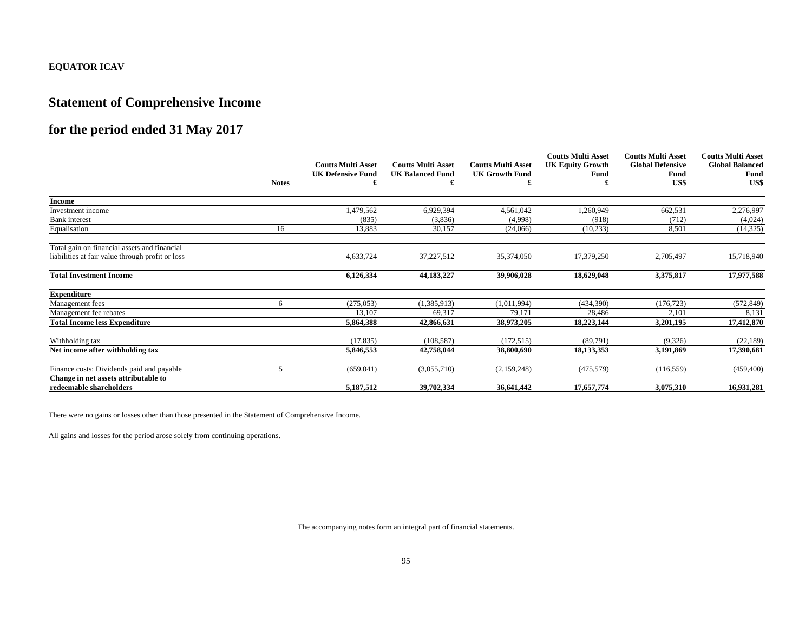# **Statement of Comprehensive Income**

# **for the period ended 31 May 2017**

|                                                  | <b>Notes</b> | <b>Coutts Multi Asset</b><br><b>UK Defensive Fund</b> | <b>Coutts Multi Asset</b><br><b>UK Balanced Fund</b> | <b>Coutts Multi Asset</b><br><b>UK Growth Fund</b> | <b>Coutts Multi Asset</b><br><b>UK Equity Growth</b><br>Fund | <b>Coutts Multi Asset</b><br><b>Global Defensive</b><br>Fund<br>US\$ | <b>Coutts Multi Asset</b><br><b>Global Balanced</b><br>Fund<br>US\$ |
|--------------------------------------------------|--------------|-------------------------------------------------------|------------------------------------------------------|----------------------------------------------------|--------------------------------------------------------------|----------------------------------------------------------------------|---------------------------------------------------------------------|
|                                                  |              |                                                       |                                                      |                                                    |                                                              |                                                                      |                                                                     |
| <b>Income</b>                                    |              |                                                       |                                                      |                                                    |                                                              |                                                                      |                                                                     |
| Investment income                                |              | 1,479,562                                             | 6,929,394                                            | 4,561,042                                          | 1,260,949                                                    | 662,531                                                              | 2,276,997                                                           |
| <b>Bank</b> interest                             |              | (835)                                                 | (3,836)                                              | (4,998)                                            | (918)                                                        | (712)                                                                | (4,024)                                                             |
| Equalisation                                     | 16           | 13,883                                                | 30,157                                               | (24,066)                                           | (10, 233)                                                    | 8,501                                                                | (14, 325)                                                           |
| Total gain on financial assets and financial     |              |                                                       |                                                      |                                                    |                                                              |                                                                      |                                                                     |
| liabilities at fair value through profit or loss |              | 4,633,724                                             | 37,227,512                                           | 35,374,050                                         | 17,379,250                                                   | 2,705,497                                                            | 15,718,940                                                          |
| <b>Total Investment Income</b>                   |              | 6,126,334                                             | 44, 183, 227                                         | 39,906,028                                         | 18,629,048                                                   | 3,375,817                                                            | 17,977,588                                                          |
| <b>Expenditure</b>                               |              |                                                       |                                                      |                                                    |                                                              |                                                                      |                                                                     |
| Management fees                                  | 6            | (275, 053)                                            | (1,385,913)                                          | (1,011,994)                                        | (434,390)                                                    | (176, 723)                                                           | (572, 849)                                                          |
| Management fee rebates                           |              | 13,107                                                | 69,317                                               | 79,171                                             | 28,486                                                       | 2,101                                                                | 8,131                                                               |
| <b>Total Income less Expenditure</b>             |              | 5,864,388                                             | 42,866,631                                           | 38,973,205                                         | 18,223,144                                                   | 3,201,195                                                            | 17,412,870                                                          |
| Withholding tax                                  |              | (17, 835)                                             | (108, 587)                                           | (172, 515)                                         | (89,791)                                                     | (9,326)                                                              | (22, 189)                                                           |
| Net income after withholding tax                 |              | 5,846,553                                             | 42,758,044                                           | 38,800,690                                         | 18,133,353                                                   | 3.191.869                                                            | 17,390,681                                                          |
| Finance costs: Dividends paid and payable        | 5            | (659, 041)                                            | (3,055,710)                                          | (2,159,248)                                        | (475, 579)                                                   | (116, 559)                                                           | (459, 400)                                                          |
| Change in net assets attributable to             |              |                                                       |                                                      |                                                    |                                                              |                                                                      |                                                                     |
| redeemable shareholders                          |              | 5,187,512                                             | 39,702,334                                           | 36,641,442                                         | 17,657,774                                                   | 3,075,310                                                            | 16,931,281                                                          |

There were no gains or losses other than those presented in the Statement of Comprehensive Income.

All gains and losses for the period arose solely from continuing operations.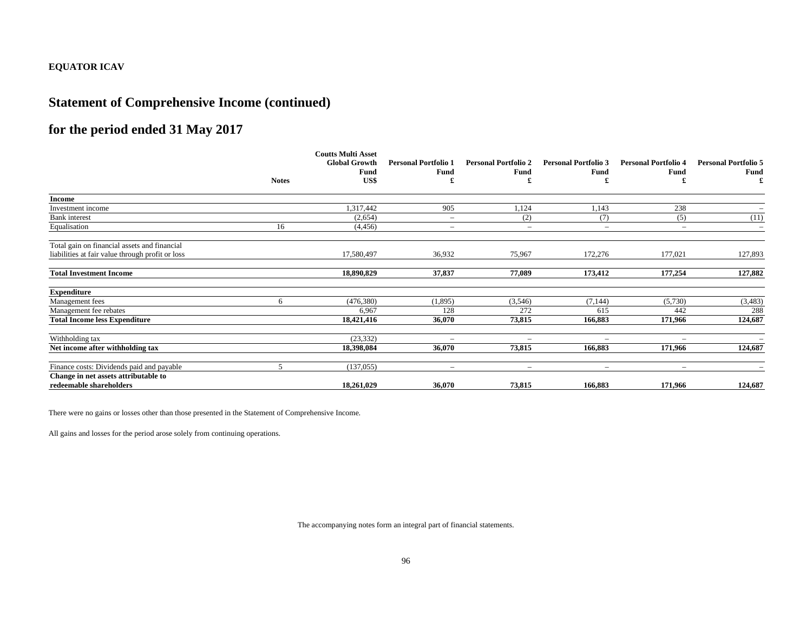### **Statement of Comprehensive Income (continued)**

# **for the period ended 31 May 2017**

|                                                  |              | <b>Coutts Multi Asset</b><br><b>Global Growth</b><br>Fund | <b>Personal Portfolio 1</b><br>Fund | <b>Personal Portfolio 2</b><br>Fund | <b>Personal Portfolio 3</b><br>Fund | <b>Personal Portfolio 4</b><br>Fund | <b>Personal Portfolio 5</b><br>Fund |
|--------------------------------------------------|--------------|-----------------------------------------------------------|-------------------------------------|-------------------------------------|-------------------------------------|-------------------------------------|-------------------------------------|
|                                                  | <b>Notes</b> | US\$                                                      | £                                   |                                     | £                                   |                                     | £                                   |
| <b>Income</b>                                    |              |                                                           |                                     |                                     |                                     |                                     |                                     |
| Investment income                                |              | 1,317,442                                                 | 905                                 | 1,124                               | 1,143                               | 238                                 |                                     |
| <b>Bank</b> interest                             |              | (2,654)                                                   | $\overline{\phantom{m}}$            | (2)                                 | (7)                                 | (5)                                 | (11)                                |
| Equalisation                                     | 16           | (4, 456)                                                  | $\overline{\phantom{m}}$            | $\overline{\phantom{m}}$            | $\overline{\phantom{a}}$            | $\overline{\phantom{a}}$            | $\overline{\phantom{m}}$            |
| Total gain on financial assets and financial     |              |                                                           |                                     |                                     |                                     |                                     |                                     |
| liabilities at fair value through profit or loss |              | 17,580,497                                                | 36,932                              | 75,967                              | 172,276                             | 177,021                             | 127,893                             |
| <b>Total Investment Income</b>                   |              | 18,890,829                                                | 37,837                              | 77,089                              | 173,412                             | 177,254                             | 127,882                             |
| <b>Expenditure</b>                               |              |                                                           |                                     |                                     |                                     |                                     |                                     |
| Management fees                                  | 6            | (476,380)                                                 | (1,895)                             | (3,546)                             | (7, 144)                            | (5,730)                             | (3,483)                             |
| Management fee rebates                           |              | 6,967                                                     | 128                                 | 272                                 | 615                                 | 442                                 | 288                                 |
| <b>Total Income less Expenditure</b>             |              | 18,421,416                                                | 36,070                              | 73,815                              | 166,883                             | 171,966                             | 124,687                             |
| Withholding tax                                  |              | (23, 332)                                                 | $\overline{\phantom{0}}$            | $\overline{\phantom{0}}$            | $\qquad \qquad =$                   | $\overline{\phantom{0}}$            |                                     |
| Net income after withholding tax                 |              | 18,398,084                                                | 36,070                              | 73,815                              | 166,883                             | 171,966                             | 124,687                             |
| Finance costs: Dividends paid and payable        | 5            | (137,055)                                                 | $\overline{\phantom{0}}$            | $\qquad \qquad =$                   | $\sim$                              | $\overline{\phantom{0}}$            | $\overline{\phantom{a}}$            |
| Change in net assets attributable to             |              |                                                           |                                     |                                     |                                     |                                     |                                     |
| redeemable shareholders                          |              | 18,261,029                                                | 36,070                              | 73,815                              | 166,883                             | 171,966                             | 124,687                             |

There were no gains or losses other than those presented in the Statement of Comprehensive Income.

All gains and losses for the period arose solely from continuing operations.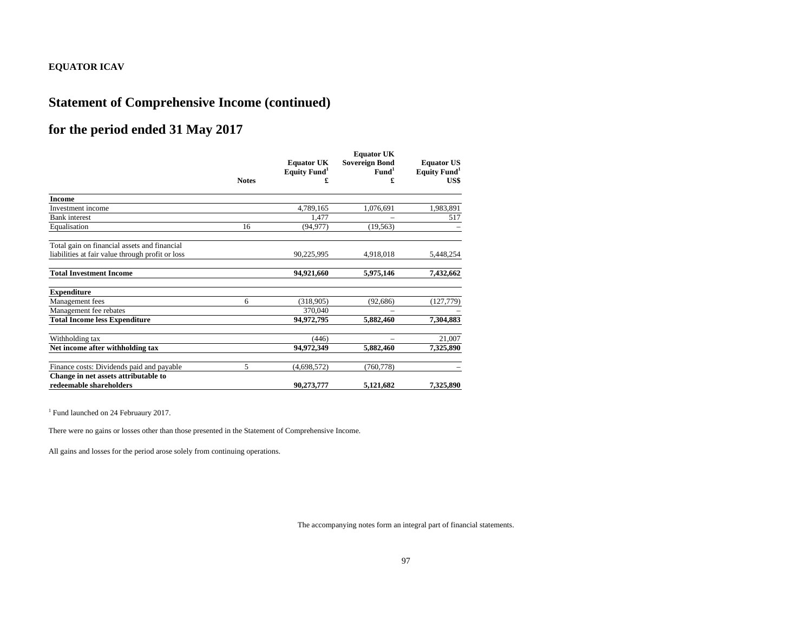### **Statement of Comprehensive Income (continued)**

# **for the period ended 31 May 2017**

|                                                  |              | <b>Equator UK</b>        | <b>Equator UK</b><br><b>Sovereign Bond</b> | <b>Equator US</b>        |  |
|--------------------------------------------------|--------------|--------------------------|--------------------------------------------|--------------------------|--|
|                                                  |              | Equity Fund <sup>1</sup> | Fund <sup>1</sup>                          | Equity Fund <sup>1</sup> |  |
|                                                  | <b>Notes</b> |                          |                                            | US\$                     |  |
| <b>Income</b>                                    |              |                          |                                            |                          |  |
| Investment income                                |              | 4,789,165                | 1,076,691                                  | 1,983,891                |  |
| <b>Bank</b> interest                             |              | 1,477                    |                                            | 517                      |  |
| Equalisation                                     | 16           | (94, 977)                | (19, 563)                                  |                          |  |
| Total gain on financial assets and financial     |              |                          |                                            |                          |  |
| liabilities at fair value through profit or loss |              | 90,225,995               | 4,918,018                                  | 5,448,254                |  |
| <b>Total Investment Income</b>                   |              | 94,921,660               | 5,975,146                                  | 7,432,662                |  |
| <b>Expenditure</b>                               |              |                          |                                            |                          |  |
| Management fees                                  | 6            | (318,905)                | (92, 686)                                  | (127, 779)               |  |
| Management fee rebates                           |              | 370,040                  |                                            |                          |  |
| <b>Total Income less Expenditure</b>             |              | 94,972,795               | 5,882,460                                  | 7,304,883                |  |
| Withholding tax                                  |              | (446)                    |                                            | 21,007                   |  |
| Net income after withholding tax                 |              | 94,972,349               | 5,882,460                                  | 7,325,890                |  |
| Finance costs: Dividends paid and payable        | 5            | (4,698,572)              | (760, 778)                                 |                          |  |
| Change in net assets attributable to             |              |                          |                                            |                          |  |
| redeemable shareholders                          |              | 90,273,777               | 5,121,682                                  | 7,325,890                |  |

<sup>1</sup> Fund launched on 24 Februaury 2017.

There were no gains or losses other than those presented in the Statement of Comprehensive Income.

All gains and losses for the period arose solely from continuing operations.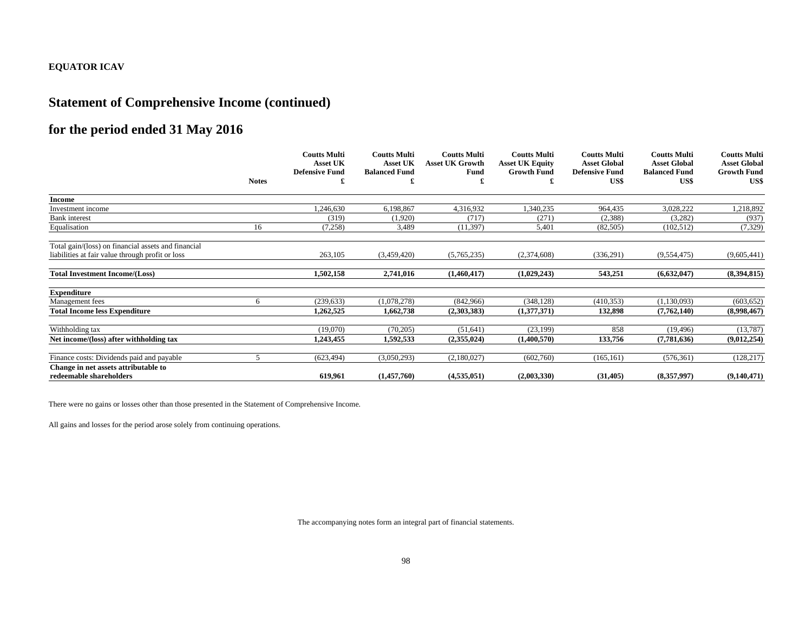# **Statement of Comprehensive Income (continued)**

# **for the period ended 31 May 2016**

|                                                     |              | <b>Coutts Multi</b><br><b>Asset UK</b> | <b>Coutts Multi</b><br><b>Asset UK</b> | <b>Coutts Multi</b><br><b>Asset UK Growth</b> | <b>Coutts Multi</b><br><b>Asset UK Equity</b> | <b>Coutts Multi</b><br><b>Asset Global</b> | <b>Coutts Multi</b><br><b>Asset Global</b> | <b>Coutts Multi</b><br><b>Asset Global</b> |
|-----------------------------------------------------|--------------|----------------------------------------|----------------------------------------|-----------------------------------------------|-----------------------------------------------|--------------------------------------------|--------------------------------------------|--------------------------------------------|
|                                                     |              | <b>Defensive Fund</b>                  | <b>Balanced Fund</b>                   | Fund                                          | <b>Growth Fund</b>                            | <b>Defensive Fund</b>                      | <b>Balanced Fund</b>                       | <b>Growth Fund</b>                         |
|                                                     | <b>Notes</b> |                                        |                                        |                                               | £                                             | US\$                                       | US\$                                       | US\$                                       |
| <b>Income</b>                                       |              |                                        |                                        |                                               |                                               |                                            |                                            |                                            |
| Investment income                                   |              | 1,246,630                              | 6,198,867                              | 4,316,932                                     | 1,340,235                                     | 964,435                                    | 3,028,222                                  | 1,218,892                                  |
| <b>Bank</b> interest                                |              | (319)                                  | (1,920)                                | (717)                                         | (271)                                         | (2,388)                                    | (3,282)                                    | (937)                                      |
| Equalisation                                        | 16           | (7,258)                                | 3,489                                  | (11, 397)                                     | 5,401                                         | (82,505)                                   | (102, 512)                                 | (7, 329)                                   |
| Total gain/(loss) on financial assets and financial |              |                                        |                                        |                                               |                                               |                                            |                                            |                                            |
| liabilities at fair value through profit or loss    |              | 263,105                                | (3,459,420)                            | (5,765,235)                                   | (2,374,608)                                   | (336, 291)                                 | (9,554,475)                                | (9,605,441)                                |
| <b>Total Investment Income/(Loss)</b>               |              | 1,502,158                              | 2,741,016                              | (1,460,417)                                   | (1,029,243)                                   | 543,251                                    | (6,632,047)                                | (8,394,815)                                |
| <b>Expenditure</b>                                  |              |                                        |                                        |                                               |                                               |                                            |                                            |                                            |
| Management fees                                     | 6            | (239, 633)                             | (1,078,278)                            | (842,966)                                     | (348, 128)                                    | (410, 353)                                 | (1,130,093)                                | (603, 652)                                 |
| <b>Total Income less Expenditure</b>                |              | 1.262.525                              | 1,662,738                              | (2,303,383)                                   | (1,377,371)                                   | 132.898                                    | (7,762,140)                                | (8,998,467)                                |
| Withholding tax                                     |              | (19,070)                               | (70, 205)                              | (51, 641)                                     | (23, 199)                                     | 858                                        | (19, 496)                                  | (13,787)                                   |
| Net income/(loss) after withholding tax             |              | 1,243,455                              | 1,592,533                              | (2,355,024)                                   | (1,400,570)                                   | 133,756                                    | (7,781,636)                                | (9,012,254)                                |
| Finance costs: Dividends paid and payable           |              | (623, 494)                             | (3,050,293)                            | (2,180,027)                                   | (602,760)                                     | (165, 161)                                 | (576, 361)                                 | (128, 217)                                 |
| Change in net assets attributable to                |              |                                        |                                        |                                               |                                               |                                            |                                            |                                            |
| redeemable shareholders                             |              | 619.961                                | (1,457,760)                            | (4,535,051)                                   | (2,003,330)                                   | (31, 405)                                  | (8,357,997)                                | (9,140,471)                                |

There were no gains or losses other than those presented in the Statement of Comprehensive Income.

All gains and losses for the period arose solely from continuing operations.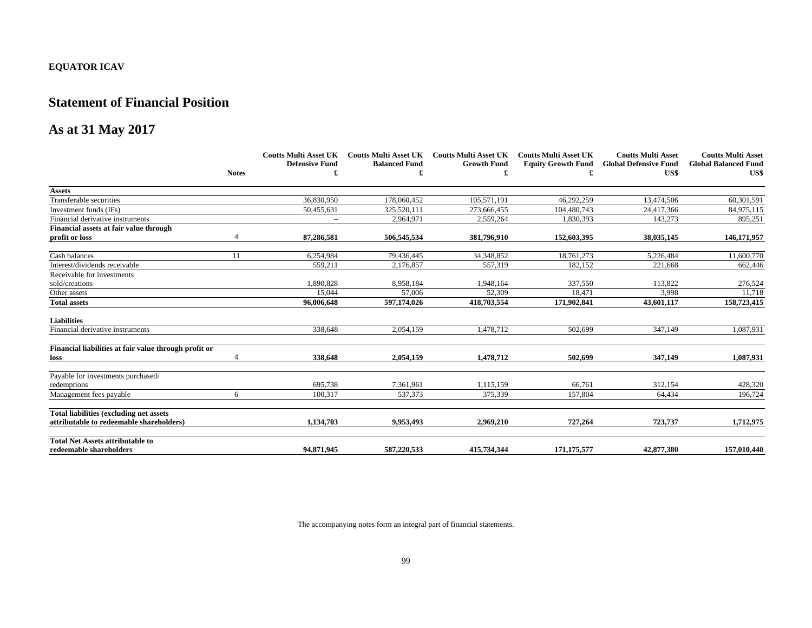#### **Statement of Financial Position**

# **As at 31 May 2017**

|                                                       |              | <b>Coutts Multi Asset UK</b> | <b>Coutts Multi Asset UK</b> | <b>Coutts Multi Asset UK</b> | <b>Coutts Multi Asset UK</b> | <b>Coutts Multi Asset</b>    | <b>Coutts Multi Asset</b>   |
|-------------------------------------------------------|--------------|------------------------------|------------------------------|------------------------------|------------------------------|------------------------------|-----------------------------|
|                                                       |              | <b>Defensive Fund</b>        | <b>Balanced Fund</b>         | <b>Growth Fund</b>           | <b>Equity Growth Fund</b>    | <b>Global Defensive Fund</b> | <b>Global Balanced Fund</b> |
|                                                       | <b>Notes</b> |                              |                              |                              |                              | US\$                         | US\$                        |
| <b>Assets</b>                                         |              |                              |                              |                              |                              |                              |                             |
| Transferable securities                               |              | 36,830,950                   | 178,060,452                  | 105,571,191                  | 46,292,259                   | 13.474.506                   | 60,301,591                  |
| Investment funds (IFs)                                |              | 50,455,631                   | 325.520.111                  | 273,666,455                  | 104,480,743                  | 24,417,366                   | 84,975,115                  |
| Financial derivative instruments                      |              |                              | 2.964.971                    | 2.559.264                    | 1,830,393                    | 143,273                      | 895,251                     |
| Financial assets at fair value through                |              |                              |                              |                              |                              |                              |                             |
| profit or loss                                        |              | 87,286,581                   | 506,545,534                  | 381,796,910                  | 152,603,395                  | 38,035,145                   | 146,171,957                 |
| Cash balances                                         | 11           | 6,254,984                    | 79,436,445                   | 34,348,852                   | 18,761,273                   | 5,226,484                    | 11,600,770                  |
| Interest/dividends receivable                         |              | 559,211                      | 2,176,857                    | 557,319                      | 182,152                      | 221,668                      | 662,446                     |
| Receivable for investments                            |              |                              |                              |                              |                              |                              |                             |
| sold/creations                                        |              | 1,890,828                    | 8,958,184                    | 1,948,164                    | 337,550                      | 113,822                      | 276,524                     |
| Other assets                                          |              | 15,044                       | 57.006                       | 52,309                       | 18,471                       | 3,998                        | 11,718                      |
| <b>Total assets</b>                                   |              | 96,006,648                   | 597,174,026                  | 418,703,554                  | 171,902,841                  | 43,601,117                   | 158,723,415                 |
| <b>Liabilities</b>                                    |              |                              |                              |                              |                              |                              |                             |
| Financial derivative instruments                      |              | 338,648                      | 2,054,159                    | 1,478,712                    | 502,699                      | 347,149                      | 1,087,931                   |
| Financial liabilities at fair value through profit or |              |                              |                              |                              |                              |                              |                             |
| loss                                                  |              | 338,648                      | 2,054,159                    | 1,478,712                    | 502,699                      | 347,149                      | 1,087,931                   |
| Payable for investments purchased/                    |              |                              |                              |                              |                              |                              |                             |
| redemptions                                           |              | 695,738                      | 7,361,961                    | 1.115.159                    | 66,761                       | 312,154                      | 428,320                     |
| Management fees payable                               | 6            | 100,317                      | 537,373                      | 375,339                      | 157,804                      | 64,434                       | 196,724                     |
| <b>Total liabilities (excluding net assets)</b>       |              |                              |                              |                              |                              |                              |                             |
| attributable to redeemable shareholders)              |              | 1.134.703                    | 9.953.493                    | 2.969.210                    | 727,264                      | 723,737                      | 1,712,975                   |
| <b>Total Net Assets attributable to</b>               |              |                              |                              |                              |                              |                              |                             |
| redeemable shareholders                               |              | 94,871,945                   | 587,220,533                  | 415,734,344                  | 171,175,577                  | 42,877,380                   | 157,010,440                 |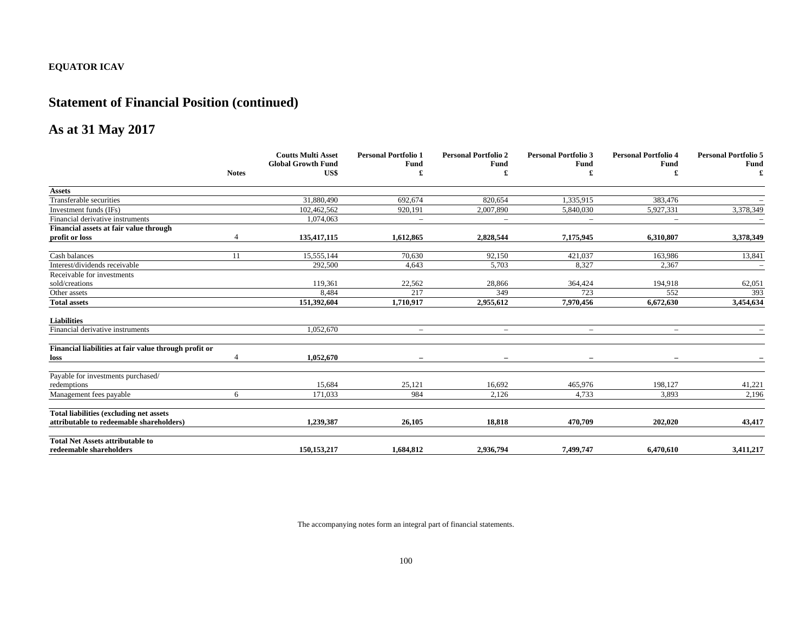# **Statement of Financial Position (continued)**

# **As at 31 May 2017**

|                                                       |              | <b>Coutts Multi Asset</b>         | <b>Personal Portfolio 1</b> | <b>Personal Portfolio 2</b> | <b>Personal Portfolio 3</b> | <b>Personal Portfolio 4</b> | <b>Personal Portfolio 5</b> |
|-------------------------------------------------------|--------------|-----------------------------------|-----------------------------|-----------------------------|-----------------------------|-----------------------------|-----------------------------|
|                                                       | <b>Notes</b> | <b>Global Growth Fund</b><br>US\$ | Fund                        | Fund                        | Fund                        | Fund                        | <b>Fund</b><br>£            |
| <b>Assets</b>                                         |              |                                   |                             |                             |                             |                             |                             |
| Transferable securities                               |              | 31,880,490                        | 692.674                     | 820,654                     | 1,335,915                   | 383,476                     |                             |
| Investment funds (IFs)                                |              | 102,462,562                       | 920,191                     | 2,007,890                   | 5,840,030                   | 5,927,331                   | 3,378,349                   |
| Financial derivative instruments                      |              | 1,074,063                         | $\overline{\phantom{0}}$    | $\equiv$                    | $\equiv$                    | $\equiv$                    |                             |
| Financial assets at fair value through                |              |                                   |                             |                             |                             |                             |                             |
| profit or loss                                        |              | 135,417,115                       | 1,612,865                   | 2,828,544                   | 7,175,945                   | 6,310,807                   | 3,378,349                   |
| Cash balances                                         | 11           | 15,555,144                        | 70,630                      | 92,150                      | 421,037                     | 163,986                     | 13,841                      |
| Interest/dividends receivable                         |              | 292,500                           | 4,643                       | 5,703                       | 8,327                       | 2,367                       | $\overline{\phantom{a}}$    |
| Receivable for investments                            |              |                                   |                             |                             |                             |                             |                             |
| sold/creations                                        |              | 119,361                           | 22,562                      | 28,866                      | 364,424                     | 194,918                     | 62,051                      |
| Other assets                                          |              | 8,484                             | 217                         | 349                         | 723                         | 552                         | 393                         |
| <b>Total assets</b>                                   |              | 151,392,604                       | 1,710,917                   | 2,955,612                   | 7,970,456                   | 6,672,630                   | 3,454,634                   |
| <b>Liabilities</b>                                    |              |                                   |                             |                             |                             |                             |                             |
| Financial derivative instruments                      |              | 1,052,670                         | $\overline{\phantom{a}}$    | $\overline{\phantom{a}}$    | $\overline{\phantom{m}}$    | $\qquad \qquad -$           |                             |
| Financial liabilities at fair value through profit or |              |                                   |                             |                             |                             |                             |                             |
| loss                                                  |              | 1.052.670                         |                             |                             | $\equiv$                    |                             |                             |
| Payable for investments purchased/                    |              |                                   |                             |                             |                             |                             |                             |
| redemptions                                           |              | 15,684                            | 25,121                      | 16,692                      | 465,976                     | 198,127                     | 41,221                      |
| Management fees payable                               | 6            | 171,033                           | 984                         | 2,126                       | 4,733                       | 3,893                       | 2,196                       |
| <b>Total liabilities (excluding net assets)</b>       |              |                                   |                             |                             |                             |                             |                             |
| attributable to redeemable shareholders)              |              | 1,239,387                         | 26,105                      | 18.818                      | 470,709                     | 202,020                     | 43,417                      |
| <b>Total Net Assets attributable to</b>               |              |                                   |                             |                             |                             |                             |                             |
| redeemable shareholders                               |              | 150,153,217                       | 1.684.812                   | 2,936,794                   | 7,499,747                   | 6,470,610                   | 3,411,217                   |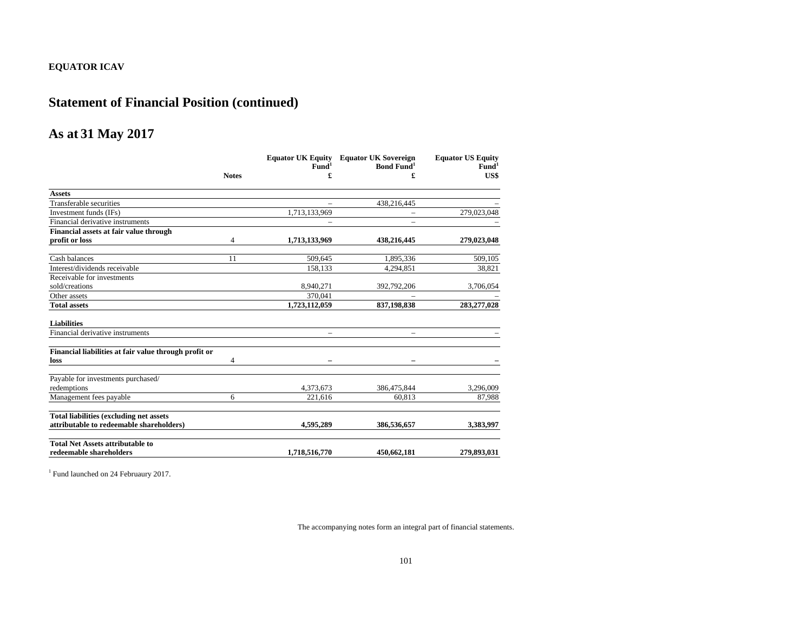# **Statement of Financial Position (continued)**

#### **As at 31 May 2017**

|                                                       |              |                   | <b>Equator UK Equity</b> Equator UK Sovereign | <b>Equator US Equity</b> |
|-------------------------------------------------------|--------------|-------------------|-----------------------------------------------|--------------------------|
|                                                       |              | Fund <sup>1</sup> | <b>Bond Fund</b> <sup>1</sup>                 | Fund <sup>1</sup>        |
|                                                       | <b>Notes</b> | £                 | £                                             | US\$                     |
| <b>Assets</b>                                         |              |                   |                                               |                          |
| Transferable securities                               |              |                   | 438,216,445                                   |                          |
| Investment funds (IFs)                                |              | 1,713,133,969     | $\qquad \qquad -$                             | 279,023,048              |
| Financial derivative instruments                      |              |                   |                                               |                          |
| Financial assets at fair value through                |              |                   |                                               |                          |
| profit or loss                                        | 4            | 1,713,133,969     | 438,216,445                                   | 279,023,048              |
| Cash balances                                         | 11           | 509.645           | 1,895,336                                     | 509,105                  |
| Interest/dividends receivable                         |              | 158,133           | 4,294,851                                     | 38,821                   |
| Receivable for investments                            |              |                   |                                               |                          |
| sold/creations                                        |              | 8,940,271         | 392,792,206                                   | 3,706,054                |
| Other assets                                          |              | 370.041           |                                               |                          |
| <b>Total assets</b>                                   |              | 1,723,112,059     | 837,198,838                                   | 283,277,028              |
| <b>Liabilities</b>                                    |              |                   |                                               |                          |
| Financial derivative instruments                      |              |                   |                                               |                          |
| Financial liabilities at fair value through profit or |              |                   |                                               |                          |
| loss                                                  | 4            |                   |                                               |                          |
| Payable for investments purchased/                    |              |                   |                                               |                          |
| redemptions                                           |              | 4,373,673         | 386,475,844                                   | 3,296,009                |
| Management fees payable                               | 6            | 221.616           | 60.813                                        | 87,988                   |
| <b>Total liabilities (excluding net assets)</b>       |              |                   |                                               |                          |
| attributable to redeemable shareholders)              |              | 4.595.289         | 386,536,657                                   | 3,383,997                |
| <b>Total Net Assets attributable to</b>               |              |                   |                                               |                          |
| redeemable shareholders                               |              | 1,718,516,770     | 450,662,181                                   | 279,893,031              |

<sup>1</sup> Fund launched on 24 Februaury 2017.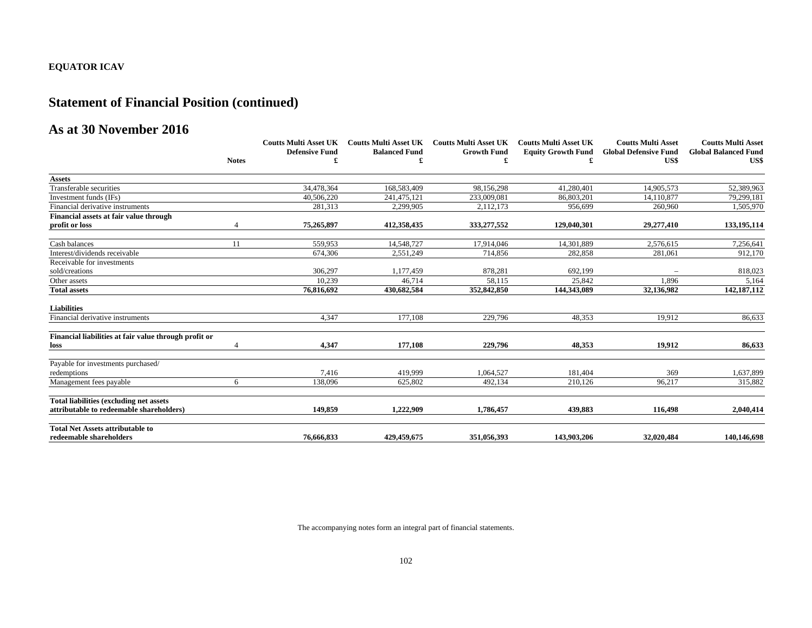# **Statement of Financial Position (continued)**

#### **As at 30 November 2016**

|                                                       |              | <b>Coutts Multi Asset UK</b> |                      | Coutts Multi Asset UK Coutts Multi Asset UK | <b>Coutts Multi Asset UK</b> | <b>Coutts Multi Asset</b>            | <b>Coutts Multi Asset</b>           |
|-------------------------------------------------------|--------------|------------------------------|----------------------|---------------------------------------------|------------------------------|--------------------------------------|-------------------------------------|
|                                                       | <b>Notes</b> | <b>Defensive Fund</b>        | <b>Balanced Fund</b> | <b>Growth Fund</b>                          | <b>Equity Growth Fund</b>    | <b>Global Defensive Fund</b><br>US\$ | <b>Global Balanced Fund</b><br>US\$ |
|                                                       |              |                              |                      |                                             |                              |                                      |                                     |
| <b>Assets</b>                                         |              |                              |                      |                                             |                              |                                      |                                     |
| Transferable securities                               |              | 34,478,364                   | 168,583,409          | 98,156,298                                  | 41,280,401                   | 14,905,573                           | 52,389,963                          |
| Investment funds (IFs)                                |              | 40,506,220                   | 241.475.121          | 233,009,081                                 | 86,803,201                   | 14.110.877                           | 79.299.181                          |
| Financial derivative instruments                      |              | 281,313                      | 2,299,905            | 2,112,173                                   | 956.699                      | 260,960                              | 1,505,970                           |
| Financial assets at fair value through                |              |                              |                      |                                             |                              |                                      |                                     |
| profit or loss                                        |              | 75,265,897                   | 412,358,435          | 333,277,552                                 | 129,040,301                  | 29,277,410                           | 133,195,114                         |
| Cash balances                                         | 11           | 559,953                      | 14,548,727           | 17,914,046                                  | 14,301,889                   | 2,576,615                            | 7,256,641                           |
| Interest/dividends receivable                         |              | 674,306                      | 2,551,249            | 714,856                                     | 282,858                      | 281,061                              | 912,170                             |
| Receivable for investments                            |              |                              |                      |                                             |                              |                                      |                                     |
| sold/creations                                        |              | 306,297                      | 1,177,459            | 878,281                                     | 692,199                      |                                      | 818,023                             |
| Other assets                                          |              | 10,239                       | 46.714               | 58.115                                      | 25,842                       | 1.896                                | 5,164                               |
| <b>Total assets</b>                                   |              | 76,816,692                   | 430,682,584          | 352,842,850                                 | 144,343,089                  | 32,136,982                           | 142, 187, 112                       |
| <b>Liabilities</b>                                    |              |                              |                      |                                             |                              |                                      |                                     |
| Financial derivative instruments                      |              | 4,347                        | 177,108              | 229,796                                     | 48,353                       | 19,912                               | 86,633                              |
| Financial liabilities at fair value through profit or |              |                              |                      |                                             |                              |                                      |                                     |
| loss                                                  |              | 4.347                        | 177.108              | 229,796                                     | 48,353                       | 19.912                               | 86,633                              |
| Payable for investments purchased/                    |              |                              |                      |                                             |                              |                                      |                                     |
| redemptions                                           |              | 7.416                        | 419.999              | 1.064.527                                   | 181,404                      | 369                                  | 1,637,899                           |
| Management fees payable                               | 6            | 138,096                      | 625,802              | 492,134                                     | 210,126                      | 96,217                               | 315,882                             |
| <b>Total liabilities (excluding net assets)</b>       |              |                              |                      |                                             |                              |                                      |                                     |
| attributable to redeemable shareholders)              |              | 149,859                      | 1.222.909            | 1,786,457                                   | 439,883                      | 116,498                              | 2,040,414                           |
| <b>Total Net Assets attributable to</b>               |              |                              |                      |                                             |                              |                                      |                                     |
| redeemable shareholders                               |              | 76,666,833                   | 429,459,675          | 351.056.393                                 | 143,903,206                  | 32,020,484                           | 140,146,698                         |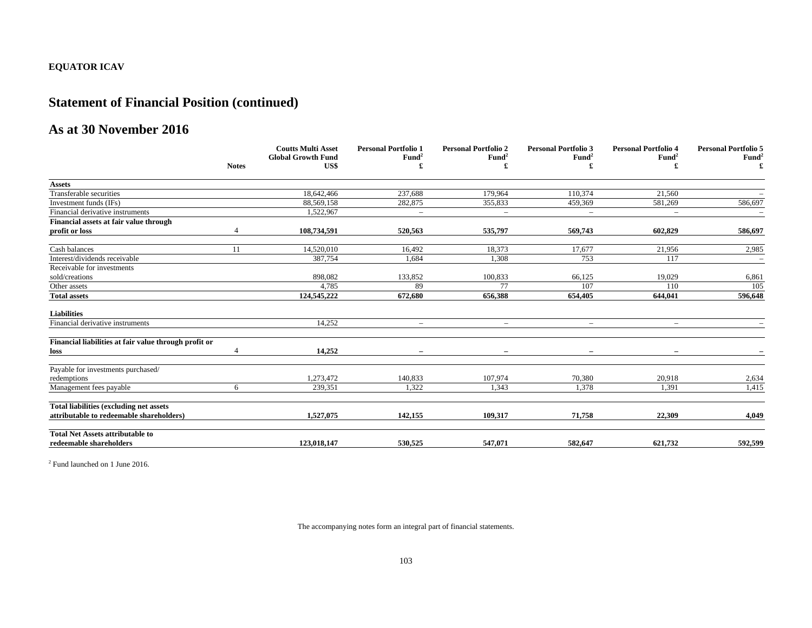# **Statement of Financial Position (continued)**

#### **As at 30 November 2016**

|                                                       |              | <b>Coutts Multi Asset</b>         | <b>Personal Portfolio 1</b> | <b>Personal Portfolio 2</b> | <b>Personal Portfolio 3</b> | <b>Personal Portfolio 4</b> | <b>Personal Portfolio 5</b> |
|-------------------------------------------------------|--------------|-----------------------------------|-----------------------------|-----------------------------|-----------------------------|-----------------------------|-----------------------------|
|                                                       | <b>Notes</b> | <b>Global Growth Fund</b><br>US\$ | Fund <sup>2</sup>           | Fund <sup>2</sup>           | Fund <sup>2</sup>           | Fund <sup>2</sup>           | Fund <sup>2</sup>           |
|                                                       |              |                                   |                             |                             |                             |                             |                             |
| <b>Assets</b>                                         |              |                                   |                             |                             |                             |                             |                             |
| Transferable securities                               |              | 18.642.466                        | 237.688                     | 179.964                     | 110.374                     | 21.560                      |                             |
| Investment funds (IFs)                                |              | 88,569,158                        | 282,875                     | 355,833                     | 459,369                     | 581,269                     | 586,697                     |
| Financial derivative instruments                      |              | 1,522,967                         | $\overline{\phantom{m}}$    | $\overline{\phantom{m}}$    | $\overline{\phantom{m}}$    | $\overline{\phantom{m}}$    |                             |
| Financial assets at fair value through                |              |                                   |                             |                             |                             |                             |                             |
| profit or loss                                        |              | 108,734,591                       | 520,563                     | 535,797                     | 569,743                     | 602,829                     | 586,697                     |
| Cash balances                                         | 11           | 14,520,010                        | 16,492                      | 18,373                      | 17,677                      | 21,956                      | 2,985                       |
| Interest/dividends receivable                         |              | 387,754                           | 1,684                       | 1,308                       | 753                         | 117                         | $\equiv$                    |
| Receivable for investments                            |              |                                   |                             |                             |                             |                             |                             |
| sold/creations                                        |              | 898,082                           | 133,852                     | 100,833                     | 66,125                      | 19,029                      | 6,861                       |
| Other assets                                          |              | 4,785                             | 89                          | 77                          | 107                         | 110                         | 105                         |
| <b>Total assets</b>                                   |              | 124,545,222                       | 672.680                     | 656.388                     | 654,405                     | 644,041                     | 596,648                     |
| <b>Liabilities</b>                                    |              |                                   |                             |                             |                             |                             |                             |
| Financial derivative instruments                      |              | 14,252                            | $\overline{\phantom{m}}$    | $\overline{\phantom{m}}$    | $\overline{\phantom{m}}$    | $\overline{\phantom{m}}$    |                             |
| Financial liabilities at fair value through profit or |              |                                   |                             |                             |                             |                             |                             |
| loss                                                  |              | 14.252                            |                             |                             |                             |                             |                             |
| Payable for investments purchased/                    |              |                                   |                             |                             |                             |                             |                             |
| redemptions                                           |              | 1,273,472                         | 140,833                     | 107,974                     | 70,380                      | 20,918                      | 2,634                       |
| Management fees payable                               | 6            | 239,351                           | 1,322                       | 1,343                       | 1,378                       | 1,391                       | 1,415                       |
| <b>Total liabilities (excluding net assets)</b>       |              |                                   |                             |                             |                             |                             |                             |
| attributable to redeemable shareholders)              |              | 1,527,075                         | 142,155                     | 109,317                     | 71,758                      | 22,309                      | 4,049                       |
| <b>Total Net Assets attributable to</b>               |              |                                   |                             |                             |                             |                             |                             |
| redeemable shareholders                               |              | 123,018,147                       | 530,525                     | 547,071                     | 582,647                     | 621,732                     | 592,599                     |

2 Fund launched on 1 June 2016.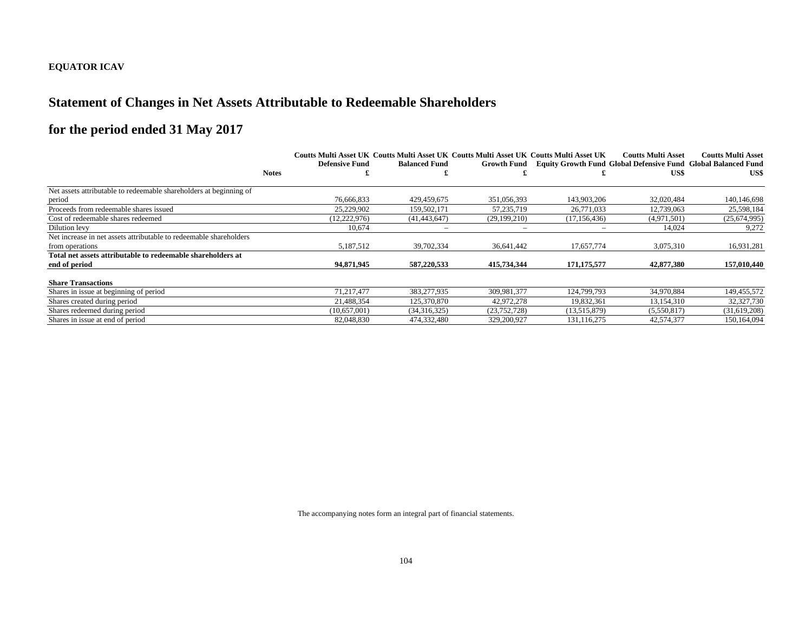### **Statement of Changes in Net Assets Attributable to Redeemable Shareholders**

# **for the period ended 31 May 2017**

|                                                                    |                       |                      | Coutts Multi Asset UK Coutts Multi Asset UK Coutts Multi Asset UK Coutts Multi Asset UK |                | <b>Coutts Multi Asset</b>                                            | <b>Coutts Multi Asset</b> |
|--------------------------------------------------------------------|-----------------------|----------------------|-----------------------------------------------------------------------------------------|----------------|----------------------------------------------------------------------|---------------------------|
|                                                                    | <b>Defensive Fund</b> | <b>Balanced Fund</b> | <b>Growth Fund</b>                                                                      |                | <b>Equity Growth Fund Global Defensive Fund Global Balanced Fund</b> |                           |
|                                                                    | <b>Notes</b>          |                      |                                                                                         |                | US\$                                                                 | US\$                      |
| Net assets attributable to redeemable shareholders at beginning of |                       |                      |                                                                                         |                |                                                                      |                           |
| period                                                             | 76,666,833            | 429.459.675          | 351,056,393                                                                             | 143,903,206    | 32,020,484                                                           | 140,146,698               |
| Proceeds from redeemable shares issued                             | 25,229,902            | 159,502,171          | 57,235,719                                                                              | 26,771,033     | 12,739,063                                                           | 25,598,184                |
| Cost of redeemable shares redeemed                                 | (12, 222, 976)        | (41, 443, 647)       | (29, 199, 210)                                                                          | (17, 156, 436) | (4,971,501)                                                          | (25,674,995)              |
| Dilution levy                                                      | 10,674                | -                    |                                                                                         |                | 14,024                                                               | 9,272                     |
| Net increase in net assets attributable to redeemable shareholders |                       |                      |                                                                                         |                |                                                                      |                           |
| from operations                                                    | 5.187.512             | 39,702,334           | 36.641.442                                                                              | 17,657,774     | 3,075,310                                                            | 16,931,281                |
| Total net assets attributable to redeemable shareholders at        |                       |                      |                                                                                         |                |                                                                      |                           |
| end of period                                                      | 94,871,945            | 587,220,533          | 415.734.344                                                                             | 171, 175, 577  | 42,877,380                                                           | 157,010,440               |
| <b>Share Transactions</b>                                          |                       |                      |                                                                                         |                |                                                                      |                           |
| Shares in issue at beginning of period                             | 71.217.477            | 383,277,935          | 309.981.377                                                                             | 124.799.793    | 34,970,884                                                           | 149,455,572               |
| Shares created during period                                       | 21,488,354            | 125,370,870          | 42,972,278                                                                              | 19,832,361     | 13,154,310                                                           | 32,327,730                |
| Shares redeemed during period                                      | (10,657,001)          | (34,316,325)         | (23, 752, 728)                                                                          | (13,515,879)   | (5,550,817)                                                          | (31,619,208)              |
| Shares in issue at end of period                                   | 82,048,830            | 474,332,480          | 329,200,927                                                                             | 131,116,275    | 42,574,377                                                           | 150,164,094               |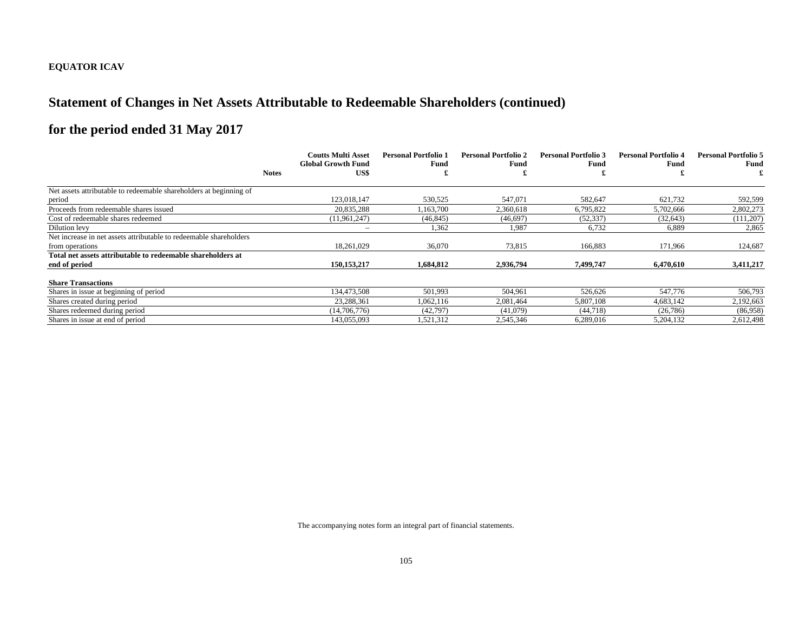# **Statement of Changes in Net Assets Attributable to Redeemable Shareholders (continued)**

# **for the period ended 31 May 2017**

|                                                                    |              | <b>Coutts Multi Asset</b>         | <b>Personal Portfolio 1</b> | <b>Personal Portfolio 2</b> | <b>Personal Portfolio 3</b><br>Fund | <b>Personal Portfolio 4</b><br>Fund | <b>Personal Portfolio 5</b><br>Fund |
|--------------------------------------------------------------------|--------------|-----------------------------------|-----------------------------|-----------------------------|-------------------------------------|-------------------------------------|-------------------------------------|
|                                                                    | <b>Notes</b> | <b>Global Growth Fund</b><br>US\$ | Fund                        | Fund                        |                                     |                                     |                                     |
|                                                                    |              |                                   |                             |                             |                                     |                                     |                                     |
| Net assets attributable to redeemable shareholders at beginning of |              |                                   |                             |                             |                                     |                                     |                                     |
| period                                                             |              | 123,018,147                       | 530,525                     | 547,071                     | 582,647                             | 621,732                             | 592,599                             |
| Proceeds from redeemable shares issued                             |              | 20,835,288                        | .163,700                    | 2.360.618                   | 6,795,822                           | 5,702,666                           | 2,802,273                           |
| Cost of redeemable shares redeemed                                 |              | (11, 961, 247)                    | (46, 845)                   | (46,697)                    | (52, 337)                           | (32, 643)                           | (111,207)                           |
| Dilution levy                                                      |              |                                   | 1,362                       | 1,987                       | 6,732                               | 6,889                               | 2,865                               |
| Net increase in net assets attributable to redeemable shareholders |              |                                   |                             |                             |                                     |                                     |                                     |
| from operations                                                    |              | 18,261,029                        | 36,070                      | 73,815                      | 166,883                             | 171,966                             | 124,687                             |
| Total net assets attributable to redeemable shareholders at        |              |                                   |                             |                             |                                     |                                     |                                     |
| end of period                                                      |              | 150, 153, 217                     | 1,684,812                   | 2,936,794                   | 7.499.747                           | 6,470,610                           | 3,411,217                           |
| <b>Share Transactions</b>                                          |              |                                   |                             |                             |                                     |                                     |                                     |
| Shares in issue at beginning of period                             |              | 134.473.508                       | 501,993                     | 504.961                     | 526.626                             | 547,776                             | 506,793                             |
| Shares created during period                                       |              | 23,288,361                        | 1,062,116                   | 2,081,464                   | 5,807,108                           | 4,683,142                           | 2,192,663                           |
| Shares redeemed during period                                      |              | (14,706,776)                      | (42,797)                    | (41,079)                    | (44, 718)                           | (26, 786)                           | (86,958)                            |
| Shares in issue at end of period                                   |              | 143,055,093                       | 1,521,312                   | 2,545,346                   | 6,289,016                           | 5,204,132                           | 2,612,498                           |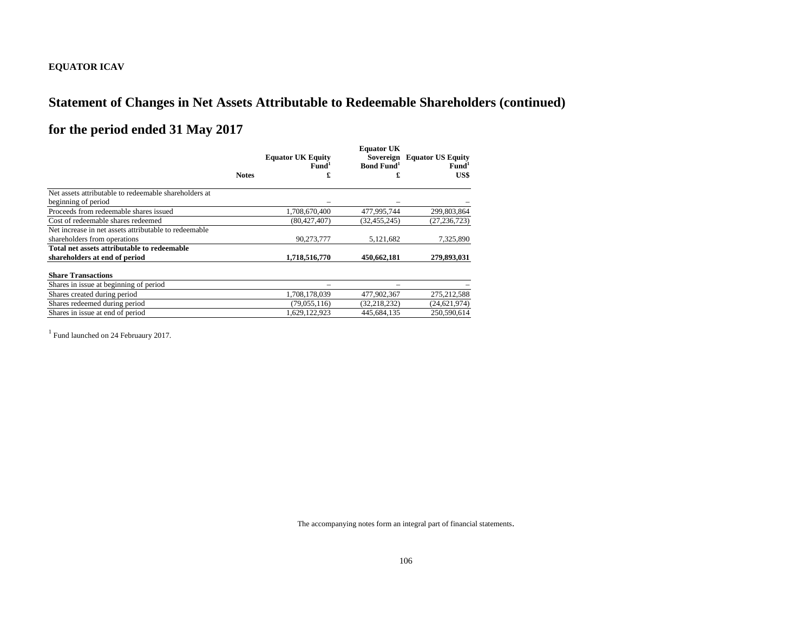# **Statement of Changes in Net Assets Attributable to Redeemable Shareholders (continued)**

# **for the period ended 31 May 2017**

|                                                       |              | <b>Equator UK Equity</b><br>Fund <sup>1</sup> | <b>Equator UK</b><br><b>Bond Fund</b> <sup>1</sup> | Sovereign Equator US Equity<br>Fund <sup>1</sup> |  |
|-------------------------------------------------------|--------------|-----------------------------------------------|----------------------------------------------------|--------------------------------------------------|--|
|                                                       | <b>Notes</b> | £                                             |                                                    | US\$                                             |  |
| Net assets attributable to redeemable shareholders at |              |                                               |                                                    |                                                  |  |
| beginning of period                                   |              |                                               |                                                    |                                                  |  |
| Proceeds from redeemable shares issued                |              | 1,708,670,400                                 | 477,995,744                                        | 299,803,864                                      |  |
| Cost of redeemable shares redeemed                    |              | (80, 427, 407)                                | (32, 455, 245)                                     | (27, 236, 723)                                   |  |
| Net increase in net assets attributable to redeemable |              |                                               |                                                    |                                                  |  |
| shareholders from operations                          |              | 90,273,777                                    | 5,121,682                                          | 7,325,890                                        |  |
| Total net assets attributable to redeemable           |              |                                               |                                                    |                                                  |  |
| shareholders at end of period                         |              | 1,718,516,770                                 | 450,662,181                                        | 279,893,031                                      |  |
| <b>Share Transactions</b>                             |              |                                               |                                                    |                                                  |  |
| Shares in issue at beginning of period                |              |                                               |                                                    |                                                  |  |
| Shares created during period                          |              | 1,708,178,039                                 | 477,902,367                                        | 275,212,588                                      |  |
| Shares redeemed during period                         |              | (79, 055, 116)                                | (32, 218, 232)                                     | (24, 621, 974)                                   |  |
| Shares in issue at end of period                      |              | 1,629,122,923                                 | 445,684,135                                        | 250,590,614                                      |  |

<sup>1</sup> Fund launched on 24 Februaury 2017.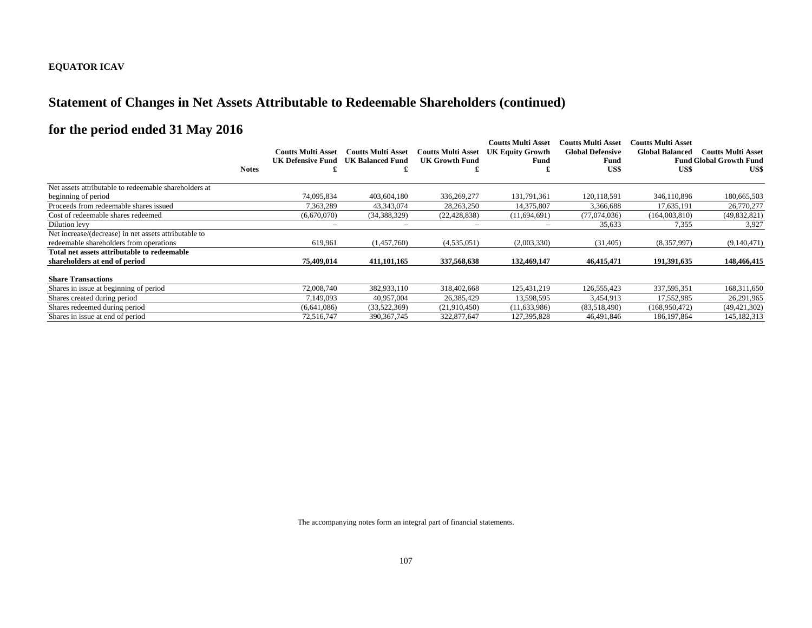### **Statement of Changes in Net Assets Attributable to Redeemable Shareholders (continued)**

# **for the period ended 31 May 2016**

|                                                       | <b>Coutts Multi Asset</b> | <b>Coutts Multi Asset</b> | <b>Coutts Multi Asset</b> | Coutts Multi Asset<br><b>UK Equity Growth</b> | <b>Coutts Multi Asset</b><br><b>Global Defensive</b> | Coutts Multi Asset<br><b>Global Balanced</b> | <b>Coutts Multi Asset</b>      |
|-------------------------------------------------------|---------------------------|---------------------------|---------------------------|-----------------------------------------------|------------------------------------------------------|----------------------------------------------|--------------------------------|
|                                                       | UK Defensive Fund         | <b>UK Balanced Fund</b>   | UK Growth Fund            | Fund                                          | Fund                                                 |                                              | <b>Fund Global Growth Fund</b> |
| <b>Notes</b>                                          |                           |                           |                           |                                               | US\$                                                 | US\$                                         | US\$                           |
| Net assets attributable to redeemable shareholders at |                           |                           |                           |                                               |                                                      |                                              |                                |
| beginning of period                                   | 74.095.834                | 403,604,180               | 336,269,277               | 131,791,361                                   | 120,118,591                                          | 346,110,896                                  | 180,665,503                    |
| Proceeds from redeemable shares issued                | 7.363.289                 | 43,343,074                | 28, 263, 250              | 14,375,807                                    | 3,366,688                                            | 17,635,191                                   | 26,770,277                     |
| Cost of redeemable shares redeemed                    | (6,670,070)               | (34, 388, 329)            | (22, 428, 838)            | (11,694,691)                                  | (77.074.036)                                         | (164,003,810)                                | (49,832,821)                   |
| Dilution levy                                         |                           |                           |                           |                                               | 35,633                                               | 7,355                                        | 3,927                          |
| Net increase/(decrease) in net assets attributable to |                           |                           |                           |                                               |                                                      |                                              |                                |
| redeemable shareholders from operations               | 619,961                   | (1,457,760)               | (4,535,051)               | (2,003,330)                                   | (31,405)                                             | (8,357,997)                                  | (9,140,471)                    |
| Total net assets attributable to redeemable           |                           |                           |                           |                                               |                                                      |                                              |                                |
| shareholders at end of period                         | 75,409,014                | 411,101,165               | 337,568,638               | 132,469,147                                   | 46,415,471                                           | 191,391,635                                  | 148,466,415                    |
| <b>Share Transactions</b>                             |                           |                           |                           |                                               |                                                      |                                              |                                |
| Shares in issue at beginning of period                | 72,008,740                | 382,933,110               | 318,402,668               | 125,431,219                                   | 126,555,423                                          | 337,595,351                                  | 168,311,650                    |
| Shares created during period                          | 7.149.093                 | 40,957,004                | 26,385,429                | 13,598,595                                    | 3,454,913                                            | 17,552,985                                   | 26,291,965                     |
| Shares redeemed during period                         | (6,641,086)               | (33,522,369)              | (21,910,450)              | (11, 633, 986)                                | (83,518,490)                                         | (168,950,472)                                | (49, 421, 302)                 |
| Shares in issue at end of period                      | 72,516,747                | 390, 367, 745             | 322,877,647               | 127,395,828                                   | 46,491,846                                           | 186, 197, 864                                | 145,182,313                    |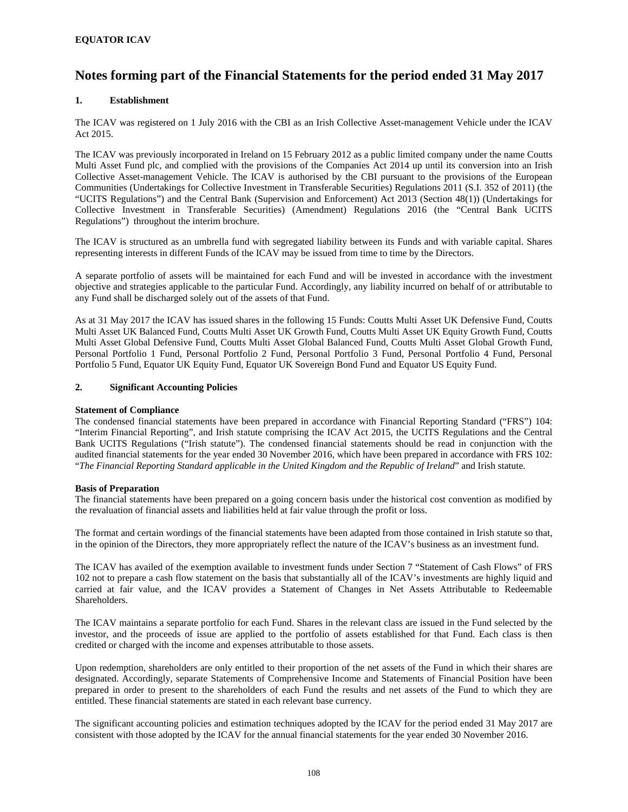### **EQUATOR ICAV**

## **Notes forming part of the Financial Statements for the period ended 31 May 2017**

### **1. Establishment**

The ICAV was registered on 1 July 2016 with the CBI as an Irish Collective Asset-management Vehicle under the ICAV Act 2015.

The ICAV was previously incorporated in Ireland on 15 February 2012 as a public limited company under the name Coutts Multi Asset Fund plc, and complied with the provisions of the Companies Act 2014 up until its conversion into an Irish Collective Asset-management Vehicle. The ICAV is authorised by the CBI pursuant to the provisions of the European Communities (Undertakings for Collective Investment in Transferable Securities) Regulations 2011 (S.I. 352 of 2011) (the "UCITS Regulations") and the Central Bank (Supervision and Enforcement) Act 2013 (Section 48(1)) (Undertakings for Collective Investment in Transferable Securities) (Amendment) Regulations 2016 (the "Central Bank UCITS Regulations") throughout the interim brochure.

The ICAV is structured as an umbrella fund with segregated liability between its Funds and with variable capital. Shares representing interests in different Funds of the ICAV may be issued from time to time by the Directors.

A separate portfolio of assets will be maintained for each Fund and will be invested in accordance with the investment objective and strategies applicable to the particular Fund. Accordingly, any liability incurred on behalf of or attributable to any Fund shall be discharged solely out of the assets of that Fund.

As at 31 May 2017 the ICAV has issued shares in the following 15 Funds: Coutts Multi Asset UK Defensive Fund, Coutts Multi Asset UK Balanced Fund, Coutts Multi Asset UK Growth Fund, Coutts Multi Asset UK Equity Growth Fund, Coutts Multi Asset Global Defensive Fund, Coutts Multi Asset Global Balanced Fund, Coutts Multi Asset Global Growth Fund, Personal Portfolio 1 Fund, Personal Portfolio 2 Fund, Personal Portfolio 3 Fund, Personal Portfolio 4 Fund, Personal Portfolio 5 Fund, Equator UK Equity Fund, Equator UK Sovereign Bond Fund and Equator US Equity Fund.

### **2. Significant Accounting Policies**

#### **Statement of Compliance**

The condensed financial statements have been prepared in accordance with Financial Reporting Standard ("FRS") 104: "Interim Financial Reporting", and Irish statute comprising the ICAV Act 2015, the UCITS Regulations and the Central Bank UCITS Regulations ("Irish statute"). The condensed financial statements should be read in conjunction with the audited financial statements for the year ended 30 November 2016, which have been prepared in accordance with FRS 102: "*The Financial Reporting Standard applicable in the United Kingdom and the Republic of Ireland*" and Irish statute.

### **Basis of Preparation**

The financial statements have been prepared on a going concern basis under the historical cost convention as modified by the revaluation of financial assets and liabilities held at fair value through the profit or loss.

The format and certain wordings of the financial statements have been adapted from those contained in Irish statute so that, in the opinion of the Directors, they more appropriately reflect the nature of the ICAV's business as an investment fund.

The ICAV has availed of the exemption available to investment funds under Section 7 "Statement of Cash Flows" of FRS 102 not to prepare a cash flow statement on the basis that substantially all of the ICAV's investments are highly liquid and carried at fair value, and the ICAV provides a Statement of Changes in Net Assets Attributable to Redeemable Shareholders.

The ICAV maintains a separate portfolio for each Fund. Shares in the relevant class are issued in the Fund selected by the investor, and the proceeds of issue are applied to the portfolio of assets established for that Fund. Each class is then credited or charged with the income and expenses attributable to those assets.

Upon redemption, shareholders are only entitled to their proportion of the net assets of the Fund in which their shares are designated. Accordingly, separate Statements of Comprehensive Income and Statements of Financial Position have been prepared in order to present to the shareholders of each Fund the results and net assets of the Fund to which they are entitled. These financial statements are stated in each relevant base currency.

The significant accounting policies and estimation techniques adopted by the ICAV for the period ended 31 May 2017 are consistent with those adopted by the ICAV for the annual financial statements for the year ended 30 November 2016.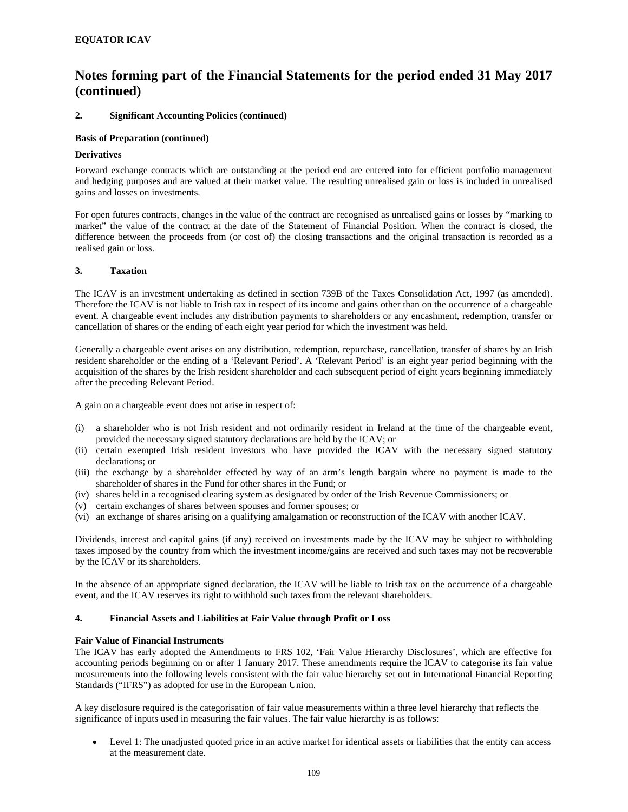### **2. Significant Accounting Policies (continued)**

### **Basis of Preparation (continued)**

#### **Derivatives**

Forward exchange contracts which are outstanding at the period end are entered into for efficient portfolio management and hedging purposes and are valued at their market value. The resulting unrealised gain or loss is included in unrealised gains and losses on investments.

For open futures contracts, changes in the value of the contract are recognised as unrealised gains or losses by "marking to market" the value of the contract at the date of the Statement of Financial Position. When the contract is closed, the difference between the proceeds from (or cost of) the closing transactions and the original transaction is recorded as a realised gain or loss.

### **3. Taxation**

The ICAV is an investment undertaking as defined in section 739B of the Taxes Consolidation Act, 1997 (as amended). Therefore the ICAV is not liable to Irish tax in respect of its income and gains other than on the occurrence of a chargeable event. A chargeable event includes any distribution payments to shareholders or any encashment, redemption, transfer or cancellation of shares or the ending of each eight year period for which the investment was held.

Generally a chargeable event arises on any distribution, redemption, repurchase, cancellation, transfer of shares by an Irish resident shareholder or the ending of a 'Relevant Period'. A 'Relevant Period' is an eight year period beginning with the acquisition of the shares by the Irish resident shareholder and each subsequent period of eight years beginning immediately after the preceding Relevant Period.

A gain on a chargeable event does not arise in respect of:

- (i) a shareholder who is not Irish resident and not ordinarily resident in Ireland at the time of the chargeable event, provided the necessary signed statutory declarations are held by the ICAV; or
- (ii) certain exempted Irish resident investors who have provided the ICAV with the necessary signed statutory declarations; or
- (iii) the exchange by a shareholder effected by way of an arm's length bargain where no payment is made to the shareholder of shares in the Fund for other shares in the Fund; or
- (iv) shares held in a recognised clearing system as designated by order of the Irish Revenue Commissioners; or
- (v) certain exchanges of shares between spouses and former spouses; or
- (vi) an exchange of shares arising on a qualifying amalgamation or reconstruction of the ICAV with another ICAV.

Dividends, interest and capital gains (if any) received on investments made by the ICAV may be subject to withholding taxes imposed by the country from which the investment income/gains are received and such taxes may not be recoverable by the ICAV or its shareholders.

In the absence of an appropriate signed declaration, the ICAV will be liable to Irish tax on the occurrence of a chargeable event, and the ICAV reserves its right to withhold such taxes from the relevant shareholders.

### **4. Financial Assets and Liabilities at Fair Value through Profit or Loss**

#### **Fair Value of Financial Instruments**

The ICAV has early adopted the Amendments to FRS 102, 'Fair Value Hierarchy Disclosures', which are effective for accounting periods beginning on or after 1 January 2017. These amendments require the ICAV to categorise its fair value measurements into the following levels consistent with the fair value hierarchy set out in International Financial Reporting Standards ("IFRS") as adopted for use in the European Union.

A key disclosure required is the categorisation of fair value measurements within a three level hierarchy that reflects the significance of inputs used in measuring the fair values. The fair value hierarchy is as follows:

 Level 1: The unadjusted quoted price in an active market for identical assets or liabilities that the entity can access at the measurement date.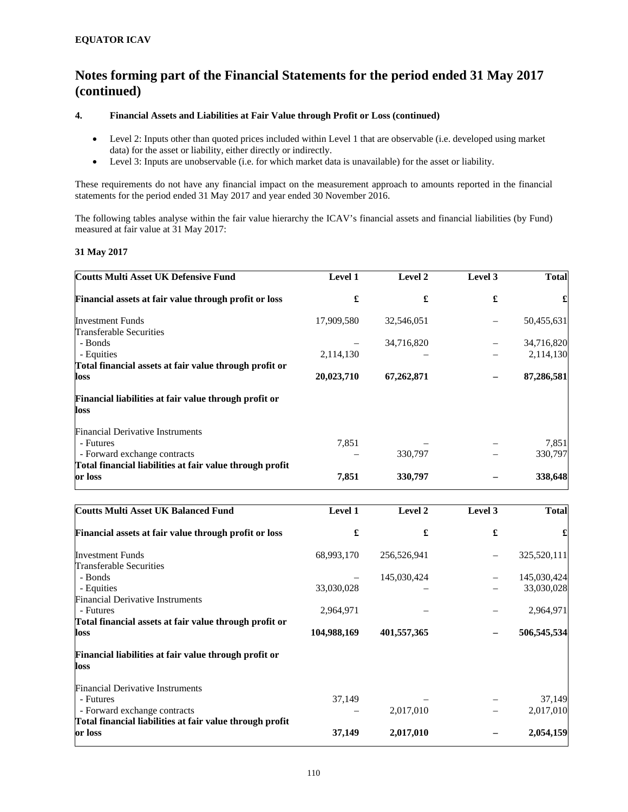### **4. Financial Assets and Liabilities at Fair Value through Profit or Loss (continued)**

- Level 2: Inputs other than quoted prices included within Level 1 that are observable (i.e. developed using market data) for the asset or liability, either directly or indirectly.
- Level 3: Inputs are unobservable (i.e. for which market data is unavailable) for the asset or liability.

These requirements do not have any financial impact on the measurement approach to amounts reported in the financial statements for the period ended 31 May 2017 and year ended 30 November 2016.

The following tables analyse within the fair value hierarchy the ICAV's financial assets and financial liabilities (by Fund) measured at fair value at 31 May 2017:

### **31 May 2017**

| <b>Coutts Multi Asset UK Defensive Fund</b>                   | Level 1    | Level 2     | Level 3 | <b>Total</b> |
|---------------------------------------------------------------|------------|-------------|---------|--------------|
| Financial assets at fair value through profit or loss         | £          | £           | £       | £            |
| <b>Investment Funds</b>                                       | 17,909,580 | 32,546,051  |         | 50,455,631   |
| Transferable Securities                                       |            |             |         |              |
| - Bonds                                                       |            | 34,716,820  |         | 34,716,820   |
| - Equities                                                    | 2,114,130  |             |         | 2,114,130    |
| Total financial assets at fair value through profit or        |            |             |         |              |
| loss                                                          | 20,023,710 | 67,262,871  |         | 87,286,581   |
| Financial liabilities at fair value through profit or<br>loss |            |             |         |              |
| <b>Financial Derivative Instruments</b>                       |            |             |         |              |
| - Futures                                                     | 7,851      |             |         | 7,851        |
| - Forward exchange contracts                                  |            | 330,797     |         | 330,797      |
| Total financial liabilities at fair value through profit      |            |             |         |              |
| or loss                                                       | 7,851      | 330,797     |         | 338,648      |
| <b>Coutts Multi Asset UK Balanced Fund</b>                    | Level 1    | Level 2     | Level 3 | <b>Total</b> |
|                                                               |            |             |         |              |
| Financial assets at fair value through profit or loss         | £          | £           | £       | £            |
| <b>Investment Funds</b>                                       | 68,993,170 | 256,526,941 |         | 325,520,111  |
| Transferable Securities                                       |            |             |         |              |
| - Bonds                                                       |            | 145,030,424 |         | 145,030,424  |
| - Equities                                                    | 33,030,028 |             |         | 33,030,028   |
| <b>Financial Derivative Instruments</b>                       |            |             |         |              |

| - Futures                               |                                                          | 2.964.971   |             | 2,964,971   |
|-----------------------------------------|----------------------------------------------------------|-------------|-------------|-------------|
|                                         | Total financial assets at fair value through profit or   |             |             |             |
| loss                                    |                                                          | 104,988,169 | 401,557,365 | 506,545,534 |
| loss                                    | Financial liabilities at fair value through profit or    |             |             |             |
| <b>Financial Derivative Instruments</b> |                                                          |             |             |             |
| - Futures                               |                                                          | 37.149      |             | 37.149      |
| - Forward exchange contracts            |                                                          |             | 2,017,010   | 2,017,010   |
|                                         | Total financial liabilities at fair value through profit |             |             |             |
| or loss                                 |                                                          | 37,149      | 2,017,010   | 2,054,159   |
|                                         |                                                          |             |             |             |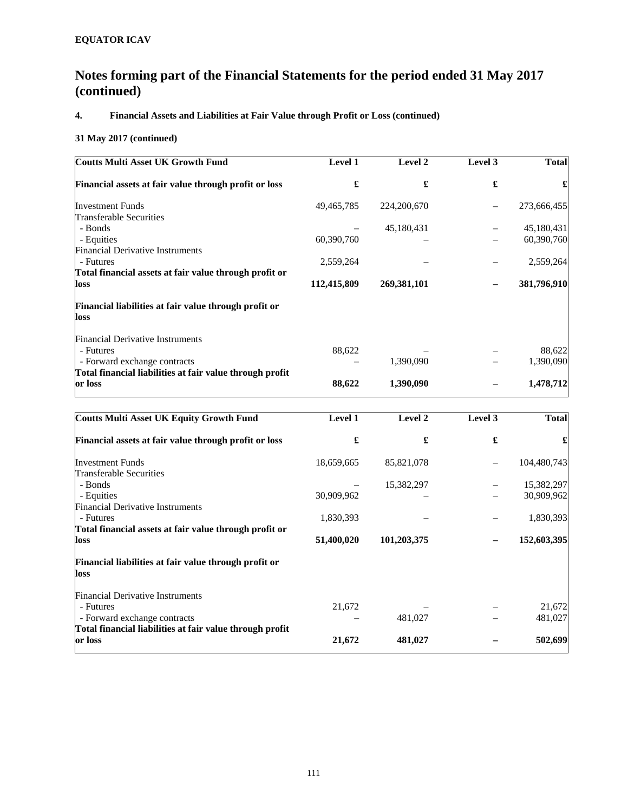# **4. Financial Assets and Liabilities at Fair Value through Profit or Loss (continued)**

### **31 May 2017 (continued)**

| <b>Coutts Multi Asset UK Growth Fund</b>                      | <b>Level 1</b> | Level 2       | Level 3 | <b>Total</b> |
|---------------------------------------------------------------|----------------|---------------|---------|--------------|
| Financial assets at fair value through profit or loss         | £              | £             | £       |              |
| <b>Investment Funds</b>                                       | 49,465,785     | 224, 200, 670 |         | 273,666,455  |
| Transferable Securities                                       |                |               |         |              |
| - Bonds                                                       |                | 45,180,431    |         | 45,180,431   |
| - Equities                                                    | 60,390,760     |               |         | 60,390,760   |
| <b>Financial Derivative Instruments</b>                       |                |               |         |              |
| - Futures                                                     | 2,559,264      |               |         | 2,559,264    |
| Total financial assets at fair value through profit or        |                |               |         |              |
| loss                                                          | 112,415,809    | 269,381,101   |         | 381,796,910  |
| Financial liabilities at fair value through profit or<br>loss |                |               |         |              |
|                                                               |                |               |         |              |
| <b>Financial Derivative Instruments</b>                       |                |               |         |              |
| - Futures                                                     | 88,622         |               |         | 88,622       |
| - Forward exchange contracts                                  |                | 1,390,090     |         | 1,390,090    |
| Total financial liabilities at fair value through profit      |                |               |         |              |
| or loss                                                       | 88,622         | 1,390,090     |         | 1,478,712    |
| <b>Coutts Multi Asset UK Equity Growth Fund</b>               | Level 1        | Level 2       | Level 3 | <b>Total</b> |
|                                                               |                |               |         |              |
| Financial assets at fair value through profit or loss         | £              | £             | £       |              |

| <u>Financial assets at fair value through profit or loss</u> | æ          |             | T | æ,          |
|--------------------------------------------------------------|------------|-------------|---|-------------|
| <b>Investment Funds</b>                                      | 18,659,665 | 85,821,078  |   | 104,480,743 |
| Transferable Securities                                      |            |             |   |             |
| - Bonds                                                      |            | 15,382,297  |   | 15,382,297  |
| - Equities                                                   | 30,909,962 |             |   | 30,909,962  |
| <b>Financial Derivative Instruments</b>                      |            |             |   |             |
| - Futures                                                    | 1,830,393  |             |   | 1,830,393   |
| Total financial assets at fair value through profit or       |            |             |   |             |
| loss                                                         | 51,400,020 | 101,203,375 |   | 152,603,395 |
| Financial liabilities at fair value through profit or        |            |             |   |             |
| loss                                                         |            |             |   |             |
| <b>Financial Derivative Instruments</b>                      |            |             |   |             |
| - Futures                                                    | 21,672     |             |   | 21,672      |
| - Forward exchange contracts                                 |            | 481,027     |   | 481,027     |
| Total financial liabilities at fair value through profit     |            |             |   |             |
| or loss                                                      | 21,672     | 481,027     |   | 502,699     |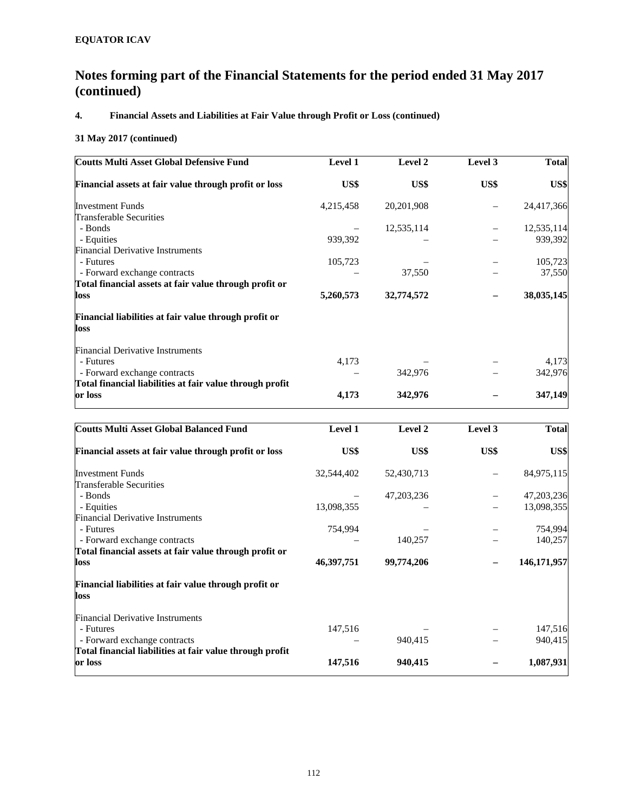# **4. Financial Assets and Liabilities at Fair Value through Profit or Loss (continued)**

### **31 May 2017 (continued)**

| <b>Coutts Multi Asset Global Defensive Fund</b>          | <b>Level 1</b> | Level 2    | Level 3 | <b>Total</b> |
|----------------------------------------------------------|----------------|------------|---------|--------------|
| Financial assets at fair value through profit or loss    | US\$           | US\$       | US\$    | US\$         |
| <b>Investment Funds</b>                                  | 4,215,458      | 20,201,908 |         | 24,417,366   |
| Transferable Securities                                  |                |            |         |              |
| - Bonds                                                  |                | 12,535,114 |         | 12,535,114   |
| - Equities                                               | 939,392        |            |         | 939,392      |
| <b>Financial Derivative Instruments</b>                  |                |            |         |              |
| - Futures                                                | 105,723        |            |         | 105,723      |
| - Forward exchange contracts                             |                | 37,550     |         | 37,550       |
| Total financial assets at fair value through profit or   |                |            |         |              |
| loss                                                     | 5,260,573      | 32,774,572 |         | 38,035,145   |
| Financial liabilities at fair value through profit or    |                |            |         |              |
| loss                                                     |                |            |         |              |
| <b>Financial Derivative Instruments</b>                  |                |            |         |              |
| - Futures                                                | 4,173          |            |         | 4,173        |
| - Forward exchange contracts                             |                | 342,976    |         | 342,976      |
| Total financial liabilities at fair value through profit |                |            |         |              |
| or loss                                                  | 4,173          | 342,976    |         | 347,149      |

| <b>Coutts Multi Asset Global Balanced Fund</b>           | <b>Level 1</b> | Level 2      | Level 3 | <b>Total</b> |
|----------------------------------------------------------|----------------|--------------|---------|--------------|
| Financial assets at fair value through profit or loss    | US\$           | US\$         | US\$    | US\$         |
| <b>Investment Funds</b>                                  | 32,544,402     | 52,430,713   |         | 84,975,115   |
| Transferable Securities                                  |                |              |         |              |
| - Bonds                                                  |                | 47, 203, 236 |         | 47,203,236   |
| - Equities                                               | 13,098,355     |              |         | 13,098,355   |
| <b>Financial Derivative Instruments</b>                  |                |              |         |              |
| - Futures                                                | 754,994        |              |         | 754,994      |
| - Forward exchange contracts                             |                | 140,257      |         | 140,257      |
| Total financial assets at fair value through profit or   |                |              |         |              |
| loss                                                     | 46,397,751     | 99,774,206   |         | 146,171,957  |
| Financial liabilities at fair value through profit or    |                |              |         |              |
| loss                                                     |                |              |         |              |
| <b>Financial Derivative Instruments</b>                  |                |              |         |              |
| - Futures                                                | 147,516        |              |         | 147,516      |
| - Forward exchange contracts                             |                | 940,415      |         | 940,415      |
| Total financial liabilities at fair value through profit |                |              |         |              |
| or loss                                                  | 147,516        | 940,415      |         | 1,087,931    |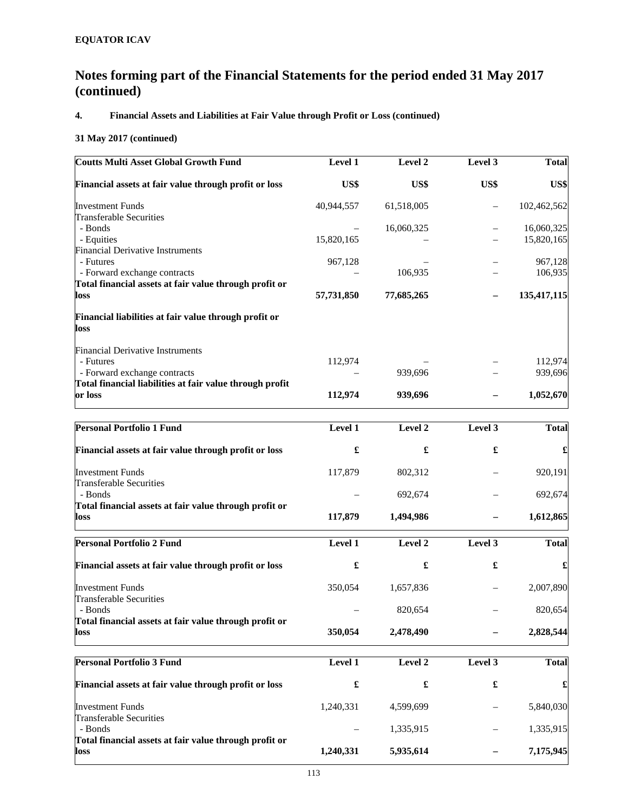# **4. Financial Assets and Liabilities at Fair Value through Profit or Loss (continued)**

### **31 May 2017 (continued)**

| <b>Coutts Multi Asset Global Growth Fund</b>                                             | Level 1    | Level 2              | Level 3              | <b>Total</b> |
|------------------------------------------------------------------------------------------|------------|----------------------|----------------------|--------------|
| Financial assets at fair value through profit or loss                                    | US\$       | US\$                 | US\$                 | US\$         |
| <b>Investment Funds</b>                                                                  | 40,944,557 | 61,518,005           |                      | 102,462,562  |
| <b>Transferable Securities</b><br>- Bonds                                                |            | 16,060,325           |                      | 16,060,325   |
| - Equities<br><b>Financial Derivative Instruments</b>                                    | 15,820,165 |                      |                      | 15,820,165   |
| - Futures                                                                                | 967,128    |                      |                      | 967,128      |
| - Forward exchange contracts                                                             |            | 106,935              |                      | 106,935      |
| Total financial assets at fair value through profit or<br>loss                           | 57,731,850 | 77,685,265           |                      | 135,417,115  |
| Financial liabilities at fair value through profit or<br>loss                            |            |                      |                      |              |
| <b>Financial Derivative Instruments</b>                                                  |            |                      |                      |              |
| - Futures                                                                                | 112,974    |                      |                      | 112,974      |
| - Forward exchange contracts<br>Total financial liabilities at fair value through profit |            | 939,696              |                      | 939,696      |
| or loss                                                                                  | 112,974    | 939,696              |                      | 1,052,670    |
| Personal Portfolio 1 Fund                                                                | Level 1    | Level 2              | Level 3              | <b>Total</b> |
|                                                                                          |            |                      |                      |              |
| Financial assets at fair value through profit or loss                                    | £          | £                    | $\pmb{\mathfrak{L}}$ |              |
| <b>Investment Funds</b>                                                                  | 117,879    | 802,312              |                      | 920,191      |
| <b>Transferable Securities</b><br>- Bonds                                                |            | 692,674              |                      | 692,674      |
| Total financial assets at fair value through profit or                                   |            |                      |                      |              |
| loss                                                                                     | 117,879    | 1,494,986            |                      | 1,612,865    |
| <b>Personal Portfolio 2 Fund</b>                                                         | Level 1    | Level 2              | Level 3              | <b>Total</b> |
| Financial assets at fair value through profit or loss                                    | £          | £                    | £                    |              |
| <b>Investment Funds</b>                                                                  | 350,054    | 1,657,836            |                      | 2,007,890    |
| <b>Transferable Securities</b><br>Bonds                                                  |            | 820,654              |                      | 820,654      |
| Total financial assets at fair value through profit or                                   |            |                      |                      |              |
| loss                                                                                     | 350,054    | 2,478,490            |                      | 2,828,544    |
| <b>Personal Portfolio 3 Fund</b>                                                         | Level 1    | Level 2              | Level 3              | <b>Total</b> |
| Financial assets at fair value through profit or loss                                    |            | $\pmb{\mathfrak{L}}$ | £                    | £            |
| <b>Investment Funds</b>                                                                  | 1,240,331  | 4,599,699            |                      | 5,840,030    |
| <b>Transferable Securities</b><br>- Bonds                                                |            | 1,335,915            |                      | 1,335,915    |
| Total financial assets at fair value through profit or<br>loss                           | 1,240,331  | 5,935,614            |                      | 7,175,945    |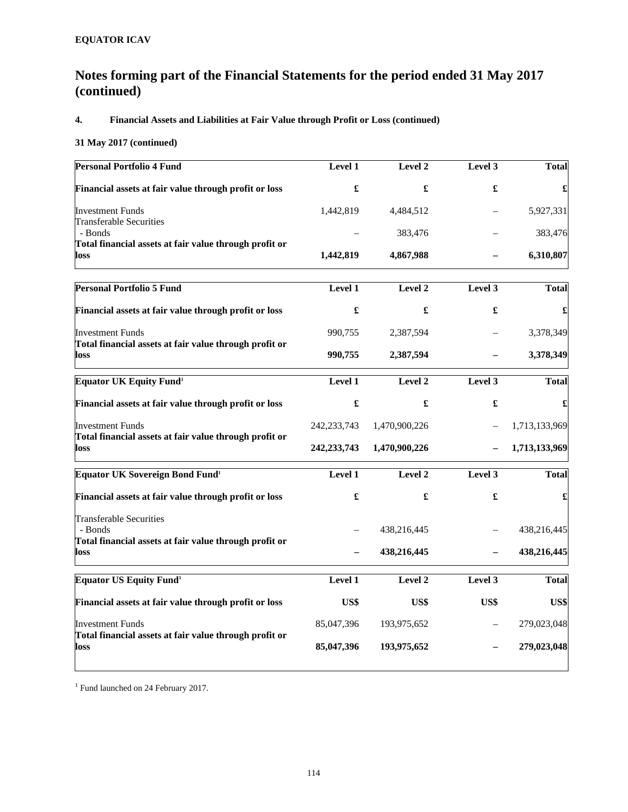# **4. Financial Assets and Liabilities at Fair Value through Profit or Loss (continued)**

### **31 May 2017 (continued)**

| <b>Personal Portfolio 4 Fund</b>                                                  | <b>Level 1</b>       | Level 2       | Level 3 | <b>Total</b>  |
|-----------------------------------------------------------------------------------|----------------------|---------------|---------|---------------|
| Financial assets at fair value through profit or loss                             | £                    | £             | £       |               |
| <b>Investment Funds</b>                                                           | 1,442,819            | 4,484,512     |         | 5,927,331     |
| <b>Transferable Securities</b><br>- Bonds                                         |                      | 383,476       |         | 383,476       |
| Total financial assets at fair value through profit or<br>loss                    | 1,442,819            | 4,867,988     |         | 6,310,807     |
| <b>Personal Portfolio 5 Fund</b>                                                  | Level 1              | Level 2       | Level 3 | <b>Total</b>  |
| Financial assets at fair value through profit or loss                             | £                    | £             | £       |               |
| <b>Investment Funds</b>                                                           | 990,755              | 2,387,594     |         | 3,378,349     |
| Total financial assets at fair value through profit or<br>loss                    | 990,755              | 2,387,594     |         | 3,378,349     |
| <b>Equator UK Equity Fund<sup>1</sup></b>                                         | Level 1              | Level 2       | Level 3 | <b>Total</b>  |
| Financial assets at fair value through profit or loss                             | $\pmb{\mathfrak{L}}$ | £             | £       | £             |
| <b>Investment Funds</b><br>Total financial assets at fair value through profit or | 242, 233, 743        | 1,470,900,226 |         | 1,713,133,969 |
| loss                                                                              | 242, 233, 743        | 1,470,900,226 |         | 1,713,133,969 |
| Equator UK Sovereign Bond Fund <sup>1</sup>                                       | Level 1              | Level 2       | Level 3 | <b>Total</b>  |
| Financial assets at fair value through profit or loss                             | £                    | £             | £       |               |
| <b>Transferable Securities</b><br>- Bonds                                         |                      | 438,216,445   |         | 438,216,445   |
| Total financial assets at fair value through profit or<br>loss                    |                      | 438,216,445   |         | 438,216,445   |
| Equator US Equity Fund <sup>1</sup>                                               | Level 1              | Level 2       | Level 3 | <b>Total</b>  |
| Financial assets at fair value through profit or loss                             | US\$                 | US\$          | US\$    | US\$          |
| <b>Investment Funds</b>                                                           | 85,047,396           | 193,975,652   |         | 279,023,048   |
| Total financial assets at fair value through profit or<br>loss                    | 85,047,396           | 193,975,652   |         | 279,023,048   |

<sup>1</sup> Fund launched on 24 February 2017.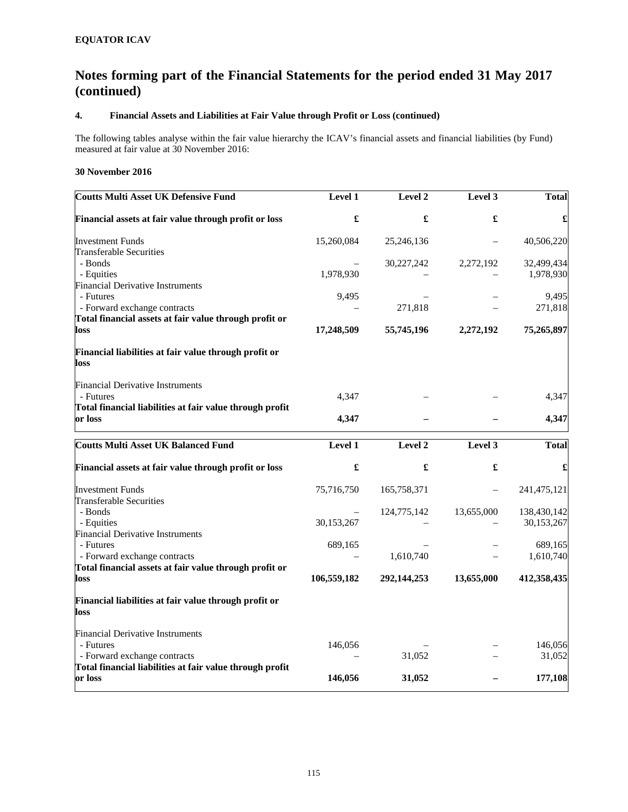### **4. Financial Assets and Liabilities at Fair Value through Profit or Loss (continued)**

The following tables analyse within the fair value hierarchy the ICAV's financial assets and financial liabilities (by Fund) measured at fair value at 30 November 2016:

### **30 November 2016**

| <b>Coutts Multi Asset UK Defensive Fund</b>                         | <b>Level 1</b> | Level 2     | Level 3    | Total        |
|---------------------------------------------------------------------|----------------|-------------|------------|--------------|
| Financial assets at fair value through profit or loss               | £              | £           | £          | £            |
| <b>Investment Funds</b>                                             | 15,260,084     | 25,246,136  |            | 40,506,220   |
| <b>Transferable Securities</b>                                      |                |             |            |              |
| - Bonds                                                             |                | 30,227,242  | 2,272,192  | 32,499,434   |
| - Equities                                                          | 1,978,930      |             |            | 1,978,930    |
| <b>Financial Derivative Instruments</b>                             |                |             |            |              |
| - Futures                                                           | 9,495          |             |            | 9,495        |
| - Forward exchange contracts                                        |                | 271,818     |            | 271,818      |
| Total financial assets at fair value through profit or<br>loss      | 17,248,509     | 55,745,196  | 2,272,192  | 75,265,897   |
| Financial liabilities at fair value through profit or<br>loss       |                |             |            |              |
| <b>Financial Derivative Instruments</b>                             |                |             |            |              |
| - Futures                                                           | 4,347          |             |            | 4,347        |
| Total financial liabilities at fair value through profit<br>or loss | 4,347          |             |            | 4,347        |
| <b>Coutts Multi Asset UK Balanced Fund</b>                          | Level 1        | Level 2     | Level 3    | <b>Total</b> |
| Financial assets at fair value through profit or loss               | £              | £           | £          | £            |
| <b>Investment Funds</b>                                             | 75,716,750     | 165,758,371 |            | 241,475,121  |
| <b>Transferable Securities</b>                                      |                |             |            |              |
| - Bonds                                                             |                | 124,775,142 | 13,655,000 | 138,430,142  |
| - Equities                                                          | 30,153,267     |             |            | 30,153,267   |
| <b>Financial Derivative Instruments</b>                             |                |             |            |              |
| - Futures                                                           | 689,165        |             |            | 689,165      |
| - Forward exchange contracts                                        |                | 1,610,740   |            | 1,610,740    |
| Total financial assets at fair value through profit or<br>loss      | 106,559,182    | 292,144,253 | 13,655,000 | 412,358,435  |
| Financial liabilities at fair value through profit or<br>loss       |                |             |            |              |
| <b>Financial Derivative Instruments</b>                             |                |             |            |              |
| - Futures                                                           | 146,056        |             |            | 146,056      |
| - Forward exchange contracts                                        |                | 31,052      |            | 31,052       |
| Total financial liabilities at fair value through profit<br>or loss | 146,056        | 31,052      |            | 177,108      |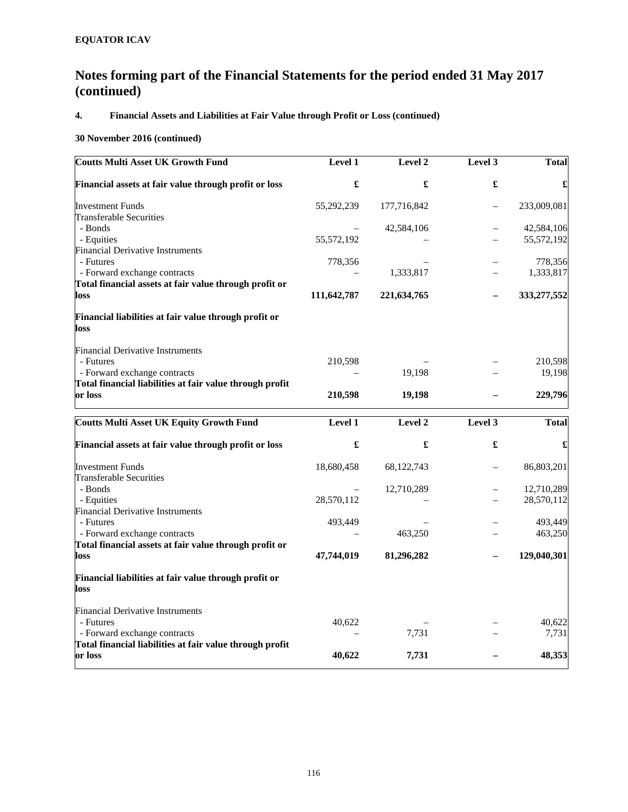# **4. Financial Assets and Liabilities at Fair Value through Profit or Loss (continued)**

### **30 November 2016 (continued)**

| <b>Coutts Multi Asset UK Growth Fund</b>                       | <b>Level 1</b> | Level 2      | Level 3 | <b>Total</b> |
|----------------------------------------------------------------|----------------|--------------|---------|--------------|
| Financial assets at fair value through profit or loss          | £              | £            | £       | £            |
| <b>Investment Funds</b>                                        | 55,292,239     | 177,716,842  |         | 233,009,081  |
| <b>Transferable Securities</b>                                 |                |              |         |              |
| - Bonds                                                        |                | 42,584,106   |         | 42,584,106   |
| - Equities                                                     | 55,572,192     |              |         | 55,572,192   |
| <b>Financial Derivative Instruments</b>                        |                |              |         |              |
| - Futures                                                      | 778,356        |              |         | 778,356      |
| - Forward exchange contracts                                   |                | 1,333,817    |         | 1,333,817    |
| Total financial assets at fair value through profit or<br>loss | 111,642,787    | 221,634,765  |         | 333,277,552  |
| Financial liabilities at fair value through profit or<br>loss  |                |              |         |              |
| <b>Financial Derivative Instruments</b>                        |                |              |         |              |
| - Futures                                                      | 210,598        |              |         | 210,598      |
| - Forward exchange contracts                                   |                | 19,198       |         | 19,198       |
| Total financial liabilities at fair value through profit       |                |              |         |              |
| or loss                                                        | 210,598        | 19,198       |         | 229,796      |
| <b>Coutts Multi Asset UK Equity Growth Fund</b>                | Level 1        | Level 2      | Level 3 | <b>Total</b> |
| Financial assets at fair value through profit or loss          | £              | £            | £       | £            |
| <b>Investment Funds</b>                                        | 18,680,458     | 68, 122, 743 |         | 86,803,201   |
| <b>Transferable Securities</b>                                 |                |              |         |              |
| - Bonds                                                        |                | 12,710,289   |         | 12,710,289   |
| - Equities                                                     | 28,570,112     |              |         | 28,570,112   |
| <b>Financial Derivative Instruments</b>                        |                |              |         |              |
| - Futures                                                      | 493,449        |              |         | 493,449      |
| - Forward exchange contracts                                   |                | 463,250      |         | 463,250      |
| Total financial assets at fair value through profit or         |                |              |         |              |
| loss                                                           | 47,744,019     | 81,296,282   |         | 129,040,301  |
| Financial liabilities at fair value through profit or<br>loss  |                |              |         |              |
| Financial Derivative Instruments                               |                |              |         |              |
| - Futures                                                      | 40,622         |              |         | 40,622       |
| - Forward exchange contracts                                   |                | 7,731        |         | 7,731        |
| Total financial liabilities at fair value through profit       |                |              |         |              |
| or loss                                                        | 40,622         | 7,731        |         | 48,353       |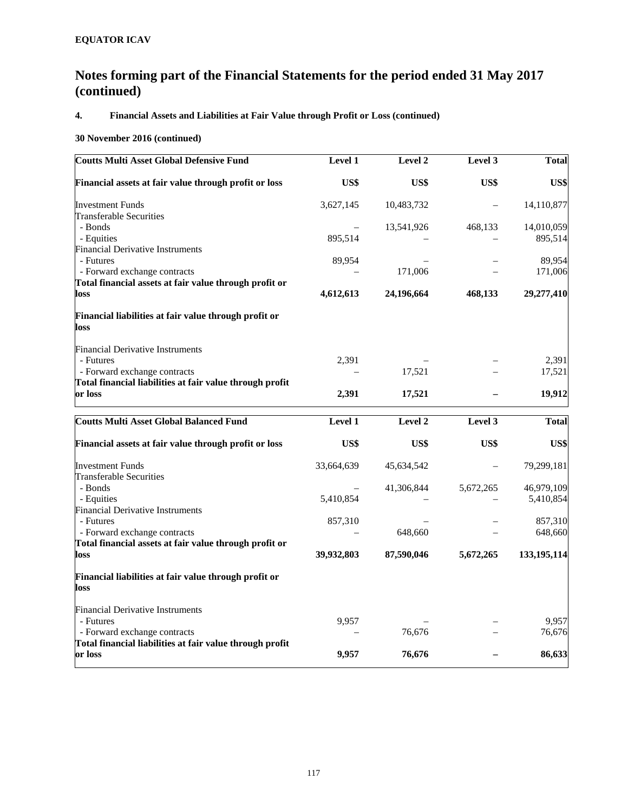# **4. Financial Assets and Liabilities at Fair Value through Profit or Loss (continued)**

### **30 November 2016 (continued)**

| <b>Coutts Multi Asset Global Defensive Fund</b>               | <b>Level 1</b> | Level 2    | Level 3   | <b>Total</b> |
|---------------------------------------------------------------|----------------|------------|-----------|--------------|
| Financial assets at fair value through profit or loss         | US\$           | US\$       | US\$      | US\$         |
| <b>Investment Funds</b>                                       | 3,627,145      | 10,483,732 |           | 14,110,877   |
| <b>Transferable Securities</b>                                |                |            |           |              |
| - Bonds                                                       |                | 13,541,926 | 468,133   | 14,010,059   |
| - Equities                                                    | 895,514        |            |           | 895,514      |
| <b>Financial Derivative Instruments</b>                       |                |            |           |              |
| - Futures                                                     | 89,954         |            |           | 89,954       |
| - Forward exchange contracts                                  |                | 171,006    |           | 171,006      |
| Total financial assets at fair value through profit or        |                |            |           |              |
| loss                                                          | 4,612,613      | 24,196,664 | 468,133   | 29,277,410   |
| Financial liabilities at fair value through profit or<br>loss |                |            |           |              |
| <b>Financial Derivative Instruments</b>                       |                |            |           |              |
| - Futures                                                     | 2,391          |            |           | 2,391        |
| - Forward exchange contracts                                  |                | 17,521     |           | 17,521       |
| Total financial liabilities at fair value through profit      |                |            |           |              |
| or loss                                                       | 2,391          | 17,521     |           | 19,912       |
| <b>Coutts Multi Asset Global Balanced Fund</b>                | Level 1        | Level 2    | Level 3   | <b>Total</b> |
| Financial assets at fair value through profit or loss         | US\$           | US\$       | US\$      | US\$         |
| <b>Investment Funds</b>                                       | 33,664,639     | 45,634,542 |           | 79,299,181   |
| <b>Transferable Securities</b>                                |                |            |           |              |
| - Bonds                                                       |                | 41,306,844 | 5,672,265 | 46,979,109   |
| - Equities                                                    | 5,410,854      |            |           | 5,410,854    |
| <b>Financial Derivative Instruments</b>                       |                |            |           |              |
| - Futures                                                     | 857,310        |            |           | 857,310      |
| - Forward exchange contracts                                  |                | 648,660    |           | 648,660      |
| Total financial assets at fair value through profit or        |                |            |           |              |
| loss                                                          | 39,932,803     | 87,590,046 | 5,672,265 | 133,195,114  |
| Financial liabilities at fair value through profit or<br>loss |                |            |           |              |
| <b>Financial Derivative Instruments</b>                       |                |            |           |              |
| - Futures                                                     | 9,957          |            |           | 9,957        |
| - Forward exchange contracts                                  |                | 76,676     |           | 76,676       |
| Total financial liabilities at fair value through profit      |                |            |           |              |
| or loss                                                       | 9,957          | 76,676     |           | 86,633       |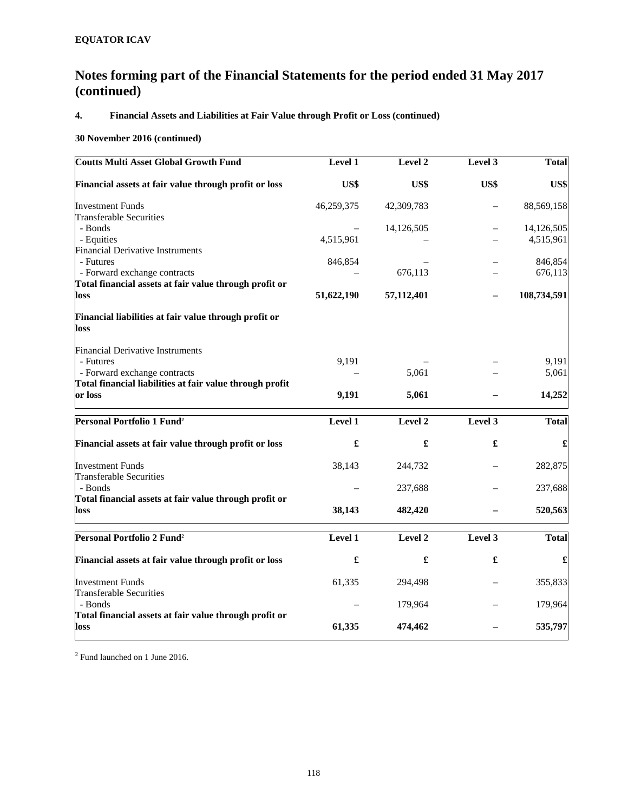# **4. Financial Assets and Liabilities at Fair Value through Profit or Loss (continued)**

### **30 November 2016 (continued)**

| <b>Coutts Multi Asset Global Growth Fund</b>                   | Level 1    | Level 2              | Level 3 | <b>Total</b> |
|----------------------------------------------------------------|------------|----------------------|---------|--------------|
| Financial assets at fair value through profit or loss          | US\$       | US\$                 | US\$    | US\$         |
| <b>Investment Funds</b>                                        | 46,259,375 | 42,309,783           |         | 88,569,158   |
| <b>Transferable Securities</b>                                 |            |                      |         |              |
| - Bonds                                                        |            | 14,126,505           |         | 14,126,505   |
| - Equities                                                     | 4,515,961  |                      |         | 4,515,961    |
| <b>Financial Derivative Instruments</b>                        |            |                      |         |              |
| - Futures                                                      | 846,854    |                      |         | 846,854      |
| - Forward exchange contracts                                   |            | 676,113              |         | 676,113      |
| Total financial assets at fair value through profit or         |            |                      |         |              |
| loss                                                           | 51,622,190 | 57,112,401           |         | 108,734,591  |
| Financial liabilities at fair value through profit or<br>loss  |            |                      |         |              |
| <b>Financial Derivative Instruments</b>                        |            |                      |         |              |
| - Futures                                                      | 9,191      |                      |         | 9,191        |
| - Forward exchange contracts                                   |            | 5,061                |         | 5,061        |
| Total financial liabilities at fair value through profit       |            |                      |         |              |
| or loss                                                        | 9,191      | 5,061                |         | 14,252       |
| Personal Portfolio 1 Fund <sup>2</sup>                         | Level 1    | Level 2              | Level 3 | <b>Total</b> |
| Financial assets at fair value through profit or loss          | £          | $\pmb{\mathfrak{L}}$ | £       |              |
| <b>Investment Funds</b>                                        | 38,143     | 244,732              |         | 282,875      |
| <b>Transferable Securities</b>                                 |            |                      |         |              |
| - Bonds                                                        |            | 237,688              |         | 237,688      |
| Total financial assets at fair value through profit or<br>loss | 38,143     | 482,420              |         | 520,563      |
| Personal Portfolio 2 Fund <sup>2</sup>                         | Level 1    | Level 2              | Level 3 | <b>Total</b> |
| Financial assets at fair value through profit or loss          | £          | $\pmb{\mathfrak{L}}$ | £       | £            |
| <b>Investment Funds</b>                                        | 61,335     | 294,498              |         | 355,833      |
| <b>Transferable Securities</b>                                 |            |                      |         |              |
| - Bonds                                                        |            | 179,964              |         | 179,964      |
| Total financial assets at fair value through profit or         |            |                      |         |              |
| loss                                                           | 61,335     | 474,462              |         | 535,797      |
|                                                                |            |                      |         |              |

<sup>2</sup> Fund launched on 1 June 2016.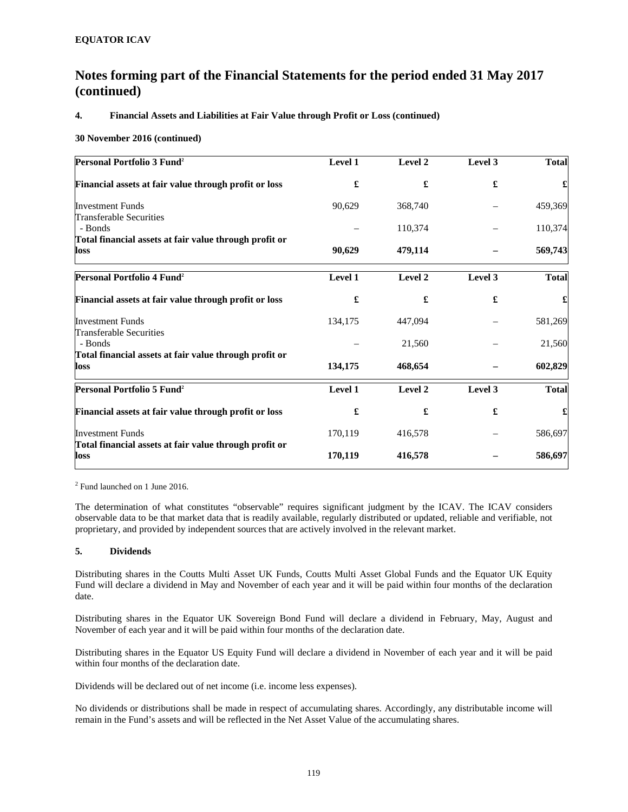### **4. Financial Assets and Liabilities at Fair Value through Profit or Loss (continued)**

### **30 November 2016 (continued)**

| Personal Portfolio 3 Fund <sup>2</sup>                         | Level 1 | Level 2 | Level 3 | <b>Total</b> |
|----------------------------------------------------------------|---------|---------|---------|--------------|
| Financial assets at fair value through profit or loss          | £       | £       | £       |              |
| <b>Investment Funds</b>                                        | 90,629  | 368,740 |         | 459,369      |
| <b>Transferable Securities</b>                                 |         |         |         |              |
| - Bonds                                                        |         | 110,374 |         | 110,374      |
| Total financial assets at fair value through profit or<br>loss | 90,629  | 479,114 |         | 569,743      |
| Personal Portfolio 4 Fund <sup>2</sup>                         | Level 1 | Level 2 | Level 3 | <b>Total</b> |
| Financial assets at fair value through profit or loss          | £       | £       | £       |              |
| <b>Investment Funds</b>                                        | 134,175 | 447,094 |         | 581,269      |
| Transferable Securities                                        |         |         |         |              |
| - Bonds                                                        |         | 21,560  |         | 21,560       |
| Total financial assets at fair value through profit or<br>loss | 134,175 | 468,654 |         | 602,829      |
| Personal Portfolio 5 Fund <sup>2</sup>                         | Level 1 | Level 2 | Level 3 | <b>Total</b> |
| Financial assets at fair value through profit or loss          | £       | £       | £       |              |
| <b>Investment Funds</b>                                        | 170,119 | 416,578 |         | 586,697      |
| Total financial assets at fair value through profit or<br>loss | 170,119 | 416,578 |         | 586,697      |

2 Fund launched on 1 June 2016.

The determination of what constitutes "observable" requires significant judgment by the ICAV. The ICAV considers observable data to be that market data that is readily available, regularly distributed or updated, reliable and verifiable, not proprietary, and provided by independent sources that are actively involved in the relevant market.

### **5. Dividends**

Distributing shares in the Coutts Multi Asset UK Funds, Coutts Multi Asset Global Funds and the Equator UK Equity Fund will declare a dividend in May and November of each year and it will be paid within four months of the declaration date.

Distributing shares in the Equator UK Sovereign Bond Fund will declare a dividend in February, May, August and November of each year and it will be paid within four months of the declaration date.

Distributing shares in the Equator US Equity Fund will declare a dividend in November of each year and it will be paid within four months of the declaration date.

Dividends will be declared out of net income (i.e. income less expenses).

No dividends or distributions shall be made in respect of accumulating shares. Accordingly, any distributable income will remain in the Fund's assets and will be reflected in the Net Asset Value of the accumulating shares.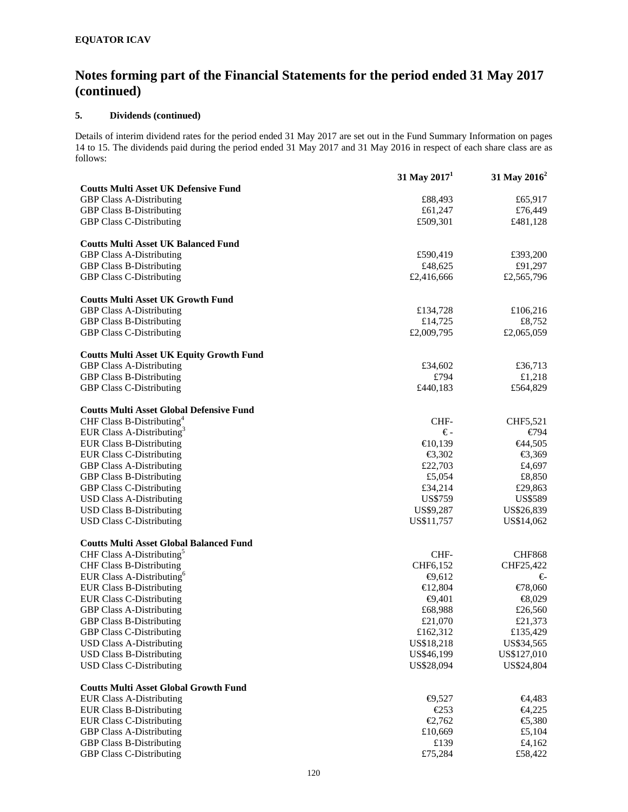### **5. Dividends (continued)**

Details of interim dividend rates for the period ended 31 May 2017 are set out in the Fund Summary Information on pages 14 to 15. The dividends paid during the period ended 31 May 2017 and 31 May 2016 in respect of each share class are as follows:

|                                                 | 31 May $20171$   | 31 May 2016 <sup>2</sup>                                         |
|-------------------------------------------------|------------------|------------------------------------------------------------------|
| <b>Coutts Multi Asset UK Defensive Fund</b>     |                  |                                                                  |
| <b>GBP Class A-Distributing</b>                 | £88,493          | £65,917                                                          |
| <b>GBP Class B-Distributing</b>                 | £61,247          | £76,449                                                          |
| <b>GBP Class C-Distributing</b>                 | £509,301         | £481,128                                                         |
| <b>Coutts Multi Asset UK Balanced Fund</b>      |                  |                                                                  |
| <b>GBP Class A-Distributing</b>                 | £590,419         | £393,200                                                         |
| <b>GBP Class B-Distributing</b>                 | £48,625          | £91,297                                                          |
| <b>GBP Class C-Distributing</b>                 | £2,416,666       | £2,565,796                                                       |
|                                                 |                  |                                                                  |
| <b>Coutts Multi Asset UK Growth Fund</b>        |                  |                                                                  |
| <b>GBP Class A-Distributing</b>                 | £134,728         | £106,216                                                         |
| <b>GBP Class B-Distributing</b>                 | £14,725          | £8,752                                                           |
| <b>GBP Class C-Distributing</b>                 | £2,009,795       | £2,065,059                                                       |
| <b>Coutts Multi Asset UK Equity Growth Fund</b> |                  |                                                                  |
| <b>GBP Class A-Distributing</b>                 | £34,602          | £36,713                                                          |
| <b>GBP Class B-Distributing</b>                 | £794             | £1,218                                                           |
| <b>GBP Class C-Distributing</b>                 | £440,183         | £564,829                                                         |
| <b>Coutts Multi Asset Global Defensive Fund</b> |                  |                                                                  |
| CHF Class B-Distributing <sup>4</sup>           | CHF-             | CHF5,521                                                         |
| EUR Class A-Distributing <sup>3</sup>           | €-               | €794                                                             |
| <b>EUR Class B-Distributing</b>                 | €10,139          | <del>€</del> 44,505                                              |
| <b>EUR Class C-Distributing</b>                 | € $3,302$        | €3,369                                                           |
| <b>GBP Class A-Distributing</b>                 | £22,703          | £4,697                                                           |
| <b>GBP Class B-Distributing</b>                 | £5,054           | £8,850                                                           |
| <b>GBP Class C-Distributing</b>                 | £34,214          | £29,863                                                          |
| <b>USD Class A-Distributing</b>                 | US\$759          | US\$589                                                          |
| <b>USD Class B-Distributing</b>                 | US\$9,287        | US\$26,839                                                       |
| USD Class C-Distributing                        | US\$11,757       | US\$14,062                                                       |
| <b>Coutts Multi Asset Global Balanced Fund</b>  |                  |                                                                  |
| CHF Class A-Distributing <sup>5</sup>           | CHF-             | <b>CHF868</b>                                                    |
| <b>CHF Class B-Distributing</b>                 | CHF6,152         | CHF25,422                                                        |
| EUR Class A-Distributing <sup>6</sup>           | $\bigoplus$ ,612 | €                                                                |
| <b>EUR Class B-Distributing</b>                 | € $12,804$       | €78,060                                                          |
| <b>EUR Class C-Distributing</b>                 | $\bigoplus$ ,401 | $\bigoplus$ ,029                                                 |
| <b>GBP Class A-Distributing</b>                 | £68,988          | £26,560                                                          |
| <b>GBP Class B-Distributing</b>                 | £21,070          | £21,373                                                          |
| GBP Class C-Distributing                        | £162,312         | £135,429                                                         |
| <b>USD Class A-Distributing</b>                 | US\$18,218       | US\$34,565                                                       |
| <b>USD Class B-Distributing</b>                 | US\$46,199       | US\$127,010                                                      |
| <b>USD Class C-Distributing</b>                 | US\$28,094       | US\$24,804                                                       |
| <b>Coutts Multi Asset Global Growth Fund</b>    |                  |                                                                  |
| <b>EUR Class A-Distributing</b>                 | $\bigoplus$ ,527 | <del>€</del> 4,483                                               |
| <b>EUR Class B-Distributing</b>                 | E253             | <del>€</del> 4,225                                               |
| <b>EUR Class C-Distributing</b>                 | €2,762           | $\textcolor{blue}{\mathbf{\textcolor{blue}{\in}}\mathbf{5,380}}$ |
| <b>GBP Class A-Distributing</b>                 | £10,669          | £5,104                                                           |
| <b>GBP Class B-Distributing</b>                 | £139             | £4,162                                                           |
| GBP Class C-Distributing                        | £75,284          | £58,422                                                          |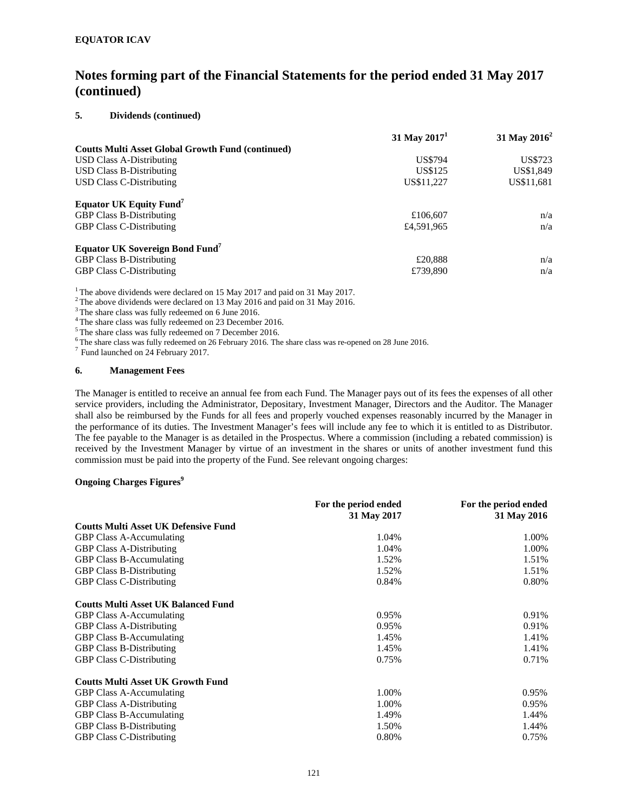### **5. Dividends (continued)**

|                                                          | 31 May $20171$ | 31 May $2016^2$ |
|----------------------------------------------------------|----------------|-----------------|
| <b>Coutts Multi Asset Global Growth Fund (continued)</b> |                |                 |
| USD Class A-Distributing                                 | <b>US\$794</b> | US\$723         |
| <b>USD Class B-Distributing</b>                          | US\$125        | US\$1,849       |
| <b>USD Class C-Distributing</b>                          | US\$11.227     | US\$11,681      |
| <b>Equator UK Equity Fund<sup>7</sup></b>                |                |                 |
| <b>GBP Class B-Distributing</b>                          | £106,607       | n/a             |
| <b>GBP Class C-Distributing</b>                          | £4,591,965     | n/a             |
| <b>Equator UK Sovereign Bond Fund</b>                    |                |                 |
| <b>GBP Class B-Distributing</b>                          | £20,888        | n/a             |
| <b>GBP Class C-Distributing</b>                          | £739,890       | n/a             |

<sup>1</sup> The above dividends were declared on 15 May 2017 and paid on 31 May 2017.

<sup>2</sup> The above dividends were declared on 13 May 2016 and paid on 31 May 2016.

<sup>3</sup>The share class was fully redeemed on 6 June 2016.

<sup>4</sup> The share class was fully redeemed on 23 December 2016.

5 The share class was fully redeemed on 7 December 2016.

 $^6$ The share class was fully redeemed on 26 February 2016. The share class was re-opened on 28 June 2016. <sup>7</sup> Fund launched on 24 February 2017.

#### **6. Management Fees**

The Manager is entitled to receive an annual fee from each Fund. The Manager pays out of its fees the expenses of all other service providers, including the Administrator, Depositary, Investment Manager, Directors and the Auditor. The Manager shall also be reimbursed by the Funds for all fees and properly vouched expenses reasonably incurred by the Manager in the performance of its duties. The Investment Manager's fees will include any fee to which it is entitled to as Distributor. The fee payable to the Manager is as detailed in the Prospectus. Where a commission (including a rebated commission) is received by the Investment Manager by virtue of an investment in the shares or units of another investment fund this commission must be paid into the property of the Fund. See relevant ongoing charges:

#### **Ongoing Charges Figures**<sup>9</sup>

|                                             | For the period ended<br>31 May 2017 | For the period ended<br>31 May 2016 |
|---------------------------------------------|-------------------------------------|-------------------------------------|
| <b>Coutts Multi Asset UK Defensive Fund</b> |                                     |                                     |
| <b>GBP Class A-Accumulating</b>             | 1.04%                               | 1.00%                               |
| <b>GBP Class A-Distributing</b>             | 1.04%                               | 1.00%                               |
| <b>GBP Class B-Accumulating</b>             | 1.52%                               | 1.51%                               |
| <b>GBP Class B-Distributing</b>             | 1.52%                               | 1.51%                               |
| <b>GBP Class C-Distributing</b>             | 0.84%                               | 0.80%                               |
| <b>Coutts Multi Asset UK Balanced Fund</b>  |                                     |                                     |
| <b>GBP Class A-Accumulating</b>             | 0.95%                               | 0.91%                               |
| <b>GBP Class A-Distributing</b>             | 0.95%                               | 0.91%                               |
| <b>GBP Class B-Accumulating</b>             | 1.45%                               | 1.41%                               |
| <b>GBP Class B-Distributing</b>             | 1.45%                               | 1.41%                               |
| <b>GBP Class C-Distributing</b>             | 0.75%                               | 0.71%                               |
| <b>Coutts Multi Asset UK Growth Fund</b>    |                                     |                                     |
| <b>GBP Class A-Accumulating</b>             | 1.00%                               | 0.95%                               |
| <b>GBP Class A-Distributing</b>             | 1.00%                               | 0.95%                               |
| <b>GBP Class B-Accumulating</b>             | 1.49%                               | 1.44%                               |
| <b>GBP Class B-Distributing</b>             | 1.50%                               | 1.44%                               |
| <b>GBP Class C-Distributing</b>             | 0.80%                               | 0.75%                               |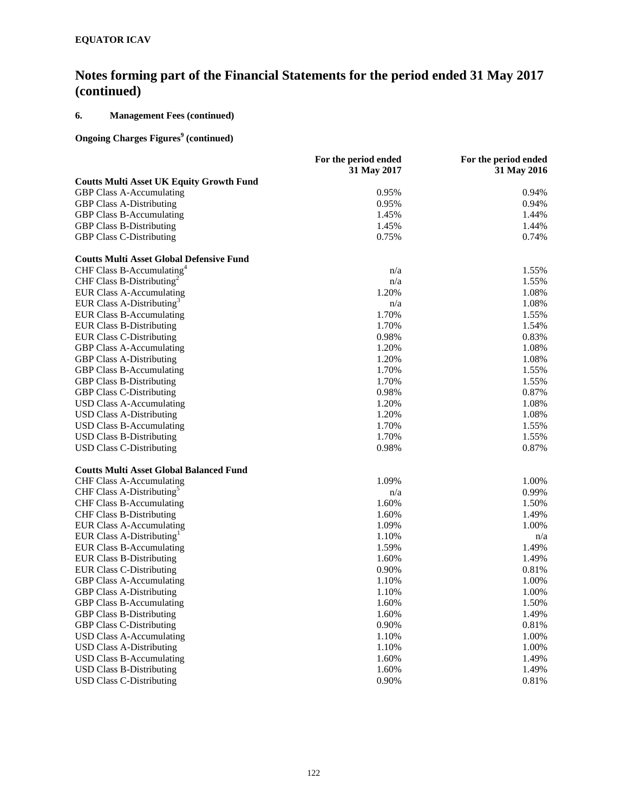## **6. Management Fees (continued)**

### **Ongoing Charges Figures<sup>9</sup> (continued)**

|                                                 | For the period ended | For the period ended |
|-------------------------------------------------|----------------------|----------------------|
|                                                 | 31 May 2017          | 31 May 2016          |
| <b>Coutts Multi Asset UK Equity Growth Fund</b> |                      |                      |
| <b>GBP Class A-Accumulating</b>                 | 0.95%                | 0.94%                |
| <b>GBP Class A-Distributing</b>                 | 0.95%                | 0.94%                |
| <b>GBP Class B-Accumulating</b>                 | 1.45%                | 1.44%                |
| <b>GBP Class B-Distributing</b>                 | 1.45%                | 1.44%                |
| <b>GBP Class C-Distributing</b>                 | 0.75%                | 0.74%                |
| <b>Coutts Multi Asset Global Defensive Fund</b> |                      |                      |
| CHF Class B-Accumulating <sup>4</sup>           | n/a                  | 1.55%                |
| CHF Class B-Distributing <sup>2</sup>           | n/a                  | 1.55%                |
| <b>EUR Class A-Accumulating</b>                 | 1.20%                | 1.08%                |
| EUR Class A-Distributing <sup>3</sup>           | n/a                  | 1.08%                |
| <b>EUR Class B-Accumulating</b>                 | 1.70%                | 1.55%                |
| <b>EUR Class B-Distributing</b>                 | 1.70%                | 1.54%                |
| <b>EUR Class C-Distributing</b>                 | 0.98%                | 0.83%                |
| <b>GBP Class A-Accumulating</b>                 | 1.20%                | 1.08%                |
| <b>GBP Class A-Distributing</b>                 | 1.20%                | 1.08%                |
| GBP Class B-Accumulating                        | 1.70%                | 1.55%                |
| <b>GBP Class B-Distributing</b>                 | 1.70%                | 1.55%                |
| <b>GBP Class C-Distributing</b>                 | 0.98%                | 0.87%                |
| <b>USD Class A-Accumulating</b>                 | 1.20%                | 1.08%                |
| <b>USD Class A-Distributing</b>                 | 1.20%                | 1.08%                |
| <b>USD Class B-Accumulating</b>                 | 1.70%                | 1.55%                |
| <b>USD Class B-Distributing</b>                 | 1.70%                | 1.55%                |
| USD Class C-Distributing                        | 0.98%                | 0.87%                |
| <b>Coutts Multi Asset Global Balanced Fund</b>  |                      |                      |
| <b>CHF Class A-Accumulating</b>                 | 1.09%                | 1.00%                |
| CHF Class A-Distributing <sup>5</sup>           | n/a                  | 0.99%                |
| <b>CHF Class B-Accumulating</b>                 | 1.60%                | 1.50%                |
| <b>CHF Class B-Distributing</b>                 | 1.60%                | 1.49%                |
| <b>EUR Class A-Accumulating</b>                 | 1.09%                | 1.00%                |
| EUR Class A-Distributing <sup>1</sup>           | 1.10%                | n/a                  |
| <b>EUR Class B-Accumulating</b>                 | 1.59%                | 1.49%                |
| <b>EUR Class B-Distributing</b>                 | 1.60%                | 1.49%                |
| <b>EUR Class C-Distributing</b>                 | 0.90%                | 0.81%                |
| <b>GBP Class A-Accumulating</b>                 | 1.10%                | 1.00%                |
| <b>GBP Class A-Distributing</b>                 | 1.10%                | 1.00%                |
| <b>GBP Class B-Accumulating</b>                 | 1.60%                | 1.50%                |
| <b>GBP Class B-Distributing</b>                 | 1.60%                | 1.49%                |
| <b>GBP Class C-Distributing</b>                 | 0.90%                | 0.81%                |
| <b>USD Class A-Accumulating</b>                 | 1.10%                | 1.00%                |
| <b>USD Class A-Distributing</b>                 | 1.10%                | 1.00%                |
| <b>USD Class B-Accumulating</b>                 | 1.60%                | 1.49%                |
| <b>USD Class B-Distributing</b>                 | 1.60%                | 1.49%                |
| <b>USD Class C-Distributing</b>                 | 0.90%                | 0.81%                |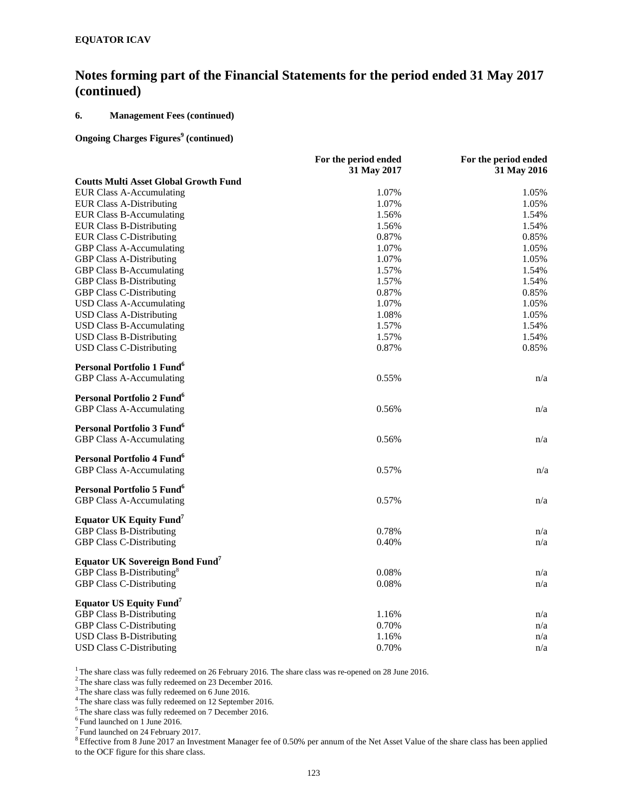### **6. Management Fees (continued)**

### **Ongoing Charges Figures<sup>9</sup> (continued)**

|                                                    | For the period ended | For the period ended |
|----------------------------------------------------|----------------------|----------------------|
|                                                    | 31 May 2017          | 31 May 2016          |
| <b>Coutts Multi Asset Global Growth Fund</b>       |                      |                      |
| <b>EUR Class A-Accumulating</b>                    | 1.07%                | 1.05%                |
| <b>EUR Class A-Distributing</b>                    | 1.07%                | 1.05%                |
| <b>EUR Class B-Accumulating</b>                    | 1.56%                | 1.54%                |
| <b>EUR Class B-Distributing</b>                    | 1.56%                | 1.54%                |
| <b>EUR Class C-Distributing</b>                    | 0.87%                | 0.85%                |
| <b>GBP Class A-Accumulating</b>                    | 1.07%                | 1.05%                |
| <b>GBP Class A-Distributing</b>                    | 1.07%                | 1.05%                |
| <b>GBP Class B-Accumulating</b>                    | 1.57%                | 1.54%                |
| <b>GBP Class B-Distributing</b>                    | 1.57%                | 1.54%                |
| <b>GBP Class C-Distributing</b>                    | 0.87%                | 0.85%                |
| <b>USD Class A-Accumulating</b>                    | 1.07%                | 1.05%                |
| <b>USD Class A-Distributing</b>                    | 1.08%                | 1.05%                |
| <b>USD Class B-Accumulating</b>                    | 1.57%                | 1.54%                |
| <b>USD Class B-Distributing</b>                    | 1.57%                | 1.54%                |
| <b>USD Class C-Distributing</b>                    | 0.87%                | 0.85%                |
| Personal Portfolio 1 Fund <sup>6</sup>             |                      |                      |
| GBP Class A-Accumulating                           | 0.55%                | n/a                  |
| Personal Portfolio 2 Fund <sup>6</sup>             |                      |                      |
| <b>GBP Class A-Accumulating</b>                    | 0.56%                | n/a                  |
| Personal Portfolio 3 Fund <sup>6</sup>             |                      |                      |
| <b>GBP Class A-Accumulating</b>                    | 0.56%                | n/a                  |
| Personal Portfolio 4 Fund <sup>6</sup>             |                      |                      |
| <b>GBP Class A-Accumulating</b>                    | 0.57%                | n/a                  |
| Personal Portfolio 5 Fund <sup>6</sup>             |                      |                      |
| <b>GBP Class A-Accumulating</b>                    | 0.57%                | n/a                  |
| <b>Equator UK Equity Fund</b> <sup>7</sup>         |                      |                      |
| <b>GBP Class B-Distributing</b>                    | 0.78%                | n/a                  |
| <b>GBP Class C-Distributing</b>                    | 0.40%                | n/a                  |
| <b>Equator UK Sovereign Bond Fund</b> <sup>7</sup> |                      |                      |
| GBP Class B-Distributing <sup>8</sup>              | 0.08%                | n/a                  |
| <b>GBP Class C-Distributing</b>                    | 0.08%                | n/a                  |
| Equator US Equity Fund <sup>7</sup>                |                      |                      |
| <b>GBP Class B-Distributing</b>                    | 1.16%                | n/a                  |
| <b>GBP Class C-Distributing</b>                    | 0.70%                | n/a                  |
| <b>USD Class B-Distributing</b>                    | 1.16%                | n/a                  |
| <b>USD Class C-Distributing</b>                    | 0.70%                | n/a                  |

<sup>1</sup> The share class was fully redeemed on 26 February 2016. The share class was re-opened on 28 June 2016.<br><sup>2</sup> The share class was fully redeemed on 23 December 2016.

 $3$  The share class was fully redeemed on 6 June 2016.<br> $4$  The share class was fully redeemed on 12 September 2016.

<sup>5</sup>The share class was fully redeemed on 7 December 2016.

6 Fund launched on 1 June 2016.

 $7$  Fund launched on 24 February 2017.

<sup>8</sup> Effective from 8 June 2017 an Investment Manager fee of 0.50% per annum of the Net Asset Value of the share class has been applied to the OCF figure for this share class.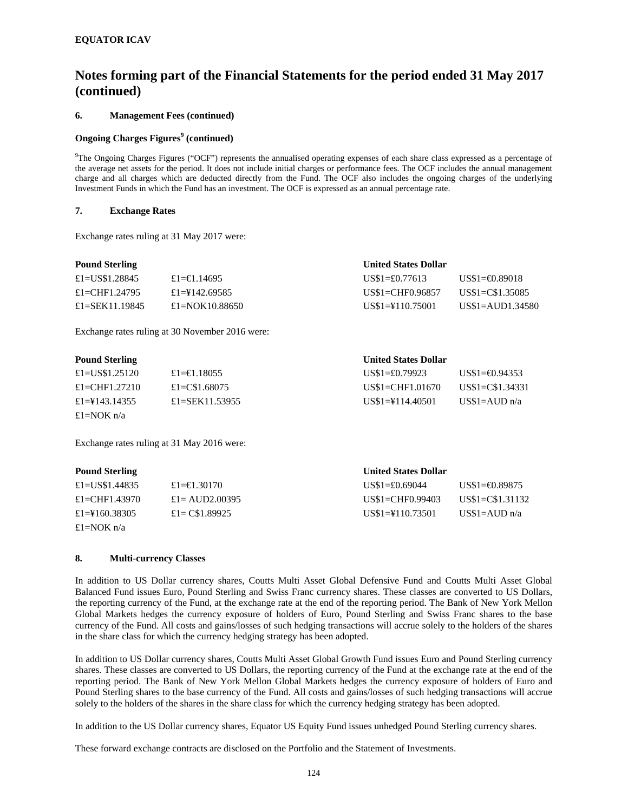### **6. Management Fees (continued)**

### **Ongoing Charges Figures<sup>9</sup> (continued)**

<sup>9</sup>The Ongoing Charges Figures ("OCF") represents the annualised operating expenses of each share class expressed as a percentage of the average net assets for the period. It does not include initial charges or performance fees. The OCF includes the annual management charge and all charges which are deducted directly from the Fund. The OCF also includes the ongoing charges of the underlying Investment Funds in which the Fund has an investment. The OCF is expressed as an annual percentage rate.

#### **7. Exchange Rates**

Exchange rates ruling at 31 May 2017 were:

| <b>Pound Sterling</b> |                 | <b>United States Dollar</b> |                                  |
|-----------------------|-----------------|-----------------------------|----------------------------------|
| £1=US\$1.28845        | £1=€1.14695     | $USS1 = £0.77613$           | $\text{USS1} = 0.89018$          |
| £1=CHF1.24795         | £1=\\$142.69585 | $USS1 = CHF0.96857$         | $\text{USS1} = \text{CS1}.35085$ |
| £1=SEK11.19845        | £1=NOK10.88650  | $US$1=\t{110.75001}$        | $US$1=AUD1.34580$                |

Exchange rates ruling at 30 November 2016 were:

### **Pound Sterling United States Dollar**

| Tomm picture    |                 | $\cdots$                 |                                  |
|-----------------|-----------------|--------------------------|----------------------------------|
| £1=US\$1.25120  | £1= $\in$ 18055 | $\text{USS1} = £0.79923$ | $\text{USS1} = 0.94353$          |
| £1=CHF1.27210   | £1=C\$1.68075   | $US$1=CHF1.01670$        | $\text{USS1} = \text{CS1}.34331$ |
| £1=\\$143.14355 | £1=SEK11.53955  | $USS1 = 4114.40501$      | US\$1= $\angle$ AUD n/a          |
| £1=NOK $n/a$    |                 |                          |                                  |

Exchange rates ruling at 31 May 2016 were:

### **Pound Sterling United States Dollar**

| £1=US\$1.44835  | £1= <del>€</del> 1.30170 | $\text{USS}1 = £0.69044$ | $USS1 = 0.89875$                 |
|-----------------|--------------------------|--------------------------|----------------------------------|
| £1=CHF1.43970   | £1 = AUD2,00395          | $USS1 = CHF0.99403$      | $\text{USS1} = \text{CS1}.31132$ |
| £1=\\$160.38305 | £1= $\text{CS}1.89925$   | $US$1=\t{110.73501}$     | US\$1= $\angle$ AUD n/a          |
| £1=NOK n/a      |                          |                          |                                  |

### **8. Multi**-**currency Classes**

In addition to US Dollar currency shares, Coutts Multi Asset Global Defensive Fund and Coutts Multi Asset Global Balanced Fund issues Euro, Pound Sterling and Swiss Franc currency shares. These classes are converted to US Dollars, the reporting currency of the Fund, at the exchange rate at the end of the reporting period. The Bank of New York Mellon Global Markets hedges the currency exposure of holders of Euro, Pound Sterling and Swiss Franc shares to the base currency of the Fund. All costs and gains/losses of such hedging transactions will accrue solely to the holders of the shares in the share class for which the currency hedging strategy has been adopted.

In addition to US Dollar currency shares, Coutts Multi Asset Global Growth Fund issues Euro and Pound Sterling currency shares. These classes are converted to US Dollars, the reporting currency of the Fund at the exchange rate at the end of the reporting period. The Bank of New York Mellon Global Markets hedges the currency exposure of holders of Euro and Pound Sterling shares to the base currency of the Fund. All costs and gains/losses of such hedging transactions will accrue solely to the holders of the shares in the share class for which the currency hedging strategy has been adopted.

In addition to the US Dollar currency shares, Equator US Equity Fund issues unhedged Pound Sterling currency shares.

These forward exchange contracts are disclosed on the Portfolio and the Statement of Investments.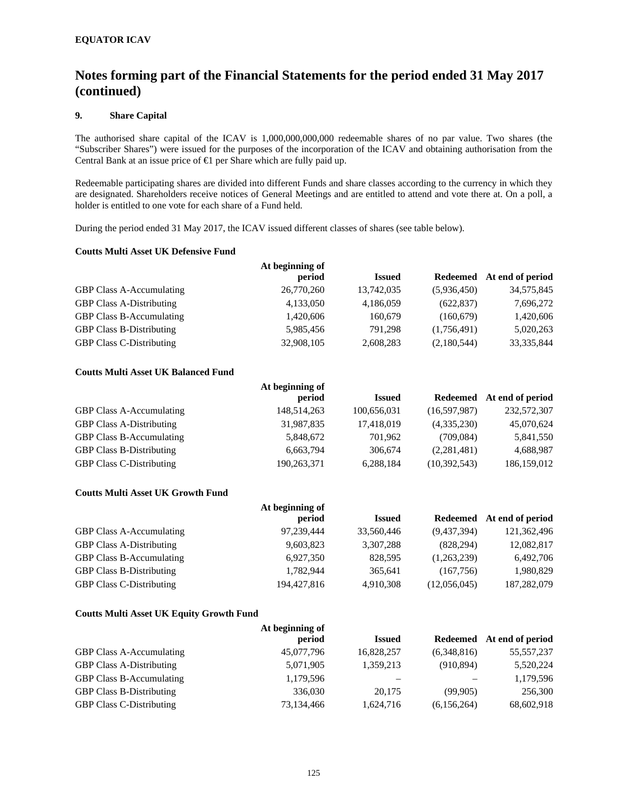### **9. Share Capital**

The authorised share capital of the ICAV is 1,000,000,000,000 redeemable shares of no par value. Two shares (the "Subscriber Shares") were issued for the purposes of the incorporation of the ICAV and obtaining authorisation from the Central Bank at an issue price of €1 per Share which are fully paid up.

Redeemable participating shares are divided into different Funds and share classes according to the currency in which they are designated. Shareholders receive notices of General Meetings and are entitled to attend and vote there at. On a poll, a holder is entitled to one vote for each share of a Fund held.

During the period ended 31 May 2017, the ICAV issued different classes of shares (see table below).

#### **Coutts Multi Asset UK Defensive Fund**

|                                 | At beginning of |               |             |                           |
|---------------------------------|-----------------|---------------|-------------|---------------------------|
|                                 | period          | <b>Issued</b> |             | Redeemed At end of period |
| <b>GBP Class A-Accumulating</b> | 26,770,260      | 13,742,035    | (5,936,450) | 34,575,845                |
| <b>GBP Class A-Distributing</b> | 4,133,050       | 4,186,059     | (622, 837)  | 7,696,272                 |
| <b>GBP Class B-Accumulating</b> | 1,420,606       | 160,679       | (160, 679)  | 1,420,606                 |
| <b>GBP Class B-Distributing</b> | 5,985,456       | 791.298       | (1,756,491) | 5,020,263                 |
| <b>GBP Class C-Distributing</b> | 32,908,105      | 2,608,283     | (2,180,544) | 33, 335, 844              |

### **Coutts Multi Asset UK Balanced Fund**

|                                 | At beginning of |               |                |                           |
|---------------------------------|-----------------|---------------|----------------|---------------------------|
|                                 | period          | <b>Issued</b> |                | Redeemed At end of period |
| <b>GBP Class A-Accumulating</b> | 148,514,263     | 100,656,031   | (16,597,987)   | 232,572,307               |
| <b>GBP Class A-Distributing</b> | 31,987,835      | 17,418,019    | (4,335,230)    | 45,070,624                |
| <b>GBP Class B-Accumulating</b> | 5,848,672       | 701.962       | (709, 084)     | 5,841,550                 |
| <b>GBP Class B-Distributing</b> | 6,663,794       | 306,674       | (2,281,481)    | 4,688,987                 |
| <b>GBP Class C-Distributing</b> | 190,263,371     | 6,288,184     | (10, 392, 543) | 186, 159, 012             |

### **Coutts Multi Asset UK Growth Fund**

|                                 | At beginning of |               |              |                  |
|---------------------------------|-----------------|---------------|--------------|------------------|
|                                 | period          | <b>Issued</b> | Redeemed     | At end of period |
| <b>GBP Class A-Accumulating</b> | 97,239,444      | 33,560,446    | (9,437,394)  | 121,362,496      |
| <b>GBP Class A-Distributing</b> | 9,603,823       | 3,307,288     | (828, 294)   | 12,082,817       |
| GBP Class B-Accumulating        | 6,927,350       | 828,595       | (1,263,239)  | 6,492,706        |
| <b>GBP Class B-Distributing</b> | 1,782,944       | 365,641       | (167,756)    | 1,980,829        |
| <b>GBP Class C-Distributing</b> | 194,427,816     | 4,910,308     | (12,056,045) | 187,282,079      |

#### **Coutts Multi Asset UK Equity Growth Fund**

|                                 | At beginning of |               |             |                           |
|---------------------------------|-----------------|---------------|-------------|---------------------------|
|                                 | period          | <b>Issued</b> |             | Redeemed At end of period |
| <b>GBP Class A-Accumulating</b> | 45,077,796      | 16,828,257    | (6,348,816) | 55, 557, 237              |
| <b>GBP Class A-Distributing</b> | 5,071,905       | 1,359,213     | (910, 894)  | 5,520,224                 |
| <b>GBP Class B-Accumulating</b> | 1,179,596       |               |             | 1,179,596                 |
| <b>GBP Class B-Distributing</b> | 336,030         | 20,175        | (99.905)    | 256,300                   |
| <b>GBP Class C-Distributing</b> | 73,134,466      | 1,624,716     | (6,156,264) | 68,602,918                |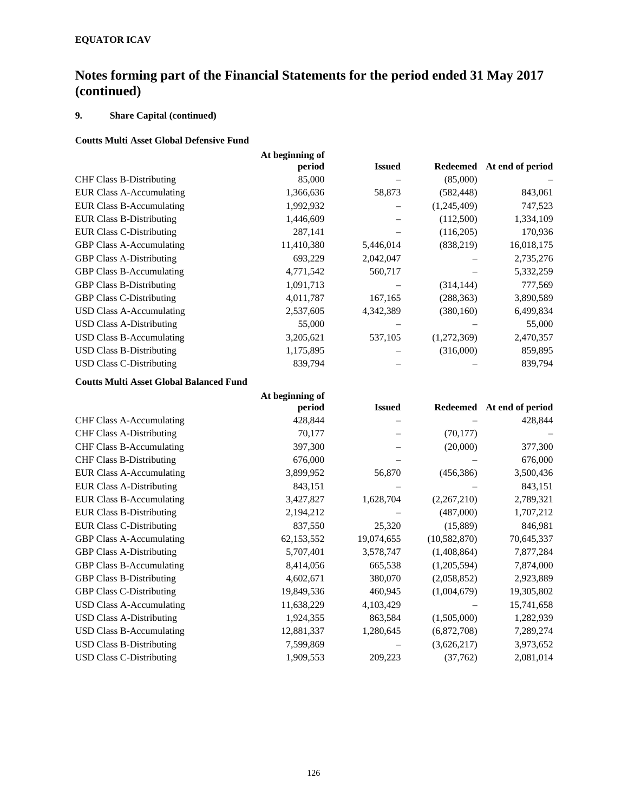## **9. Share Capital (continued)**

## **Coutts Multi Asset Global Defensive Fund**

|                                 | At beginning of<br>period | <b>Issued</b> | Redeemed    | At end of period |  |
|---------------------------------|---------------------------|---------------|-------------|------------------|--|
| <b>CHF Class B-Distributing</b> | 85,000                    |               | (85,000)    |                  |  |
|                                 |                           |               |             |                  |  |
| <b>EUR Class A-Accumulating</b> | 1,366,636                 | 58,873        | (582, 448)  | 843,061          |  |
| <b>EUR Class B-Accumulating</b> | 1,992,932                 |               | (1,245,409) | 747,523          |  |
| <b>EUR Class B-Distributing</b> | 1,446,609                 |               | (112,500)   | 1,334,109        |  |
| <b>EUR Class C-Distributing</b> | 287,141                   |               | (116,205)   | 170,936          |  |
| <b>GBP Class A-Accumulating</b> | 11,410,380                | 5,446,014     | (838,219)   | 16,018,175       |  |
| <b>GBP Class A-Distributing</b> | 693,229                   | 2,042,047     |             | 2,735,276        |  |
| <b>GBP Class B-Accumulating</b> | 4,771,542                 | 560,717       |             | 5,332,259        |  |
| <b>GBP Class B-Distributing</b> | 1,091,713                 |               | (314, 144)  | 777,569          |  |
| <b>GBP Class C-Distributing</b> | 4,011,787                 | 167,165       | (288, 363)  | 3,890,589        |  |
| <b>USD Class A-Accumulating</b> | 2,537,605                 | 4,342,389     | (380, 160)  | 6,499,834        |  |
| <b>USD Class A-Distributing</b> | 55,000                    |               |             | 55,000           |  |
| <b>USD Class B-Accumulating</b> | 3,205,621                 | 537,105       | (1,272,369) | 2,470,357        |  |
| <b>USD Class B-Distributing</b> | 1,175,895                 |               | (316,000)   | 859,895          |  |
| <b>USD Class C-Distributing</b> | 839,794                   |               |             | 839,794          |  |

### **Coutts Multi Asset Global Balanced Fund**

| At beginning of |               |              |                           |
|-----------------|---------------|--------------|---------------------------|
| period          | <b>Issued</b> |              | Redeemed At end of period |
| 428,844         |               |              | 428,844                   |
| 70,177          |               | (70, 177)    |                           |
| 397,300         |               | (20,000)     | 377,300                   |
| 676,000         |               |              | 676,000                   |
| 3,899,952       | 56,870        | (456, 386)   | 3,500,436                 |
| 843,151         |               |              | 843,151                   |
| 3,427,827       | 1,628,704     | (2,267,210)  | 2,789,321                 |
| 2,194,212       |               | (487,000)    | 1,707,212                 |
| 837,550         | 25,320        | (15,889)     | 846,981                   |
| 62,153,552      | 19,074,655    | (10,582,870) | 70,645,337                |
| 5,707,401       | 3,578,747     | (1,408,864)  | 7,877,284                 |
| 8,414,056       | 665,538       | (1,205,594)  | 7,874,000                 |
| 4,602,671       | 380,070       | (2,058,852)  | 2,923,889                 |
| 19,849,536      | 460,945       | (1,004,679)  | 19,305,802                |
| 11,638,229      | 4,103,429     |              | 15,741,658                |
| 1,924,355       | 863,584       | (1,505,000)  | 1,282,939                 |
| 12,881,337      | 1,280,645     | (6,872,708)  | 7,289,274                 |
| 7,599,869       |               | (3,626,217)  | 3,973,652                 |
| 1,909,553       | 209,223       | (37,762)     | 2,081,014                 |
|                 |               |              |                           |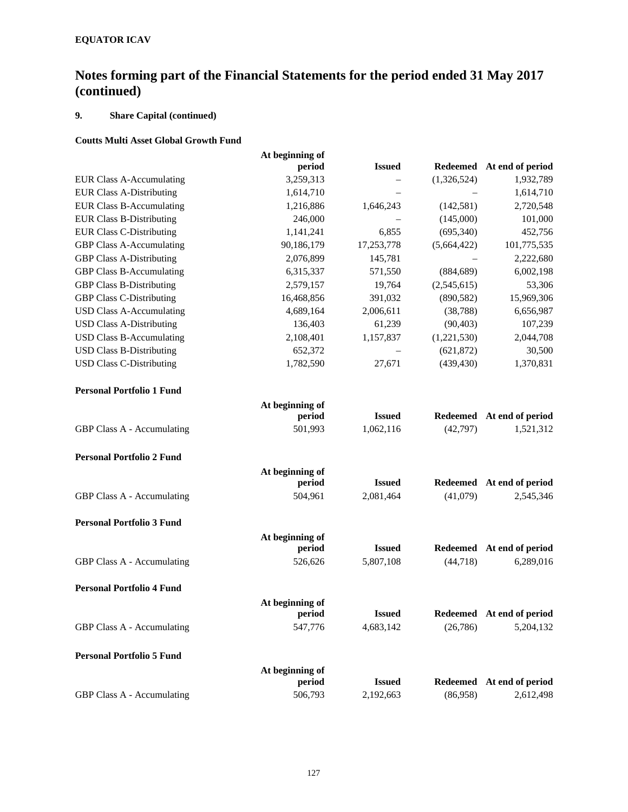## **9. Share Capital (continued)**

### **Coutts Multi Asset Global Growth Fund**

|                                  | At beginning of |               |                 |                  |
|----------------------------------|-----------------|---------------|-----------------|------------------|
|                                  | period          | <b>Issued</b> | Redeemed        | At end of period |
| <b>EUR Class A-Accumulating</b>  | 3,259,313       |               | (1,326,524)     | 1,932,789        |
| <b>EUR Class A-Distributing</b>  | 1,614,710       |               |                 | 1,614,710        |
| <b>EUR Class B-Accumulating</b>  | 1,216,886       | 1,646,243     | (142, 581)      | 2,720,548        |
| <b>EUR Class B-Distributing</b>  | 246,000         |               | (145,000)       | 101,000          |
| <b>EUR Class C-Distributing</b>  | 1,141,241       | 6,855         | (695,340)       | 452,756          |
| <b>GBP Class A-Accumulating</b>  | 90,186,179      | 17,253,778    | (5,664,422)     | 101,775,535      |
| <b>GBP Class A-Distributing</b>  | 2,076,899       | 145,781       |                 | 2,222,680        |
| <b>GBP Class B-Accumulating</b>  | 6,315,337       | 571,550       | (884, 689)      | 6,002,198        |
| <b>GBP Class B-Distributing</b>  | 2,579,157       | 19,764        | (2,545,615)     | 53,306           |
| <b>GBP Class C-Distributing</b>  | 16,468,856      | 391,032       | (890, 582)      | 15,969,306       |
| <b>USD Class A-Accumulating</b>  | 4,689,164       | 2,006,611     | (38, 788)       | 6,656,987        |
| <b>USD Class A-Distributing</b>  | 136,403         | 61,239        | (90, 403)       | 107,239          |
| <b>USD Class B-Accumulating</b>  | 2,108,401       | 1,157,837     | (1,221,530)     | 2,044,708        |
| <b>USD Class B-Distributing</b>  | 652,372         |               | (621, 872)      | 30,500           |
| <b>USD Class C-Distributing</b>  | 1,782,590       | 27,671        | (439, 430)      | 1,370,831        |
| <b>Personal Portfolio 1 Fund</b> |                 |               |                 |                  |
|                                  | At beginning of |               |                 |                  |
|                                  | period          | <b>Issued</b> | <b>Redeemed</b> | At end of period |
| GBP Class A - Accumulating       | 501,993         | 1,062,116     | (42,797)        | 1,521,312        |
| <b>Personal Portfolio 2 Fund</b> |                 |               |                 |                  |
|                                  | At beginning of |               |                 |                  |
|                                  | period          | <b>Issued</b> | <b>Redeemed</b> | At end of period |
| GBP Class A - Accumulating       | 504,961         | 2,081,464     | (41,079)        | 2,545,346        |
| <b>Personal Portfolio 3 Fund</b> |                 |               |                 |                  |
|                                  | At beginning of |               |                 |                  |
|                                  | period          | <b>Issued</b> | <b>Redeemed</b> | At end of period |
| GBP Class A - Accumulating       | 526,626         | 5,807,108     | (44, 718)       | 6,289,016        |
| <b>Personal Portfolio 4 Fund</b> |                 |               |                 |                  |
|                                  | At beginning of |               |                 |                  |
|                                  | period          | <b>Issued</b> | <b>Redeemed</b> | At end of period |
| GBP Class A - Accumulating       | 547,776         | 4,683,142     | (26, 786)       | 5,204,132        |
| <b>Personal Portfolio 5 Fund</b> |                 |               |                 |                  |
|                                  | At beginning of |               |                 |                  |
|                                  | period          | <b>Issued</b> | <b>Redeemed</b> | At end of period |
| GBP Class A - Accumulating       | 506,793         | 2,192,663     | (86,958)        | 2,612,498        |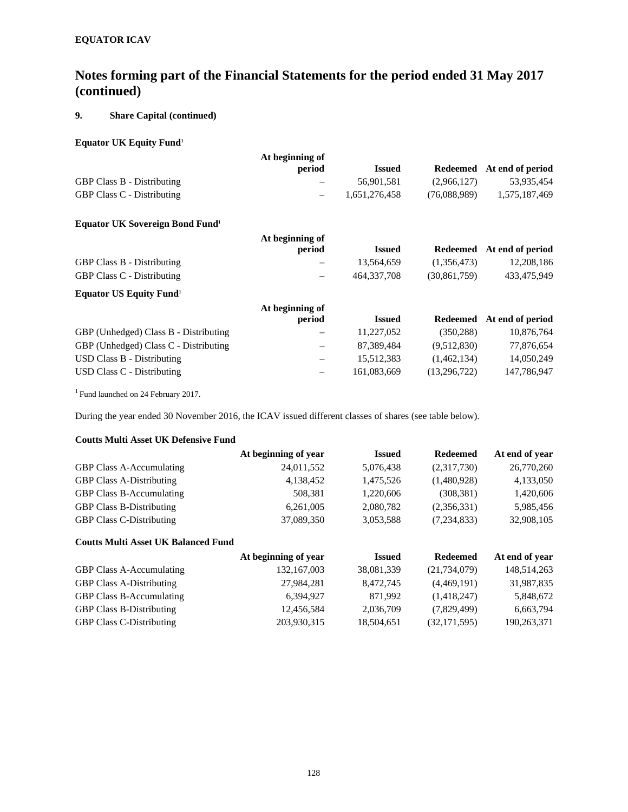## **9. Share Capital (continued)**

## **Equator UK Equity Fund1**

|                                                    | At beginning of                |               |                |                  |
|----------------------------------------------------|--------------------------------|---------------|----------------|------------------|
|                                                    | period                         | <b>Issued</b> | Redeemed       | At end of period |
| <b>GBP Class B - Distributing</b>                  |                                | 56,901,581    | (2,966,127)    | 53,935,454       |
| <b>GBP Class C - Distributing</b>                  | $\qquad \qquad$                | 1,651,276,458 | (76,088,989)   | 1,575,187,469    |
| <b>Equator UK Sovereign Bond Fund</b> <sup>1</sup> |                                |               |                |                  |
|                                                    | At beginning of                |               |                |                  |
|                                                    | period                         | <b>Issued</b> | Redeemed       | At end of period |
| <b>GBP Class B - Distributing</b>                  |                                | 13,564,659    | (1,356,473)    | 12,208,186       |
| <b>GBP Class C - Distributing</b>                  |                                | 464, 337, 708 | (30, 861, 759) | 433,475,949      |
| <b>Equator US Equity Fund</b> <sup>1</sup>         |                                |               |                |                  |
|                                                    | At beginning of                |               |                |                  |
|                                                    | period                         | <b>Issued</b> | Redeemed       | At end of period |
| GBP (Unhedged) Class B - Distributing              |                                | 11,227,052    | (350, 288)     | 10,876,764       |
| GBP (Unhedged) Class C - Distributing              | $\qquad \qquad \longleftarrow$ | 87,389,484    | (9,512,830)    | 77,876,654       |
| <b>USD Class B - Distributing</b>                  | $\qquad \qquad \  \, -$        | 15,512,383    | (1,462,134)    | 14,050,249       |
| USD Class C - Distributing                         |                                | 161,083,669   | (13,296,722)   | 147,786,947      |

1 Fund launched on 24 February 2017.

During the year ended 30 November 2016, the ICAV issued different classes of shares (see table below).

### **Coutts Multi Asset UK Defensive Fund**

|                                 | At beginning of year | <b>Issued</b> | <b>Redeemed</b> | At end of year |
|---------------------------------|----------------------|---------------|-----------------|----------------|
| <b>GBP Class A-Accumulating</b> | 24,011,552           | 5,076,438     | (2,317,730)     | 26,770,260     |
| <b>GBP Class A-Distributing</b> | 4,138,452            | 1,475,526     | (1,480,928)     | 4,133,050      |
| <b>GBP Class B-Accumulating</b> | 508.381              | 1,220,606     | (308, 381)      | 1,420,606      |
| <b>GBP Class B-Distributing</b> | 6,261,005            | 2,080,782     | (2,356,331)     | 5,985,456      |
| <b>GBP Class C-Distributing</b> | 37,089,350           | 3,053,588     | (7,234,833)     | 32,908,105     |

## **Coutts Multi Asset UK Balanced Fund**

|                                 | At beginning of year | <b>Issued</b> | <b>Redeemed</b> | At end of year |
|---------------------------------|----------------------|---------------|-----------------|----------------|
| <b>GBP Class A-Accumulating</b> | 132, 167, 003        | 38,081,339    | (21,734,079)    | 148,514,263    |
| <b>GBP Class A-Distributing</b> | 27,984,281           | 8,472,745     | (4,469,191)     | 31,987,835     |
| <b>GBP Class B-Accumulating</b> | 6.394.927            | 871.992       | (1,418,247)     | 5,848,672      |
| <b>GBP Class B-Distributing</b> | 12,456,584           | 2,036,709     | (7,829,499)     | 6,663,794      |
| <b>GBP Class C-Distributing</b> | 203,930,315          | 18,504,651    | (32, 171, 595)  | 190,263,371    |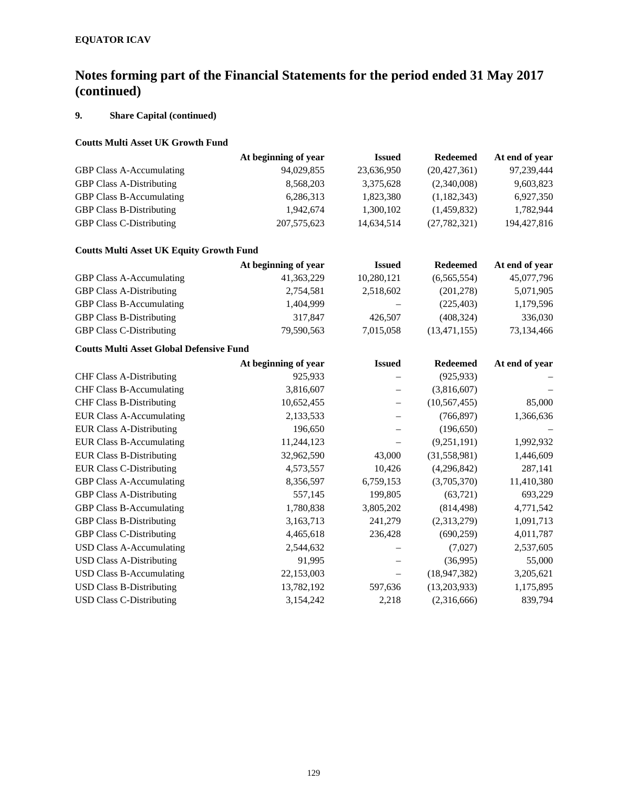# **9. Share Capital (continued)**

## **Coutts Multi Asset UK Growth Fund**

|                                 | At beginning of year | <b>Issued</b> | Redeemed       | At end of year |
|---------------------------------|----------------------|---------------|----------------|----------------|
| <b>GBP Class A-Accumulating</b> | 94,029,855           | 23,636,950    | (20, 427, 361) | 97,239,444     |
| <b>GBP Class A-Distributing</b> | 8,568,203            | 3,375,628     | (2,340,008)    | 9,603,823      |
| <b>GBP Class B-Accumulating</b> | 6,286,313            | 1,823,380     | (1,182,343)    | 6,927,350      |
| <b>GBP Class B-Distributing</b> | 1.942.674            | 1,300,102     | (1,459,832)    | 1,782,944      |
| <b>GBP Class C-Distributing</b> | 207, 575, 623        | 14,634,514    | (27, 782, 321) | 194, 427, 816  |

### **Coutts Multi Asset UK Equity Growth Fund**

|                                 | At beginning of year | <b>Issued</b>     | <b>Redeemed</b> | At end of year |
|---------------------------------|----------------------|-------------------|-----------------|----------------|
| <b>GBP Class A-Accumulating</b> | 41, 363, 229         | 10,280,121        | (6,565,554)     | 45,077,796     |
| <b>GBP Class A-Distributing</b> | 2,754,581            | 2.518.602         | (201, 278)      | 5,071,905      |
| <b>GBP Class B-Accumulating</b> | 1.404.999            | $\qquad \qquad -$ | (225, 403)      | 1,179,596      |
| <b>GBP Class B-Distributing</b> | 317,847              | 426,507           | (408, 324)      | 336,030        |
| <b>GBP Class C-Distributing</b> | 79,590,563           | 7,015,058         | (13, 471, 155)  | 73,134,466     |

### **Coutts Multi Asset Global Defensive Fund**

|                                 | At beginning of year | <b>Issued</b> | <b>Redeemed</b> | At end of year |
|---------------------------------|----------------------|---------------|-----------------|----------------|
| <b>CHF Class A-Distributing</b> | 925,933              |               | (925, 933)      |                |
| <b>CHF Class B-Accumulating</b> | 3,816,607            |               | (3,816,607)     |                |
| <b>CHF Class B-Distributing</b> | 10,652,455           |               | (10, 567, 455)  | 85,000         |
| <b>EUR Class A-Accumulating</b> | 2,133,533            |               | (766, 897)      | 1,366,636      |
| <b>EUR Class A-Distributing</b> | 196,650              |               | (196, 650)      |                |
| <b>EUR Class B-Accumulating</b> | 11,244,123           |               | (9,251,191)     | 1,992,932      |
| <b>EUR Class B-Distributing</b> | 32,962,590           | 43,000        | (31,558,981)    | 1,446,609      |
| <b>EUR Class C-Distributing</b> | 4,573,557            | 10,426        | (4,296,842)     | 287,141        |
| <b>GBP Class A-Accumulating</b> | 8,356,597            | 6,759,153     | (3,705,370)     | 11,410,380     |
| <b>GBP Class A-Distributing</b> | 557,145              | 199,805       | (63,721)        | 693,229        |
| <b>GBP Class B-Accumulating</b> | 1,780,838            | 3,805,202     | (814, 498)      | 4,771,542      |
| <b>GBP Class B-Distributing</b> | 3,163,713            | 241,279       | (2,313,279)     | 1,091,713      |
| <b>GBP Class C-Distributing</b> | 4,465,618            | 236,428       | (690, 259)      | 4,011,787      |
| USD Class A-Accumulating        | 2,544,632            |               | (7,027)         | 2,537,605      |
| <b>USD Class A-Distributing</b> | 91,995               |               | (36,995)        | 55,000         |
| USD Class B-Accumulating        | 22,153,003           |               | (18, 947, 382)  | 3,205,621      |
| USD Class B-Distributing        | 13,782,192           | 597,636       | (13,203,933)    | 1,175,895      |
| <b>USD Class C-Distributing</b> | 3,154,242            | 2,218         | (2,316,666)     | 839,794        |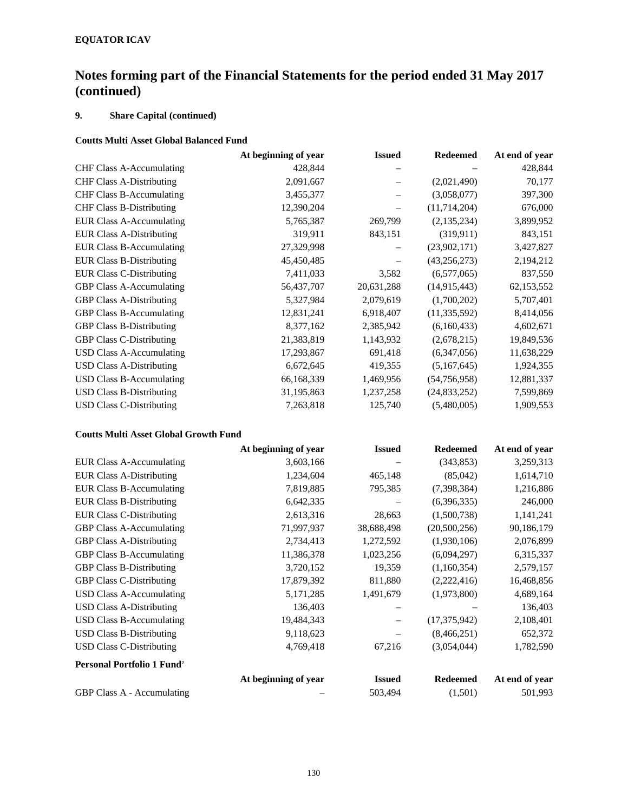## **9. Share Capital (continued)**

## **Coutts Multi Asset Global Balanced Fund**

|                                 | At beginning of year | <b>Issued</b> | <b>Redeemed</b> | At end of year |
|---------------------------------|----------------------|---------------|-----------------|----------------|
| <b>CHF Class A-Accumulating</b> | 428,844              |               |                 | 428,844        |
| <b>CHF Class A-Distributing</b> | 2,091,667            |               | (2,021,490)     | 70,177         |
| <b>CHF Class B-Accumulating</b> | 3,455,377            |               | (3,058,077)     | 397,300        |
| <b>CHF Class B-Distributing</b> | 12,390,204           |               | (11, 714, 204)  | 676,000        |
| <b>EUR Class A-Accumulating</b> | 5,765,387            | 269,799       | (2,135,234)     | 3,899,952      |
| <b>EUR Class A-Distributing</b> | 319,911              | 843,151       | (319, 911)      | 843,151        |
| <b>EUR Class B-Accumulating</b> | 27,329,998           |               | (23,902,171)    | 3,427,827      |
| <b>EUR Class B-Distributing</b> | 45,450,485           |               | (43, 256, 273)  | 2,194,212      |
| <b>EUR Class C-Distributing</b> | 7,411,033            | 3,582         | (6,577,065)     | 837,550        |
| <b>GBP Class A-Accumulating</b> | 56,437,707           | 20,631,288    | (14,915,443)    | 62,153,552     |
| <b>GBP Class A-Distributing</b> | 5,327,984            | 2,079,619     | (1,700,202)     | 5,707,401      |
| <b>GBP Class B-Accumulating</b> | 12,831,241           | 6,918,407     | (11, 335, 592)  | 8,414,056      |
| <b>GBP Class B-Distributing</b> | 8,377,162            | 2,385,942     | (6,160,433)     | 4,602,671      |
| <b>GBP Class C-Distributing</b> | 21,383,819           | 1,143,932     | (2,678,215)     | 19,849,536     |
| <b>USD Class A-Accumulating</b> | 17,293,867           | 691,418       | (6,347,056)     | 11,638,229     |
| <b>USD Class A-Distributing</b> | 6,672,645            | 419,355       | (5,167,645)     | 1,924,355      |
| <b>USD Class B-Accumulating</b> | 66,168,339           | 1,469,956     | (54,756,958)    | 12,881,337     |
| <b>USD Class B-Distributing</b> | 31,195,863           | 1,237,258     | (24,833,252)    | 7,599,869      |
| <b>USD Class C-Distributing</b> | 7,263,818            | 125,740       | (5,480,005)     | 1,909,553      |

### **Coutts Multi Asset Global Growth Fund**

|                                        | At beginning of year | <b>Issued</b> | <b>Redeemed</b> | At end of year |
|----------------------------------------|----------------------|---------------|-----------------|----------------|
| <b>EUR Class A-Accumulating</b>        | 3,603,166            |               | (343, 853)      | 3,259,313      |
| <b>EUR Class A-Distributing</b>        | 1,234,604            | 465,148       | (85,042)        | 1,614,710      |
| <b>EUR Class B-Accumulating</b>        | 7,819,885            | 795,385       | (7,398,384)     | 1,216,886      |
| <b>EUR Class B-Distributing</b>        | 6,642,335            |               | (6,396,335)     | 246,000        |
| <b>EUR Class C-Distributing</b>        | 2,613,316            | 28,663        | (1,500,738)     | 1,141,241      |
| <b>GBP Class A-Accumulating</b>        | 71,997,937           | 38,688,498    | (20,500,256)    | 90,186,179     |
| <b>GBP Class A-Distributing</b>        | 2,734,413            | 1,272,592     | (1,930,106)     | 2,076,899      |
| <b>GBP Class B-Accumulating</b>        | 11,386,378           | 1,023,256     | (6,094,297)     | 6,315,337      |
| <b>GBP Class B-Distributing</b>        | 3,720,152            | 19,359        | (1,160,354)     | 2,579,157      |
| <b>GBP Class C-Distributing</b>        | 17,879,392           | 811,880       | (2,222,416)     | 16,468,856     |
| USD Class A-Accumulating               | 5,171,285            | 1,491,679     | (1,973,800)     | 4,689,164      |
| <b>USD Class A-Distributing</b>        | 136,403              |               |                 | 136,403        |
| <b>USD Class B-Accumulating</b>        | 19,484,343           |               | (17,375,942)    | 2,108,401      |
| <b>USD Class B-Distributing</b>        | 9,118,623            |               | (8,466,251)     | 652,372        |
| <b>USD Class C-Distributing</b>        | 4,769,418            | 67,216        | (3,054,044)     | 1,782,590      |
| Personal Portfolio 1 Fund <sup>2</sup> |                      |               |                 |                |
|                                        | At beginning of year | <b>Issued</b> | <b>Redeemed</b> | At end of year |
| GBP Class A - Accumulating             |                      | 503,494       | (1,501)         | 501,993        |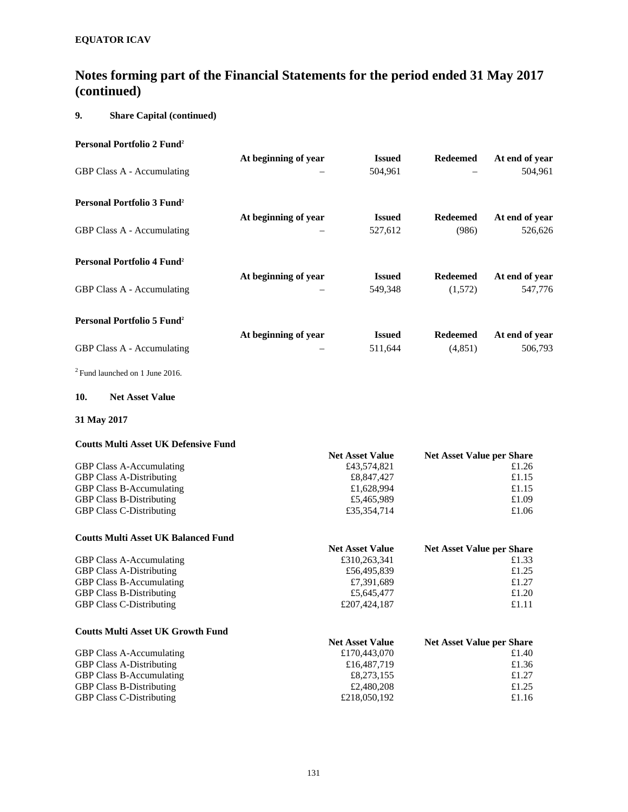## **9. Share Capital (continued)**

| Personal Portfolio 2 Fund <sup>2</sup>       |                      |               |                          |                |
|----------------------------------------------|----------------------|---------------|--------------------------|----------------|
|                                              | At beginning of year | <b>Issued</b> | <b>Redeemed</b>          | At end of year |
| <b>GBP Class A - Accumulating</b>            | $\equiv$             | 504,961       | $\overline{\phantom{0}}$ | 504,961        |
| Personal Portfolio 3 Fund <sup>2</sup>       |                      |               |                          |                |
|                                              | At beginning of year | <b>Issued</b> | <b>Redeemed</b>          | At end of year |
| <b>GBP Class A - Accumulating</b>            |                      | 527,612       | (986)                    | 526,626        |
| Personal Portfolio 4 Fund <sup>2</sup>       |                      |               |                          |                |
|                                              | At beginning of year | <b>Issued</b> | <b>Redeemed</b>          | At end of year |
| <b>GBP Class A - Accumulating</b>            | $\equiv$             | 549,348       | (1,572)                  | 547,776        |
| <b>Personal Portfolio 5 Fund<sup>2</sup></b> |                      |               |                          |                |
|                                              | At beginning of year | <b>Issued</b> | <b>Redeemed</b>          | At end of year |
| <b>GBP Class A - Accumulating</b>            |                      | 511,644       | (4,851)                  | 506,793        |

2 Fund launched on 1 June 2016.

### **10. Net Asset Value**

### **31 May 2017**

### **Coutts Multi Asset UK Defensive Fund**

| <b>Net Asset Value</b> | <b>Net Asset Value per Share</b> |
|------------------------|----------------------------------|
| £43,574,821            | £1.26                            |
| £8,847,427             | £1.15                            |
| £1,628,994             | £1.15                            |
| £5,465,989             | £1.09                            |
| £35,354,714            | £1.06                            |
|                        |                                  |

# **Coutts Multi Asset UK Balanced Fund**

|                                 | <b>Net Asset Value</b> | <b>Net Asset Value per Share</b> |
|---------------------------------|------------------------|----------------------------------|
| <b>GBP Class A-Accumulating</b> | £310,263,341           | £1.33                            |
| <b>GBP Class A-Distributing</b> | £56,495,839            | £1.25                            |
| <b>GBP Class B-Accumulating</b> | £7.391.689             | £1.27                            |
| <b>GBP Class B-Distributing</b> | £5,645,477             | £1.20                            |
| <b>GBP Class C-Distributing</b> | £207,424,187           | £1.11                            |

### **Coutts Multi Asset UK Growth Fund**

| Count name institute the country of the |                        |                                  |
|-----------------------------------------|------------------------|----------------------------------|
|                                         | <b>Net Asset Value</b> | <b>Net Asset Value per Share</b> |
| <b>GBP Class A-Accumulating</b>         | £170,443,070           | £1.40                            |
| <b>GBP Class A-Distributing</b>         | £16,487,719            | £1.36                            |
| <b>GBP Class B-Accumulating</b>         | £8,273,155             | £1.27                            |
| <b>GBP Class B-Distributing</b>         | £2,480,208             | £1.25                            |
| <b>GBP Class C-Distributing</b>         | £218,050,192           | £1.16                            |
|                                         |                        |                                  |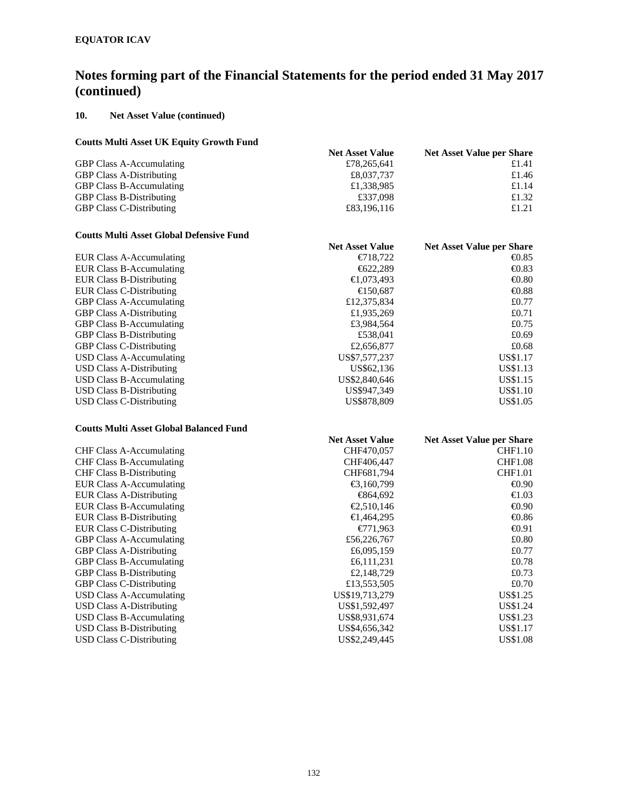### **10. Net Asset Value (continued)**

### **Coutts Multi Asset UK Equity Growth Fund**

| Couns Muin Asset Off Equity Orowin Fund |                        |                                  |
|-----------------------------------------|------------------------|----------------------------------|
|                                         | <b>Net Asset Value</b> | <b>Net Asset Value per Share</b> |
| <b>GBP Class A-Accumulating</b>         | £78,265,641            | £1.41                            |
| <b>GBP Class A-Distributing</b>         | £8,037,737             | £1.46                            |
| <b>GBP Class B-Accumulating</b>         | £1,338,985             | £1.14                            |
| <b>GBP Class B-Distributing</b>         | £337,098               | £1.32                            |
| <b>GBP Class C-Distributing</b>         | £83,196,116            | £1.21                            |
|                                         |                        |                                  |

#### **Coutts Multi Asset Global Defensive Fund**

| Couns muni Asset Giobal Dennsive I unu |                        |                                  |
|----------------------------------------|------------------------|----------------------------------|
|                                        | <b>Net Asset Value</b> | <b>Net Asset Value per Share</b> |
| <b>EUR Class A-Accumulating</b>        | $\bigoplus$ 18.722     | $\bigoplus$ .85                  |
| <b>EUR Class B-Accumulating</b>        | $\bigoplus 22,289$     | $\bigoplus$ .83                  |
| <b>EUR Class B-Distributing</b>        | €1,073,493             | $\bigoplus$ , 80                 |
| EUR Class C-Distributing               | €150.687               | $\bigoplus$ .88                  |
| <b>GBP Class A-Accumulating</b>        | £12,375,834            | £0.77                            |
| <b>GBP Class A-Distributing</b>        | £1,935,269             | £0.71                            |
| <b>GBP Class B-Accumulating</b>        | £3,984,564             | £0.75                            |
| <b>GBP Class B-Distributing</b>        | £538.041               | £0.69                            |
| <b>GBP Class C-Distributing</b>        | £2,656,877             | £0.68                            |
| USD Class A-Accumulating               | US\$7,577,237          | US\$1.17                         |
| USD Class A-Distributing               | US\$62.136             | US\$1.13                         |
| USD Class B-Accumulating               | US\$2,840,646          | US\$1.15                         |
| USD Class B-Distributing               | US\$947,349            | US\$1.10                         |
| USD Class C-Distributing               | US\$878,809            | US\$1.05                         |
|                                        |                        |                                  |

### **Coutts Multi Asset Global Balanced Fund**

|                                 | <b>Net Asset Value</b> | <b>Net Asset Value per Share</b> |
|---------------------------------|------------------------|----------------------------------|
| <b>CHF Class A-Accumulating</b> | CHF470,057             | <b>CHF1.10</b>                   |
| <b>CHF Class B-Accumulating</b> | CHF406,447             | <b>CHF1.08</b>                   |
| <b>CHF Class B-Distributing</b> | CHF681,794             | <b>CHF1.01</b>                   |
| <b>EUR Class A-Accumulating</b> | €3,160,799             | $\bigoplus .90$                  |
| <b>EUR Class A-Distributing</b> | <del>€</del> 864,692   | $\bigoplus .03$                  |
| <b>EUR Class B-Accumulating</b> | €2,510,146             | $\bigoplus .90$                  |
| <b>EUR Class B-Distributing</b> | €1,464,295             | $-0.86$                          |
| <b>EUR Class C-Distributing</b> | $\epsilon$ 71,963      | $\bigoplus$ 91                   |
| <b>GBP Class A-Accumulating</b> | £56,226,767            | £0.80                            |
| <b>GBP Class A-Distributing</b> | £6,095,159             | £0.77                            |
| <b>GBP Class B-Accumulating</b> | £6,111,231             | £0.78                            |
| <b>GBP Class B-Distributing</b> | £2,148,729             | £0.73                            |
| <b>GBP Class C-Distributing</b> | £13,553,505            | £0.70                            |
| USD Class A-Accumulating        | US\$19,713,279         | US\$1.25                         |
| <b>USD Class A-Distributing</b> | US\$1,592,497          | <b>US\$1.24</b>                  |
| USD Class B-Accumulating        | US\$8,931,674          | US\$1.23                         |
| <b>USD Class B-Distributing</b> | US\$4,656,342          | US\$1.17                         |
| USD Class C-Distributing        | US\$2,249,445          | US\$1.08                         |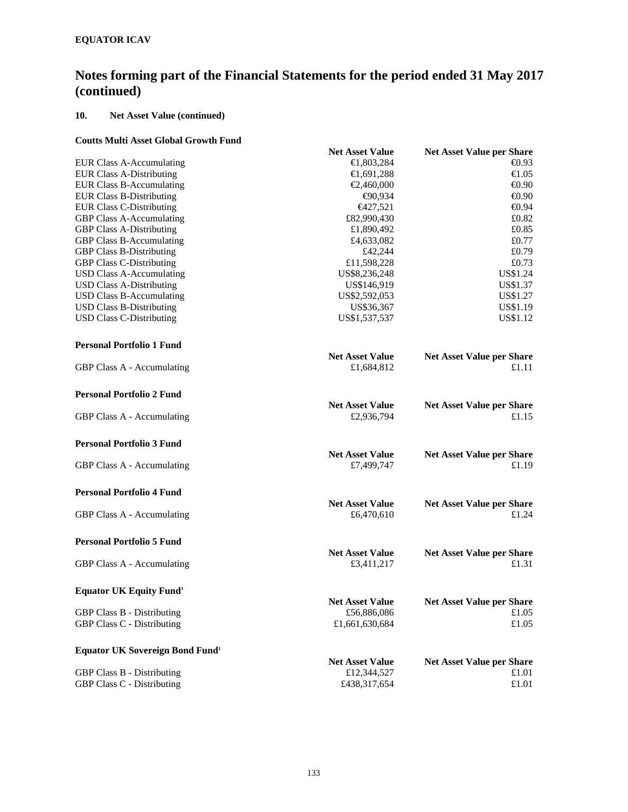### **10. Net Asset Value (continued)**

### **Coutts Multi Asset Global Growth Fund**

|                                                   | <b>Net Asset Value</b>               | <b>Net Asset Value per Share</b>          |  |
|---------------------------------------------------|--------------------------------------|-------------------------------------------|--|
| <b>EUR Class A-Accumulating</b>                   | €1,803,284                           | $-0.93$                                   |  |
| <b>EUR Class A-Distributing</b>                   | €1,691,288                           | $\bigoplus$ .05                           |  |
| <b>EUR Class B-Accumulating</b>                   | €2,460,000                           | $\bigoplus$ , 90                          |  |
| <b>EUR Class B-Distributing</b>                   | €90,934                              | $\bigoplus$ , 90                          |  |
| <b>EUR Class C-Distributing</b>                   | $\epsilon$ 427,521                   | $\bigoplus$ , 94                          |  |
| <b>GBP Class A-Accumulating</b>                   | £82,990,430                          | £0.82                                     |  |
| <b>GBP Class A-Distributing</b>                   | £1,890,492                           | £0.85                                     |  |
| <b>GBP Class B-Accumulating</b>                   | £4,633,082                           | £0.77                                     |  |
| <b>GBP Class B-Distributing</b>                   | £42,244                              | £0.79                                     |  |
| <b>GBP Class C-Distributing</b>                   | £11,598,228                          | £0.73                                     |  |
| <b>USD Class A-Accumulating</b>                   | US\$8,236,248                        | US\$1.24                                  |  |
| <b>USD Class A-Distributing</b>                   | US\$146,919                          | US\$1.37                                  |  |
| <b>USD Class B-Accumulating</b>                   | US\$2,592,053                        | US\$1.27                                  |  |
| <b>USD Class B-Distributing</b>                   | US\$36,367                           | US\$1.19                                  |  |
| <b>USD Class C-Distributing</b>                   | US\$1,537,537                        | US\$1.12                                  |  |
| <b>Personal Portfolio 1 Fund</b>                  |                                      |                                           |  |
|                                                   | <b>Net Asset Value</b>               | <b>Net Asset Value per Share</b>          |  |
| GBP Class A - Accumulating                        | £1,684,812                           | £1.11                                     |  |
| <b>Personal Portfolio 2 Fund</b>                  |                                      |                                           |  |
|                                                   | <b>Net Asset Value</b>               | <b>Net Asset Value per Share</b>          |  |
| GBP Class A - Accumulating                        | £2,936,794                           | £1.15                                     |  |
| <b>Personal Portfolio 3 Fund</b>                  |                                      |                                           |  |
|                                                   | <b>Net Asset Value</b>               | <b>Net Asset Value per Share</b>          |  |
| GBP Class A - Accumulating                        | £7,499,747                           | £1.19                                     |  |
| <b>Personal Portfolio 4 Fund</b>                  |                                      |                                           |  |
|                                                   | <b>Net Asset Value</b>               | <b>Net Asset Value per Share</b>          |  |
| GBP Class A - Accumulating                        | £6,470,610                           | £1.24                                     |  |
| <b>Personal Portfolio 5 Fund</b>                  |                                      |                                           |  |
| GBP Class A - Accumulating                        | <b>Net Asset Value</b><br>£3,411,217 | <b>Net Asset Value per Share</b><br>£1.31 |  |
| <b>Equator UK Equity Fund<sup>1</sup></b>         |                                      |                                           |  |
|                                                   | <b>Net Asset Value</b>               | <b>Net Asset Value per Share</b>          |  |
| <b>GBP Class B - Distributing</b>                 | £56,886,086                          | £1.05                                     |  |
| GBP Class C - Distributing                        | £1,661,630,684                       | £1.05                                     |  |
| <b>Equator UK Sovereign Bond Fund<sup>1</sup></b> |                                      |                                           |  |
|                                                   | <b>Net Asset Value</b>               | <b>Net Asset Value per Share</b>          |  |
| <b>GBP Class B - Distributing</b>                 | £12,344,527                          | £1.01                                     |  |
| <b>GBP Class C - Distributing</b>                 | £438,317,654                         | £1.01                                     |  |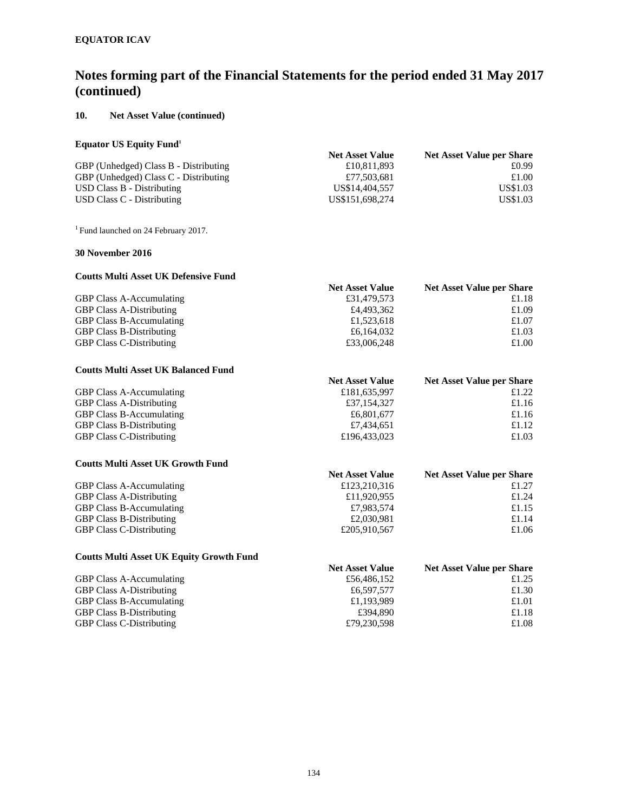### **10. Net Asset Value (continued)**

### **Equator US Equity Fund1**

|                                       | <b>Net Asset Value</b> | Net Asset Value per Share |
|---------------------------------------|------------------------|---------------------------|
| GBP (Unhedged) Class B - Distributing | £10,811,893            | £0.99                     |
| GBP (Unhedged) Class C - Distributing | £77.503.681            | £1.00                     |
| USD Class B - Distributing            | US\$14,404,557         | US\$1.03                  |
| USD Class C - Distributing            | US\$151,698,274        | US\$1.03                  |

<sup>1</sup> Fund launched on 24 February 2017.

### **30 November 2016**

#### **Coutts Multi Asset UK Defensive Fund Net Asset Value Net Asset Value per Share**<br>£31,479,573 £1.18 GBP Class A-Accumulating GBP Class A-Distributing  $\begin{array}{ccc}\n\text{GBP Class A-Distributing} & \text{f1,523,618} \\
\text{GBP Class B-Accumulating} & \text{f1,523,618}\n\end{array}$ GBP Class B-Accumulating GBP Class B-Distributing  $\begin{array}{ccc}\n\text{6,164,032} & \text{6,164,032} \\
\text{GBP Class C-Distributing} & \text{6,164,032} \\
\text{EBP Class C-Distributing} & \text{6,164,032}\n\end{array}$ GBP Class C-Distributing  $\text{£}33,006,248$   $\text{£}1.00$

### **Coutts Multi Asset UK Balanced Fund**

|                                 | <b>Net Asset Value</b> | <b>Net Asset Value per Share</b> |
|---------------------------------|------------------------|----------------------------------|
| <b>GBP Class A-Accumulating</b> | £181,635,997           | £1.22                            |
| <b>GBP Class A-Distributing</b> | £37,154,327            | £1.16                            |
| <b>GBP Class B-Accumulating</b> | £6,801,677             | £1.16                            |
| <b>GBP Class B-Distributing</b> | £7.434,651             | £1.12                            |
| <b>GBP Class C-Distributing</b> | £196,433,023           | £1.03                            |

### **Coutts Multi Asset UK Growth Fund**

|                                 | <b>Net Asset Value</b> | <b>Net Asset Value per Share</b> |
|---------------------------------|------------------------|----------------------------------|
| <b>GBP Class A-Accumulating</b> | £123,210,316           | £1.27                            |
| <b>GBP Class A-Distributing</b> | £11,920,955            | £1.24                            |
| <b>GBP Class B-Accumulating</b> | £7,983,574             | £1.15                            |
| <b>GBP Class B-Distributing</b> | £2,030.981             | £1.14                            |
| <b>GBP Class C-Distributing</b> | £205,910,567           | £1.06                            |

#### **Coutts Multi Asset UK Equity Growth Fund Net Asset Value Net Asset Value per Share**

| <b>GBP Class A-Accumulating</b> | £56,486,152 | £1.25 |
|---------------------------------|-------------|-------|
| <b>GBP Class A-Distributing</b> | £6,597,577  | £1.30 |
| <b>GBP Class B-Accumulating</b> | £1.193.989  | £1.01 |
| <b>GBP Class B-Distributing</b> | £394.890    | £1.18 |
| <b>GBP Class C-Distributing</b> | £79.230.598 | £1.08 |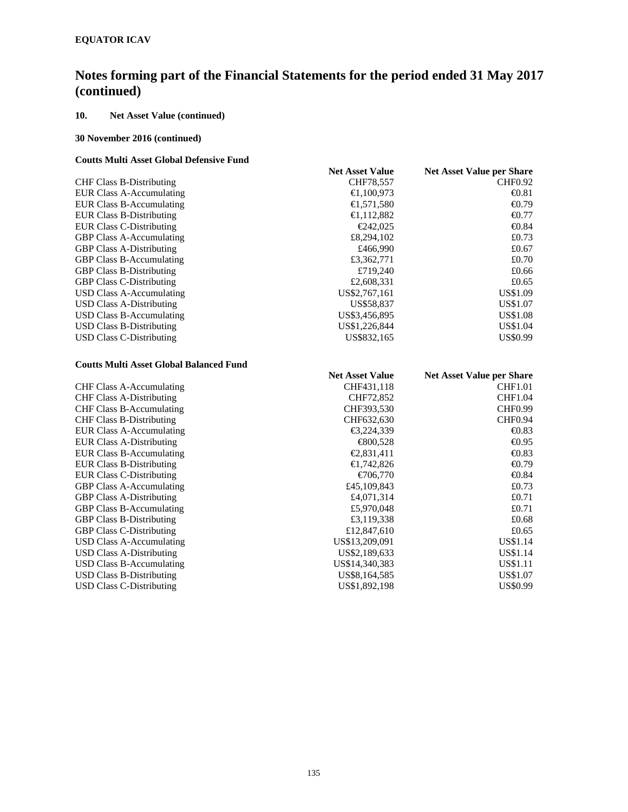## **10. Net Asset Value (continued)**

### **30 November 2016 (continued)**

### **Coutts Multi Asset Global Defensive Fund**

|                                                | <b>Net Asset Value</b> | <b>Net Asset Value per Share</b> |
|------------------------------------------------|------------------------|----------------------------------|
| <b>CHF Class B-Distributing</b>                | CHF78,557              | <b>CHF0.92</b>                   |
| <b>EUR Class A-Accumulating</b>                | €1,100,973             | $\bigoplus .81$                  |
| <b>EUR Class B-Accumulating</b>                | €1,571,580             | $-0.79$                          |
| <b>EUR Class B-Distributing</b>                | €1,112,882             | $\bigoplus$ .77                  |
| <b>EUR Class C-Distributing</b>                | €242,025               | $-0.84$                          |
| <b>GBP Class A-Accumulating</b>                | £8,294,102             | £0.73                            |
| <b>GBP Class A-Distributing</b>                | £466,990               | £0.67                            |
| <b>GBP Class B-Accumulating</b>                | £3,362,771             | £0.70                            |
| <b>GBP Class B-Distributing</b>                | £719,240               | £0.66                            |
| <b>GBP Class C-Distributing</b>                | £2,608,331             | £0.65                            |
| <b>USD Class A-Accumulating</b>                | US\$2,767,161          | US\$1.09                         |
| <b>USD Class A-Distributing</b>                | US\$58,837             | <b>US\$1.07</b>                  |
| <b>USD Class B-Accumulating</b>                | US\$3,456,895          | US\$1.08                         |
| <b>USD Class B-Distributing</b>                | US\$1,226,844          | US\$1.04                         |
| <b>USD Class C-Distributing</b>                | US\$832,165            | US\$0.99                         |
| <b>Coutts Multi Asset Global Balanced Fund</b> |                        |                                  |
|                                                | <b>Net Asset Value</b> | <b>Net Asset Value per Share</b> |
| <b>CHF Class A-Accumulating</b>                | CHF431,118             | <b>CHF1.01</b>                   |
| <b>CHF Class A-Distributing</b>                | CHF72,852              | <b>CHF1.04</b>                   |
| <b>CHF Class B-Accumulating</b>                | CHF393,530             | <b>CHF0.99</b>                   |
| <b>CHF Class B-Distributing</b>                | CHF632,630             | <b>CHF0.94</b>                   |
| <b>EUR Class A-Accumulating</b>                | €3,224,339             | $-0.83$                          |
| <b>EUR Class A-Distributing</b>                | €800,528               | $-0.95$                          |
| <b>EUR Class B-Accumulating</b>                | €2,831,411             | $-0.83$                          |
| <b>EUR Class B-Distributing</b>                | €1,742,826             | €0.79                            |
| <b>EUR Class C-Distributing</b>                | €706,770               | $\bigoplus .84$                  |
| <b>GBP Class A-Accumulating</b>                | £45,109,843            | £0.73                            |
| <b>GBP Class A-Distributing</b>                | £4,071,314             | £0.71                            |
| <b>GBP Class B-Accumulating</b>                | £5,970,048             | £0.71                            |
| <b>GBP Class B-Distributing</b>                | £3,119,338             | £0.68                            |
| <b>GBP Class C-Distributing</b>                | £12,847,610            | £0.65                            |
| <b>USD Class A-Accumulating</b>                | US\$13,209,091         | US\$1.14                         |
| <b>USD Class A-Distributing</b>                | US\$2,189,633          | <b>US\$1.14</b>                  |
| <b>USD Class B-Accumulating</b>                | US\$14,340,383         | US\$1.11                         |
| <b>USD Class B-Distributing</b>                | US\$8,164,585          | US\$1.07                         |
| <b>USD Class C-Distributing</b>                | US\$1,892,198          | US\$0.99                         |
|                                                |                        |                                  |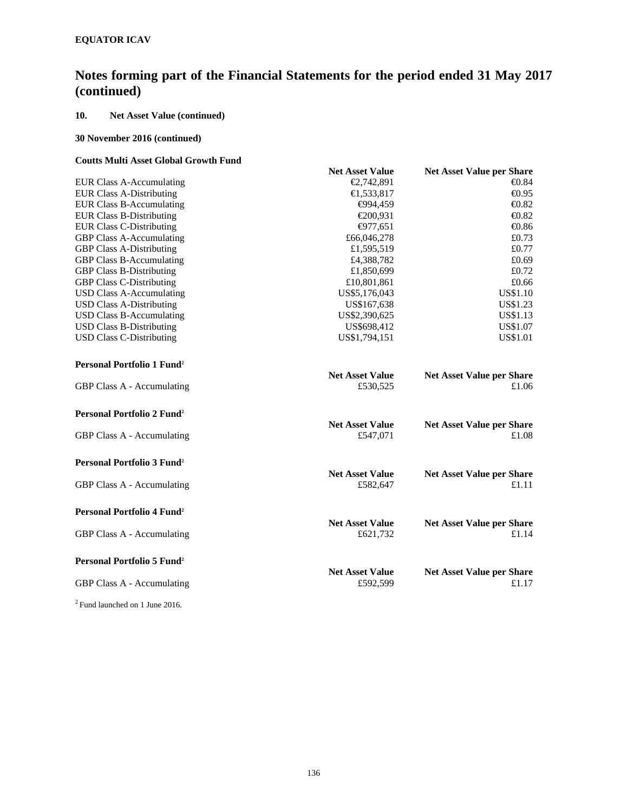## **10. Net Asset Value (continued)**

### **30 November 2016 (continued)**

### **Coutts Multi Asset Global Growth Fund**

|                                              | <b>Net Asset Value</b>             | <b>Net Asset Value per Share</b>          |
|----------------------------------------------|------------------------------------|-------------------------------------------|
| <b>EUR Class A-Accumulating</b>              | €2,742,891                         | $\bigoplus .84$                           |
| <b>EUR Class A-Distributing</b>              | €1,533,817                         | $-0.95$                                   |
| <b>EUR Class B-Accumulating</b>              | €94,459                            | $\bigoplus$ .82                           |
| <b>EUR Class B-Distributing</b>              | €200,931                           | $-0.82$                                   |
| <b>EUR Class C-Distributing</b>              | €977,651                           | $-0.86$                                   |
| <b>GBP Class A-Accumulating</b>              | £66,046,278                        | £0.73                                     |
| <b>GBP Class A-Distributing</b>              | £1,595,519                         | £0.77                                     |
| <b>GBP Class B-Accumulating</b>              | £4,388,782                         | £0.69                                     |
| <b>GBP Class B-Distributing</b>              | £1,850,699                         | £0.72                                     |
| <b>GBP Class C-Distributing</b>              | £10,801,861                        | £0.66                                     |
| <b>USD Class A-Accumulating</b>              | US\$5,176,043                      | US\$1.10                                  |
| <b>USD Class A-Distributing</b>              | US\$167,638                        | US\$1.23                                  |
| <b>USD Class B-Accumulating</b>              | US\$2,390,625                      | US\$1.13                                  |
| <b>USD Class B-Distributing</b>              | US\$698,412                        | US\$1.07                                  |
| <b>USD Class C-Distributing</b>              | US\$1,794,151                      | US\$1.01                                  |
| Personal Portfolio 1 Fund <sup>2</sup>       |                                    |                                           |
|                                              | <b>Net Asset Value</b>             | <b>Net Asset Value per Share</b>          |
| <b>GBP Class A - Accumulating</b>            | £530,525                           | £1.06                                     |
| <b>Personal Portfolio 2 Fund<sup>2</sup></b> |                                    |                                           |
| GBP Class A - Accumulating                   | <b>Net Asset Value</b><br>£547,071 | <b>Net Asset Value per Share</b><br>£1.08 |
| Personal Portfolio 3 Fund <sup>2</sup>       |                                    |                                           |
|                                              | <b>Net Asset Value</b>             | <b>Net Asset Value per Share</b>          |
| GBP Class A - Accumulating                   | £582,647                           | £1.11                                     |
| <b>Personal Portfolio 4 Fund<sup>2</sup></b> |                                    |                                           |
| GBP Class A - Accumulating                   | <b>Net Asset Value</b><br>£621,732 | <b>Net Asset Value per Share</b><br>£1.14 |
|                                              |                                    |                                           |
| <b>Personal Portfolio 5 Fund<sup>2</sup></b> | <b>Net Asset Value</b>             | <b>Net Asset Value per Share</b>          |
| GBP Class A - Accumulating                   | £592,599                           | £1.17                                     |
| $2$ Fund launched on 1 June 2016.            |                                    |                                           |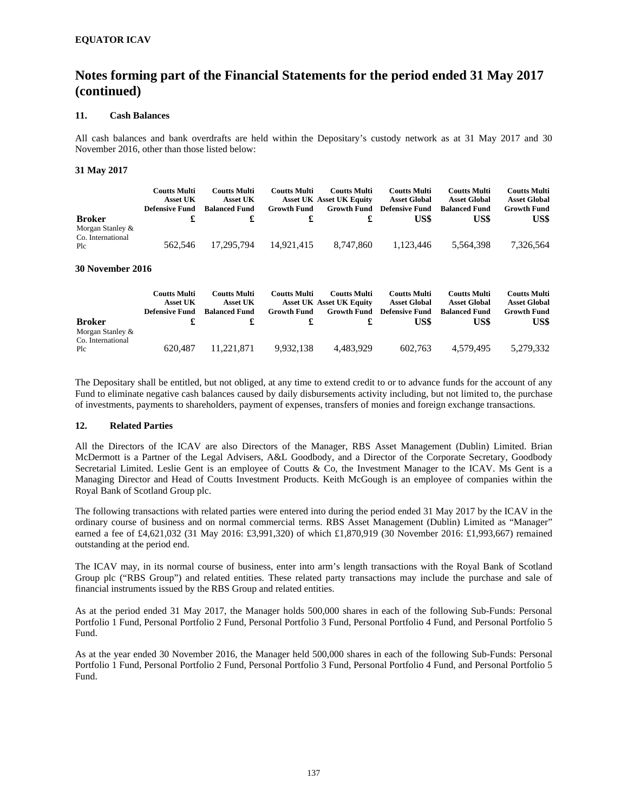### **11. Cash Balances**

All cash balances and bank overdrafts are held within the Depositary's custody network as at 31 May 2017 and 30 November 2016, other than those listed below:

#### **31 May 2017**

| <b>Broker</b>                                | <b>Coutts Multi</b><br><b>Asset UK</b><br>Defensive Fund | <b>Coutts Multi</b><br><b>Asset UK</b><br><b>Balanced Fund</b> | <b>Coutts Multi</b><br><b>Growth Fund</b> | <b>Coutts Multi</b><br><b>Asset UK Asset UK Equity</b><br><b>Growth Fund</b> | <b>Coutts Multi</b><br><b>Asset Global</b><br><b>Defensive Fund</b><br>US\$ | <b>Coutts Multi</b><br><b>Asset Global</b><br><b>Balanced Fund</b><br>US\$ | <b>Coutts Multi</b><br><b>Asset Global</b><br><b>Growth Fund</b><br>US\$ |
|----------------------------------------------|----------------------------------------------------------|----------------------------------------------------------------|-------------------------------------------|------------------------------------------------------------------------------|-----------------------------------------------------------------------------|----------------------------------------------------------------------------|--------------------------------------------------------------------------|
| Morgan Stanley &<br>Co. International<br>Plc | 562.546                                                  | 17.295.794                                                     | 14.921.415                                | 8.747.860                                                                    | 1.123.446                                                                   | 5.564.398                                                                  | 7,326,564                                                                |

#### **30 November 2016**

| <b>Broker</b>                                | Coutts Multi<br><b>Asset UK</b><br><b>Defensive Fund</b> | <b>Coutts Multi</b><br><b>Asset UK</b><br><b>Balanced Fund</b> | <b>Coutts Multi</b><br><b>Growth Fund</b> | <b>Coutts Multi</b><br><b>Asset UK Asset UK Equity</b><br><b>Growth Fund</b> | <b>Coutts Multi</b><br><b>Asset Global</b><br><b>Defensive Fund</b><br>US\$ | <b>Coutts Multi</b><br><b>Asset Global</b><br><b>Balanced Fund</b><br>US\$ | <b>Coutts Multi</b><br><b>Asset Global</b><br><b>Growth Fund</b><br>US\$ |
|----------------------------------------------|----------------------------------------------------------|----------------------------------------------------------------|-------------------------------------------|------------------------------------------------------------------------------|-----------------------------------------------------------------------------|----------------------------------------------------------------------------|--------------------------------------------------------------------------|
| Morgan Stanley &<br>Co. International<br>Plc | 620.487                                                  | 11.221.871                                                     | 9.932.138                                 | 4.483.929                                                                    | 602.763                                                                     | 4.579.495                                                                  | 5.279.332                                                                |

The Depositary shall be entitled, but not obliged, at any time to extend credit to or to advance funds for the account of any Fund to eliminate negative cash balances caused by daily disbursements activity including, but not limited to, the purchase of investments, payments to shareholders, payment of expenses, transfers of monies and foreign exchange transactions.

#### **12. Related Parties**

All the Directors of the ICAV are also Directors of the Manager, RBS Asset Management (Dublin) Limited. Brian McDermott is a Partner of the Legal Advisers, A&L Goodbody, and a Director of the Corporate Secretary, Goodbody Secretarial Limited. Leslie Gent is an employee of Coutts & Co, the Investment Manager to the ICAV. Ms Gent is a Managing Director and Head of Coutts Investment Products. Keith McGough is an employee of companies within the Royal Bank of Scotland Group plc.

The following transactions with related parties were entered into during the period ended 31 May 2017 by the ICAV in the ordinary course of business and on normal commercial terms. RBS Asset Management (Dublin) Limited as "Manager" earned a fee of £4,621,032 (31 May 2016: £3,991,320) of which £1,870,919 (30 November 2016: £1,993,667) remained outstanding at the period end.

The ICAV may, in its normal course of business, enter into arm's length transactions with the Royal Bank of Scotland Group plc ("RBS Group") and related entities. These related party transactions may include the purchase and sale of financial instruments issued by the RBS Group and related entities.

As at the period ended 31 May 2017, the Manager holds 500,000 shares in each of the following Sub-Funds: Personal Portfolio 1 Fund, Personal Portfolio 2 Fund, Personal Portfolio 3 Fund, Personal Portfolio 4 Fund, and Personal Portfolio 5 Fund.

As at the year ended 30 November 2016, the Manager held 500,000 shares in each of the following Sub-Funds: Personal Portfolio 1 Fund, Personal Portfolio 2 Fund, Personal Portfolio 3 Fund, Personal Portfolio 4 Fund, and Personal Portfolio 5 Fund.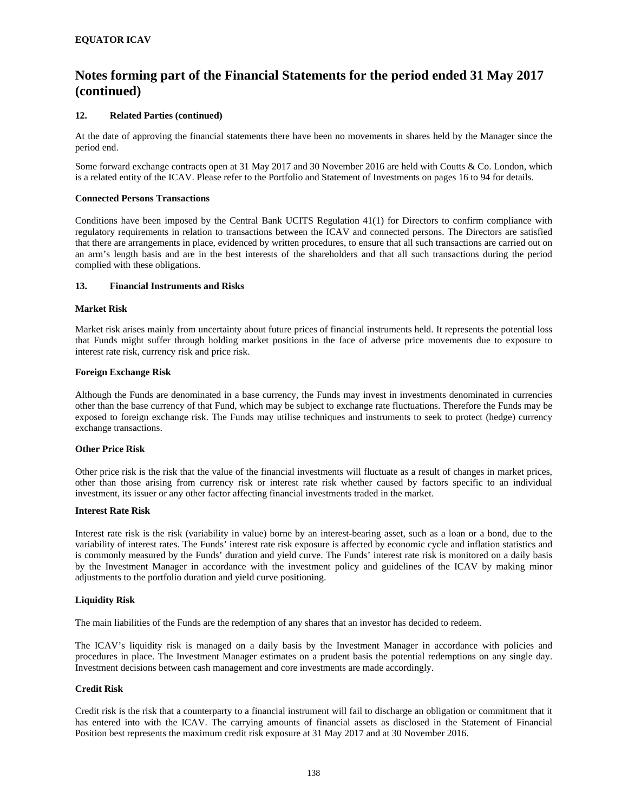### **12. Related Parties (continued)**

At the date of approving the financial statements there have been no movements in shares held by the Manager since the period end.

Some forward exchange contracts open at 31 May 2017 and 30 November 2016 are held with Coutts & Co. London, which is a related entity of the ICAV. Please refer to the Portfolio and Statement of Investments on pages 16 to 94 for details.

### **Connected Persons Transactions**

Conditions have been imposed by the Central Bank UCITS Regulation 41(1) for Directors to confirm compliance with regulatory requirements in relation to transactions between the ICAV and connected persons. The Directors are satisfied that there are arrangements in place, evidenced by written procedures, to ensure that all such transactions are carried out on an arm's length basis and are in the best interests of the shareholders and that all such transactions during the period complied with these obligations.

#### **13. Financial Instruments and Risks**

#### **Market Risk**

Market risk arises mainly from uncertainty about future prices of financial instruments held. It represents the potential loss that Funds might suffer through holding market positions in the face of adverse price movements due to exposure to interest rate risk, currency risk and price risk.

#### **Foreign Exchange Risk**

Although the Funds are denominated in a base currency, the Funds may invest in investments denominated in currencies other than the base currency of that Fund, which may be subject to exchange rate fluctuations. Therefore the Funds may be exposed to foreign exchange risk. The Funds may utilise techniques and instruments to seek to protect (hedge) currency exchange transactions.

#### **Other Price Risk**

Other price risk is the risk that the value of the financial investments will fluctuate as a result of changes in market prices, other than those arising from currency risk or interest rate risk whether caused by factors specific to an individual investment, its issuer or any other factor affecting financial investments traded in the market.

#### **Interest Rate Risk**

Interest rate risk is the risk (variability in value) borne by an interest-bearing asset, such as a loan or a bond, due to the variability of interest rates. The Funds' interest rate risk exposure is affected by economic cycle and inflation statistics and is commonly measured by the Funds' duration and yield curve. The Funds' interest rate risk is monitored on a daily basis by the Investment Manager in accordance with the investment policy and guidelines of the ICAV by making minor adjustments to the portfolio duration and yield curve positioning.

### **Liquidity Risk**

The main liabilities of the Funds are the redemption of any shares that an investor has decided to redeem.

The ICAV's liquidity risk is managed on a daily basis by the Investment Manager in accordance with policies and procedures in place. The Investment Manager estimates on a prudent basis the potential redemptions on any single day. Investment decisions between cash management and core investments are made accordingly.

### **Credit Risk**

Credit risk is the risk that a counterparty to a financial instrument will fail to discharge an obligation or commitment that it has entered into with the ICAV. The carrying amounts of financial assets as disclosed in the Statement of Financial Position best represents the maximum credit risk exposure at 31 May 2017 and at 30 November 2016.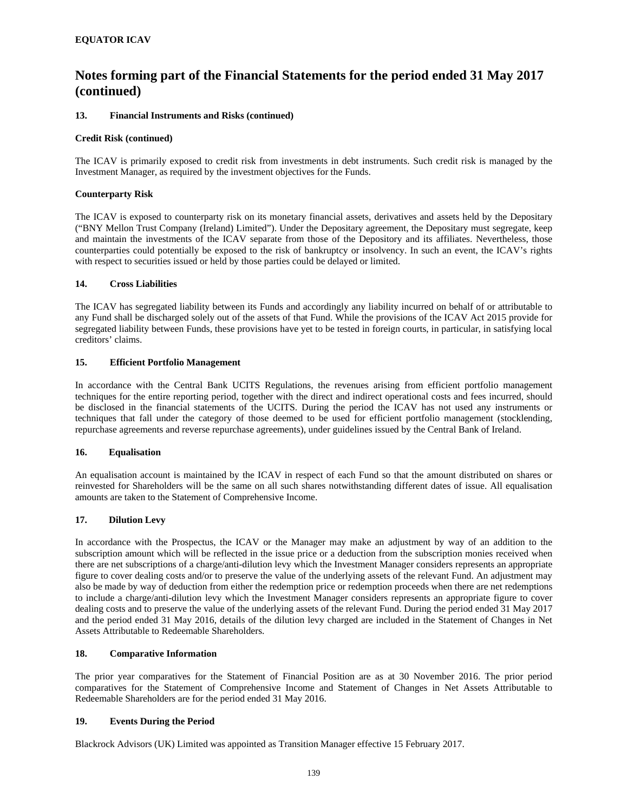### **13. Financial Instruments and Risks (continued)**

### **Credit Risk (continued)**

The ICAV is primarily exposed to credit risk from investments in debt instruments. Such credit risk is managed by the Investment Manager, as required by the investment objectives for the Funds.

### **Counterparty Risk**

The ICAV is exposed to counterparty risk on its monetary financial assets, derivatives and assets held by the Depositary ("BNY Mellon Trust Company (Ireland) Limited"). Under the Depositary agreement, the Depositary must segregate, keep and maintain the investments of the ICAV separate from those of the Depository and its affiliates. Nevertheless, those counterparties could potentially be exposed to the risk of bankruptcy or insolvency. In such an event, the ICAV's rights with respect to securities issued or held by those parties could be delayed or limited.

### **14. Cross Liabilities**

The ICAV has segregated liability between its Funds and accordingly any liability incurred on behalf of or attributable to any Fund shall be discharged solely out of the assets of that Fund. While the provisions of the ICAV Act 2015 provide for segregated liability between Funds, these provisions have yet to be tested in foreign courts, in particular, in satisfying local creditors' claims.

### **15. Efficient Portfolio Management**

In accordance with the Central Bank UCITS Regulations, the revenues arising from efficient portfolio management techniques for the entire reporting period, together with the direct and indirect operational costs and fees incurred, should be disclosed in the financial statements of the UCITS. During the period the ICAV has not used any instruments or techniques that fall under the category of those deemed to be used for efficient portfolio management (stocklending, repurchase agreements and reverse repurchase agreements), under guidelines issued by the Central Bank of Ireland.

### **16. Equalisation**

An equalisation account is maintained by the ICAV in respect of each Fund so that the amount distributed on shares or reinvested for Shareholders will be the same on all such shares notwithstanding different dates of issue. All equalisation amounts are taken to the Statement of Comprehensive Income.

### **17. Dilution Levy**

In accordance with the Prospectus, the ICAV or the Manager may make an adjustment by way of an addition to the subscription amount which will be reflected in the issue price or a deduction from the subscription monies received when there are net subscriptions of a charge/anti-dilution levy which the Investment Manager considers represents an appropriate figure to cover dealing costs and/or to preserve the value of the underlying assets of the relevant Fund. An adjustment may also be made by way of deduction from either the redemption price or redemption proceeds when there are net redemptions to include a charge/anti-dilution levy which the Investment Manager considers represents an appropriate figure to cover dealing costs and to preserve the value of the underlying assets of the relevant Fund. During the period ended 31 May 2017 and the period ended 31 May 2016, details of the dilution levy charged are included in the Statement of Changes in Net Assets Attributable to Redeemable Shareholders.

### **18. Comparative Information**

The prior year comparatives for the Statement of Financial Position are as at 30 November 2016. The prior period comparatives for the Statement of Comprehensive Income and Statement of Changes in Net Assets Attributable to Redeemable Shareholders are for the period ended 31 May 2016.

### **19. Events During the Period**

Blackrock Advisors (UK) Limited was appointed as Transition Manager effective 15 February 2017.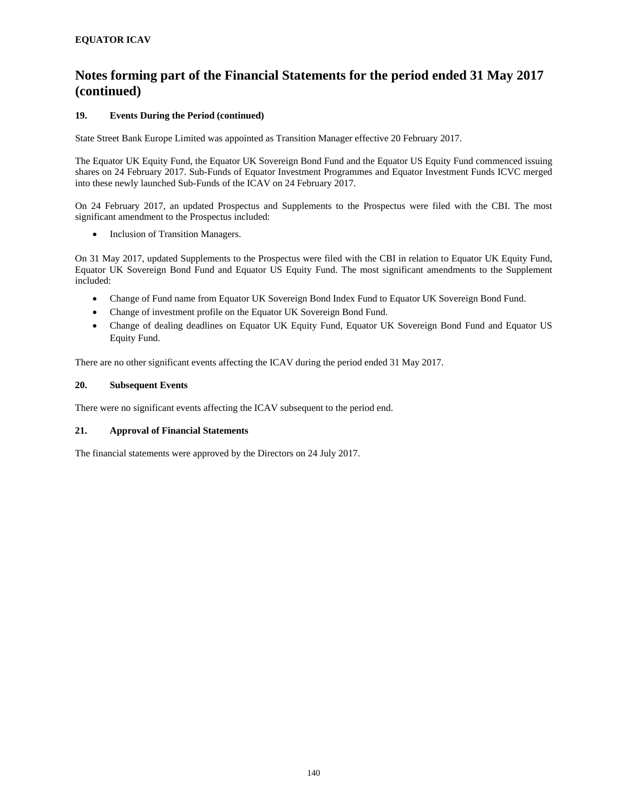### **19. Events During the Period (continued)**

State Street Bank Europe Limited was appointed as Transition Manager effective 20 February 2017.

The Equator UK Equity Fund, the Equator UK Sovereign Bond Fund and the Equator US Equity Fund commenced issuing shares on 24 February 2017. Sub-Funds of Equator Investment Programmes and Equator Investment Funds ICVC merged into these newly launched Sub-Funds of the ICAV on 24 February 2017.

On 24 February 2017, an updated Prospectus and Supplements to the Prospectus were filed with the CBI. The most significant amendment to the Prospectus included:

• Inclusion of Transition Managers.

On 31 May 2017, updated Supplements to the Prospectus were filed with the CBI in relation to Equator UK Equity Fund, Equator UK Sovereign Bond Fund and Equator US Equity Fund. The most significant amendments to the Supplement included:

- Change of Fund name from Equator UK Sovereign Bond Index Fund to Equator UK Sovereign Bond Fund.
- Change of investment profile on the Equator UK Sovereign Bond Fund.
- Change of dealing deadlines on Equator UK Equity Fund, Equator UK Sovereign Bond Fund and Equator US Equity Fund.

There are no other significant events affecting the ICAV during the period ended 31 May 2017.

### **20. Subsequent Events**

There were no significant events affecting the ICAV subsequent to the period end.

### **21. Approval of Financial Statements**

The financial statements were approved by the Directors on 24 July 2017.